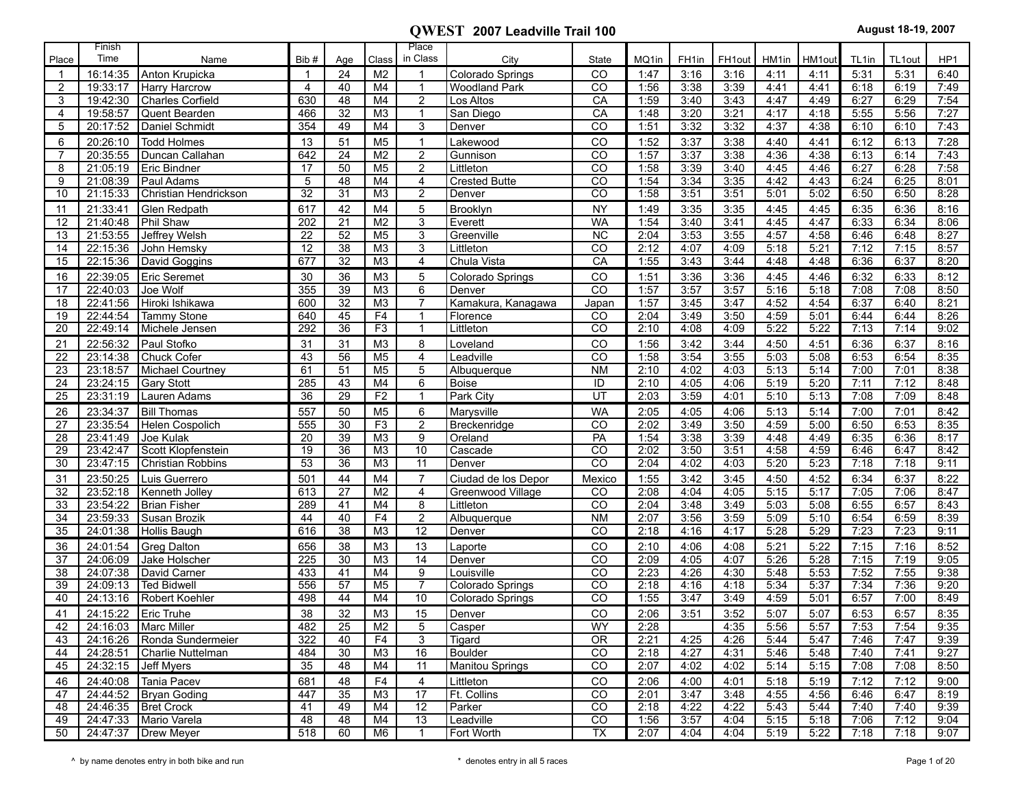| <b>State</b><br>MQ1in<br>FH1in<br>FH1out<br>HM1in<br>HM1out<br>TL <sub>1in</sub><br>HP1<br>TL1out<br>CO<br>6:40<br>1:47<br>3:16<br>3:16<br>4:11<br>4:11<br>5:31<br>5:31<br>CO<br>1:56<br>3:38<br>3:39<br>4:41<br>4:41<br>6:18<br>6:19<br>7:49<br>CA<br>1:59<br>3:40<br>3:43<br>6:27<br>7:54<br>4:47<br>4:49<br>6:29<br>CA<br>3:20<br>1:48<br>3:21<br>4:17<br>4:18<br>5:55<br>5:56<br>7:27<br>CO<br>1:51<br>3:32<br>3:32<br>4:37<br>4:38<br>7:43<br>6:10<br>6:10<br>CO<br>1:52<br>3:37<br>3:38<br>6:12<br>7:28<br>4:40<br>4:41<br>6:13<br>3:37<br>CO<br>1:57<br>3:38<br>4:36<br>4:38<br>6:13<br>7:43<br>6:14<br>CO<br>3:39<br>6:27<br>1:58<br>3:40<br>4:45<br>4:46<br>6:28<br>7:58<br>CO<br>1:54<br>3:34<br>3:35<br>4:42<br>4:43<br>6:24<br>6:25<br>8:01<br>5:02<br>CO<br>1:58<br>3:51<br>3:51<br>5:01<br>6:50<br>6:50<br>8:28<br><b>NY</b><br>1:49<br>3:35<br>3:35<br>4:45<br>6:35<br>6:36<br>8:16<br>4:45<br><b>WA</b><br>1:54<br>4:47<br>3:40<br>3:41<br>4.45<br>6:33<br>6:34<br>8:06                                                             |
|-----------------------------------------------------------------------------------------------------------------------------------------------------------------------------------------------------------------------------------------------------------------------------------------------------------------------------------------------------------------------------------------------------------------------------------------------------------------------------------------------------------------------------------------------------------------------------------------------------------------------------------------------------------------------------------------------------------------------------------------------------------------------------------------------------------------------------------------------------------------------------------------------------------------------------------------------------------------------------------------------------------------------------------------------------|
|                                                                                                                                                                                                                                                                                                                                                                                                                                                                                                                                                                                                                                                                                                                                                                                                                                                                                                                                                                                                                                                     |
|                                                                                                                                                                                                                                                                                                                                                                                                                                                                                                                                                                                                                                                                                                                                                                                                                                                                                                                                                                                                                                                     |
|                                                                                                                                                                                                                                                                                                                                                                                                                                                                                                                                                                                                                                                                                                                                                                                                                                                                                                                                                                                                                                                     |
|                                                                                                                                                                                                                                                                                                                                                                                                                                                                                                                                                                                                                                                                                                                                                                                                                                                                                                                                                                                                                                                     |
|                                                                                                                                                                                                                                                                                                                                                                                                                                                                                                                                                                                                                                                                                                                                                                                                                                                                                                                                                                                                                                                     |
|                                                                                                                                                                                                                                                                                                                                                                                                                                                                                                                                                                                                                                                                                                                                                                                                                                                                                                                                                                                                                                                     |
|                                                                                                                                                                                                                                                                                                                                                                                                                                                                                                                                                                                                                                                                                                                                                                                                                                                                                                                                                                                                                                                     |
|                                                                                                                                                                                                                                                                                                                                                                                                                                                                                                                                                                                                                                                                                                                                                                                                                                                                                                                                                                                                                                                     |
|                                                                                                                                                                                                                                                                                                                                                                                                                                                                                                                                                                                                                                                                                                                                                                                                                                                                                                                                                                                                                                                     |
|                                                                                                                                                                                                                                                                                                                                                                                                                                                                                                                                                                                                                                                                                                                                                                                                                                                                                                                                                                                                                                                     |
|                                                                                                                                                                                                                                                                                                                                                                                                                                                                                                                                                                                                                                                                                                                                                                                                                                                                                                                                                                                                                                                     |
|                                                                                                                                                                                                                                                                                                                                                                                                                                                                                                                                                                                                                                                                                                                                                                                                                                                                                                                                                                                                                                                     |
| <b>NC</b><br>3:53<br>3:55<br>4:57<br>4:58<br>2:04<br>6:46<br>6:48<br>8:27                                                                                                                                                                                                                                                                                                                                                                                                                                                                                                                                                                                                                                                                                                                                                                                                                                                                                                                                                                           |
| CO<br>2:12<br>4:07<br>4:09<br>5:18<br>5:21<br>7:12<br>7:15<br>8:57                                                                                                                                                                                                                                                                                                                                                                                                                                                                                                                                                                                                                                                                                                                                                                                                                                                                                                                                                                                  |
| CA<br>1:55<br>3:43<br>3:44<br>4:48<br>8:20<br>4:48<br>6:36<br>6:37                                                                                                                                                                                                                                                                                                                                                                                                                                                                                                                                                                                                                                                                                                                                                                                                                                                                                                                                                                                  |
| CO<br>1:51<br>3:36<br>3:36<br>4.45<br>4:46<br>6:32<br>6:33<br>8:12                                                                                                                                                                                                                                                                                                                                                                                                                                                                                                                                                                                                                                                                                                                                                                                                                                                                                                                                                                                  |
| $\overline{c}$<br>1:57<br>3:57<br>3:57<br>5:16<br>5:18<br>7:08<br>7:08<br>8:50                                                                                                                                                                                                                                                                                                                                                                                                                                                                                                                                                                                                                                                                                                                                                                                                                                                                                                                                                                      |
| 1:57<br>3:45<br>4:52<br>4:54<br>6:37<br>8:21<br>3:47<br>6:40<br>Japan                                                                                                                                                                                                                                                                                                                                                                                                                                                                                                                                                                                                                                                                                                                                                                                                                                                                                                                                                                               |
| 2:04<br>3:49<br>8:26<br>CO<br>3:50<br>4:59<br>5:01<br>6:44<br>6:44                                                                                                                                                                                                                                                                                                                                                                                                                                                                                                                                                                                                                                                                                                                                                                                                                                                                                                                                                                                  |
| CO<br>2:10<br>4:08<br>5:22<br>5:22<br>7:13<br>4:09<br>7:14<br>9:02                                                                                                                                                                                                                                                                                                                                                                                                                                                                                                                                                                                                                                                                                                                                                                                                                                                                                                                                                                                  |
| CO<br>1:56<br>3:42<br>4:50<br>6:36<br>3:44<br>4:51<br>6:37<br>8:16                                                                                                                                                                                                                                                                                                                                                                                                                                                                                                                                                                                                                                                                                                                                                                                                                                                                                                                                                                                  |
| 5:03<br>CO<br>1:58<br>3:54<br>3:55<br>5:08<br>6:53<br>6:54<br>8:35                                                                                                                                                                                                                                                                                                                                                                                                                                                                                                                                                                                                                                                                                                                                                                                                                                                                                                                                                                                  |
| 8:38<br>4:02<br>4:03<br>5:13<br>7:01                                                                                                                                                                                                                                                                                                                                                                                                                                                                                                                                                                                                                                                                                                                                                                                                                                                                                                                                                                                                                |
| ID<br>4:05<br>4:06<br>7:12<br>8:48                                                                                                                                                                                                                                                                                                                                                                                                                                                                                                                                                                                                                                                                                                                                                                                                                                                                                                                                                                                                                  |
| 8:48                                                                                                                                                                                                                                                                                                                                                                                                                                                                                                                                                                                                                                                                                                                                                                                                                                                                                                                                                                                                                                                |
| <b>WA</b><br>2:05<br>4:05<br>4:06<br>5:13<br>5:14<br>7:00<br>8:42<br>7:01                                                                                                                                                                                                                                                                                                                                                                                                                                                                                                                                                                                                                                                                                                                                                                                                                                                                                                                                                                           |
| 8:35                                                                                                                                                                                                                                                                                                                                                                                                                                                                                                                                                                                                                                                                                                                                                                                                                                                                                                                                                                                                                                                |
| 8:17                                                                                                                                                                                                                                                                                                                                                                                                                                                                                                                                                                                                                                                                                                                                                                                                                                                                                                                                                                                                                                                |
| 8:42                                                                                                                                                                                                                                                                                                                                                                                                                                                                                                                                                                                                                                                                                                                                                                                                                                                                                                                                                                                                                                                |
| 9:11                                                                                                                                                                                                                                                                                                                                                                                                                                                                                                                                                                                                                                                                                                                                                                                                                                                                                                                                                                                                                                                |
| 8:22                                                                                                                                                                                                                                                                                                                                                                                                                                                                                                                                                                                                                                                                                                                                                                                                                                                                                                                                                                                                                                                |
| 8:47                                                                                                                                                                                                                                                                                                                                                                                                                                                                                                                                                                                                                                                                                                                                                                                                                                                                                                                                                                                                                                                |
| 8:43                                                                                                                                                                                                                                                                                                                                                                                                                                                                                                                                                                                                                                                                                                                                                                                                                                                                                                                                                                                                                                                |
| 8:39                                                                                                                                                                                                                                                                                                                                                                                                                                                                                                                                                                                                                                                                                                                                                                                                                                                                                                                                                                                                                                                |
| 9:11                                                                                                                                                                                                                                                                                                                                                                                                                                                                                                                                                                                                                                                                                                                                                                                                                                                                                                                                                                                                                                                |
| 8:52                                                                                                                                                                                                                                                                                                                                                                                                                                                                                                                                                                                                                                                                                                                                                                                                                                                                                                                                                                                                                                                |
| 9:05                                                                                                                                                                                                                                                                                                                                                                                                                                                                                                                                                                                                                                                                                                                                                                                                                                                                                                                                                                                                                                                |
| 9:38                                                                                                                                                                                                                                                                                                                                                                                                                                                                                                                                                                                                                                                                                                                                                                                                                                                                                                                                                                                                                                                |
| 9:20                                                                                                                                                                                                                                                                                                                                                                                                                                                                                                                                                                                                                                                                                                                                                                                                                                                                                                                                                                                                                                                |
| 8:49                                                                                                                                                                                                                                                                                                                                                                                                                                                                                                                                                                                                                                                                                                                                                                                                                                                                                                                                                                                                                                                |
|                                                                                                                                                                                                                                                                                                                                                                                                                                                                                                                                                                                                                                                                                                                                                                                                                                                                                                                                                                                                                                                     |
| CO<br>8:35<br>2:06<br>3:51<br>3:52<br>5:07<br>5:07<br>6:53<br>6:57                                                                                                                                                                                                                                                                                                                                                                                                                                                                                                                                                                                                                                                                                                                                                                                                                                                                                                                                                                                  |
| 2:28<br><b>WY</b><br>4:35<br>5:56<br>5:57<br>7:53<br>9:35<br>7:54                                                                                                                                                                                                                                                                                                                                                                                                                                                                                                                                                                                                                                                                                                                                                                                                                                                                                                                                                                                   |
| <b>OR</b><br>2:21<br>4:25<br>4:26<br>5:47<br>7:46<br>5:44<br>7:47<br>9:39                                                                                                                                                                                                                                                                                                                                                                                                                                                                                                                                                                                                                                                                                                                                                                                                                                                                                                                                                                           |
| CO<br>2:18<br>9:27<br>4:27<br>4:31<br>5:46<br>5:48<br>7:40<br>7:41                                                                                                                                                                                                                                                                                                                                                                                                                                                                                                                                                                                                                                                                                                                                                                                                                                                                                                                                                                                  |
| CO<br>2:07<br>4:02<br>4:02<br>5:14<br>5:15<br>7:08<br>7:08<br>8:50                                                                                                                                                                                                                                                                                                                                                                                                                                                                                                                                                                                                                                                                                                                                                                                                                                                                                                                                                                                  |
| CO<br>2:06<br>4:00<br>4:01<br>5:18<br>5:19<br>7:12<br>7:12<br>9:00                                                                                                                                                                                                                                                                                                                                                                                                                                                                                                                                                                                                                                                                                                                                                                                                                                                                                                                                                                                  |
| $\overline{c}$<br>2:01<br>3:47<br>4:55<br>4:56<br>6:46<br>3:48<br>6:47<br>8:19                                                                                                                                                                                                                                                                                                                                                                                                                                                                                                                                                                                                                                                                                                                                                                                                                                                                                                                                                                      |
| CO<br>2:18<br>4:22<br>4:22<br>5:43<br>5:44<br>7:40<br>7:40<br>9:39<br>CO<br>1:56<br>3:57<br>4:04<br>5:15<br>5:18<br>7:06<br>7:12<br>9:04                                                                                                                                                                                                                                                                                                                                                                                                                                                                                                                                                                                                                                                                                                                                                                                                                                                                                                            |
| $N$ M<br>2:10<br>5:14<br>7:00<br>2:10<br>5:19<br>5:20<br>7:11<br>UT<br>5:10<br>2:03<br>3:59<br>5:13<br>7:08<br>7:09<br>4:01<br>CO<br>2:02<br>3:49<br>3:50<br>4:59<br>5:00<br>6:50<br>6:53<br>PA<br>1:54<br>3:38<br>4:48<br>4:49<br>6:35<br>3:39<br>6:36<br>CO<br>2:02<br>3:50<br>3:51<br>4:58<br>4:59<br>6:46<br>6:47<br>$\overline{co}$<br>2:04<br>5:20<br>5:23<br>7:18<br>4:02<br>4:03<br>7:18<br>1:55<br>3:42<br>3:45<br>4:50<br>4:52<br>6:34<br>6:37<br>Mexico<br>2:08<br>4:04<br>4:05<br>5:15<br>5:17<br>7:05<br>7:06<br>CO<br>CO<br>2:04<br>3:48<br>3:49<br>5:03<br>5:08<br>6:55<br>6:57<br>$N$ M<br>2:07<br>3:56<br>3:59<br>5:09<br>5:10<br>6:54<br>6:59<br>2:18<br>5:28<br>5:29<br>7:23<br>CO<br>4:16<br>4:17<br>7:23<br>CO<br>2:10<br>4:06<br>5:21<br>5:22<br>7:15<br>4:08<br>7:16<br>5:26<br>CO<br>2:09<br>4:05<br>4:07<br>5:28<br>7:15<br>7:19<br>CO<br>2:23<br>4:26<br>7:52<br>7:55<br>4:30<br>5:48<br>5:53<br>CO<br>5:34<br>5:37<br>7:36<br>2:18<br>4:16<br>4:18<br>7:34<br>CO<br>1:55<br>3:47<br>4:59<br>5:01<br>3:49<br>6:57<br>7:00 |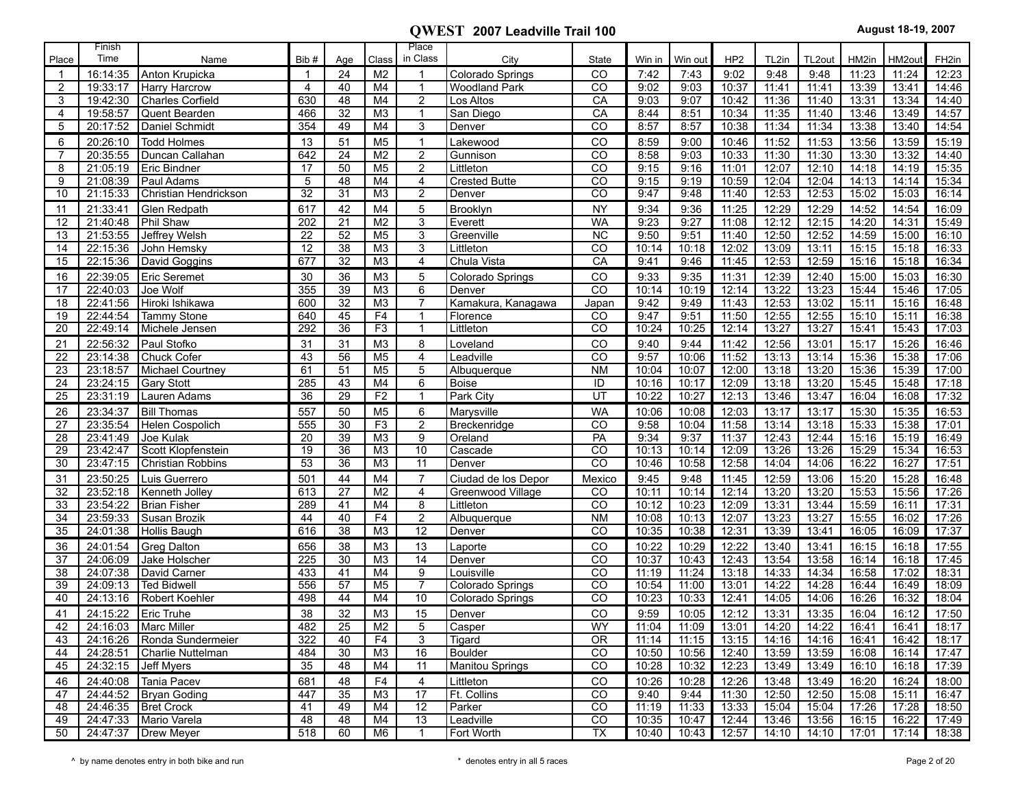|             | Finish               |                                        |                 |                       |                                  | Place                            |                        |                                    |                |                |                 |                |                |                |                |                   |
|-------------|----------------------|----------------------------------------|-----------------|-----------------------|----------------------------------|----------------------------------|------------------------|------------------------------------|----------------|----------------|-----------------|----------------|----------------|----------------|----------------|-------------------|
| Place       | Time                 | Name                                   | Bib#            | Age                   | Class                            | in Class                         | City                   | State                              | Win in         | Win out        | HP <sub>2</sub> | TL2in          | TL2out         | HM2in          | HM2out         | FH <sub>2in</sub> |
| $\mathbf 1$ | 16:14:35             | Anton Krupicka                         | $\mathbf 1$     | 24                    | M <sub>2</sub>                   | $\mathbf{1}$                     | Colorado Springs       | CO                                 | 7:42           | 7:43           | 9:02            | 9:48           | 9:48           | 11:23          | 11:24          | 12:23             |
| 2           | 19:33:17             | <b>Harry Harcrow</b>                   | 4               | 40                    | $\overline{M}4$                  | $\mathbf{1}$                     | <b>Woodland Park</b>   | CO                                 | 9:02           | 9:03           | 10:37           | 11:41          | 11:41          | 13:39          | 13:41          | 14:46             |
| 3           | 19:42:30             | <b>Charles Corfield</b>                | 630             | 48                    | M4                               | 2                                | Los Altos              | CA                                 | 9:03           | 9:07           | 10:42           | 11:36          | 11:40          | 13:31          | 13:34          | 14:40             |
| 4           | 19:58:57             | Quent Bearden                          | 466             | 32                    | M <sub>3</sub>                   | $\mathbf{1}$                     | San Diego              | CA                                 | 8:44           | 8:51           | 10:34           | 11:35          | 11:40          | 13:46          | 13:49          | 14:57             |
| 5           | 20:17:52             | Daniel Schmidt                         | 354             | 49                    | M4                               | 3                                | Denver                 | CO                                 | 8:57           | 8:57           | 10:38           | 11:34          | 11:34          | 13:38          | 13:40          | 14:54             |
| 6           | 20:26:10             | <b>Todd Holmes</b>                     | 13              | 51                    | M <sub>5</sub>                   | $\mathbf{1}$                     | Lakewood               | CO                                 | 8:59           | 9:00           | 10:46           | 11:52          | 11:53          | 13:56          | 13:59          | 15:19             |
| 7<br>8      | 20:35:55<br>21:05:19 | Duncan Callahan<br><b>Eric Bindner</b> | 642<br>17       | $\overline{24}$<br>50 | M <sub>2</sub><br>M <sub>5</sub> | $\overline{2}$<br>$\overline{2}$ | Gunnison<br>Littleton  | $\overline{co}$<br>$\overline{co}$ | 8:58<br>9:15   | 9:03<br>9:16   | 10:33<br>11:01  | 11:30<br>12:07 | 11:30<br>12:10 | 13:30<br>14:18 | 13:32<br>14:19 | 14:40<br>15:35    |
| 9           | 21:08:39             | Paul Adams                             | 5               | 48                    | M4                               | 4                                | <b>Crested Butte</b>   | CO                                 | 9:15           | 9:19           | 10:59           | 12:04          | 12:04          | 14:13          | 14:14          | 15:34             |
| 10          | 21:15:33             | Christian Hendrickson                  | $\overline{32}$ | $\overline{31}$       | M <sub>3</sub>                   | $\overline{2}$                   | Denver                 | $\overline{co}$                    | 9:47           | 9:48           | 11:40           | 12:53          | 12:53          | 15:02          | 15:03          | 16:14             |
| 11          | 21:33:41             | Glen Redpath                           | 617             | 42                    | M4                               | 5                                | Brooklyn               | <b>NY</b>                          | 9:34           | 9:36           | 11:25           | 12:29          | 12:29          | 14:52          | 14:54          | 16:09             |
| 12          | 21:40:48             | Phil Shaw                              | 202             | $\overline{21}$       | M <sub>2</sub>                   | 3                                | Everett                | <b>WA</b>                          | 9:23           | 9:27           | 11:08           | 12:12          | 12:15          | 14:20          | 14:31          | 15:49             |
| 13          | 21:53:55             | Jeffrey Welsh                          | 22              | 52                    | M <sub>5</sub>                   | 3                                | Greenville             | <b>NC</b>                          | 9:50           | 9:51           | 11:40           | 12:50          | 12:52          | 14:59          | 15:00          | 16:10             |
| 14          | 22:15:36             | John Hemsky                            | 12              | $\overline{38}$       | M <sub>3</sub>                   | 3                                | Littleton              | CO                                 | 10:14          | 10:18          | 12:02           | 13:09          | 13:11          | 15:15          | 15:18          | 16:33             |
| 15          | 22:15:36             | David Goggins                          | 677             | 32                    | M <sub>3</sub>                   | $\overline{4}$                   | Chula Vista            | CA                                 | 9:41           | 9:46           | 11:45           | 12:53          | 12:59          | 15:16          | 15:18          | 16:34             |
| 16          | 22:39:05             | <b>Eric Seremet</b>                    | 30              | 36                    | M <sub>3</sub>                   | 5                                | Colorado Springs       | CO                                 | 9:33           | 9:35           | 11:31           | 12:39          | 12:40          | 15:00          | 15:03          | 16:30             |
| 17          | 22:40:03             | Joe Wolf                               | 355             | 39                    | M <sub>3</sub>                   | 6                                | Denver                 | CO                                 | 10:14          | 10:19          | 12:14           | 13:22          | 13:23          | 15:44          | 15:46          | 17:05             |
| 18          | 22:41:56             | Hiroki Ishikawa                        | 600             | 32                    | M <sub>3</sub>                   | $\overline{7}$                   | Kamakura, Kanagawa     | Japan                              | 9:42           | 9:49           | 11:43           | 12:53          | 13:02          | 15:11          | 15:16          | 16:48             |
| 19          | 22:44:54             | <b>Tammy Stone</b>                     | 640             | 45                    | F4                               | $\mathbf{1}$                     | Florence               | CO                                 | 9:47           | 9:51           | 11:50           | 12:55          | 12:55          | 15:10          | 15:11          | 16:38             |
| 20          | 22:49:14             | Michele Jensen                         | 292             | 36                    | F <sub>3</sub>                   | $\mathbf{1}$                     | Littleton              | CO                                 | 10:24          | 10:25          | 12:14           | 13:27          | 13:27          | 15:41          | 15:43          | 17:03             |
| 21          | 22:56:32             | Paul Stofko                            | 31              | 31                    | M <sub>3</sub>                   | 8                                | Loveland               | CO                                 | 9:40           | 9:44           | 11:42           | 12:56          | 13:01          | 15:17          | 15:26          | 16:46             |
| 22          | 23:14:38             | <b>Chuck Cofer</b>                     | 43              | 56                    | M <sub>5</sub>                   | $\overline{4}$                   | Leadville              | CO                                 | 9:57           | 10:06          | 11:52           | 13:13          | 13:14          | 15:36          | 15:38          | 17:06             |
| 23          | 23:18:57             | Michael Courtney                       | 61              | 51                    | M <sub>5</sub>                   | 5                                | Albuquerque            | N <sub>M</sub>                     | 10:04          | 10:07          | 12:00           | 13:18          | 13:20          | 15:36          | 15:39          | 17:00             |
| 24          | 23:24:15             | <b>Gary Stott</b>                      | 285             | 43                    | M4                               | 6                                | <b>Boise</b>           | ID                                 | 10:16          | 10:17          | 12:09           | 13:18          | 13:20          | 15:45          | 15:48          | 17:18             |
| 25          | 23:31:19             | Lauren Adams                           | 36              | $\overline{29}$       | F2                               | $\mathbf{1}$                     | Park City              | UT                                 | 10:22          | 10:27          | 12:13           | 13:46          | 13:47          | 16:04          | 16:08          | 17:32             |
| 26          | 23:34:37             | <b>Bill Thomas</b>                     | 557             | 50                    | M <sub>5</sub>                   | 6                                | Marysville             | <b>WA</b>                          | 10:06          | 10:08          | 12:03           | 13:17          | 13:17          | 15:30          | 15:35          | 16:53             |
| 27          | 23:35:54             | <b>Helen Cospolich</b>                 | 555             | 30                    | F3                               | $\overline{2}$                   | Breckenridge           | $\overline{co}$                    | 9:58           | 10:04          | 11:58           | 13:14          | 13:18          | 15:33          | 15:38          | 17:01             |
| 28          | 23:41:49             | Joe Kulak                              | 20              | 39                    | M <sub>3</sub>                   | 9                                | Oreland                | PA                                 | 9:34           | 9:37           | 11:37           | 12:43          | 12:44          | 15:16          | 15:19          | 16:49             |
| 29          | 23:42:47             | Scott Klopfenstein                     | 19              | $\overline{36}$       | M <sub>3</sub>                   | 10                               | Cascade                | CO                                 | 10:13          | 10:14          | 12:09           | 13:26          | 13:26          | 15:29          | 15:34          | 16:53             |
| 30          | 23:47:15             | <b>Christian Robbins</b>               | 53              | 36                    | M <sub>3</sub>                   | 11                               | Denver                 | CO                                 | 10:46          | 10:58          | 12:58           | 14:04          | 14:06          | 16:22          | 16:27          | 17:51             |
| 31          | 23:50:25             | Luis Guerrero                          | 501             | 44                    | M4                               | $\overline{7}$                   | Ciudad de los Depor    | Mexico                             | 9:45           | 9:48           | 11:45           | 12:59          | 13:06          | 15:20          | 15:28          | 16:48             |
| 32          | 23:52:18             | Kenneth Jolley                         | 613             | 27                    | M <sub>2</sub>                   | 4                                | Greenwood Village      | CO                                 | 10:11          | 10:14          | 12:14           | 13:20          | 13:20          | 15:53          | 15:56          | 17:26             |
| 33          | 23:54:22             | <b>Brian Fisher</b>                    | 289<br>44       | 41<br>40              | M4<br>F4                         | 8                                | Littleton              | CO<br>N <sub>M</sub>               | 10:12          | 10:23          | 12:09           | 13:31          | 13:44          | 15:59          | 16:11          | 17:31             |
| 34<br>35    | 23:59:33<br>24:01:38 | Susan Brozik<br><b>Hollis Baugh</b>    | 616             | 38                    | M <sub>3</sub>                   | $\overline{2}$<br>12             | Albuquerque<br>Denver  | CO                                 | 10:08<br>10:35 | 10:13<br>10:38 | 12:07<br>12:31  | 13:23<br>13:39 | 13:27<br>13:41 | 15:55<br>16:05 | 16:02<br>16:09 | 17:26<br>17:37    |
| 36          | 24:01:54             | <b>Greg Dalton</b>                     | 656             | 38                    | M <sub>3</sub>                   | 13                               |                        | CO                                 | 10:22          |                |                 |                |                |                | 16:18          |                   |
| 37          | 24:06:09             | Jake Holscher                          | 225             | 30                    | M <sub>3</sub>                   | 14                               | Laporte<br>Denver      | CO                                 | 10:37          | 10:29<br>10:43 | 12:22<br>12:43  | 13:40<br>13:54 | 13:41<br>13:58 | 16:15<br>16:14 | 16:18          | 17:55<br>17:45    |
| 38          | 24:07:38             | David Carner                           | 433             | 41                    | M4                               | 9                                | Louisville             | $\overline{co}$                    | 11:19          | 11:24          | 13:18           | 14:33          | 14:34          | 16:58          | 17:02          | 18:31             |
| 39          | 24:09:13             | <b>Ted Bidwell</b>                     | 556             | 57                    | M <sub>5</sub>                   | $\overline{7}$                   | Colorado Springs       | CO                                 | 10:54          | 11:00          | 13:01           | 14:22          | 14:28          | 16:44          | 16:49          | 18:09             |
| 40          | 24:13:16             | <b>Robert Koehler</b>                  | 498             | 44                    | M4                               | 10                               | Colorado Springs       | CO                                 | 10:23          | 10:33          | 12:41           | 14:05          | 14:06          | 16:26          | 16:32          | 18:04             |
| 41          | 24:15:22             | Eric Truhe                             | 38              | 32                    | M <sub>3</sub>                   | 15                               | Denver                 | CO                                 | 9:59           | 10:05          | 12:12           | 13:31          | 13:35          | 16:04          | 16:12          | 17:50             |
| 42          |                      | 24:16:03   Marc Miller                 | 482             | 25                    | M2                               | 5                                | Casper                 | <b>WY</b>                          | 11:04          | 11:09          | 13:01           | 14:20          | 14:22          | 16:41          | 16:41          | 18:17             |
| 43          |                      | 24:16:26   Ronda Sundermeier           | 322             | 40                    | F4                               | 3                                | Tigard                 | <b>OR</b>                          | 11:14          | 11:15          | 13:15           | 14:16          | 14:16          | 16:41          | 16:42          | 18:17             |
| 44          | 24:28:51             | Charlie Nuttelman                      | 484             | 30                    | M3                               | 16                               | Boulder                | CO                                 | 10:50          | 10:56          | 12:40           | 13:59          | 13:59          | 16:08          | 16:14          | 17:47             |
| 45          |                      | 24:32:15 Jeff Myers                    | 35              | 48                    | M4                               | 11                               | <b>Manitou Springs</b> | CO                                 | 10:28          | 10:32          | 12:23           | 13:49          | 13:49          | 16:10          | 16:18          | 17:39             |
| 46          | 24:40:08             | Tania Pacev                            | 681             | 48                    | F <sub>4</sub>                   | $\overline{4}$                   | Littleton              | CO                                 | 10:26          | 10:28          | 12:26           | 13:48          | 13:49          | 16:20          | 16:24          | 18:00             |
| 47          |                      | 24:44:52   Bryan Goding                | 447             | 35                    | M3                               | 17                               | Ft. Collins            | CO                                 | 9:40           | 9:44           | 11:30           | 12:50          | 12:50          | 15:08          | 15:11          | 16:47             |
| 48          |                      | 24:46:35   Bret Crock                  | 41              | 49                    | M4                               | 12                               | Parker                 | $\overline{CO}$                    | 11:19          | 11:33          | 13:33           | 15:04          | 15:04          | 17:26          | 17:28          | 18:50             |
| 49          |                      | 24:47:33 Mario Varela                  | 48              | 48                    | M4                               | 13                               | Leadville              | CO                                 | 10:35          | 10:47          | 12:44           | 13:46          | 13:56          | 16:15          | 16:22          | 17:49             |
| 50          |                      | 24:47:37   Drew Meyer                  | 518             | 60                    | M6                               | $\mathbf{1}$                     | Fort Worth             | TX                                 | 10:40          | 10:43          | 12:57           | 14:10          | 14:10          | 17:01          | 17:14          | 18:38             |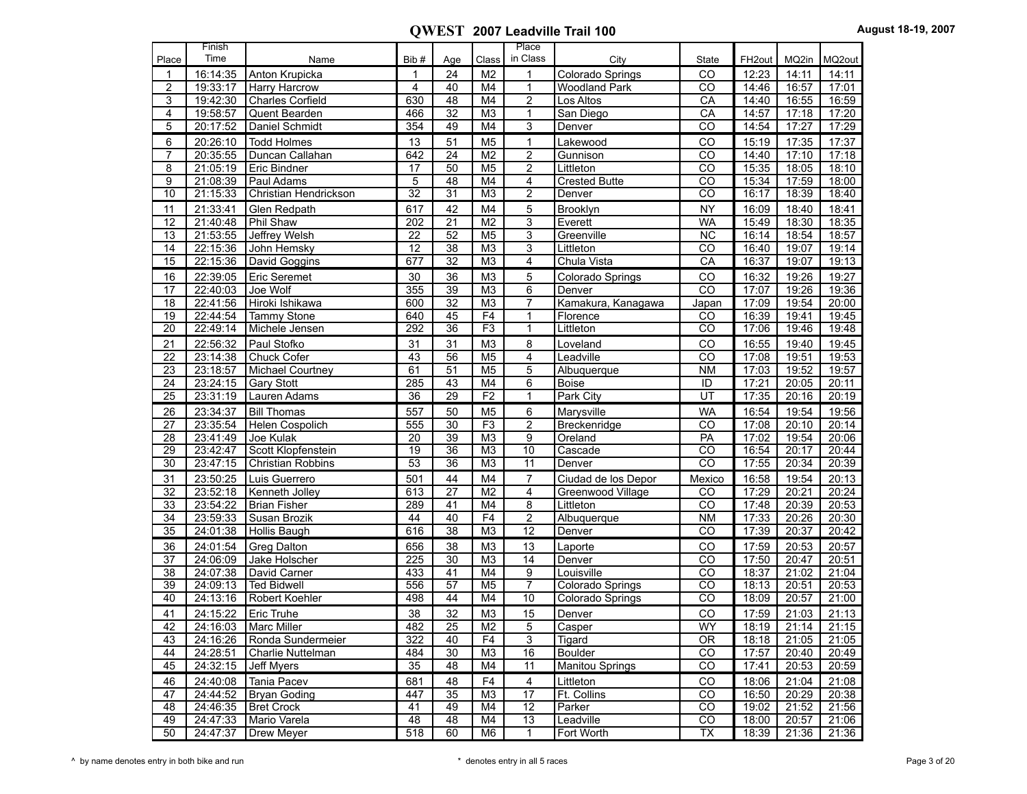|                 | Finish               |                             |                 |                 |                      | Place              |                       |                 |                    |                |                |
|-----------------|----------------------|-----------------------------|-----------------|-----------------|----------------------|--------------------|-----------------------|-----------------|--------------------|----------------|----------------|
| Place           | Time                 | Name                        | Bib#            | Age             | Class                | in Class           | City                  | State           | FH <sub>2out</sub> | MQ2in          | MQ2out         |
| 1               | 16:14:35             | Anton Krupicka              | 1               | 24              | M <sub>2</sub>       | 1                  | Colorado Springs      | CO              | 12:23              | 14:11          | 14:11          |
| $\overline{c}$  | 19:33:17             | <b>Harry Harcrow</b>        | 4               | 40              | M4                   | $\mathbf{1}$       | <b>Woodland Park</b>  | CO              | 14:46              | 16:57          | 17:01          |
| 3               | 19:42:30             | <b>Charles Corfield</b>     | 630             | $\overline{48}$ | M <sub>4</sub>       | $\overline{c}$     | Los Altos             | CA              | 14:40              | 16:55          | 16:59          |
| 4               | 19:58:57             | Quent Bearden               | 466             | 32              | M <sub>3</sub>       | 1                  | San Diego             | CA              | 14:57              | 17:18          | 17:20          |
| 5               | 20:17:52             | Daniel Schmidt              | 354             | 49              | M4                   | 3                  | Denver                | $\overline{co}$ | 14:54              | 17:27          | 17:29          |
| 6               | 20:26:10             | <b>Todd Holmes</b>          | 13              | 51              | M <sub>5</sub>       | $\mathbf{1}$       | Lakewood              | CO              | 15:19              | 17:35          | 17:37          |
| $\overline{7}$  | 20:35:55             | Duncan Callahan             | 642             | $\overline{24}$ | M <sub>2</sub>       | $\overline{c}$     | Gunnison              | $\overline{co}$ | 14:40              | 17:10          | 17:18          |
| 8               | 21:05:19             | Eric Bindner                | 17              | 50              | M <sub>5</sub>       | $\overline{c}$     | Littleton             | CO              | 15:35              | 18:05          | 18:10          |
| 9               | 21:08:39             | Paul Adams                  | 5               | 48              | M4                   | $\overline{4}$     | <b>Crested Butte</b>  | CO              | 15:34              | 17:59          | 18:00          |
| 10              | 21:15:33             | Christian Hendrickson       | $\overline{32}$ | $\overline{31}$ | M <sub>3</sub>       | $\overline{c}$     | Denver                | $\overline{co}$ | 16:17              | 18:39          | 18:40          |
| 11              | 21:33:41             | Glen Redpath                | 617             | 42              | M4                   | 5                  | Brooklyn              | <b>NY</b>       | 16:09              | 18:40          | 18:41          |
| 12              | 21:40:48             | Phil Shaw                   | 202             | 21              | M <sub>2</sub>       | 3                  | Everett               | <b>WA</b>       | 15:49              | 18:30          | 18:35          |
| 13              | 21:53:55             | <b>Jeffrey Welsh</b>        | 22              | 52              | M <sub>5</sub>       | 3                  | Greenville            | NC              | 16:14              | 18:54          | 18:57          |
| 14              | 22:15:36             | John Hemsky                 | $\overline{12}$ | $\overline{38}$ | M <sub>3</sub>       | 3                  | Littleton             | $\overline{co}$ | 16:40              | 19:07          | 19:14          |
| 15              | 22:15:36             | David Goggins               | 677             | 32              | M <sub>3</sub>       | 4                  | Chula Vista           | CA              | 16:37              | 19:07          | 19:13          |
|                 |                      |                             |                 |                 |                      |                    |                       |                 |                    |                |                |
| 16              | 22:39:05             | <b>Eric Seremet</b>         | 30              | 36              | M <sub>3</sub>       | 5                  | Colorado Springs      | CO              | 16:32              | 19:26          | 19:27          |
| 17              | 22:40:03             | Joe Wolf                    | 355             | 39              | M <sub>3</sub>       | 6                  | Denver                | CO              | 17:07              | 19:26          | 19:36          |
| 18              | 22:41:56             | Hiroki Ishikawa             | 600             | $\overline{32}$ | M <sub>3</sub>       | $\overline{7}$     | Kamakura, Kanagawa    | Japan           | 17:09              | 19:54          | 20:00          |
| 19              | 22:44:54             | <b>Tammy Stone</b>          | 640             | 45              | F4                   | 1                  | Florence              | CO              | 16:39              | 19:41          | 19:45          |
| 20              | 22:49:14             | Michele Jensen              | 292             | 36              | F <sub>3</sub>       | $\mathbf{1}$       | Littleton             | CO              | 17:06              | 19:46          | 19:48          |
| 21              | 22:56:32             | Paul Stofko                 | 31              | 31              | M <sub>3</sub>       | 8                  | Loveland              | CO              | 16:55              | 19:40          | 19:45          |
| $\overline{22}$ | 23:14:38             | <b>Chuck Cofer</b>          | 43              | $\overline{56}$ | M <sub>5</sub>       | 4                  | Leadville             | $\overline{co}$ | 17:08              | 19:51          | 19:53          |
| 23              | 23:18:57             | Michael Courtney            | 61              | 51              | M <sub>5</sub>       | 5                  | Albuquerque           | <b>NM</b>       | 17:03              | 19:52          | 19:57          |
| 24              | 23:24:15             | Gary Stott                  | 285             | 43              | M4                   | 6                  | <b>Boise</b>          | ID              | 17:21              | 20:05          | 20:11          |
| $\overline{25}$ | 23:31:19             | Lauren Adams                | $\overline{36}$ | $\overline{29}$ | F <sub>2</sub>       | $\mathbf{1}$       | Park City             | $\overline{UT}$ | 17:35              | 20:16          | 20:19          |
| 26              | 23:34:37             | <b>Bill Thomas</b>          | 557             | 50              | M <sub>5</sub>       | 6                  | Marysville            | <b>WA</b>       | 16:54              | 19:54          | 19:56          |
| 27              | 23:35:54             | Helen Cospolich             | 555             | 30              | F3                   | $\overline{c}$     | Breckenridge          | CO              | 17:08              | 20:10          | 20:14          |
| 28              | 23:41:49             | Joe Kulak                   | 20              | 39              | M <sub>3</sub>       | 9                  | Oreland               | PA              | 17:02              | 19:54          | 20:06          |
| $\overline{29}$ | 23:42:47             | Scott Klopfenstein          | $\overline{19}$ | $\overline{36}$ | M <sub>3</sub>       | 10                 | Cascade               | $\overline{co}$ | 16:54              | 20:17          | 20:44          |
| 30              | 23:47:15             | Christian Robbins           | 53              | 36              | M <sub>3</sub>       | 11                 | Denver                | $\overline{co}$ | 17:55              | 20:34          | 20:39          |
| 31              | 23:50:25             | Luis Guerrero               | 501             | 44              | M4                   | $\overline{7}$     | Ciudad de los Depor   | Mexico          | 16:58              | 19:54          | 20:13          |
| 32              | 23:52:18             | Kenneth Jolley              | 613             | 27              | M <sub>2</sub>       | $\overline{4}$     | Greenwood Village     | CO              | 17:29              | 20:21          | 20:24          |
| $\overline{33}$ | 23:54:22             | <b>Brian Fisher</b>         | 289             | 41              | M4                   | 8                  | Littleton             | $\overline{co}$ | 17:48              | 20:39          | 20:53          |
| 34              | 23:59:33             | Susan Brozik                | 44              | 40              | F <sub>4</sub>       | $\overline{2}$     | Albuquerque           | <b>NM</b>       | 17:33              | 20:26          | 20:30          |
| 35              | 24:01:38             | Hollis Baugh                | 616             | 38              | M <sub>3</sub>       | 12                 | Denver                | CO              | 17:39              | 20:37          | 20:42          |
| 36              | 24:01:54             | <b>Greg Dalton</b>          | 656             | 38              | M <sub>3</sub>       | 13                 | Laporte               | CO              | 17:59              | 20:53          | 20:57          |
| $\overline{37}$ | 24:06:09             | Jake Holscher               | 225             | $\overline{30}$ | M <sub>3</sub>       | $\overline{14}$    | Denver                | $\overline{co}$ | 17:50              | 20:47          | 20:51          |
| 38              | 24:07:38             | David Carner                | 433             | 41              | M4                   | 9                  | Louisville            | CO              | 18:37              | 21:02          | 21:04          |
| 39              | 24:09:13             | <b>Ted Bidwell</b>          | 556             | 57              | M <sub>5</sub>       | $\overline{7}$     | Colorado Springs      | CO              | 18:13              | 20:51          | 20:53          |
| 40              | 24:13:16             | <b>Robert Koehler</b>       | 498             | 44              | M4                   | 10                 | Colorado Springs      | $\overline{co}$ | 18:09              | 20:57          | 21:00          |
| 41              | 24:15:22             | Eric Truhe                  | 38              | 32              | M <sub>3</sub>       | 15                 | Denver                | CO              | 17:59              | 21:03          | 21:13          |
| 42              | 24:16:03             | Marc Miller                 | 482             | 25              | M2                   | 5                  | Casper                | WY              | 18:19              | 21:14          | 21:15          |
| 43              | 24:16:26             | Ronda Sundermeier           | 322             | 40              | F4                   | 3                  | Tigard                | <b>OR</b>       | 18:18              | 21:05          | 21:05          |
| 44              | 24:28:51             | Charlie Nuttelman           | 484             | 30              | M <sub>3</sub>       | 16                 | Boulder               | CO              | 17:57              | 20:40          | 20:49          |
| 45              | 24:32:15             | Jeff Myers                  | 35              | 48              | M4                   | 11                 | Manitou Springs       | CO              | 17:41              | 20:53          | 20:59          |
|                 |                      |                             |                 |                 |                      |                    |                       |                 |                    |                |                |
| 46<br>47        | 24:40:08<br>24:44:52 | Tania Pacev<br>Bryan Goding | 681<br>447      | 48<br>35        | F4<br>M <sub>3</sub> | 4<br>17            | Littleton             | CO<br>CO        | 18:06              | 21:04<br>20:29 | 21:08          |
|                 | 24:46:35             | <b>Bret Crock</b>           | 41              | 49              | M4                   | 12                 | Ft. Collins<br>Parker | $\overline{CO}$ | 16:50<br>19:02     | 21:52          | 20:38          |
| 48              |                      | Mario Varela                |                 |                 |                      |                    | Leadville             |                 |                    |                | 21:56          |
| 49<br>50        | 24:47:33<br>24:47:37 | Drew Meyer                  | 48<br>518       | 48<br>60        | M4<br>M6             | 13<br>$\mathbf{1}$ | Fort Worth            | CO<br>TX        | 18:00<br>18:39     | 20:57<br>21:36 | 21:06<br>21:36 |
|                 |                      |                             |                 |                 |                      |                    |                       |                 |                    |                |                |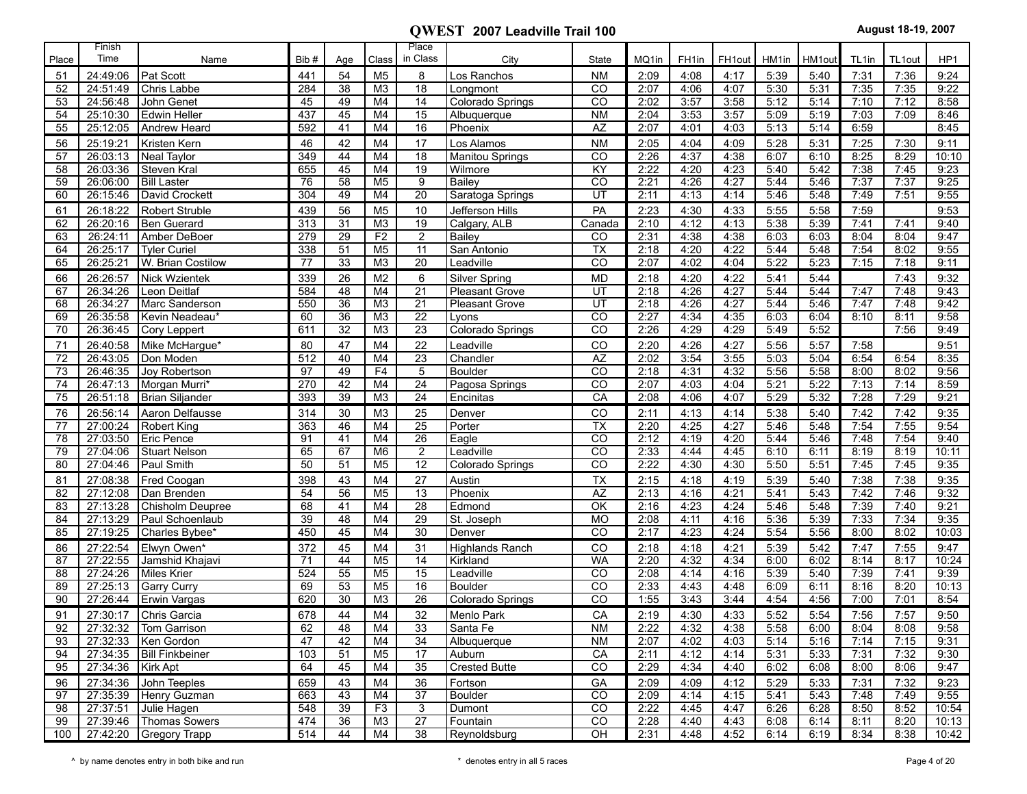|          | Finish               |                                         |            |                       |                                  | Place                 |                                      |                              |              |                   |              |              |              |                   |              |               |
|----------|----------------------|-----------------------------------------|------------|-----------------------|----------------------------------|-----------------------|--------------------------------------|------------------------------|--------------|-------------------|--------------|--------------|--------------|-------------------|--------------|---------------|
| Place    | Time                 | Name                                    | Bib#       | Age                   | Class                            | in Class              | City                                 | State                        | MQ1in        | FH <sub>1in</sub> | FH1out       | HM1in        | HM1out       | TL <sub>1in</sub> | TL1out       | HP1           |
| 51       | 24:49:06             | Pat Scott                               | 441<br>284 | 54<br>$\overline{38}$ | M <sub>5</sub>                   | 8<br>$\overline{18}$  | Los Ranchos                          | <b>NM</b><br>$\overline{CO}$ | 2:09<br>2:07 | 4:08              | 4:17         | 5:39         | 5:40<br>5:31 | 7:31<br>7:35      | 7:36         | 9:24          |
| 52<br>53 | 24:51:49<br>24:56:48 | Chris Labbe<br>John Genet               | 45         | 49                    | M3<br>M4                         | 14                    | Longmont                             | CO                           | 2:02         | 4:06<br>3:57      | 4:07<br>3:58 | 5:30<br>5:12 | 5:14         | 7:10              | 7:35<br>7:12 | 9:22          |
| 54       | 25:10:30             | Edwin Heller                            | 437        | 45                    | M4                               | 15                    | Colorado Springs<br>Albuquerque      | <b>NM</b>                    | 2:04         | 3:53              | 3:57         | 5:09         | 5:19         | 7:03              | 7:09         | 8:58<br>8:46  |
| 55       | 25:12:05             | Andrew Heard                            | 592        | $\overline{41}$       | M4                               | 16                    | Phoenix                              | AZ                           | 2:07         | 4:01              | 4:03         | 5:13         | 5:14         | 6:59              |              | 8:45          |
|          |                      |                                         |            |                       |                                  |                       |                                      |                              |              |                   |              |              |              |                   |              |               |
| 56<br>57 | 25:19:21<br>26:03:13 | Kristen Kern<br>Neal Taylor             | 46<br>349  | 42<br>44              | M4<br>M <sub>4</sub>             | 17<br>18              | Los Alamos<br><b>Manitou Springs</b> | <b>NM</b><br>CO              | 2:05<br>2:26 | 4:04<br>4:37      | 4:09<br>4:38 | 5:28<br>6:07 | 5:31<br>6:10 | 7:25<br>8:25      | 7:30         | 9:11          |
| 58       | 26:03:36             | Steven Kral                             | 655        | 45                    | M4                               | 19                    | Wilmore                              | KY                           | 2:22         | 4:20              | 4:23         | 5:40         | 5:42         | 7:38              | 8:29<br>7:45 | 10:10<br>9:23 |
| 59       | 26:06:00             | <b>Bill Laster</b>                      | 76         | 58                    | M <sub>5</sub>                   | 9                     | Bailey                               | $\overline{co}$              | 2:21         | 4:26              | 4:27         | 5:44         | 5:46         | 7:37              | 7:37         | 9:25          |
| 60       | 26:15:46             | David Crockett                          | 304        | 49                    | M4                               | $\overline{20}$       | Saratoga Springs                     | UT                           | 2:11         | 4:13              | 4:14         | 5:46         | 5:48         | 7:49              | 7:51         | 9:55          |
| 61       | 26:18:22             | Robert Struble                          | 439        | 56                    | M <sub>5</sub>                   | 10                    | Jefferson Hills                      | PA                           | 2:23         | 4:30              | 4:33         | 5:55         | 5:58         | 7:59              |              | 9:53          |
| 62       | 26:20:16             | Ben Guerard                             | 313        | 31                    | M3                               | 19                    | Calgary, ALB                         | Canada                       | 2:10         | 4:12              | 4:13         | 5:38         | 5:39         | 7:41              | 7:41         | 9:40          |
| 63       | 26:24:11             | Amber DeBoer                            | 279        | $\overline{29}$       | F <sub>2</sub>                   | $\overline{2}$        | Bailey                               | $\overline{co}$              | 2:31         | 4:38              | 4:38         | 6:03         | 6:03         | 8:04              | 8:04         | 9:47          |
| 64       | 26:25:17             | Tyler Curiel                            | 338        | 51                    | M <sub>5</sub>                   | 11                    | San Antonio                          | <b>TX</b>                    | 2:18         | 4:20              | 4:22         | 5:44         | 5:48         | 7:54              | 8:02         | 9:55          |
| 65       | 26:25:21             | W. Brian Costilow                       | 77         | 33                    | M <sub>3</sub>                   | 20                    | Leadville                            | CO                           | 2:07         | 4:02              | 4:04         | 5:22         | 5:23         | 7:15              | 7:18         | 9:11          |
| 66       | 26:26:57             | Nick Wzientek                           | 339        | 26                    | M <sub>2</sub>                   | 6                     | <b>Silver Spring</b>                 | <b>MD</b>                    | 2:18         | 4:20              | 4:22         | 5:41         | 5:44         |                   | 7:43         | 9:32          |
| 67       | 26:34:26             | Leon Deitlaf                            | 584        | 48                    | M4                               | $\overline{21}$       | <b>Pleasant Grove</b>                | UT                           | 2:18         | 4:26              | 4:27         | 5:44         | 5:44         | 7:47              | 7:48         | 9:43          |
| 68       | 26:34:27             | Marc Sanderson                          | 550        | 36                    | M <sub>3</sub>                   | 21                    | <b>Pleasant Grove</b>                | UT                           | 2:18         | 4:26              | 4:27         | 5:44         | 5:46         | 7:47              | 7:48         | 9:42          |
| 69       | 26:35:58             | Kevin Neadeau*                          | 60         | 36                    | M <sub>3</sub>                   | $\overline{22}$       | Lyons                                | CO                           | 2:27         | 4:34              | 4:35         | 6:03         | 6:04         | 8:10              | 8:11         | 9:58          |
| 70       | 26:36:45             | Cory Leppert                            | 611        | $\overline{32}$       | M <sub>3</sub>                   | $\overline{23}$       | Colorado Springs                     | $\overline{co}$              | 2:26         | 4:29              | 4:29         | 5:49         | 5:52         |                   | 7:56         | 9:49          |
| 71       | 26:40:58             | Mike McHargue*                          | 80         | 47                    | M4                               | 22                    | Leadville                            | CO                           | 2:20         | 4:26              | 4:27         | 5:56         | 5:57         | 7:58              |              | 9:51          |
| 72       | 26:43:05             | Don Moden                               | 512        | 40                    | M <sub>4</sub>                   | 23                    | Chandler                             | $\overline{AZ}$              | 2:02         | 3:54              | 3:55         | 5:03         | 5:04         | 6:54              | 6:54         | 8:35          |
| 73       | 26:46:35             | Joy Robertson                           | 97         | 49                    | F <sub>4</sub>                   | 5                     | <b>Boulder</b>                       | $\overline{CO}$              | 2:18         | 4:31              | 4:32         | 5:56         | 5:58         | 8:00              | 8:02         | 9:56          |
| 74       | 26:47:13             | Morgan Murri*                           | 270        | 42                    | M4                               | $\overline{24}$       | Pagosa Springs                       | $\overline{co}$              | 2:07         | 4:03              | 4:04         | 5:21         | 5:22         | 7:13              | 7:14         | 8:59          |
| 75       | 26:51:18             | Brian Siljander                         | 393        | 39                    | M <sub>3</sub>                   | 24                    | Encinitas                            | CA                           | 2:08         | 4:06              | 4:07         | 5:29         | 5:32         | 7:28              | 7:29         | 9:21          |
| 76       | 26:56:14             | Aaron Delfausse                         | 314        | 30                    | M <sub>3</sub>                   | 25                    | Denver                               | CO                           | 2:11         | 4:13              | 4:14         | 5:38         | 5:40         | 7:42              | 7:42         | 9:35          |
| 77       | 27:00:24             | <b>Robert King</b>                      | 363        | 46                    | M4                               | 25                    | Porter                               | <b>TX</b>                    | 2:20         | 4:25              | 4:27         | 5:46         | 5:48         | 7:54              | 7:55         | 9:54          |
| 78       | 27:03:50             | Eric Pence                              | 91         | $\overline{41}$       | M4                               | $\overline{26}$       | Eagle                                | $\overline{CO}$              | 2:12         | 4:19              | 4:20         | 5:44         | 5:46         | 7:48              | 7:54         | 9:40          |
| 79       | 27:04:06             | <b>Stuart Nelson</b>                    | 65         | 67                    | M <sub>6</sub>                   | $\overline{2}$        | Leadville                            | CO                           | 2:33         | 4:44              | 4:45         | 6:10         | 6:11         | 8:19              | 8:19         | 10:11         |
| 80       | 27:04:46             | Paul Smith                              | 50         | 51                    | M <sub>5</sub>                   | 12                    | Colorado Springs                     | CO                           | 2:22         | 4:30              | 4:30         | 5:50         | 5:51         | 7:45              | 7:45         | 9:35          |
| 81       | 27:08:38             | Fred Coogan                             | 398        | 43                    | M4                               | 27                    | Austin                               | <b>TX</b>                    | 2:15         | 4:18              | 4:19         | 5:39         | 5:40         | 7:38              | 7:38         | 9:35          |
| 82       | 27:12:08             | Dan Brenden                             | 54         | 56                    | M <sub>5</sub>                   | $\overline{13}$       | Phoenix                              | AZ                           | 2:13         | 4:16              | 4:21         | 5:41         | 5:43         | 7:42              | 7:46         | 9:32          |
| 83       | 27:13:28             | <b>Chisholm Deupree</b>                 | 68         | 41                    | M4                               | 28                    | Edmond                               | OK                           | 2:16         | 4:23              | 4:24         | 5:46         | 5:48         | 7:39              | 7:40         | 9:21          |
| 84       | 27:13:29             | Paul Schoenlaub                         | 39<br>450  | 48<br>45              | M4                               | 29<br>$\overline{30}$ | St. Joseph                           | <b>MO</b><br>$\overline{co}$ | 2:08<br>2:17 | 4:11              | 4:16         | 5:36         | 5:39<br>5:56 | 7:33              | 7:34         | 9:35          |
| 85       | 27:19:25             | Charles Bybee*                          |            |                       | M4                               |                       | Denver                               |                              |              | 4:23              | 4:24         | 5:54         |              | 8:00              | 8:02         | 10:03         |
| 86       | 27:22:54             | Elwyn Owen*                             | 372        | 45                    | M4                               | 31                    | <b>Highlands Ranch</b>               | CO                           | 2:18         | 4:18              | 4:21         | 5:39         | 5:42         | 7:47              | 7:55         | 9:47          |
| 87<br>88 | 27:22:55<br>27:24:26 | Jamshid Khajavi                         | 71<br>524  | 44<br>55              | M <sub>5</sub><br>M <sub>5</sub> | 14<br>15              | Kirkland<br>Leadville                | <b>WA</b><br>CO              | 2:20<br>2:08 | 4:32<br>4:14      | 4:34<br>4:16 | 6:00<br>5:39 | 6:02<br>5:40 | 8:14<br>7:39      | 8:17<br>7:41 | 10:24<br>9:39 |
| 89       | 27:25:13             | Miles Krier<br><b>Garry Curry</b>       | 69         | 53                    | M <sub>5</sub>                   | 16                    | <b>Boulder</b>                       | $\overline{CO}$              | 2:33         | 4:43              | 4:48         | 6:09         | 6:11         | 8:16              | 8:20         | 10:13         |
| 90       | 27:26:44             | <b>Erwin Vargas</b>                     | 620        | 30                    | M <sub>3</sub>                   | 26                    | Colorado Springs                     | CO                           | 1:55         | 3:43              | 3:44         | 4:54         | 4:56         | 7:00              | 7:01         | 8:54          |
|          | 27:30:17             |                                         |            | 44                    |                                  |                       |                                      | CA                           |              |                   |              |              |              |                   |              |               |
| 91<br>92 |                      | Chris Garcia<br>27:32:32   Tom Garrison | 678<br>62  | 48                    | M4<br>M4                         | 32<br>33              | Menlo Park<br>Santa Fe               | <b>NM</b>                    | 2:19<br>2:22 | 4:30<br>4:32      | 4:33<br>4:38 | 5:52<br>5:58 | 5:54<br>6:00 | 7:56<br>8:04      | 7:57<br>8:08 | 9:50          |
| 93       | 27:32:33             | Ken Gordon                              | 47         | 42                    | M4                               | 34                    | Albuquerque                          | N <sub>M</sub>               | 2:07         | 4:02              | 4:03         | 5:14         | 5:16         | 7:14              | 7:15         | 9:58<br>9:31  |
| 94       | 27:34:35             | <b>Bill Finkbeiner</b>                  | 103        | 51                    | M <sub>5</sub>                   | 17                    | Auburn                               | CA                           | 2:11         | 4:12              | 4:14         | 5:31         | 5:33         | 7:31              | 7:32         | 9:30          |
| 95       | 27:34:36             | Kirk Apt                                | 64         | 45                    | M4                               | 35                    | <b>Crested Butte</b>                 | $\overline{c}$               | 2:29         | 4:34              | 4:40         | 6:02         | 6:08         | 8:00              | 8:06         | 9:47          |
| 96       | 27:34:36             | John Teeples                            | 659        | 43                    | M4                               | 36                    | Fortson                              | GA                           | 2:09         | 4:09              | 4:12         | 5:29         | 5:33         | 7:31              | 7:32         | 9:23          |
| 97       | 27:35:39             | Henry Guzman                            | 663        | 43                    | M4                               | $\overline{37}$       | Boulder                              | CO                           | 2:09         | 4:14              | 4:15         | 5:41         | 5:43         | 7:48              | 7:49         | 9:55          |
| 98       | 27:37:51             | Julie Hagen                             | 548        | 39                    | F <sub>3</sub>                   | 3                     | Dumont                               | CO                           | 2:22         | 4:45              | 4:47         | 6:26         | 6:28         | 8:50              | 8:52         | 10:54         |
| 99       | 27:39:46             | Thomas Sowers                           | 474        | 36                    | M3                               | $\overline{27}$       | Fountain                             | $\overline{c}$               | 2:28         | 4:40              | 4:43         | 6:08         | 6:14         | 8:11              | 8:20         | 10:13         |
|          |                      | 100 27:42:20 Gregory Trapp              | 514        | 44                    | M4                               | 38                    | Reynoldsburg                         | $\overline{OH}$              | 2:31         | 4:48              | 4:52         | 6:14         | 6:19         | 8:34              | 8:38         | 10:42         |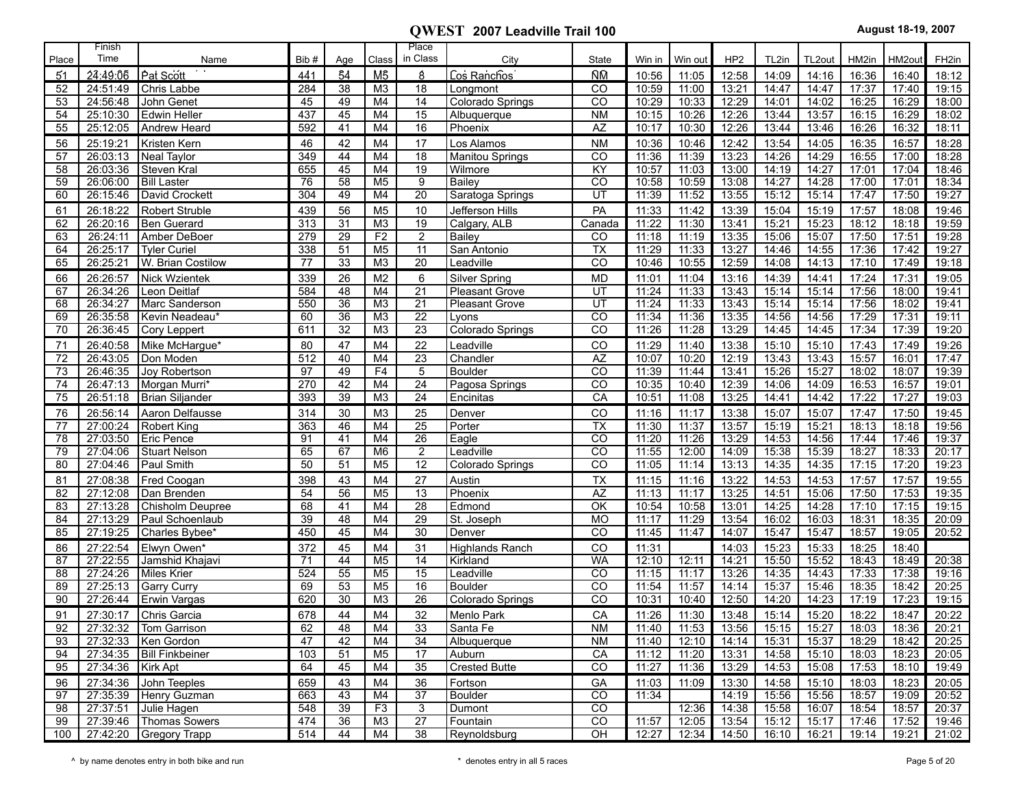| Place    | Finish<br>Time       | Name                                    | Bib#       | Age             | Class                            | Place<br>in Class    | City                       | State                 | Win in         | Win out        | HP <sub>2</sub> | TL2in          | TL2out         | HM2in          | HM2out         | FH <sub>2in</sub> |
|----------|----------------------|-----------------------------------------|------------|-----------------|----------------------------------|----------------------|----------------------------|-----------------------|----------------|----------------|-----------------|----------------|----------------|----------------|----------------|-------------------|
| 51       | 24:49:06             | Pat Scott                               | 441        | 54              | M5                               | 8                    | Los Ranchos                | ÑÑ                    | 10:56          | 11:05          | 12:58           | 14:09          | 14:16          | 16:36          | 16:40          | 18:12             |
| 52       | 24:51:49             | Chris Labbe                             | 284        | 38              | M <sub>3</sub>                   | 18                   | Longmont                   | CO                    | 10:59          | 11:00          | 13:21           | 14:47          | 14:47          | 17:37          | 17:40          | 19:15             |
| 53       | 24:56:48             | John Genet                              | 45         | 49              | M4                               | 14                   | Colorado Springs           | $\overline{co}$       | 10:29          | 10:33          | 12:29           | 14:01          | 14:02          | 16:25          | 16:29          | 18:00             |
| 54       | 25:10:30             | <b>Edwin Heller</b>                     | 437        | 45              | M <sub>4</sub>                   | 15                   | Albuquerque                | <b>NM</b>             | 10:15          | 10:26          | 12:26           | 13:44          | 13:57          | 16:15          | 16:29          | 18:02             |
| 55       | 25:12:05             | <b>Andrew Heard</b>                     | 592        | 41              | M4                               | 16                   | Phoenix                    | <b>AZ</b>             | 10:17          | 10:30          | 12:26           | 13:44          | 13:46          | 16:26          | 16:32          | 18:11             |
| 56       | 25:19:21             | Kristen Kern                            | 46         | 42              | M <sub>4</sub>                   | 17                   | Los Alamos                 | <b>NM</b>             | 10:36          | 10:46          | 12:42           | 13:54          | 14:05          | 16:35          | 16:57          | 18:28             |
| 57       | 26:03:13             | Neal Taylor                             | 349        | 44              | M <sub>4</sub>                   | 18                   | Manitou Springs            | CO                    | 11:36          | 11:39          | 13:23           | 14:26          | 14:29          | 16:55          | 17:00          | 18:28             |
| 58       | 26:03:36             | Steven Kral                             | 655        | 45              | M4                               | 19                   | Wilmore                    | KY                    | 10:57          | 11:03          | 13:00           | 14:19          | 14:27          | 17:01          | 17:04          | 18:46             |
| 59       | 26:06:00             | <b>Bill Laster</b>                      | 76         | $\overline{58}$ | M <sub>5</sub>                   | 9                    | Bailey                     | CO                    | 10:58          | 10:59          | 13:08           | 14:27          | 14:28          | 17:00          | 17:01          | 18:34             |
| 60       | 26:15:46             | David Crockett                          | 304        | 49              | M4                               | 20                   | Saratoga Springs           | UT                    | 11:39          | 11:52          | 13:55           | 15:12          | 15:14          | 17:47          | 17:50          | 19:27             |
| 61       | 26:18:22             | <b>Robert Struble</b>                   | 439        | 56              | M <sub>5</sub>                   | 10                   | Jefferson Hills            | PA                    | 11:33          | 11:42          | 13:39           | 15:04          | 15:19          | 17:57          | 18:08          | 19:46             |
| 62       | 26:20:16             | Ben Guerard                             | 313        | 31              | M <sub>3</sub>                   | 19                   | Calgary, ALB               | Canada                | 11:22          | 11:30          | 13:41           | 15:21          | 15:23          | 18:12          | 18:18          | 19:59             |
| 63       | 26:24:11             | Amber DeBoer                            | 279        | $\overline{29}$ | F <sub>2</sub>                   | 2                    | Bailey                     | CO                    | 11:18          | 11:19          | 13:35           | 15:06          | 15:07          | 17:50          | 17:51          | 19:28             |
| 64       | 26:25:17             | Tyler Curiel                            | 338        | 51              | M <sub>5</sub>                   | 11                   | San Antonio                | $\overline{TX}$       | 11:29          | 11:33          | 13:27           | 14:46          | 14:55          | 17:36          | 17:42          | 19:27             |
| 65       | 26:25:21             | W. Brian Costilow                       | 77         | 33              | M <sub>3</sub>                   | 20                   | Leadville                  | CO                    | 10:46          | 10:55          | 12:59           | 14:08          | 14:13          | 17:10          | 17:49          | 19:18             |
| 66       | 26:26:57             | <b>Nick Wzientek</b>                    | 339        | 26              | M <sub>2</sub>                   | 6                    | <b>Silver Spring</b>       | <b>MD</b>             | 11:01          | 11:04          | 13:16           | 14:39          | 14:41          | 17:24          | 17:31          | 19:05             |
| 67       | 26:34:26             | Leon Deitlaf                            | 584        | 48              | M <sub>4</sub>                   | 21                   | Pleasant Grove             | UT                    | 11:24          | 11:33          | 13:43           | 15:14          | 15:14          | 17:56          | 18:00          | 19:41             |
| 68       | 26:34:27<br>26:35:58 | Marc Sanderson                          | 550        | 36              | M <sub>3</sub>                   | 21                   | <b>Pleasant Grove</b>      | UT                    | 11:24          | 11:33          | 13:43           | 15:14          | 15:14          | 17:56          | 18:02          | 19:41             |
| 69<br>70 | 26:36:45             | Kevin Neadeau*                          | 60<br>611  | 36<br>32        | M <sub>3</sub><br>M <sub>3</sub> | 22<br>23             | Lyons<br>Colorado Springs  | CO<br>CO              | 11:34<br>11:26 | 11:36<br>11:28 | 13:35<br>13:29  | 14:56<br>14:45 | 14:56          | 17:29<br>17:34 | 17:31<br>17:39 | 19:11<br>19:20    |
|          |                      | Cory Leppert                            |            |                 |                                  |                      |                            |                       |                |                |                 |                | 14:45          |                |                |                   |
| 71       | 26:40:58             | Mike McHargue*                          | 80         | 47              | M <sub>4</sub>                   | 22                   | Leadville                  | CO                    | 11:29          | 11:40          | 13:38           | 15:10          | 15:10          | 17:43          | 17:49          | 19:26             |
| 72<br>73 | 26:43:05<br>26:46:35 | Don Moden<br>Joy Robertson              | 512<br>97  | 40<br>49        | M <sub>4</sub><br>F <sub>4</sub> | 23<br>5              | Chandler<br><b>Boulder</b> | $\overline{AZ}$<br>CO | 10:07<br>11:39 | 10:20<br>11:44 | 12:19<br>13:41  | 13:43<br>15:26 | 13:43<br>15:27 | 15:57<br>18:02 | 16:01<br>18:07 | 17:47<br>19:39    |
| 74       | 26:47:13             | Morgan Murri*                           | 270        | 42              | M4                               | 24                   | Pagosa Springs             | CO                    | 10:35          | 10:40          | 12:39           | 14:06          | 14:09          | 16:53          | 16:57          | 19:01             |
| 75       | 26:51:18             | Brian Siljander                         | 393        | 39              | M <sub>3</sub>                   | 24                   | Encinitas                  | CA                    | 10:51          | 11:08          | 13:25           | 14:41          | 14:42          | 17:22          | 17:27          | 19:03             |
| 76       | 26:56:14             | Aaron Delfausse                         | 314        | 30              | M <sub>3</sub>                   | 25                   | Denver                     | CO                    | 11:16          | 11:17          | 13:38           | 15:07          | 15:07          | 17:47          | 17:50          | 19:45             |
| 77       | 27:00:24             | Robert King                             | 363        | 46              | M <sub>4</sub>                   | 25                   | Porter                     | <b>TX</b>             | 11:30          | 11:37          | 13:57           | 15:19          | 15:21          | 18:13          | 18:18          | 19:56             |
| 78       | 27:03:50             | Eric Pence                              | 91         | 41              | M <sub>4</sub>                   | 26                   | Eagle                      | CO                    | 11:20          | 11:26          | 13:29           | 14:53          | 14:56          | 17:44          | 17:46          | 19:37             |
| 79       | 27:04:06             | <b>Stuart Nelson</b>                    | 65         | 67              | M <sub>6</sub>                   | 2                    | Leadville                  | CO                    | 11:55          | 12:00          | 14:09           | 15:38          | 15:39          | 18:27          | 18:33          | 20:17             |
| 80       | 27:04:46             | Paul Smith                              | 50         | 51              | M <sub>5</sub>                   | 12                   | Colorado Springs           | CO                    | 11:05          | 11:14          | 13:13           | 14:35          | 14:35          | 17:15          | 17:20          | 19:23             |
| 81       | 27:08:38             | Fred Coogan                             | 398        | 43              | M <sub>4</sub>                   | 27                   | Austin                     | <b>TX</b>             | 11:15          | 11:16          | 13:22           | 14:53          | 14:53          | 17:57          | 17:57          | 19:55             |
| 82       | 27:12:08             | Dan Brenden                             | 54         | 56              | M <sub>5</sub>                   | 13                   | Phoenix                    | <b>AZ</b>             | 11:13          | 11:17          | 13:25           | 14:51          | 15:06          | 17:50          | 17:53          | 19:35             |
| 83       | 27:13:28             | Chisholm Deupree                        | 68         | 41              | M4                               | 28                   | Edmond                     | OK                    | 10:54          | 10:58          | 13:01           | 14:25          | 14:28          | 17:10          | 17:15          | 19:15             |
| 84       | 27:13:29             | Paul Schoenlaub                         | 39         | 48              | M <sub>4</sub>                   | 29                   | St. Joseph                 | <b>MO</b>             | 11:17          | 11:29          | 13:54           | 16:02          | 16:03          | 18:31          | 18:35          | 20:09             |
| 85       | 27:19:25             | Charles Bybee*                          | 450        | 45              | M4                               | 30                   | Denver                     | CO                    | 11:45          | 11:47          | 14:07           | 15:47          | 15:47          | 18:57          | 19:05          | 20:52             |
| 86       | 27:22:54             | Elwyn Owen*                             | 372        | 45              | M <sub>4</sub>                   | 31                   | <b>Highlands Ranch</b>     | CO                    | 11:31          |                | 14:03           | 15:23          | 15:33          | 18:25          | 18:40          |                   |
| 87       | 27:22:55             | Jamshid Khajavi                         | 71         | 44              | M <sub>5</sub>                   | 14                   | Kirkland                   | <b>WA</b>             | 12:10          | 12:11          | 14:21           | 15:50          | 15:52          | 18:43          | 18:49          | 20:38             |
| 88       | 27:24:26             | l Miles Krier                           | 524        | 55              | M <sub>5</sub>                   | 15                   | Leadville                  | CO                    | 11:15          | 11:17          | 13:26           | 14:35          | 14:43          | 17:33          | 17:38          | 19:16             |
| 89       | 27:25:13             | Garry Curry                             | 69         | $\overline{53}$ | M <sub>5</sub>                   | 16                   | <b>Boulder</b>             | CO                    | 11:54          | 11:57          | 14:14           | 15:37          | 15:46          | 18:35          | 18:42          | 20:25             |
| 90       | 27:26:44             | Erwin Vargas                            | 620        | 30              | M <sub>3</sub>                   | 26                   | Colorado Springs           | CO                    | 10:31          | 10:40          | 12:50           | 14:20          | 14:23          | 17:19          | 17:23          | 19:15             |
| 91       | 27:30:17             | Chris Garcia                            | 678        | 44              | M4                               | 32                   | <b>Menlo Park</b>          | CA                    | 11:26          | 11:30          | 13:48           | 15:14          | 15:20          | 18:22          | 18:47          | 20:22             |
| 92       |                      | 27:32:32   Tom Garrison                 | 62         | 48              | M4                               | 33                   | Santa Fe                   | <b>NM</b>             | 11:40          | 11:53          | 13:56           | 15:15          | 15:27          | 18:03          | 18:36          | 20:21             |
| 93       | 27:32:33             | Ken Gordon                              | 47         | 42              | M4                               | 34                   | Albuquerque                | <b>NM</b>             | 11:40          | 12:10          | 14:14           | 15:31          | 15:37          | 18:29          | 18:42          | 20:25             |
| 94       | 27:34:35             | <b>Bill Finkbeiner</b>                  | 103        | 51              | M <sub>5</sub>                   | 17                   | Auburn                     | CA                    | 11:12          | 11:20          | 13:31           | 14:58          | 15:10          | 18:03          | 18:23          | 20:05             |
| 95       | 27:34:36             | Kirk Apt                                | 64         | 45              | M4                               | 35                   | <b>Crested Butte</b>       | $\overline{c}$        | 11:27          | 11:36          | 13:29           | 14:53          | 15:08          | 17:53          | 18:10          | 19:49             |
| 96       | 27:34:36             | John Teeples                            | 659        | 43              | M4                               | 36                   | Fortson                    | GA                    | 11:03          | 11:09          | 13:30           | 14:58          | 15:10          | 18:03          | 18:23          | 20:05             |
| 97       | 27:35:39             | Henry Guzman                            | 663        | 43              | M4                               | 37                   | <b>Boulder</b>             | CO                    | 11:34          |                | 14:19           | 15:56          | 15:56          | 18:57          | 19:09          | 20:52             |
| 98<br>99 | 27:37:51             | Julie Hagen<br>27:39:46   Thomas Sowers | 548<br>474 | 39<br>36        | F <sub>3</sub><br>ΜЗ             | 3<br>$\overline{27}$ | Dumont<br>Fountain         | CO<br>$\overline{c}$  | 11:57          | 12:36<br>12:05 | 14:38<br>13:54  | 15:58<br>15:12 | 16:07<br>15:17 | 18:54<br>17:46 | 18:57<br>17:52 | 20:37<br>19:46    |
| 100      |                      | 27:42:20 Gregory Trapp                  | 514        | 44              | M4                               | 38                   | Reynoldsburg               | OH                    | 12:27          | 12:34          | 14:50           | 16:10          | 16:21          | 19:14          | 19:21          | 21:02             |
|          |                      |                                         |            |                 |                                  |                      |                            |                       |                |                |                 |                |                |                |                |                   |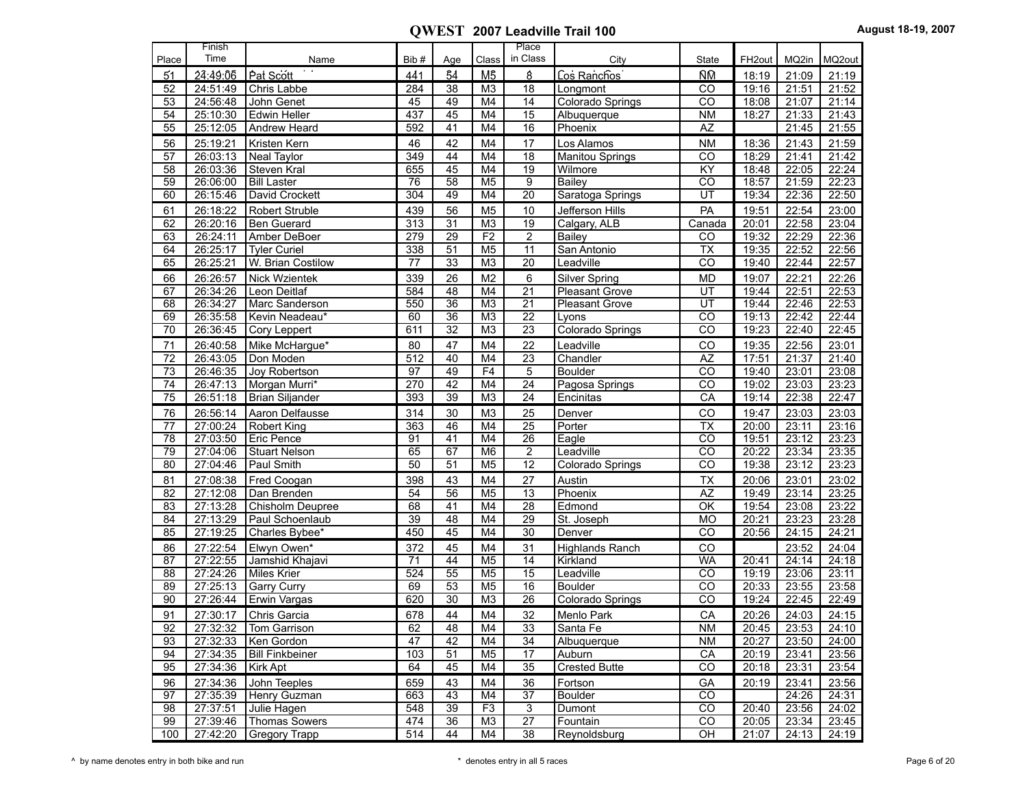|                 | Finish               |                        |      |                 |                | Place                   |                         |                          |                    |                   |                |
|-----------------|----------------------|------------------------|------|-----------------|----------------|-------------------------|-------------------------|--------------------------|--------------------|-------------------|----------------|
| Place           | Time                 | Name                   | Bib# | Age             | Class          | in Class                | City                    | State                    | FH <sub>2out</sub> | MQ2in             | MQ2out         |
| 51              | 24:49:06             | Pat Scott              | 441  | 54              | M5             | 8                       | Los Ranchos             | ÑÑ                       | 18:19              | 21:09             | 21:19          |
| 52              | 24:51:49             | Chris Labbe            | 284  | 38              | M <sub>3</sub> | 18                      | Longmont                | CO                       | 19:16              | 21:51             | 21:52          |
| 53              | 24:56:48             | John Genet             | 45   | 49              | M <sub>4</sub> | 14                      | Colorado Springs        | $\overline{co}$          | 18:08              | 21:07             | 21:14          |
| 54              | 25:10:30             | Edwin Heller           | 437  | 45              | M <sub>4</sub> | 15                      | Albuquerque             | <b>NM</b>                | 18:27              | 21:33             | 21:43          |
| $\overline{55}$ | 25:12:05             | Andrew Heard           | 592  | 41              | M4             | 16                      | Phoenix                 | <b>AZ</b>                |                    | $\frac{1}{21:45}$ | 21:55          |
| 56              | 25:19:21             | Kristen Kern           | 46   | 42              | M4             | 17                      | Los Alamos              | <b>NM</b>                | 18:36              | 21:43             | 21:59          |
| 57              | 26:03:13             | Neal Taylor            | 349  | 44              | M4             | 18                      | <b>Manitou Springs</b>  | CO                       | 18:29              | 21:41             | 21:42          |
| $\overline{58}$ | 26:03:36             | Steven Kral            | 655  | 45              | M4             | 19                      | Wilmore                 | KY                       | 18:48              | 22:05             | 22:24          |
| 59              | 26:06:00             | <b>Bill Laster</b>     | 76   | $\overline{58}$ | M <sub>5</sub> | 9                       | <b>Bailey</b>           | CO                       | 18:57              | 21:59             | 22:23          |
| 60              | 26:15:46             | David Crockett         | 304  | 49              | M4             | $\overline{20}$         | Saratoga Springs        | $\overline{UT}$          | 19:34              | 22:36             | 22:50          |
| 61              | 26:18:22             | Robert Struble         | 439  | 56              | M <sub>5</sub> | 10                      | Jefferson Hills         | PA                       | 19:51              | 22:54             | 23:00          |
| 62              | 26:20:16             | <b>Ben Guerard</b>     | 313  | 31              | M <sub>3</sub> | 19                      | Calgary, ALB            | Canada                   | 20:01              | 22:58             | 23:04          |
| 63              | 26:24:11             | Amber DeBoer           | 279  | $\overline{29}$ | F <sub>2</sub> | $\overline{\mathbf{c}}$ | Bailey                  | CO                       | 19:32              | 22:29             | 22:36          |
| 64              | 26:25:17             | <b>Tyler Curiel</b>    | 338  | 51              | M <sub>5</sub> | $\overline{11}$         | San Antonio             | $\overline{\mathsf{TX}}$ | 19:35              | 22:52             | 22:56          |
| 65              | 26:25:21             | W. Brian Costilow      | 77   | 33              | M <sub>3</sub> | $\overline{20}$         | Leadville               | $\overline{c}$           | 19:40              | 22:44             | 22:57          |
| 66              | 26:26:57             | Nick Wzientek          | 339  | 26              | M <sub>2</sub> | 6                       | <b>Silver Spring</b>    | <b>MD</b>                | 19:07              | 22:21             | 22:26          |
| 67              | 26:34:26             | Leon Deitlaf           | 584  | 48              | M4             | 21                      | <b>Pleasant Grove</b>   | UT                       | 19:44              | 22:51             | 22:53          |
| 68              | 26:34:27             | Marc Sanderson         | 550  | 36              | M <sub>3</sub> | $\overline{21}$         | Pleasant Grove          | UT                       | 19:44              | 22:46             | 22:53          |
| 69              | 26:35:58             | Kevin Neadeau*         | 60   | 36              | M <sub>3</sub> | 22                      | Lyons                   | $\overline{co}$          | 19:13              | 22:42             | 22:44          |
| 70              | 26:36:45             | <b>Cory Leppert</b>    | 611  | $\overline{32}$ | M <sub>3</sub> | 23                      | Colorado Springs        | $\overline{CO}$          | 19:23              | 22:40             | 22:45          |
| 71              | 26:40:58             | Mike McHargue*         | 80   | 47              | M4             | 22                      | Leadville               | CO                       | 19:35              | 22:56             | 23:01          |
| $\overline{72}$ | 26:43:05             | Don Moden              | 512  | 40              | M4             | $\overline{23}$         | Chandler                | <b>AZ</b>                | 17:51              | 21:37             | 21:40          |
| 73              | 26:46:35             | <b>Joy Robertson</b>   | 97   | 49              | F4             | 5                       | Boulder                 | $\overline{co}$          | 19:40              | 23:01             | 23:08          |
| $\overline{74}$ | 26:47:13             | Morgan Murri*          | 270  | 42              | M4             | 24                      | Pagosa Springs          | CO                       | 19:02              | 23:03             | 23:23          |
| $\overline{75}$ | 26:51:18             | <b>Brian Siljander</b> | 393  | 39              | M <sub>3</sub> | $\overline{24}$         | Encinitas               | CA                       | 19:14              | 22:38             | 22:47          |
| 76              | 26:56:14             | Aaron Delfausse        | 314  | 30              | M <sub>3</sub> | 25                      | Denver                  | CO                       | 19:47              | 23:03             | 23:03          |
| 77              | 27:00:24             | <b>Robert King</b>     | 363  | 46              | M4             | 25                      | Porter                  | $\overline{\mathsf{TX}}$ | 20:00              | 23:11             | 23:16          |
| 78              | 27:03:50             | <b>Eric Pence</b>      | 91   | 41              | M4             | $\overline{26}$         | Eagle                   | CO                       | 19:51              | 23:12             | 23:23          |
| 79              | 27:04:06             | <b>Stuart Nelson</b>   | 65   | 67              | M <sub>6</sub> | $\overline{2}$          | Leadville               | $\overline{co}$          | 20:22              | 23:34             | 23:35          |
| 80              | 27:04:46             | Paul Smith             | 50   | 51              | M <sub>5</sub> | 12                      | Colorado Springs        | $\overline{c}$           | 19:38              | 23:12             | 23:23          |
| 81              | 27:08:38             | Fred Coogan            | 398  | 43              | M <sub>4</sub> | 27                      | Austin                  | <b>TX</b>                | 20:06              | 23:01             | 23:02          |
| $\overline{82}$ | 27:12:08             | Dan Brenden            | 54   | 56              | M <sub>5</sub> | 13                      | Phoenix                 | <b>AZ</b>                | 19:49              | 23:14             | 23:25          |
| 83              | 27:13:28             | Chisholm Deupree       | 68   | 41              | M4             | 28                      | Edmond                  | $\overline{OK}$          | 19:54              | 23:08             | 23:22          |
| 84              | 27:13:29             | Paul Schoenlaub        | 39   | 48              | M4             | 29                      | St. Joseph              | <b>MO</b>                | 20:21              | 23:23             | 23:28          |
| 85              | 27:19:25             | Charles Bybee*         | 450  | 45              | M4             | $\overline{30}$         | Denver                  | $\overline{CO}$          | 20:56              | 24:15             | 24:21          |
| 86              | 27:22:54             | Elwyn Owen*            | 372  | 45              | M4             | 31                      | <b>Highlands Ranch</b>  | CO                       |                    | 23:52             | 24:04          |
| 87              | 27:22:55             | Jamshid Khajavi        | 71   | 44              | M <sub>5</sub> | 14                      | Kirkland                | <b>WA</b>                | 20:41              | 24:14             | 24:18          |
| 88              | 27:24:26             | <b>Miles Krier</b>     | 524  | 55              | M <sub>5</sub> | 15                      | Leadville               | $\overline{co}$          | 19:19              | 23:06             | 23:11          |
| 89              | 27:25:13             | <b>Garry Curry</b>     | 69   | $\overline{53}$ | M <sub>5</sub> | 16                      | <b>Boulder</b>          | CO                       | 20:33              | 23:55             | 23:58          |
| 90              | 27:26:44             | Erwin Vargas           | 620  | $\overline{30}$ | M <sub>3</sub> | $\overline{26}$         | <b>Colorado Springs</b> | $\overline{co}$          | 19:24              | 22:45             | 22:49          |
| 91              | 27:30:17             | Chris Garcia           | 678  | 44              | M4             | 32                      | Menlo Park              | CA                       | 20:26              | 24:03             | 24:15          |
| 92              | 27:32:32             | Tom Garrison           | 62   | 48              | M4             | 33                      | Santa Fe                | ΝM                       | 20:45              | 23:53             | 24:10          |
| 93              | 27:32:33             | Ken Gordon             | 47   | 42              | M4             | 34                      | Albuaueraue             | <b>NM</b>                | 20:27              | 23:50             | 24:00          |
| 94              | 27:34:35             | <b>Bill Finkbeiner</b> | 103  | 51              | M <sub>5</sub> | 17                      | Auburn                  | CA                       | 20:19              | 23:41             | 23:56          |
| 95              | 27:34:36             | Kirk Apt               | 64   | 45              | M4             | 35                      | <b>Crested Butte</b>    | $\overline{c}$           | 20:18              | 23:31             | 23:54          |
| 96              | 27:34:36             | John Teeples           | 659  | 43              | M4             | 36                      | Fortson                 | GA                       | 20:19              | 23:41             | 23:56          |
| 97              | 27:35:39             | Henry Guzman           | 663  | 43              | M4             | 37                      | <b>Boulder</b>          | CO                       |                    | 24:26             | 24:31          |
| 98              | 27:37:51             | Julie Hagen            | 548  | 39              | F <sub>3</sub> | 3                       | Dumont                  | CO                       | 20:40              | 23:56             | 24:02          |
| 99<br>100       | 27:39:46<br>27:42:20 | Thomas Sowers          | 474  | 36              | M3             | 27                      | Fountain                | $\overline{c}$           | 20:05              | 23:34             | 23:45<br>24:19 |
|                 |                      | <b>Gregory Trapp</b>   | 514  | 44              | M4             | 38                      | Reynoldsburg            | OH                       | 21:07              | 24:13             |                |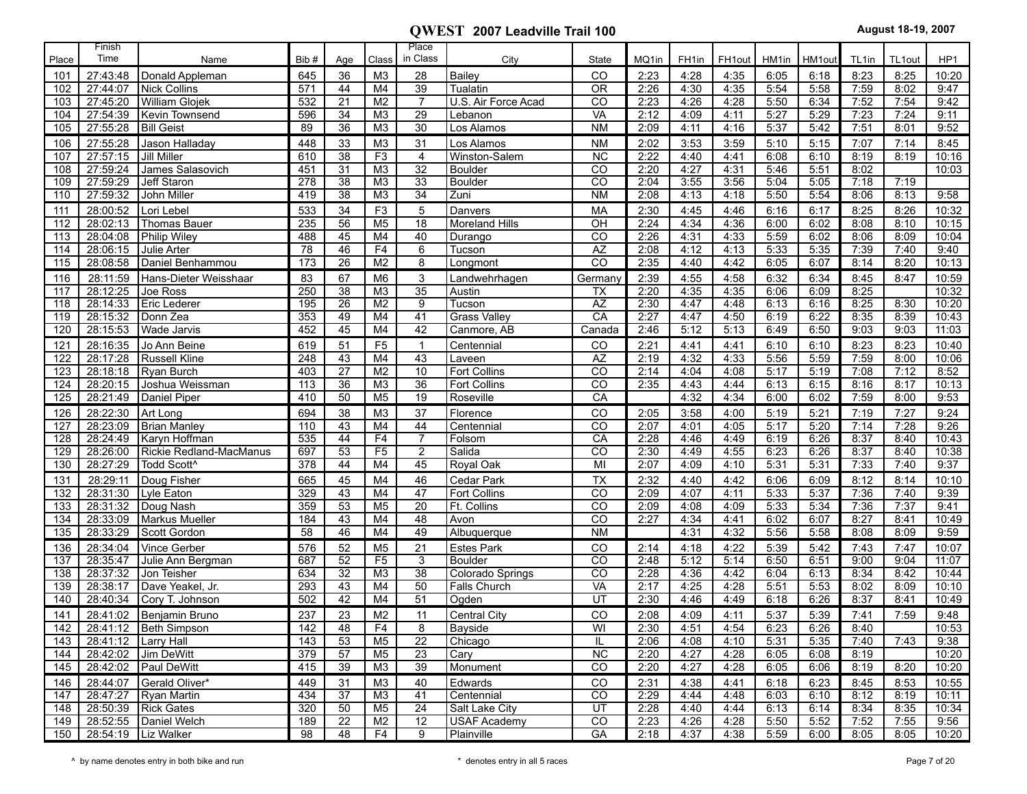| Place            | Finish<br>Time          | Name                               | Bib#       | Age                   | Class                | Place<br>in Class     | City                         | State                 | MQ1in        | FH1in        | FH1out       | HM1in        | HM1out       | TL <sub>1in</sub> | TL1out       | HP1            |
|------------------|-------------------------|------------------------------------|------------|-----------------------|----------------------|-----------------------|------------------------------|-----------------------|--------------|--------------|--------------|--------------|--------------|-------------------|--------------|----------------|
| 101              | 27:43:48                | Donald Appleman                    | 645        | 36                    | M <sub>3</sub>       | 28                    | Bailey                       | CO                    | 2:23         | 4:28         | 4:35         | 6:05         | 6:18         | 8:23              | 8:25         | 10:20          |
| 102              | 27:44:07                | Nick Collins                       | 571        | 44                    | M4                   | 39                    | Tualatin                     | <b>OR</b>             | 2:26         | 4:30         | 4:35         | 5:54         | 5:58         | 7:59              | 8:02         | 9:47           |
| 103              | 27:45:20                | William Glojek                     | 532        | 21                    | M <sub>2</sub>       | $\overline{7}$        | U.S. Air Force Acad          | CO                    | 2:23         | 4:26         | 4:28         | 5:50         | 6:34         | 7:52              | 7:54         | 9:42           |
| 104              | 27:54:39                | Kevin Townsend                     | 596        | 34                    | M <sub>3</sub>       | 29                    | Lebanon                      | VA                    | 2:12         | 4:09         | 4:11         | 5:27         | 5:29         | 7:23              | 7:24         | 9:11           |
| 105              | 27:55:28                | <b>Bill Geist</b>                  | 89         | $\overline{36}$       | M <sub>3</sub>       | $\overline{30}$       | Los Alamos                   | <b>NM</b>             | 2:09         | 4:11         | 4:16         | 5:37         | 5:42         | 7:51              | 8:01         | 9:52           |
| 106              | 27:55:28                | Jason Halladay                     | 448        | 33                    | M <sub>3</sub>       | 31                    | Los Alamos                   | <b>NM</b>             | 2:02         | 3:53         | 3:59         | 5:10         | 5:15         | 7:07              | 7:14         | 8:45           |
| 107              | 27:57:15                | Jill Miller                        | 610        | $\overline{38}$       | F <sub>3</sub>       | $\overline{4}$        | Winston-Salem                | $\overline{NC}$       | 2:22         | 4:40         | 4:41         | 6:08         | 6:10         | 8:19              | 8:19         | 10:16          |
| 108              | 27:59:24                | James Salasovich                   | 451        | 31                    | M <sub>3</sub>       | 32                    | <b>Boulder</b>               | CO                    | 2:20         | 4:27         | 4:31         | 5:46         | 5:51         | 8:02              |              | 10:03          |
| 109              | 27:59:29                | Jeff Staron                        | 278        | $\overline{38}$       | M <sub>3</sub>       | 33                    | <b>Boulder</b>               | CO                    | 2:04         | 3:55         | 3:56         | 5:04         | 5:05         | 7:18              | 7:19         |                |
| 110              | 27:59:32                | John Miller                        | 419        | $\overline{38}$       | M <sub>3</sub>       | $\overline{34}$       | Zuni                         | <b>NM</b>             | 2:08         | 4:13         | 4:18         | 5:50         | 5:54         | 8:06              | 8:13         | 9:58           |
| 111              | 28:00:52                | Lori Lebel                         | 533        | 34                    | F <sub>3</sub>       | 5                     | Danvers                      | <b>MA</b>             | 2:30         | 4:45         | 4:46         | 6:16         | 6:17         | 8:25              | 8:26         | 10:32          |
| 112              | 28:02:13                | Thomas Bauer                       | 235        | 56                    | M <sub>5</sub>       | 18                    | <b>Moreland Hills</b>        | OH                    | 2:24         | 4:34         | 4:36         | 6:00         | 6:02         | 8:08              | 8:10         | 10:15          |
| 113              | 28:04:08                | Philip Wiley                       | 488        | 45                    | M4                   | 40                    | Durango                      | CO                    | 2:26         | 4:31         | 4:33         | 5:59         | 6:02         | 8:06              | 8:09         | 10:04          |
| 114              | 28:06:15                | Julie Arter                        | 78         | 46                    | F <sub>4</sub>       | 6                     | Tucson                       | $\overline{AZ}$       | 2:08         | 4:12         | 4:13         | 5:33         | 5:35         | 7:39              | 7:40         | 9:40           |
| 115              | 28:08:58                | Daniel Benhammou                   | 173        | 26                    | M <sub>2</sub>       | 8                     | Longmont                     | CO                    | 2:35         | 4:40         | 4:42         | 6:05         | 6:07         | 8:14              | 8:20         | 10:13          |
| 116              | 28:11:59                | Hans-Dieter Weisshaar              | 83         | 67                    | M <sub>6</sub>       | $\sqrt{3}$            | Landwehrhagen                | Germany               | 2:39         | 4:55         | 4:58         | 6:32         | 6:34         | 8:45              | 8:47         | 10:59          |
| 117              | 28:12:25                | Joe Ross                           | 250        | $\overline{38}$       | M <sub>3</sub>       | $\overline{35}$       | Austin                       | <b>TX</b>             | 2:20         | 4:35         | 4:35         | 6:06         | 6:09         | 8:25              |              | 10:32          |
| 118              | 28:14:33                | Eric Lederer                       | 195        | 26                    | M <sub>2</sub>       | 9                     | Tucson                       | $\overline{AZ}$       | 2:30         | 4:47         | 4:48         | 6:13         | 6:16         | 8:25              | 8:30         | 10:20          |
| 119              | 28:15:32                | l Donn Zea                         | 353        | 49                    | M4                   | 41                    | <b>Grass Valley</b>          | CA                    | 2:27         | 4:47         | 4:50         | 6:19         | 6:22         | 8:35              | 8:39         | 10:43          |
| 120              | 28:15:53                | Wade Jarvis                        | 452        | 45                    | M4                   | 42                    | Canmore, AB                  | Canada                | 2:46         | 5:12         | 5:13         | 6:49         | 6:50         | 9:03              | 9:03         | 11:03          |
| 121              | 28:16:35                | Jo Ann Beine                       | 619        | 51                    | F <sub>5</sub>       | $\overline{1}$        | Centennial                   | CO                    | 2:21         | 4:41         | 4:41         | 6:10         | 6:10         | 8:23              | 8:23         | 10:40          |
| 122              | 28:17:28                | Russell Kline                      | 248        | 43                    | M4                   | 43                    | Laveen                       | $\overline{AZ}$       | 2:19         | 4:32         | 4:33         | 5:56         | 5:59         | 7:59              | 8:00         | 10:06          |
| 123              | 28:18:18                | Ryan Burch                         | 403        | 27                    | M <sub>2</sub>       | 10                    | <b>Fort Collins</b>          | CO                    | 2:14         | 4:04         | 4:08         | 5:17         | 5:19         | 7:08              | 7:12         | 8:52           |
| 124              | 28:20:15                | Joshua Weissman                    | 113        | $\overline{36}$       | M <sub>3</sub>       | $\overline{36}$       | <b>Fort Collins</b>          | CO                    | 2:35         | 4:43         | 4.44         | 6:13         | 6:15         | 8:16              | 8:17         | 10:13          |
| 125              | 28:21:49                | Daniel Piper                       | 410        | 50                    | M <sub>5</sub>       | $\overline{19}$       | Roseville                    | CA                    |              | 4:32         | 4:34         | 6:00         | 6:02         | 7:59              | 8:00         | 9:53           |
| 126              | 28:22:30                | Art Long                           | 694        | 38                    | M <sub>3</sub>       | 37                    | Florence                     | CO                    | 2:05         | 3:58         | 4:00         | 5:19         | 5:21         | 7:19              | 7:27         | 9:24           |
| 127              | 28:23:09                | <b>Brian Manley</b>                | 110        | 43                    | M4                   | 44                    | Centennial                   | CO                    | 2:07         | 4:01         | 4:05         | 5:17         | 5:20         | 7:14              | 7:28         | 9:26           |
| 128              | 28:24:49                | Karyn Hoffman                      | 535        | 44                    | F <sub>4</sub>       | $\overline{7}$        | Folsom                       | CA                    | 2:28         | 4:46         | 4:49         | 6:19         | 6:26         | 8:37              | 8:40         | 10:43          |
| 129              | 28:26:00                | Rickie Redland-MacManus            | 697        | 53                    | F <sub>5</sub>       | $\overline{2}$        | Salida                       | $\overline{co}$       | 2:30         | 4:49         | 4:55         | 6:23         | 6:26         | 8:37              | 8:40         | 10:38          |
| 130              | 28:27:29                | Todd Scott <sup>^</sup>            | 378        | 44                    | M4                   | 45                    | Royal Oak                    | MI                    | 2:07         | 4:09         | 4:10         | 5:31         | 5:31         | 7:33              | 7:40         | 9:37           |
| 131              | 28:29:11                | Doug Fisher                        | 665        | 45                    | M4                   | 46                    | Cedar Park                   | <b>TX</b>             | 2:32         | 4:40         | 4:42         | 6:06         | 6:09         | 8:12              | 8:14         | 10:10          |
| $\overline{132}$ | 28:31:30                | Lyle Eaton                         | 329        | 43                    | M4                   | $\overline{47}$       | <b>Fort Collins</b>          | $\overline{co}$       | 2:09         | 4:07         | 4:11         | 5:33         | 5:37         | 7:36              | 7:40         | 9:39           |
| 133              | 28:31:32                | Doug Nash                          | 359        | 53                    | M <sub>5</sub>       | 20                    | Ft. Collins                  | $\overline{co}$       | 2:09         | 4:08         | 4:09         | 5:33         | 5:34         | 7:36              | 7:37         | 9:41           |
| 134              | 28:33:09                | Markus Mueller                     | 184        | 43                    | M4                   | 48                    | Avon                         | CO                    | 2:27         | 4:34         | 4:41         | 6:02         | 6:07         | 8:27              | 8:41         | 10:49          |
| 135              | 28:33:29                | Scott Gordon                       | 58         | 46                    | M4                   | 49                    | Albuquerque                  | <b>NM</b>             |              | 4:31         | 4:32         | 5:56         | 5:58         | 8:08              | 8:09         | 9:59           |
| 136              | 28:34:04                | Vince Gerber                       | 576        | 52                    | M <sub>5</sub>       | 21                    | <b>Estes Park</b>            | CO                    | 2:14         | 4:18         | 4:22         | 5:39         | 5:42         | 7:43              | 7:47         | 10:07          |
| 137              | 28:35:47                | Julie Ann Bergman                  | 687        | 52                    | F <sub>5</sub>       | 3                     | <b>Boulder</b>               | $\overline{co}$       | 2:48         | 5:12         | 5:14         | 6:50         | 6:51         | 9:00              | 9:04         | 11:07          |
| 138              | 28:37:32                | Jon Teisher                        | 634        | $\overline{32}$       | M <sub>3</sub>       | 38                    | <b>Colorado Springs</b>      | CO                    | 2:28         | 4:36         | 4:42         | 6:04         | 6:13         | 8:34              | 8:42         | 10:44          |
| 139<br>140       | 28:38:17<br>28:40:34    | Dave Yeakel, Jr.                   | 293<br>502 | 43<br>42              | M4<br>M4             | 50<br>51              | <b>Falls Church</b>          | VA<br>UT              | 2:17<br>2:30 | 4:25<br>4:46 | 4:28<br>4:49 | 5:51         | 5:53<br>6:26 | 8:02<br>8:37      | 8:09<br>8:41 | 10:10          |
|                  |                         | Cory T. Johnson                    |            |                       |                      |                       | Ogden                        |                       |              |              |              | 6:18         |              |                   |              | 10:49          |
| 141              | 28:41:02                | Benjamin Bruno                     | 237        | 23                    | M <sub>2</sub>       | 11                    | <b>Central City</b>          | CO                    | 2:08         | 4:09         | 4:11         | 5:37         | 5:39         | 7:41              | 7:59         | 9:48           |
| 142              |                         | 28:41:12   Beth Simpson            | 142        | 48                    | F4                   | 8                     | Bayside                      | WI                    | 2:30         | 4:51         | 4:54         | 6:23         | 6:26         | 8:40              |              | 10:53          |
| 143<br>144       | 28:41:12   Larry Hall   | 28:42:02 Jim DeWitt                | 143<br>379 | 53                    | M <sub>5</sub>       | $\overline{22}$<br>23 | Chicago                      | IL<br>NC              | 2:06<br>2:20 | 4:08<br>4:27 | 4:10         | 5:31         | 5:35         | 7:40              | 7:43         | 9:38           |
| 145              |                         | 28:42:02   Paul DeWitt             | 415        | 57<br>39              | M <sub>5</sub><br>M3 | 39                    | Cary<br>Monument             | $\overline{c}$        | 2:20         | 4:27         | 4:28<br>4:28 | 6:05<br>6:05 | 6:08<br>6:06 | 8:19<br>8:19      | 8:20         | 10:20<br>10:20 |
|                  |                         |                                    |            |                       |                      |                       |                              |                       |              |              |              |              |              |                   |              |                |
| 146              | 28:44:07<br>28:47:27    | Gerald Oliver*                     | 449<br>434 | 31<br>$\overline{37}$ | M <sub>3</sub><br>M3 | 40<br>41              | Edwards                      | CO<br>$\overline{CO}$ | 2:31<br>2:29 | 4:38         | 4:41         | 6:18         | 6:23<br>6:10 | 8:45<br>8:12      | 8:53         | 10:55          |
| 147<br>148       |                         | Ryan Martin<br>28:50:39 Rick Gates | 320        | 50                    | M <sub>5</sub>       | 24                    | Centennial<br>Salt Lake City | UT                    | 2:28         | 4:44<br>4:40 | 4:48<br>4:44 | 6:03<br>6:13 | 6:14         | 8:34              | 8:19<br>8:35 | 10:11<br>10:34 |
|                  |                         | 149 28:52:55 Daniel Welch          | 189        | 22                    | M2                   | $\overline{12}$       | <b>USAF Academy</b>          | CO                    | 2:23         | 4:26         | 4:28         | 5:50         | 5:52         | 7:52              | 7:55         | 9:56           |
|                  | 150 28:54:19 Liz Walker |                                    | 98         | 48                    | F4                   | 9                     | Plainville                   | GA                    | 2:18         | 4:37         | 4:38         | 5:59         | 6:00         | 8:05              | 8:05         | 10:20          |
|                  |                         |                                    |            |                       |                      |                       |                              |                       |              |              |              |              |              |                   |              |                |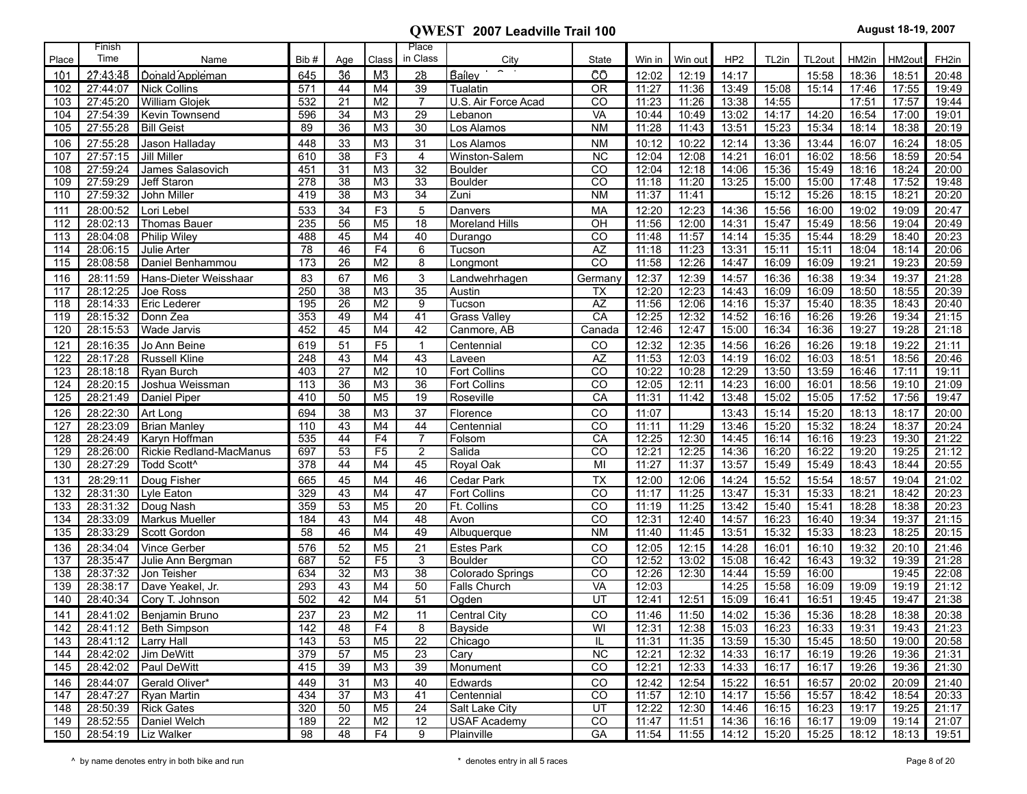| Place      | Finish<br>Time        | Name                               | Bib#       | Age             | Class                            | Place<br>in Class    | City                  | State           | Win in         | Win out        | HP <sub>2</sub> | TL2in          | TL2out         | HM2in          | HM2out            | FH <sub>2in</sub> |
|------------|-----------------------|------------------------------------|------------|-----------------|----------------------------------|----------------------|-----------------------|-----------------|----------------|----------------|-----------------|----------------|----------------|----------------|-------------------|-------------------|
| 101        | 27:43:48              | Donald Appleman                    | 645        | 36              | M <sub>3</sub>                   | 28                   | Bailey                | ČŌ              | 12:02          | 12:19          | 14:17           |                | 15:58          | 18:36          | 18:51             | 20:48             |
| 102        | 27:44:07              | <b>Nick Collins</b>                | 571        | 44              | M4                               | 39                   | Tualatin              | <b>OR</b>       | 11:27          | 11:36          | 13:49           | 15:08          | 15:14          | 17:46          | 17:55             | 19:49             |
| 103        | 27:45:20              | <b>William Glojek</b>              | 532        | 21              | M <sub>2</sub>                   | $\overline{7}$       | U.S. Air Force Acad   | CO              | 11:23          | 11:26          | 13:38           | 14:55          |                | 17:51          | 17:57             | 19:44             |
| 104        | 27:54:39              | <b>Kevin Townsend</b>              | 596        | 34              | M <sub>3</sub>                   | 29                   | Lebanon               | VA              | 10:44          | 10:49          | 13:02           | 14:17          | 14:20          | 16:54          | 17:00             | 19:01             |
| 105        | 27:55:28              | <b>Bill Geist</b>                  | 89         | 36              | M3                               | 30                   | Los Alamos            | <b>NM</b>       | 11:28          | 11:43          | 13:51           | 15:23          | 15:34          | 18:14          | 18:38             | 20:19             |
| 106        | 27:55:28              | Jason Halladay                     | 448        | 33              | M <sub>3</sub>                   | 31                   | Los Alamos            | <b>NM</b>       | 10:12          | 10:22          | 12:14           | 13:36          | 13:44          | 16:07          | 16:24             | 18:05             |
| 107        | 27:57:15              | Jill Miller                        | 610        | 38              | F3                               | $\overline{4}$       | Winston-Salem         | <b>NC</b>       | 12:04          | 12:08          | 14:21           | 16:01          | 16:02          | 18:56          | 18:59             | 20:54             |
| 108        | 27:59:24              | James Salasovich                   | 451        | 31              | M <sub>3</sub>                   | 32                   | <b>Boulder</b>        | CO              | 12:04          | 12:18          | 14:06           | 15:36          | 15:49          | 18:16          | 18:24             | 20:00             |
| 109        | 27:59:29              | Jeff Staron                        | 278        | $\overline{38}$ | M3                               | $\overline{33}$      | <b>Boulder</b>        | CO              | 11:18          | 11:20          | 13:25           | 15:00          | 15:00          | 17:48          | 17:52             | 19:48             |
| 110        | 27:59:32              | John Miller                        | 419        | 38              | M3                               | 34                   | Zuni                  | <b>NM</b>       | 11:37          | 11:41          |                 | 15:12          | 15:26          | 18:15          | 18:21             | 20:20             |
| 111        | 28:00:52              | Lori Lebel                         | 533        | 34              | F <sub>3</sub>                   | 5                    | Danvers               | <b>MA</b>       | 12:20          | 12:23          | 14:36           | 15:56          | 16:00          | 19:02          | 19:09             | 20:47             |
| 112        | 28:02:13              | <b>Thomas Bauer</b>                | 235        | 56              | M <sub>5</sub>                   | 18                   | <b>Moreland Hills</b> | OH              | 11:56          | 12:00          | 14:31           | 15:47          | 15:49          | 18:56          | 19:04             | 20:49             |
| 113        | 28:04:08              | <b>Philip Wiley</b>                | 488        | 45              | M4                               | 40                   | Durango               | CO              | 11:48          | 11:57          | 14:14           | 15:35          | 15:44          | 18:29          | 18:40             | 20:23             |
| 114        | 28:06:15              | Julie Arter                        | 78         | 46              | F <sub>4</sub>                   | 6                    | Tucson                | $\overline{AZ}$ | 11:18          | 11:23          | 13:31           | 15:11          | 15:11          | 18:04          | 18:14             | 20:06             |
| 115        | 28:08:58              | Daniel Benhammou                   | 173        | 26              | M <sub>2</sub>                   | 8                    | Longmont              | CO              | 11:58          | 12:26          | 14:47           | 16:09          | 16:09          | 19:21          | 19:23             | 20:59             |
| 116        | 28:11:59              | Hans-Dieter Weisshaar              | 83         | 67              | M6                               | 3                    | Landwehrhagen         | <b>Germany</b>  | 12:37          | 12:39          | 14:57           | 16:36          | 16:38          | 19:34          | 19:37             | 21:28             |
| 117        | 28:12:25              | Joe Ross                           | 250        | $\overline{38}$ | M3                               | $\overline{35}$      | Austin                | <b>TX</b>       | 12:20          | 12:23          | 14:43           | 16:09          | 16:09          | 18:50          | 18:55             | 20:39             |
| 118        | 28:14:33              | Eric Lederer                       | 195        | 26              | M <sub>2</sub>                   | 9                    | Tucson                | $\overline{AZ}$ | 11:56          | 12:06          | 14:16           | 15:37          | 15:40          | 18:35          | 18:43             | 20:40             |
| 119        | 28:15:32              | Donn Zea                           | 353        | 49              | M4                               | 41                   | <b>Grass Vallev</b>   | CA              | 12:25          | 12:32          | 14:52           | 16:16          | 16:26          | 19:26          | 19:34             | 21:15             |
| 120        | 28:15:53              | <b>Wade Jarvis</b>                 | 452        | 45              | M4                               | $\overline{42}$      | Canmore, AB           | Canada          | 12:46          | 12:47          | 15:00           | 16:34          | 16:36          | 19:27          | 19:28             | 21:18             |
| 121        | 28:16:35              | Jo Ann Beine                       | 619        | 51              | F <sub>5</sub>                   | $\mathbf{1}$         | Centennial            | CO              | 12:32          | 12:35          | 14:56           | 16:26          | 16:26          | 19:18          | 19:22             | 21:11             |
| 122        | 28:17:28              | <b>Russell Kline</b>               | 248        | 43              | M <sub>4</sub>                   | 43                   | Laveen                | $\overline{AZ}$ | 11:53          | 12:03          | 14:19           | 16:02          | 16:03          | 18:51          | 18:56             | 20:46             |
| 123        | 28:18:18              | <b>Ryan Burch</b>                  | 403        | $\overline{27}$ | M <sub>2</sub>                   | 10                   | <b>Fort Collins</b>   | CO              | 10:22          | 10:28          | 12:29           | 13:50          | 13:59          | 16:46          | 17:11             | 19:11             |
| 124        | 28:20:15              | Joshua Weissman                    | 113        | $\overline{36}$ | M3                               | 36                   | <b>Fort Collins</b>   | CO              | 12:05          | 12:11          | 14:23           | 16:00          | 16:01          | 18:56          | 19:10             | 21:09             |
| 125        | 28:21:49              | Daniel Piper                       | 410        | 50              | M <sub>5</sub>                   | 19                   | Roseville             | CA              | 11:31          | 11:42          | 13:48           | 15:02          | 15:05          | 17:52          | 17:56             | 19:47             |
| 126        | 28:22:30              | Art Long                           | 694        | 38              | M <sub>3</sub>                   | 37                   | Florence              | CO              | 11:07          |                | 13:43           | 15:14          | 15:20          | 18:13          | 18:17             | 20:00             |
| 127        | 28:23:09              | <b>Brian Manley</b>                | 110        | 43              | M4                               | 44                   | Centennial            | CO              | 11:11          | 11:29          | 13:46           | 15:20          | 15:32          | 18:24          | 18:37             | 20:24             |
| 128        | 28:24:49              | Karyn Hoffman                      | 535        | 44              | F4                               | $\overline{7}$       | Folsom                | CA              | 12:25          | 12:30          | 14:45           | 16:14          | 16:16          | 19:23          | 19:30             | 21:22             |
| 129        | 28:26:00              | Rickie Redland-MacManus            | 697<br>378 | 53              | F <sub>5</sub><br>M <sub>4</sub> | $\overline{2}$<br>45 | Salida                | CO<br>MI        | 12:21<br>11:27 | 12:25          | 14:36           | 16:20          | 16:22          | 19:20          | 19:25             | 21:12<br>20:55    |
| 130        | 28:27:29              | Todd Scott^                        |            | 44              |                                  |                      | Royal Oak             |                 |                | 11:37          | 13:57           | 15:49          | 15:49          | 18:43          | 18:44             |                   |
| 131        | 28:29:11              | Doug Fisher                        | 665        | 45              | M4                               | 46                   | Cedar Park            | <b>TX</b>       | 12:00          | 12:06          | 14:24           | 15:52          | 15:54          | 18:57          | 19:04             | 21:02             |
| 132        | 28:31:30              | Lyle Eaton                         | 329        | 43              | M4                               | 47                   | <b>Fort Collins</b>   | $\overline{co}$ | 11:17          | 11:25          | 13:47           | 15:31          | 15:33          | 18:21          | 18:42             | 20:23             |
| 133<br>134 | 28:31:32<br>28:33:09  | Doug Nash<br><b>Markus Mueller</b> | 359<br>184 | 53<br>43        | M <sub>5</sub><br>M4             | 20<br>48             | Ft. Collins<br>Avon   | CO<br>CO        | 11:19<br>12:31 | 11:25<br>12:40 | 13:42<br>14:57  | 15:40<br>16:23 | 15:41<br>16:40 | 18:28<br>19:34 | 18:38<br>19:37    | 20:23<br>21:15    |
| 135        | 28:33:29              | Scott Gordon                       | 58         | 46              | M4                               | 49                   | Albuquerque           | <b>NM</b>       | 11:40          | 11:45          | 13:51           | 15:32          | 15:33          | 18:23          | 18:25             | 20:15             |
| 136        | 28:34:04              | Vince Gerber                       | 576        | 52              | M <sub>5</sub>                   | 21                   | <b>Estes Park</b>     | CO              | 12:05          | 12:15          | 14:28           | 16:01          | 16:10          | 19:32          | 20:10             | 21:46             |
| 137        | 28:35:47              | Julie Ann Bergman                  | 687        | 52              | F5                               | 3                    | <b>Boulder</b>        | $\overline{co}$ | 12:52          | 13:02          | 15:08           | 16:42          | 16:43          | 19:32          | 19:39             | 21:28             |
| 138        | 28:37:32              | Jon Teisher                        | 634        | $\overline{32}$ | M <sub>3</sub>                   | 38                   | Colorado Springs      | CO              | 12:26          | 12:30          | 14:44           | 15:59          | 16:00          |                | 19:45             | 22:08             |
| 139        | 28:38:17              | Dave Yeakel, Jr.                   | 293        | 43              | M4                               | 50                   | Falls Church          | <b>VA</b>       | 12:03          |                | 14:25           | 15:58          | 16:09          | 19:09          | 19:19             | 21:12             |
| 140        | 28:40:34              | Cory T. Johnson                    | 502        | 42              | M <sub>4</sub>                   | 51                   | Ogden                 | UT              | 12:41          | 12:51          | 15:09           | 16:41          | 16:51          | 19:45          | 19:47             | 21:38             |
| 141        | 28:41:02              | Benjamin Bruno                     | 237        | 23              | M <sub>2</sub>                   | 11                   | <b>Central City</b>   | CO              | 11:46          | 11:50          | 14:02           | 15:36          | 15:36          | 18:28          | 18:38             | 20:38             |
| 142 I      |                       | 28:41:12   Beth Simpson            | 142        | 48              | F4                               | 8                    | Bayside               | WI              | 12:31          | 12:38          | 15:03           | 16:23          | 16:33          | 19:31          | 19:43             | 21:23             |
| 143        | 28:41:12   Larry Hall |                                    | 143        | 53              | M <sub>5</sub>                   | $\overline{22}$      | Chicago               | IL              | 11:31          | 11:35          | 13:59           | 15:30          | 15:45          | 18:50          | 19:00             | 20:58             |
| 144        |                       | 28:42:02 Jim DeWitt                | 379        | 57              | M5                               | 23                   | Cary                  | NC              | 12:21          | 12:32          | 14:33           | 16:17          | 16:19          | 19:26          | 19:36             | 21:31             |
| 145        |                       | 28:42:02   Paul DeWitt             | 415        | 39              | ΜЗ                               | 39                   | Monument              | CO              | 12:21          | 12:33          | 14:33           | 16:17          | 16:17          | 19:26          | 19:36             | 21:30             |
| 146        | 28:44:07              | Gerald Oliver*                     | 449        | 31              | M3                               | 40                   | Edwards               | CO              | 12:42          | 12:54          | 15:22           | 16:51          | 16:57          | 20:02          | 20:09             | 21:40             |
| 147        | 28:47:27              | Ryan Martin                        | 434        | 37              | M3                               | 41                   | Centennial            | $\overline{CO}$ | 11:57          | 12:10          | 14:17           | 15:56          | 15:57          | 18:42          | 18:54             | 20:33             |
| 148        |                       | 28:50:39 Rick Gates                | 320        | 50              | M5                               | 24                   | Salt Lake City        | UT              | 12:22          | 12:30          | 14:46           | 16:15          | 16:23          | 19:17          | 19:25             | 21:17             |
| 149        |                       | 28:52:55   Daniel Welch            | 189        | 22              | M2                               | 12                   | <b>USAF Academy</b>   | CO              | 11:47          | 11:51          | 14:36           | 16:16          | 16:17          | 19:09          | 19:14             | 21:07             |
|            |                       | 150 28:54:19 Liz Walker            | 98         | 48              | F4                               | 9                    | Plainville            | G A             | 11:54          | 11:55          | 14:12           | 15:20          | 15:25          |                | 18:12 18:13 19:51 |                   |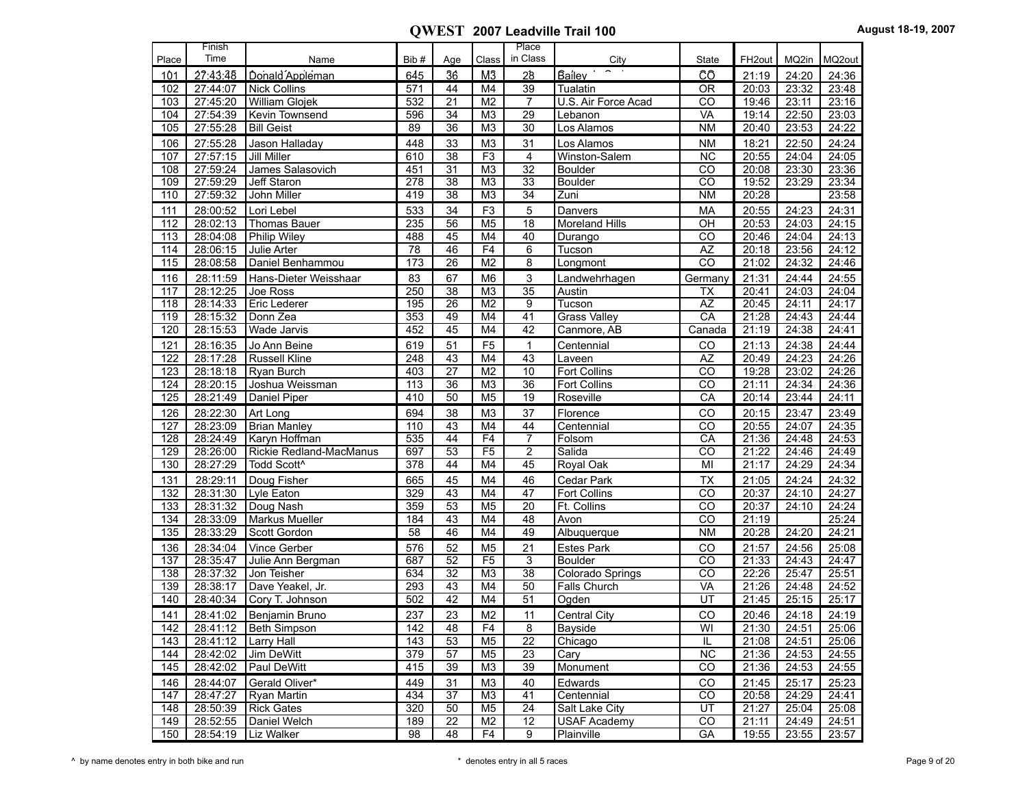| Time<br>in Class<br>Bib#<br>City<br>FH <sub>2out</sub><br>MQ2in<br>MQ2out<br>Place<br>Name<br>Age<br>Class<br>State<br>ĈŌ<br>27:43:48<br>645<br>36<br>M <sub>3</sub><br>28<br>Bailey<br>101<br>Donald Appleman<br>21:19<br>24:20<br>24:36<br>571<br>$\overline{39}$<br>102<br>27:44:07<br><b>Nick Collins</b><br>M4<br>Tualatin<br><b>OR</b><br>20:03<br>23:32<br>23:48<br>44<br>532<br>$\overline{7}$<br>$\overline{co}$<br>103<br>27:45:20<br><b>William Glojek</b><br>21<br>M <sub>2</sub><br>U.S. Air Force Acad<br>19:46<br>23:11<br>23:16<br>27:54:39<br>VA<br>19:14<br>104<br><b>Kevin Townsend</b><br>596<br>34<br>M <sub>3</sub><br>29<br>22:50<br>23:03<br>Lebanon<br>105<br>27:55:28<br>$\overline{36}$<br>M <sub>3</sub><br><b>NM</b><br>23:53<br>24:22<br><b>Bill Geist</b><br>89<br>30<br>Los Alamos<br>20:40<br>106<br>27:55:28<br>Jason Halladay<br>448<br>33<br>31<br>Los Alamos<br><b>NM</b><br>18:21<br>22:50<br>M <sub>3</sub><br>24:24<br>27:57:15<br>F3<br>$\overline{NC}$<br>20:55<br>24:04<br>24:05<br>107<br>Jill Miller<br>610<br>38<br>$\overline{4}$<br>Winston-Salem<br>27:59:24<br>451<br>31<br>32<br>$\overline{co}$<br>20:08<br>23:36<br>108<br>James Salasovich<br>M <sub>3</sub><br><b>Boulder</b><br>23:30<br>27:59:29<br>109<br>Jeff Staron<br>278<br>M <sub>3</sub><br>CO<br>19:52<br>23:29<br>38<br>33<br><b>Boulder</b><br>23:34<br>27:59:32<br>$\overline{38}$<br>$\overline{34}$<br>N <sub>M</sub><br>20:28<br>23:58<br>110<br>John Miller<br>419<br>M <sub>3</sub><br>Zuni<br>28:00:52<br>533<br>F <sub>3</sub><br>5<br>20:55<br>24:23<br>111<br>Lori Lebel<br>34<br>Danvers<br>MA<br>24:31<br>112<br>235<br>OН<br>20:53<br>28:02:13<br>56<br>M <sub>5</sub><br>18<br><b>Moreland Hills</b><br>24:03<br>24:15<br>Thomas Bauer<br>45<br>113<br>28:04:08<br>488<br>M4<br>40<br>CO<br>20:46<br>24:04<br>24:13<br><b>Philip Wiley</b><br>Durango<br>78<br>F4<br>6<br>$\overline{AZ}$<br>20:18<br>23:56<br>114<br>28:06:15<br>46<br>24:12<br>Julie Arter<br>Tucson<br>115<br>173<br>8<br>$\overline{co}$<br>21:02<br>28:08:58<br>26<br>M <sub>2</sub><br>Longmont<br>24:32<br>24:46<br>Daniel Benhammou<br>28:11:59<br>3<br>21:31<br>24:44<br>24:55<br>116<br>83<br>67<br>M <sub>6</sub><br>Landwehrhagen<br>Hans-Dieter Weisshaar<br>Germany<br>$\overline{35}$<br>117<br>28:12:25<br>250<br>$\overline{38}$<br>M <sub>3</sub><br>20:41<br>24:03<br>24:04<br>Joe Ross<br>Austin<br>TX<br>9<br>AZ<br>20:45<br>118<br>28:14:33<br>195<br>26<br>M <sub>2</sub><br>Tucson<br>24:11<br>24:17<br>Eric Lederer<br>119<br>28:15:32<br>353<br>CA<br>21:28<br>Donn Zea<br>49<br>M <sub>4</sub><br>41<br><b>Grass Valley</b><br>24:43<br>24:44<br>120<br>28:15:53<br>452<br>45<br>24:41<br>Wade Jarvis<br>M4<br>42<br>Canmore, AB<br>Canada<br>21:19<br>24:38<br>51<br>F <sub>5</sub><br>121<br>28:16:35<br>619<br>Centennial<br>21:13<br>24:38<br>Jo Ann Beine<br>$\mathbf{1}$<br>CO<br>24:44<br>122<br>AZ<br>24:26<br>28:17:28<br><b>Russell Kline</b><br>248<br>43<br>M <sub>4</sub><br>43<br>20:49<br>24:23<br>Laveen<br>123<br>403<br>27<br>$\overline{co}$<br>19:28<br>28:18:18<br>M <sub>2</sub><br>10<br><b>Fort Collins</b><br>23:02<br>24:26<br>Ryan Burch<br>124<br>28:20:15<br>M <sub>3</sub><br>$\overline{36}$<br>$\overline{CO}$<br>24:34<br>Joshua Weissman<br>113<br>36<br><b>Fort Collins</b><br>21:11<br>24:36<br>125<br>50<br>$\overline{19}$<br>CA<br>20:14<br>23:44<br>24:11<br>28:21:49<br>410<br>M <sub>5</sub><br>Roseville<br>Daniel Piper<br>28:22:30<br>20:15<br>23:47<br>23:49<br>126<br>694<br>38<br>M <sub>3</sub><br>37<br>Florence<br>CO<br>Art Long<br>127<br>28:23:09<br>110<br>$\overline{co}$<br>20:55<br>24:35<br>43<br>M <sub>4</sub><br>44<br>24:07<br><b>Brian Manley</b><br>Centennial<br>28:24:49<br>44<br>F <sub>4</sub><br>$\overline{7}$<br>21:36<br>24:53<br>128<br>Karyn Hoffman<br>535<br>Folsom<br>CA<br>24:48<br>$\overline{2}$<br>28:26:00<br>$\overline{c}$<br>21:22<br>129<br>697<br>53<br>F <sub>5</sub><br>Salida<br>24:46<br>24:49<br>Rickie Redland-MacManus<br>28:27:29<br>378<br>MI<br>24:34<br>130<br>44<br>M4<br>45<br>21:17<br>24:29<br>Todd Scott^<br>Royal Oak<br>28:29:11<br>24:24<br>24:32<br>131<br>Doug Fisher<br>45<br>M4<br>Cedar Park<br><b>TX</b><br>21:05<br>665<br>46<br>28:31:30<br>Lyle Eaton<br>329<br>43<br>M <sub>4</sub><br>$\overline{47}$<br>Fort Collins<br>$\overline{CO}$<br>20:37<br>24:27<br>132<br>24:10<br>$\overline{133}$<br>28:31:32<br>359<br>$\overline{20}$<br>$\overline{co}$<br>20:37<br>53<br>M <sub>5</sub><br>Ft. Collins<br>24:10<br>24:24<br>Doug Nash<br>134<br>28:33:09<br>$\overline{co}$<br>21:19<br>25:24<br>184<br>43<br>M <sub>4</sub><br>48<br>Markus Mueller<br>Avon<br>135<br>28:33:29<br>58<br>46<br>M4<br>49<br><b>NM</b><br>20:28<br>24:20<br>24:21<br>Scott Gordon<br>Albuquerque<br>52<br>28:34:04<br>Vince Gerber<br>576<br>21<br><b>Estes Park</b><br>CO<br>21:57<br>136<br>M <sub>5</sub><br>24:56<br>25:08<br>28:35:47<br>3<br>$\overline{CO}$<br>21:33<br>137<br>687<br>52<br>F <sub>5</sub><br><b>Boulder</b><br>24:43<br>24:47<br>Julie Ann Bergman<br>28:37:32<br>$\overline{co}$<br>22:26<br>138<br>Jon Teisher<br>634<br>32<br>M <sub>3</sub><br>$\overline{38}$<br>Colorado Springs<br>25:47<br>25:51<br>28:38:17<br>139<br>Dave Yeakel, Jr.<br>293<br>43<br>M4<br>50<br>Falls Church<br>VA<br>21:26<br>24:48<br>24:52<br>502<br>$\overline{51}$<br>$\overline{UT}$<br>21:45<br>140<br>28:40:34<br>42<br>M <sub>4</sub><br>25:15<br>25:17<br>Cory T. Johnson<br>Ogden<br>237<br>23<br>11<br>141<br>28:41:02<br>M <sub>2</sub><br>Central City<br>CO<br>20:46<br>24:18<br>24:19<br>Benjamin Bruno<br>142<br>142<br>Bayside<br>WI<br>21:30<br>25:06<br>28:41:12   Beth Simpson<br>48<br>F4<br>8<br>24:51<br>M <sub>5</sub><br>28:41:12<br>143<br>53<br>22<br>Chicago<br>IL<br>21:08<br>143<br>Larry Hall<br>24:51<br>25:06<br>28:42:02<br>379<br>57<br>23<br>NC<br>21:36<br>144<br>Jim DeWitt<br>M5<br>Cary<br>24:53<br>24:55<br>28:42:02<br>$\overline{c}$<br>145<br>Paul DeWitt<br>415<br>39<br>M <sub>3</sub><br>39<br>21:36<br>24:53<br>24:55<br>Monument<br>28:44:07<br>Gerald Oliver*<br>21:45<br>146<br>449<br>31<br>M <sub>3</sub><br>40<br>Edwards<br>CO<br>25:17<br>25:23<br>147<br>28:47:27<br>37<br>M <sub>3</sub><br>41<br>Centennial<br>CO<br>20:58<br><b>Ryan Martin</b><br>434<br>24:29<br>24:41<br>28:50:39<br>320<br>24<br>UT<br>21:27<br>148<br>50<br>M <sub>5</sub><br>Salt Lake City<br>25:04<br>25:08<br><b>Rick Gates</b><br>28:52:55<br>$\overline{c}$<br>149<br>Daniel Welch<br>189<br>22<br>M <sub>2</sub><br>12<br><b>USAF Academy</b><br>21:11<br>24:49<br>24:51 |     | Finish   |            |    |    |    | Place |            |    |       |       |       |
|--------------------------------------------------------------------------------------------------------------------------------------------------------------------------------------------------------------------------------------------------------------------------------------------------------------------------------------------------------------------------------------------------------------------------------------------------------------------------------------------------------------------------------------------------------------------------------------------------------------------------------------------------------------------------------------------------------------------------------------------------------------------------------------------------------------------------------------------------------------------------------------------------------------------------------------------------------------------------------------------------------------------------------------------------------------------------------------------------------------------------------------------------------------------------------------------------------------------------------------------------------------------------------------------------------------------------------------------------------------------------------------------------------------------------------------------------------------------------------------------------------------------------------------------------------------------------------------------------------------------------------------------------------------------------------------------------------------------------------------------------------------------------------------------------------------------------------------------------------------------------------------------------------------------------------------------------------------------------------------------------------------------------------------------------------------------------------------------------------------------------------------------------------------------------------------------------------------------------------------------------------------------------------------------------------------------------------------------------------------------------------------------------------------------------------------------------------------------------------------------------------------------------------------------------------------------------------------------------------------------------------------------------------------------------------------------------------------------------------------------------------------------------------------------------------------------------------------------------------------------------------------------------------------------------------------------------------------------------------------------------------------------------------------------------------------------------------------------------------------------------------------------------------------------------------------------------------------------------------------------------------------------------------------------------------------------------------------------------------------------------------------------------------------------------------------------------------------------------------------------------------------------------------------------------------------------------------------------------------------------------------------------------------------------------------------------------------------------------------------------------------------------------------------------------------------------------------------------------------------------------------------------------------------------------------------------------------------------------------------------------------------------------------------------------------------------------------------------------------------------------------------------------------------------------------------------------------------------------------------------------------------------------------------------------------------------------------------------------------------------------------------------------------------------------------------------------------------------------------------------------------------------------------------------------------------------------------------------------------------------------------------------------------------------------------------------------------------------------------------------------------------------------------------------------------------------------------------------------------------------------------------------------------------------------------------------------------------------------------------------------------------------------------------------------------------------------------------------------------------------------------------------------------------------------------------------------------------------------------------------------------------------------------------------------------------------------------------------------------------------------------------------------------------------------------------------------------------------------------------------------------------------------------------------------------------------------------------------------------------------------------------------------------------------------------------------------------------------------------------------------------------------------------------------------------------------------------------------------------------------------------------------------------------------------------------------------------------------------------------------------------------------------------------------------------------------------------------------------------------------------------------------------------------------------------------------------------------------------------------------------------------------------------------------------------------------------------------------------------------------------------------------------------------------------------------------------------------------------------------------------------------------------------------------------------------------------------------------------------------------------------------------------------|-----|----------|------------|----|----|----|-------|------------|----|-------|-------|-------|
|                                                                                                                                                                                                                                                                                                                                                                                                                                                                                                                                                                                                                                                                                                                                                                                                                                                                                                                                                                                                                                                                                                                                                                                                                                                                                                                                                                                                                                                                                                                                                                                                                                                                                                                                                                                                                                                                                                                                                                                                                                                                                                                                                                                                                                                                                                                                                                                                                                                                                                                                                                                                                                                                                                                                                                                                                                                                                                                                                                                                                                                                                                                                                                                                                                                                                                                                                                                                                                                                                                                                                                                                                                                                                                                                                                                                                                                                                                                                                                                                                                                                                                                                                                                                                                                                                                                                                                                                                                                                                                                                                                                                                                                                                                                                                                                                                                                                                                                                                                                                                                                                                                                                                                                                                                                                                                                                                                                                                                                                                                                                                                                                                                                                                                                                                                                                                                                                                                                                                                                                                                                                                                                                                                                                                                                                                                                                                                                                                                                                                                                                                                                                                                                        |     |          |            |    |    |    |       |            |    |       |       |       |
|                                                                                                                                                                                                                                                                                                                                                                                                                                                                                                                                                                                                                                                                                                                                                                                                                                                                                                                                                                                                                                                                                                                                                                                                                                                                                                                                                                                                                                                                                                                                                                                                                                                                                                                                                                                                                                                                                                                                                                                                                                                                                                                                                                                                                                                                                                                                                                                                                                                                                                                                                                                                                                                                                                                                                                                                                                                                                                                                                                                                                                                                                                                                                                                                                                                                                                                                                                                                                                                                                                                                                                                                                                                                                                                                                                                                                                                                                                                                                                                                                                                                                                                                                                                                                                                                                                                                                                                                                                                                                                                                                                                                                                                                                                                                                                                                                                                                                                                                                                                                                                                                                                                                                                                                                                                                                                                                                                                                                                                                                                                                                                                                                                                                                                                                                                                                                                                                                                                                                                                                                                                                                                                                                                                                                                                                                                                                                                                                                                                                                                                                                                                                                                                        |     |          |            |    |    |    |       |            |    |       |       |       |
|                                                                                                                                                                                                                                                                                                                                                                                                                                                                                                                                                                                                                                                                                                                                                                                                                                                                                                                                                                                                                                                                                                                                                                                                                                                                                                                                                                                                                                                                                                                                                                                                                                                                                                                                                                                                                                                                                                                                                                                                                                                                                                                                                                                                                                                                                                                                                                                                                                                                                                                                                                                                                                                                                                                                                                                                                                                                                                                                                                                                                                                                                                                                                                                                                                                                                                                                                                                                                                                                                                                                                                                                                                                                                                                                                                                                                                                                                                                                                                                                                                                                                                                                                                                                                                                                                                                                                                                                                                                                                                                                                                                                                                                                                                                                                                                                                                                                                                                                                                                                                                                                                                                                                                                                                                                                                                                                                                                                                                                                                                                                                                                                                                                                                                                                                                                                                                                                                                                                                                                                                                                                                                                                                                                                                                                                                                                                                                                                                                                                                                                                                                                                                                                        |     |          |            |    |    |    |       |            |    |       |       |       |
|                                                                                                                                                                                                                                                                                                                                                                                                                                                                                                                                                                                                                                                                                                                                                                                                                                                                                                                                                                                                                                                                                                                                                                                                                                                                                                                                                                                                                                                                                                                                                                                                                                                                                                                                                                                                                                                                                                                                                                                                                                                                                                                                                                                                                                                                                                                                                                                                                                                                                                                                                                                                                                                                                                                                                                                                                                                                                                                                                                                                                                                                                                                                                                                                                                                                                                                                                                                                                                                                                                                                                                                                                                                                                                                                                                                                                                                                                                                                                                                                                                                                                                                                                                                                                                                                                                                                                                                                                                                                                                                                                                                                                                                                                                                                                                                                                                                                                                                                                                                                                                                                                                                                                                                                                                                                                                                                                                                                                                                                                                                                                                                                                                                                                                                                                                                                                                                                                                                                                                                                                                                                                                                                                                                                                                                                                                                                                                                                                                                                                                                                                                                                                                                        |     |          |            |    |    |    |       |            |    |       |       |       |
|                                                                                                                                                                                                                                                                                                                                                                                                                                                                                                                                                                                                                                                                                                                                                                                                                                                                                                                                                                                                                                                                                                                                                                                                                                                                                                                                                                                                                                                                                                                                                                                                                                                                                                                                                                                                                                                                                                                                                                                                                                                                                                                                                                                                                                                                                                                                                                                                                                                                                                                                                                                                                                                                                                                                                                                                                                                                                                                                                                                                                                                                                                                                                                                                                                                                                                                                                                                                                                                                                                                                                                                                                                                                                                                                                                                                                                                                                                                                                                                                                                                                                                                                                                                                                                                                                                                                                                                                                                                                                                                                                                                                                                                                                                                                                                                                                                                                                                                                                                                                                                                                                                                                                                                                                                                                                                                                                                                                                                                                                                                                                                                                                                                                                                                                                                                                                                                                                                                                                                                                                                                                                                                                                                                                                                                                                                                                                                                                                                                                                                                                                                                                                                                        |     |          |            |    |    |    |       |            |    |       |       |       |
|                                                                                                                                                                                                                                                                                                                                                                                                                                                                                                                                                                                                                                                                                                                                                                                                                                                                                                                                                                                                                                                                                                                                                                                                                                                                                                                                                                                                                                                                                                                                                                                                                                                                                                                                                                                                                                                                                                                                                                                                                                                                                                                                                                                                                                                                                                                                                                                                                                                                                                                                                                                                                                                                                                                                                                                                                                                                                                                                                                                                                                                                                                                                                                                                                                                                                                                                                                                                                                                                                                                                                                                                                                                                                                                                                                                                                                                                                                                                                                                                                                                                                                                                                                                                                                                                                                                                                                                                                                                                                                                                                                                                                                                                                                                                                                                                                                                                                                                                                                                                                                                                                                                                                                                                                                                                                                                                                                                                                                                                                                                                                                                                                                                                                                                                                                                                                                                                                                                                                                                                                                                                                                                                                                                                                                                                                                                                                                                                                                                                                                                                                                                                                                                        |     |          |            |    |    |    |       |            |    |       |       |       |
|                                                                                                                                                                                                                                                                                                                                                                                                                                                                                                                                                                                                                                                                                                                                                                                                                                                                                                                                                                                                                                                                                                                                                                                                                                                                                                                                                                                                                                                                                                                                                                                                                                                                                                                                                                                                                                                                                                                                                                                                                                                                                                                                                                                                                                                                                                                                                                                                                                                                                                                                                                                                                                                                                                                                                                                                                                                                                                                                                                                                                                                                                                                                                                                                                                                                                                                                                                                                                                                                                                                                                                                                                                                                                                                                                                                                                                                                                                                                                                                                                                                                                                                                                                                                                                                                                                                                                                                                                                                                                                                                                                                                                                                                                                                                                                                                                                                                                                                                                                                                                                                                                                                                                                                                                                                                                                                                                                                                                                                                                                                                                                                                                                                                                                                                                                                                                                                                                                                                                                                                                                                                                                                                                                                                                                                                                                                                                                                                                                                                                                                                                                                                                                                        |     |          |            |    |    |    |       |            |    |       |       |       |
|                                                                                                                                                                                                                                                                                                                                                                                                                                                                                                                                                                                                                                                                                                                                                                                                                                                                                                                                                                                                                                                                                                                                                                                                                                                                                                                                                                                                                                                                                                                                                                                                                                                                                                                                                                                                                                                                                                                                                                                                                                                                                                                                                                                                                                                                                                                                                                                                                                                                                                                                                                                                                                                                                                                                                                                                                                                                                                                                                                                                                                                                                                                                                                                                                                                                                                                                                                                                                                                                                                                                                                                                                                                                                                                                                                                                                                                                                                                                                                                                                                                                                                                                                                                                                                                                                                                                                                                                                                                                                                                                                                                                                                                                                                                                                                                                                                                                                                                                                                                                                                                                                                                                                                                                                                                                                                                                                                                                                                                                                                                                                                                                                                                                                                                                                                                                                                                                                                                                                                                                                                                                                                                                                                                                                                                                                                                                                                                                                                                                                                                                                                                                                                                        |     |          |            |    |    |    |       |            |    |       |       |       |
|                                                                                                                                                                                                                                                                                                                                                                                                                                                                                                                                                                                                                                                                                                                                                                                                                                                                                                                                                                                                                                                                                                                                                                                                                                                                                                                                                                                                                                                                                                                                                                                                                                                                                                                                                                                                                                                                                                                                                                                                                                                                                                                                                                                                                                                                                                                                                                                                                                                                                                                                                                                                                                                                                                                                                                                                                                                                                                                                                                                                                                                                                                                                                                                                                                                                                                                                                                                                                                                                                                                                                                                                                                                                                                                                                                                                                                                                                                                                                                                                                                                                                                                                                                                                                                                                                                                                                                                                                                                                                                                                                                                                                                                                                                                                                                                                                                                                                                                                                                                                                                                                                                                                                                                                                                                                                                                                                                                                                                                                                                                                                                                                                                                                                                                                                                                                                                                                                                                                                                                                                                                                                                                                                                                                                                                                                                                                                                                                                                                                                                                                                                                                                                                        |     |          |            |    |    |    |       |            |    |       |       |       |
|                                                                                                                                                                                                                                                                                                                                                                                                                                                                                                                                                                                                                                                                                                                                                                                                                                                                                                                                                                                                                                                                                                                                                                                                                                                                                                                                                                                                                                                                                                                                                                                                                                                                                                                                                                                                                                                                                                                                                                                                                                                                                                                                                                                                                                                                                                                                                                                                                                                                                                                                                                                                                                                                                                                                                                                                                                                                                                                                                                                                                                                                                                                                                                                                                                                                                                                                                                                                                                                                                                                                                                                                                                                                                                                                                                                                                                                                                                                                                                                                                                                                                                                                                                                                                                                                                                                                                                                                                                                                                                                                                                                                                                                                                                                                                                                                                                                                                                                                                                                                                                                                                                                                                                                                                                                                                                                                                                                                                                                                                                                                                                                                                                                                                                                                                                                                                                                                                                                                                                                                                                                                                                                                                                                                                                                                                                                                                                                                                                                                                                                                                                                                                                                        |     |          |            |    |    |    |       |            |    |       |       |       |
|                                                                                                                                                                                                                                                                                                                                                                                                                                                                                                                                                                                                                                                                                                                                                                                                                                                                                                                                                                                                                                                                                                                                                                                                                                                                                                                                                                                                                                                                                                                                                                                                                                                                                                                                                                                                                                                                                                                                                                                                                                                                                                                                                                                                                                                                                                                                                                                                                                                                                                                                                                                                                                                                                                                                                                                                                                                                                                                                                                                                                                                                                                                                                                                                                                                                                                                                                                                                                                                                                                                                                                                                                                                                                                                                                                                                                                                                                                                                                                                                                                                                                                                                                                                                                                                                                                                                                                                                                                                                                                                                                                                                                                                                                                                                                                                                                                                                                                                                                                                                                                                                                                                                                                                                                                                                                                                                                                                                                                                                                                                                                                                                                                                                                                                                                                                                                                                                                                                                                                                                                                                                                                                                                                                                                                                                                                                                                                                                                                                                                                                                                                                                                                                        |     |          |            |    |    |    |       |            |    |       |       |       |
|                                                                                                                                                                                                                                                                                                                                                                                                                                                                                                                                                                                                                                                                                                                                                                                                                                                                                                                                                                                                                                                                                                                                                                                                                                                                                                                                                                                                                                                                                                                                                                                                                                                                                                                                                                                                                                                                                                                                                                                                                                                                                                                                                                                                                                                                                                                                                                                                                                                                                                                                                                                                                                                                                                                                                                                                                                                                                                                                                                                                                                                                                                                                                                                                                                                                                                                                                                                                                                                                                                                                                                                                                                                                                                                                                                                                                                                                                                                                                                                                                                                                                                                                                                                                                                                                                                                                                                                                                                                                                                                                                                                                                                                                                                                                                                                                                                                                                                                                                                                                                                                                                                                                                                                                                                                                                                                                                                                                                                                                                                                                                                                                                                                                                                                                                                                                                                                                                                                                                                                                                                                                                                                                                                                                                                                                                                                                                                                                                                                                                                                                                                                                                                                        |     |          |            |    |    |    |       |            |    |       |       |       |
|                                                                                                                                                                                                                                                                                                                                                                                                                                                                                                                                                                                                                                                                                                                                                                                                                                                                                                                                                                                                                                                                                                                                                                                                                                                                                                                                                                                                                                                                                                                                                                                                                                                                                                                                                                                                                                                                                                                                                                                                                                                                                                                                                                                                                                                                                                                                                                                                                                                                                                                                                                                                                                                                                                                                                                                                                                                                                                                                                                                                                                                                                                                                                                                                                                                                                                                                                                                                                                                                                                                                                                                                                                                                                                                                                                                                                                                                                                                                                                                                                                                                                                                                                                                                                                                                                                                                                                                                                                                                                                                                                                                                                                                                                                                                                                                                                                                                                                                                                                                                                                                                                                                                                                                                                                                                                                                                                                                                                                                                                                                                                                                                                                                                                                                                                                                                                                                                                                                                                                                                                                                                                                                                                                                                                                                                                                                                                                                                                                                                                                                                                                                                                                                        |     |          |            |    |    |    |       |            |    |       |       |       |
|                                                                                                                                                                                                                                                                                                                                                                                                                                                                                                                                                                                                                                                                                                                                                                                                                                                                                                                                                                                                                                                                                                                                                                                                                                                                                                                                                                                                                                                                                                                                                                                                                                                                                                                                                                                                                                                                                                                                                                                                                                                                                                                                                                                                                                                                                                                                                                                                                                                                                                                                                                                                                                                                                                                                                                                                                                                                                                                                                                                                                                                                                                                                                                                                                                                                                                                                                                                                                                                                                                                                                                                                                                                                                                                                                                                                                                                                                                                                                                                                                                                                                                                                                                                                                                                                                                                                                                                                                                                                                                                                                                                                                                                                                                                                                                                                                                                                                                                                                                                                                                                                                                                                                                                                                                                                                                                                                                                                                                                                                                                                                                                                                                                                                                                                                                                                                                                                                                                                                                                                                                                                                                                                                                                                                                                                                                                                                                                                                                                                                                                                                                                                                                                        |     |          |            |    |    |    |       |            |    |       |       |       |
|                                                                                                                                                                                                                                                                                                                                                                                                                                                                                                                                                                                                                                                                                                                                                                                                                                                                                                                                                                                                                                                                                                                                                                                                                                                                                                                                                                                                                                                                                                                                                                                                                                                                                                                                                                                                                                                                                                                                                                                                                                                                                                                                                                                                                                                                                                                                                                                                                                                                                                                                                                                                                                                                                                                                                                                                                                                                                                                                                                                                                                                                                                                                                                                                                                                                                                                                                                                                                                                                                                                                                                                                                                                                                                                                                                                                                                                                                                                                                                                                                                                                                                                                                                                                                                                                                                                                                                                                                                                                                                                                                                                                                                                                                                                                                                                                                                                                                                                                                                                                                                                                                                                                                                                                                                                                                                                                                                                                                                                                                                                                                                                                                                                                                                                                                                                                                                                                                                                                                                                                                                                                                                                                                                                                                                                                                                                                                                                                                                                                                                                                                                                                                                                        |     |          |            |    |    |    |       |            |    |       |       |       |
|                                                                                                                                                                                                                                                                                                                                                                                                                                                                                                                                                                                                                                                                                                                                                                                                                                                                                                                                                                                                                                                                                                                                                                                                                                                                                                                                                                                                                                                                                                                                                                                                                                                                                                                                                                                                                                                                                                                                                                                                                                                                                                                                                                                                                                                                                                                                                                                                                                                                                                                                                                                                                                                                                                                                                                                                                                                                                                                                                                                                                                                                                                                                                                                                                                                                                                                                                                                                                                                                                                                                                                                                                                                                                                                                                                                                                                                                                                                                                                                                                                                                                                                                                                                                                                                                                                                                                                                                                                                                                                                                                                                                                                                                                                                                                                                                                                                                                                                                                                                                                                                                                                                                                                                                                                                                                                                                                                                                                                                                                                                                                                                                                                                                                                                                                                                                                                                                                                                                                                                                                                                                                                                                                                                                                                                                                                                                                                                                                                                                                                                                                                                                                                                        |     |          |            |    |    |    |       |            |    |       |       |       |
|                                                                                                                                                                                                                                                                                                                                                                                                                                                                                                                                                                                                                                                                                                                                                                                                                                                                                                                                                                                                                                                                                                                                                                                                                                                                                                                                                                                                                                                                                                                                                                                                                                                                                                                                                                                                                                                                                                                                                                                                                                                                                                                                                                                                                                                                                                                                                                                                                                                                                                                                                                                                                                                                                                                                                                                                                                                                                                                                                                                                                                                                                                                                                                                                                                                                                                                                                                                                                                                                                                                                                                                                                                                                                                                                                                                                                                                                                                                                                                                                                                                                                                                                                                                                                                                                                                                                                                                                                                                                                                                                                                                                                                                                                                                                                                                                                                                                                                                                                                                                                                                                                                                                                                                                                                                                                                                                                                                                                                                                                                                                                                                                                                                                                                                                                                                                                                                                                                                                                                                                                                                                                                                                                                                                                                                                                                                                                                                                                                                                                                                                                                                                                                                        |     |          |            |    |    |    |       |            |    |       |       |       |
|                                                                                                                                                                                                                                                                                                                                                                                                                                                                                                                                                                                                                                                                                                                                                                                                                                                                                                                                                                                                                                                                                                                                                                                                                                                                                                                                                                                                                                                                                                                                                                                                                                                                                                                                                                                                                                                                                                                                                                                                                                                                                                                                                                                                                                                                                                                                                                                                                                                                                                                                                                                                                                                                                                                                                                                                                                                                                                                                                                                                                                                                                                                                                                                                                                                                                                                                                                                                                                                                                                                                                                                                                                                                                                                                                                                                                                                                                                                                                                                                                                                                                                                                                                                                                                                                                                                                                                                                                                                                                                                                                                                                                                                                                                                                                                                                                                                                                                                                                                                                                                                                                                                                                                                                                                                                                                                                                                                                                                                                                                                                                                                                                                                                                                                                                                                                                                                                                                                                                                                                                                                                                                                                                                                                                                                                                                                                                                                                                                                                                                                                                                                                                                                        |     |          |            |    |    |    |       |            |    |       |       |       |
|                                                                                                                                                                                                                                                                                                                                                                                                                                                                                                                                                                                                                                                                                                                                                                                                                                                                                                                                                                                                                                                                                                                                                                                                                                                                                                                                                                                                                                                                                                                                                                                                                                                                                                                                                                                                                                                                                                                                                                                                                                                                                                                                                                                                                                                                                                                                                                                                                                                                                                                                                                                                                                                                                                                                                                                                                                                                                                                                                                                                                                                                                                                                                                                                                                                                                                                                                                                                                                                                                                                                                                                                                                                                                                                                                                                                                                                                                                                                                                                                                                                                                                                                                                                                                                                                                                                                                                                                                                                                                                                                                                                                                                                                                                                                                                                                                                                                                                                                                                                                                                                                                                                                                                                                                                                                                                                                                                                                                                                                                                                                                                                                                                                                                                                                                                                                                                                                                                                                                                                                                                                                                                                                                                                                                                                                                                                                                                                                                                                                                                                                                                                                                                                        |     |          |            |    |    |    |       |            |    |       |       |       |
|                                                                                                                                                                                                                                                                                                                                                                                                                                                                                                                                                                                                                                                                                                                                                                                                                                                                                                                                                                                                                                                                                                                                                                                                                                                                                                                                                                                                                                                                                                                                                                                                                                                                                                                                                                                                                                                                                                                                                                                                                                                                                                                                                                                                                                                                                                                                                                                                                                                                                                                                                                                                                                                                                                                                                                                                                                                                                                                                                                                                                                                                                                                                                                                                                                                                                                                                                                                                                                                                                                                                                                                                                                                                                                                                                                                                                                                                                                                                                                                                                                                                                                                                                                                                                                                                                                                                                                                                                                                                                                                                                                                                                                                                                                                                                                                                                                                                                                                                                                                                                                                                                                                                                                                                                                                                                                                                                                                                                                                                                                                                                                                                                                                                                                                                                                                                                                                                                                                                                                                                                                                                                                                                                                                                                                                                                                                                                                                                                                                                                                                                                                                                                                                        |     |          |            |    |    |    |       |            |    |       |       |       |
|                                                                                                                                                                                                                                                                                                                                                                                                                                                                                                                                                                                                                                                                                                                                                                                                                                                                                                                                                                                                                                                                                                                                                                                                                                                                                                                                                                                                                                                                                                                                                                                                                                                                                                                                                                                                                                                                                                                                                                                                                                                                                                                                                                                                                                                                                                                                                                                                                                                                                                                                                                                                                                                                                                                                                                                                                                                                                                                                                                                                                                                                                                                                                                                                                                                                                                                                                                                                                                                                                                                                                                                                                                                                                                                                                                                                                                                                                                                                                                                                                                                                                                                                                                                                                                                                                                                                                                                                                                                                                                                                                                                                                                                                                                                                                                                                                                                                                                                                                                                                                                                                                                                                                                                                                                                                                                                                                                                                                                                                                                                                                                                                                                                                                                                                                                                                                                                                                                                                                                                                                                                                                                                                                                                                                                                                                                                                                                                                                                                                                                                                                                                                                                                        |     |          |            |    |    |    |       |            |    |       |       |       |
|                                                                                                                                                                                                                                                                                                                                                                                                                                                                                                                                                                                                                                                                                                                                                                                                                                                                                                                                                                                                                                                                                                                                                                                                                                                                                                                                                                                                                                                                                                                                                                                                                                                                                                                                                                                                                                                                                                                                                                                                                                                                                                                                                                                                                                                                                                                                                                                                                                                                                                                                                                                                                                                                                                                                                                                                                                                                                                                                                                                                                                                                                                                                                                                                                                                                                                                                                                                                                                                                                                                                                                                                                                                                                                                                                                                                                                                                                                                                                                                                                                                                                                                                                                                                                                                                                                                                                                                                                                                                                                                                                                                                                                                                                                                                                                                                                                                                                                                                                                                                                                                                                                                                                                                                                                                                                                                                                                                                                                                                                                                                                                                                                                                                                                                                                                                                                                                                                                                                                                                                                                                                                                                                                                                                                                                                                                                                                                                                                                                                                                                                                                                                                                                        |     |          |            |    |    |    |       |            |    |       |       |       |
|                                                                                                                                                                                                                                                                                                                                                                                                                                                                                                                                                                                                                                                                                                                                                                                                                                                                                                                                                                                                                                                                                                                                                                                                                                                                                                                                                                                                                                                                                                                                                                                                                                                                                                                                                                                                                                                                                                                                                                                                                                                                                                                                                                                                                                                                                                                                                                                                                                                                                                                                                                                                                                                                                                                                                                                                                                                                                                                                                                                                                                                                                                                                                                                                                                                                                                                                                                                                                                                                                                                                                                                                                                                                                                                                                                                                                                                                                                                                                                                                                                                                                                                                                                                                                                                                                                                                                                                                                                                                                                                                                                                                                                                                                                                                                                                                                                                                                                                                                                                                                                                                                                                                                                                                                                                                                                                                                                                                                                                                                                                                                                                                                                                                                                                                                                                                                                                                                                                                                                                                                                                                                                                                                                                                                                                                                                                                                                                                                                                                                                                                                                                                                                                        |     |          |            |    |    |    |       |            |    |       |       |       |
|                                                                                                                                                                                                                                                                                                                                                                                                                                                                                                                                                                                                                                                                                                                                                                                                                                                                                                                                                                                                                                                                                                                                                                                                                                                                                                                                                                                                                                                                                                                                                                                                                                                                                                                                                                                                                                                                                                                                                                                                                                                                                                                                                                                                                                                                                                                                                                                                                                                                                                                                                                                                                                                                                                                                                                                                                                                                                                                                                                                                                                                                                                                                                                                                                                                                                                                                                                                                                                                                                                                                                                                                                                                                                                                                                                                                                                                                                                                                                                                                                                                                                                                                                                                                                                                                                                                                                                                                                                                                                                                                                                                                                                                                                                                                                                                                                                                                                                                                                                                                                                                                                                                                                                                                                                                                                                                                                                                                                                                                                                                                                                                                                                                                                                                                                                                                                                                                                                                                                                                                                                                                                                                                                                                                                                                                                                                                                                                                                                                                                                                                                                                                                                                        |     |          |            |    |    |    |       |            |    |       |       |       |
|                                                                                                                                                                                                                                                                                                                                                                                                                                                                                                                                                                                                                                                                                                                                                                                                                                                                                                                                                                                                                                                                                                                                                                                                                                                                                                                                                                                                                                                                                                                                                                                                                                                                                                                                                                                                                                                                                                                                                                                                                                                                                                                                                                                                                                                                                                                                                                                                                                                                                                                                                                                                                                                                                                                                                                                                                                                                                                                                                                                                                                                                                                                                                                                                                                                                                                                                                                                                                                                                                                                                                                                                                                                                                                                                                                                                                                                                                                                                                                                                                                                                                                                                                                                                                                                                                                                                                                                                                                                                                                                                                                                                                                                                                                                                                                                                                                                                                                                                                                                                                                                                                                                                                                                                                                                                                                                                                                                                                                                                                                                                                                                                                                                                                                                                                                                                                                                                                                                                                                                                                                                                                                                                                                                                                                                                                                                                                                                                                                                                                                                                                                                                                                                        |     |          |            |    |    |    |       |            |    |       |       |       |
|                                                                                                                                                                                                                                                                                                                                                                                                                                                                                                                                                                                                                                                                                                                                                                                                                                                                                                                                                                                                                                                                                                                                                                                                                                                                                                                                                                                                                                                                                                                                                                                                                                                                                                                                                                                                                                                                                                                                                                                                                                                                                                                                                                                                                                                                                                                                                                                                                                                                                                                                                                                                                                                                                                                                                                                                                                                                                                                                                                                                                                                                                                                                                                                                                                                                                                                                                                                                                                                                                                                                                                                                                                                                                                                                                                                                                                                                                                                                                                                                                                                                                                                                                                                                                                                                                                                                                                                                                                                                                                                                                                                                                                                                                                                                                                                                                                                                                                                                                                                                                                                                                                                                                                                                                                                                                                                                                                                                                                                                                                                                                                                                                                                                                                                                                                                                                                                                                                                                                                                                                                                                                                                                                                                                                                                                                                                                                                                                                                                                                                                                                                                                                                                        |     |          |            |    |    |    |       |            |    |       |       |       |
|                                                                                                                                                                                                                                                                                                                                                                                                                                                                                                                                                                                                                                                                                                                                                                                                                                                                                                                                                                                                                                                                                                                                                                                                                                                                                                                                                                                                                                                                                                                                                                                                                                                                                                                                                                                                                                                                                                                                                                                                                                                                                                                                                                                                                                                                                                                                                                                                                                                                                                                                                                                                                                                                                                                                                                                                                                                                                                                                                                                                                                                                                                                                                                                                                                                                                                                                                                                                                                                                                                                                                                                                                                                                                                                                                                                                                                                                                                                                                                                                                                                                                                                                                                                                                                                                                                                                                                                                                                                                                                                                                                                                                                                                                                                                                                                                                                                                                                                                                                                                                                                                                                                                                                                                                                                                                                                                                                                                                                                                                                                                                                                                                                                                                                                                                                                                                                                                                                                                                                                                                                                                                                                                                                                                                                                                                                                                                                                                                                                                                                                                                                                                                                                        |     |          |            |    |    |    |       |            |    |       |       |       |
|                                                                                                                                                                                                                                                                                                                                                                                                                                                                                                                                                                                                                                                                                                                                                                                                                                                                                                                                                                                                                                                                                                                                                                                                                                                                                                                                                                                                                                                                                                                                                                                                                                                                                                                                                                                                                                                                                                                                                                                                                                                                                                                                                                                                                                                                                                                                                                                                                                                                                                                                                                                                                                                                                                                                                                                                                                                                                                                                                                                                                                                                                                                                                                                                                                                                                                                                                                                                                                                                                                                                                                                                                                                                                                                                                                                                                                                                                                                                                                                                                                                                                                                                                                                                                                                                                                                                                                                                                                                                                                                                                                                                                                                                                                                                                                                                                                                                                                                                                                                                                                                                                                                                                                                                                                                                                                                                                                                                                                                                                                                                                                                                                                                                                                                                                                                                                                                                                                                                                                                                                                                                                                                                                                                                                                                                                                                                                                                                                                                                                                                                                                                                                                                        |     |          |            |    |    |    |       |            |    |       |       |       |
|                                                                                                                                                                                                                                                                                                                                                                                                                                                                                                                                                                                                                                                                                                                                                                                                                                                                                                                                                                                                                                                                                                                                                                                                                                                                                                                                                                                                                                                                                                                                                                                                                                                                                                                                                                                                                                                                                                                                                                                                                                                                                                                                                                                                                                                                                                                                                                                                                                                                                                                                                                                                                                                                                                                                                                                                                                                                                                                                                                                                                                                                                                                                                                                                                                                                                                                                                                                                                                                                                                                                                                                                                                                                                                                                                                                                                                                                                                                                                                                                                                                                                                                                                                                                                                                                                                                                                                                                                                                                                                                                                                                                                                                                                                                                                                                                                                                                                                                                                                                                                                                                                                                                                                                                                                                                                                                                                                                                                                                                                                                                                                                                                                                                                                                                                                                                                                                                                                                                                                                                                                                                                                                                                                                                                                                                                                                                                                                                                                                                                                                                                                                                                                                        |     |          |            |    |    |    |       |            |    |       |       |       |
|                                                                                                                                                                                                                                                                                                                                                                                                                                                                                                                                                                                                                                                                                                                                                                                                                                                                                                                                                                                                                                                                                                                                                                                                                                                                                                                                                                                                                                                                                                                                                                                                                                                                                                                                                                                                                                                                                                                                                                                                                                                                                                                                                                                                                                                                                                                                                                                                                                                                                                                                                                                                                                                                                                                                                                                                                                                                                                                                                                                                                                                                                                                                                                                                                                                                                                                                                                                                                                                                                                                                                                                                                                                                                                                                                                                                                                                                                                                                                                                                                                                                                                                                                                                                                                                                                                                                                                                                                                                                                                                                                                                                                                                                                                                                                                                                                                                                                                                                                                                                                                                                                                                                                                                                                                                                                                                                                                                                                                                                                                                                                                                                                                                                                                                                                                                                                                                                                                                                                                                                                                                                                                                                                                                                                                                                                                                                                                                                                                                                                                                                                                                                                                                        |     |          |            |    |    |    |       |            |    |       |       |       |
|                                                                                                                                                                                                                                                                                                                                                                                                                                                                                                                                                                                                                                                                                                                                                                                                                                                                                                                                                                                                                                                                                                                                                                                                                                                                                                                                                                                                                                                                                                                                                                                                                                                                                                                                                                                                                                                                                                                                                                                                                                                                                                                                                                                                                                                                                                                                                                                                                                                                                                                                                                                                                                                                                                                                                                                                                                                                                                                                                                                                                                                                                                                                                                                                                                                                                                                                                                                                                                                                                                                                                                                                                                                                                                                                                                                                                                                                                                                                                                                                                                                                                                                                                                                                                                                                                                                                                                                                                                                                                                                                                                                                                                                                                                                                                                                                                                                                                                                                                                                                                                                                                                                                                                                                                                                                                                                                                                                                                                                                                                                                                                                                                                                                                                                                                                                                                                                                                                                                                                                                                                                                                                                                                                                                                                                                                                                                                                                                                                                                                                                                                                                                                                                        |     |          |            |    |    |    |       |            |    |       |       |       |
|                                                                                                                                                                                                                                                                                                                                                                                                                                                                                                                                                                                                                                                                                                                                                                                                                                                                                                                                                                                                                                                                                                                                                                                                                                                                                                                                                                                                                                                                                                                                                                                                                                                                                                                                                                                                                                                                                                                                                                                                                                                                                                                                                                                                                                                                                                                                                                                                                                                                                                                                                                                                                                                                                                                                                                                                                                                                                                                                                                                                                                                                                                                                                                                                                                                                                                                                                                                                                                                                                                                                                                                                                                                                                                                                                                                                                                                                                                                                                                                                                                                                                                                                                                                                                                                                                                                                                                                                                                                                                                                                                                                                                                                                                                                                                                                                                                                                                                                                                                                                                                                                                                                                                                                                                                                                                                                                                                                                                                                                                                                                                                                                                                                                                                                                                                                                                                                                                                                                                                                                                                                                                                                                                                                                                                                                                                                                                                                                                                                                                                                                                                                                                                                        |     |          |            |    |    |    |       |            |    |       |       |       |
|                                                                                                                                                                                                                                                                                                                                                                                                                                                                                                                                                                                                                                                                                                                                                                                                                                                                                                                                                                                                                                                                                                                                                                                                                                                                                                                                                                                                                                                                                                                                                                                                                                                                                                                                                                                                                                                                                                                                                                                                                                                                                                                                                                                                                                                                                                                                                                                                                                                                                                                                                                                                                                                                                                                                                                                                                                                                                                                                                                                                                                                                                                                                                                                                                                                                                                                                                                                                                                                                                                                                                                                                                                                                                                                                                                                                                                                                                                                                                                                                                                                                                                                                                                                                                                                                                                                                                                                                                                                                                                                                                                                                                                                                                                                                                                                                                                                                                                                                                                                                                                                                                                                                                                                                                                                                                                                                                                                                                                                                                                                                                                                                                                                                                                                                                                                                                                                                                                                                                                                                                                                                                                                                                                                                                                                                                                                                                                                                                                                                                                                                                                                                                                                        |     |          |            |    |    |    |       |            |    |       |       |       |
|                                                                                                                                                                                                                                                                                                                                                                                                                                                                                                                                                                                                                                                                                                                                                                                                                                                                                                                                                                                                                                                                                                                                                                                                                                                                                                                                                                                                                                                                                                                                                                                                                                                                                                                                                                                                                                                                                                                                                                                                                                                                                                                                                                                                                                                                                                                                                                                                                                                                                                                                                                                                                                                                                                                                                                                                                                                                                                                                                                                                                                                                                                                                                                                                                                                                                                                                                                                                                                                                                                                                                                                                                                                                                                                                                                                                                                                                                                                                                                                                                                                                                                                                                                                                                                                                                                                                                                                                                                                                                                                                                                                                                                                                                                                                                                                                                                                                                                                                                                                                                                                                                                                                                                                                                                                                                                                                                                                                                                                                                                                                                                                                                                                                                                                                                                                                                                                                                                                                                                                                                                                                                                                                                                                                                                                                                                                                                                                                                                                                                                                                                                                                                                                        |     |          |            |    |    |    |       |            |    |       |       |       |
|                                                                                                                                                                                                                                                                                                                                                                                                                                                                                                                                                                                                                                                                                                                                                                                                                                                                                                                                                                                                                                                                                                                                                                                                                                                                                                                                                                                                                                                                                                                                                                                                                                                                                                                                                                                                                                                                                                                                                                                                                                                                                                                                                                                                                                                                                                                                                                                                                                                                                                                                                                                                                                                                                                                                                                                                                                                                                                                                                                                                                                                                                                                                                                                                                                                                                                                                                                                                                                                                                                                                                                                                                                                                                                                                                                                                                                                                                                                                                                                                                                                                                                                                                                                                                                                                                                                                                                                                                                                                                                                                                                                                                                                                                                                                                                                                                                                                                                                                                                                                                                                                                                                                                                                                                                                                                                                                                                                                                                                                                                                                                                                                                                                                                                                                                                                                                                                                                                                                                                                                                                                                                                                                                                                                                                                                                                                                                                                                                                                                                                                                                                                                                                                        |     |          |            |    |    |    |       |            |    |       |       |       |
|                                                                                                                                                                                                                                                                                                                                                                                                                                                                                                                                                                                                                                                                                                                                                                                                                                                                                                                                                                                                                                                                                                                                                                                                                                                                                                                                                                                                                                                                                                                                                                                                                                                                                                                                                                                                                                                                                                                                                                                                                                                                                                                                                                                                                                                                                                                                                                                                                                                                                                                                                                                                                                                                                                                                                                                                                                                                                                                                                                                                                                                                                                                                                                                                                                                                                                                                                                                                                                                                                                                                                                                                                                                                                                                                                                                                                                                                                                                                                                                                                                                                                                                                                                                                                                                                                                                                                                                                                                                                                                                                                                                                                                                                                                                                                                                                                                                                                                                                                                                                                                                                                                                                                                                                                                                                                                                                                                                                                                                                                                                                                                                                                                                                                                                                                                                                                                                                                                                                                                                                                                                                                                                                                                                                                                                                                                                                                                                                                                                                                                                                                                                                                                                        |     |          |            |    |    |    |       |            |    |       |       |       |
|                                                                                                                                                                                                                                                                                                                                                                                                                                                                                                                                                                                                                                                                                                                                                                                                                                                                                                                                                                                                                                                                                                                                                                                                                                                                                                                                                                                                                                                                                                                                                                                                                                                                                                                                                                                                                                                                                                                                                                                                                                                                                                                                                                                                                                                                                                                                                                                                                                                                                                                                                                                                                                                                                                                                                                                                                                                                                                                                                                                                                                                                                                                                                                                                                                                                                                                                                                                                                                                                                                                                                                                                                                                                                                                                                                                                                                                                                                                                                                                                                                                                                                                                                                                                                                                                                                                                                                                                                                                                                                                                                                                                                                                                                                                                                                                                                                                                                                                                                                                                                                                                                                                                                                                                                                                                                                                                                                                                                                                                                                                                                                                                                                                                                                                                                                                                                                                                                                                                                                                                                                                                                                                                                                                                                                                                                                                                                                                                                                                                                                                                                                                                                                                        |     |          |            |    |    |    |       |            |    |       |       |       |
|                                                                                                                                                                                                                                                                                                                                                                                                                                                                                                                                                                                                                                                                                                                                                                                                                                                                                                                                                                                                                                                                                                                                                                                                                                                                                                                                                                                                                                                                                                                                                                                                                                                                                                                                                                                                                                                                                                                                                                                                                                                                                                                                                                                                                                                                                                                                                                                                                                                                                                                                                                                                                                                                                                                                                                                                                                                                                                                                                                                                                                                                                                                                                                                                                                                                                                                                                                                                                                                                                                                                                                                                                                                                                                                                                                                                                                                                                                                                                                                                                                                                                                                                                                                                                                                                                                                                                                                                                                                                                                                                                                                                                                                                                                                                                                                                                                                                                                                                                                                                                                                                                                                                                                                                                                                                                                                                                                                                                                                                                                                                                                                                                                                                                                                                                                                                                                                                                                                                                                                                                                                                                                                                                                                                                                                                                                                                                                                                                                                                                                                                                                                                                                                        |     |          |            |    |    |    |       |            |    |       |       |       |
|                                                                                                                                                                                                                                                                                                                                                                                                                                                                                                                                                                                                                                                                                                                                                                                                                                                                                                                                                                                                                                                                                                                                                                                                                                                                                                                                                                                                                                                                                                                                                                                                                                                                                                                                                                                                                                                                                                                                                                                                                                                                                                                                                                                                                                                                                                                                                                                                                                                                                                                                                                                                                                                                                                                                                                                                                                                                                                                                                                                                                                                                                                                                                                                                                                                                                                                                                                                                                                                                                                                                                                                                                                                                                                                                                                                                                                                                                                                                                                                                                                                                                                                                                                                                                                                                                                                                                                                                                                                                                                                                                                                                                                                                                                                                                                                                                                                                                                                                                                                                                                                                                                                                                                                                                                                                                                                                                                                                                                                                                                                                                                                                                                                                                                                                                                                                                                                                                                                                                                                                                                                                                                                                                                                                                                                                                                                                                                                                                                                                                                                                                                                                                                                        |     |          |            |    |    |    |       |            |    |       |       |       |
|                                                                                                                                                                                                                                                                                                                                                                                                                                                                                                                                                                                                                                                                                                                                                                                                                                                                                                                                                                                                                                                                                                                                                                                                                                                                                                                                                                                                                                                                                                                                                                                                                                                                                                                                                                                                                                                                                                                                                                                                                                                                                                                                                                                                                                                                                                                                                                                                                                                                                                                                                                                                                                                                                                                                                                                                                                                                                                                                                                                                                                                                                                                                                                                                                                                                                                                                                                                                                                                                                                                                                                                                                                                                                                                                                                                                                                                                                                                                                                                                                                                                                                                                                                                                                                                                                                                                                                                                                                                                                                                                                                                                                                                                                                                                                                                                                                                                                                                                                                                                                                                                                                                                                                                                                                                                                                                                                                                                                                                                                                                                                                                                                                                                                                                                                                                                                                                                                                                                                                                                                                                                                                                                                                                                                                                                                                                                                                                                                                                                                                                                                                                                                                                        |     |          |            |    |    |    |       |            |    |       |       |       |
|                                                                                                                                                                                                                                                                                                                                                                                                                                                                                                                                                                                                                                                                                                                                                                                                                                                                                                                                                                                                                                                                                                                                                                                                                                                                                                                                                                                                                                                                                                                                                                                                                                                                                                                                                                                                                                                                                                                                                                                                                                                                                                                                                                                                                                                                                                                                                                                                                                                                                                                                                                                                                                                                                                                                                                                                                                                                                                                                                                                                                                                                                                                                                                                                                                                                                                                                                                                                                                                                                                                                                                                                                                                                                                                                                                                                                                                                                                                                                                                                                                                                                                                                                                                                                                                                                                                                                                                                                                                                                                                                                                                                                                                                                                                                                                                                                                                                                                                                                                                                                                                                                                                                                                                                                                                                                                                                                                                                                                                                                                                                                                                                                                                                                                                                                                                                                                                                                                                                                                                                                                                                                                                                                                                                                                                                                                                                                                                                                                                                                                                                                                                                                                                        |     |          |            |    |    |    |       |            |    |       |       |       |
|                                                                                                                                                                                                                                                                                                                                                                                                                                                                                                                                                                                                                                                                                                                                                                                                                                                                                                                                                                                                                                                                                                                                                                                                                                                                                                                                                                                                                                                                                                                                                                                                                                                                                                                                                                                                                                                                                                                                                                                                                                                                                                                                                                                                                                                                                                                                                                                                                                                                                                                                                                                                                                                                                                                                                                                                                                                                                                                                                                                                                                                                                                                                                                                                                                                                                                                                                                                                                                                                                                                                                                                                                                                                                                                                                                                                                                                                                                                                                                                                                                                                                                                                                                                                                                                                                                                                                                                                                                                                                                                                                                                                                                                                                                                                                                                                                                                                                                                                                                                                                                                                                                                                                                                                                                                                                                                                                                                                                                                                                                                                                                                                                                                                                                                                                                                                                                                                                                                                                                                                                                                                                                                                                                                                                                                                                                                                                                                                                                                                                                                                                                                                                                                        |     |          |            |    |    |    |       |            |    |       |       |       |
|                                                                                                                                                                                                                                                                                                                                                                                                                                                                                                                                                                                                                                                                                                                                                                                                                                                                                                                                                                                                                                                                                                                                                                                                                                                                                                                                                                                                                                                                                                                                                                                                                                                                                                                                                                                                                                                                                                                                                                                                                                                                                                                                                                                                                                                                                                                                                                                                                                                                                                                                                                                                                                                                                                                                                                                                                                                                                                                                                                                                                                                                                                                                                                                                                                                                                                                                                                                                                                                                                                                                                                                                                                                                                                                                                                                                                                                                                                                                                                                                                                                                                                                                                                                                                                                                                                                                                                                                                                                                                                                                                                                                                                                                                                                                                                                                                                                                                                                                                                                                                                                                                                                                                                                                                                                                                                                                                                                                                                                                                                                                                                                                                                                                                                                                                                                                                                                                                                                                                                                                                                                                                                                                                                                                                                                                                                                                                                                                                                                                                                                                                                                                                                                        |     |          |            |    |    |    |       |            |    |       |       |       |
|                                                                                                                                                                                                                                                                                                                                                                                                                                                                                                                                                                                                                                                                                                                                                                                                                                                                                                                                                                                                                                                                                                                                                                                                                                                                                                                                                                                                                                                                                                                                                                                                                                                                                                                                                                                                                                                                                                                                                                                                                                                                                                                                                                                                                                                                                                                                                                                                                                                                                                                                                                                                                                                                                                                                                                                                                                                                                                                                                                                                                                                                                                                                                                                                                                                                                                                                                                                                                                                                                                                                                                                                                                                                                                                                                                                                                                                                                                                                                                                                                                                                                                                                                                                                                                                                                                                                                                                                                                                                                                                                                                                                                                                                                                                                                                                                                                                                                                                                                                                                                                                                                                                                                                                                                                                                                                                                                                                                                                                                                                                                                                                                                                                                                                                                                                                                                                                                                                                                                                                                                                                                                                                                                                                                                                                                                                                                                                                                                                                                                                                                                                                                                                                        |     |          |            |    |    |    |       |            |    |       |       |       |
|                                                                                                                                                                                                                                                                                                                                                                                                                                                                                                                                                                                                                                                                                                                                                                                                                                                                                                                                                                                                                                                                                                                                                                                                                                                                                                                                                                                                                                                                                                                                                                                                                                                                                                                                                                                                                                                                                                                                                                                                                                                                                                                                                                                                                                                                                                                                                                                                                                                                                                                                                                                                                                                                                                                                                                                                                                                                                                                                                                                                                                                                                                                                                                                                                                                                                                                                                                                                                                                                                                                                                                                                                                                                                                                                                                                                                                                                                                                                                                                                                                                                                                                                                                                                                                                                                                                                                                                                                                                                                                                                                                                                                                                                                                                                                                                                                                                                                                                                                                                                                                                                                                                                                                                                                                                                                                                                                                                                                                                                                                                                                                                                                                                                                                                                                                                                                                                                                                                                                                                                                                                                                                                                                                                                                                                                                                                                                                                                                                                                                                                                                                                                                                                        |     |          |            |    |    |    |       |            |    |       |       |       |
|                                                                                                                                                                                                                                                                                                                                                                                                                                                                                                                                                                                                                                                                                                                                                                                                                                                                                                                                                                                                                                                                                                                                                                                                                                                                                                                                                                                                                                                                                                                                                                                                                                                                                                                                                                                                                                                                                                                                                                                                                                                                                                                                                                                                                                                                                                                                                                                                                                                                                                                                                                                                                                                                                                                                                                                                                                                                                                                                                                                                                                                                                                                                                                                                                                                                                                                                                                                                                                                                                                                                                                                                                                                                                                                                                                                                                                                                                                                                                                                                                                                                                                                                                                                                                                                                                                                                                                                                                                                                                                                                                                                                                                                                                                                                                                                                                                                                                                                                                                                                                                                                                                                                                                                                                                                                                                                                                                                                                                                                                                                                                                                                                                                                                                                                                                                                                                                                                                                                                                                                                                                                                                                                                                                                                                                                                                                                                                                                                                                                                                                                                                                                                                                        |     |          |            |    |    |    |       |            |    |       |       |       |
|                                                                                                                                                                                                                                                                                                                                                                                                                                                                                                                                                                                                                                                                                                                                                                                                                                                                                                                                                                                                                                                                                                                                                                                                                                                                                                                                                                                                                                                                                                                                                                                                                                                                                                                                                                                                                                                                                                                                                                                                                                                                                                                                                                                                                                                                                                                                                                                                                                                                                                                                                                                                                                                                                                                                                                                                                                                                                                                                                                                                                                                                                                                                                                                                                                                                                                                                                                                                                                                                                                                                                                                                                                                                                                                                                                                                                                                                                                                                                                                                                                                                                                                                                                                                                                                                                                                                                                                                                                                                                                                                                                                                                                                                                                                                                                                                                                                                                                                                                                                                                                                                                                                                                                                                                                                                                                                                                                                                                                                                                                                                                                                                                                                                                                                                                                                                                                                                                                                                                                                                                                                                                                                                                                                                                                                                                                                                                                                                                                                                                                                                                                                                                                                        |     |          |            |    |    |    |       |            |    |       |       |       |
|                                                                                                                                                                                                                                                                                                                                                                                                                                                                                                                                                                                                                                                                                                                                                                                                                                                                                                                                                                                                                                                                                                                                                                                                                                                                                                                                                                                                                                                                                                                                                                                                                                                                                                                                                                                                                                                                                                                                                                                                                                                                                                                                                                                                                                                                                                                                                                                                                                                                                                                                                                                                                                                                                                                                                                                                                                                                                                                                                                                                                                                                                                                                                                                                                                                                                                                                                                                                                                                                                                                                                                                                                                                                                                                                                                                                                                                                                                                                                                                                                                                                                                                                                                                                                                                                                                                                                                                                                                                                                                                                                                                                                                                                                                                                                                                                                                                                                                                                                                                                                                                                                                                                                                                                                                                                                                                                                                                                                                                                                                                                                                                                                                                                                                                                                                                                                                                                                                                                                                                                                                                                                                                                                                                                                                                                                                                                                                                                                                                                                                                                                                                                                                                        |     |          |            |    |    |    |       |            |    |       |       |       |
|                                                                                                                                                                                                                                                                                                                                                                                                                                                                                                                                                                                                                                                                                                                                                                                                                                                                                                                                                                                                                                                                                                                                                                                                                                                                                                                                                                                                                                                                                                                                                                                                                                                                                                                                                                                                                                                                                                                                                                                                                                                                                                                                                                                                                                                                                                                                                                                                                                                                                                                                                                                                                                                                                                                                                                                                                                                                                                                                                                                                                                                                                                                                                                                                                                                                                                                                                                                                                                                                                                                                                                                                                                                                                                                                                                                                                                                                                                                                                                                                                                                                                                                                                                                                                                                                                                                                                                                                                                                                                                                                                                                                                                                                                                                                                                                                                                                                                                                                                                                                                                                                                                                                                                                                                                                                                                                                                                                                                                                                                                                                                                                                                                                                                                                                                                                                                                                                                                                                                                                                                                                                                                                                                                                                                                                                                                                                                                                                                                                                                                                                                                                                                                                        |     |          |            |    |    |    |       |            |    |       |       |       |
|                                                                                                                                                                                                                                                                                                                                                                                                                                                                                                                                                                                                                                                                                                                                                                                                                                                                                                                                                                                                                                                                                                                                                                                                                                                                                                                                                                                                                                                                                                                                                                                                                                                                                                                                                                                                                                                                                                                                                                                                                                                                                                                                                                                                                                                                                                                                                                                                                                                                                                                                                                                                                                                                                                                                                                                                                                                                                                                                                                                                                                                                                                                                                                                                                                                                                                                                                                                                                                                                                                                                                                                                                                                                                                                                                                                                                                                                                                                                                                                                                                                                                                                                                                                                                                                                                                                                                                                                                                                                                                                                                                                                                                                                                                                                                                                                                                                                                                                                                                                                                                                                                                                                                                                                                                                                                                                                                                                                                                                                                                                                                                                                                                                                                                                                                                                                                                                                                                                                                                                                                                                                                                                                                                                                                                                                                                                                                                                                                                                                                                                                                                                                                                                        | 150 | 28:54:19 | Liz Walker | 98 | 48 | F4 | 9     | Plainville | GA | 19:55 | 23:55 | 23:57 |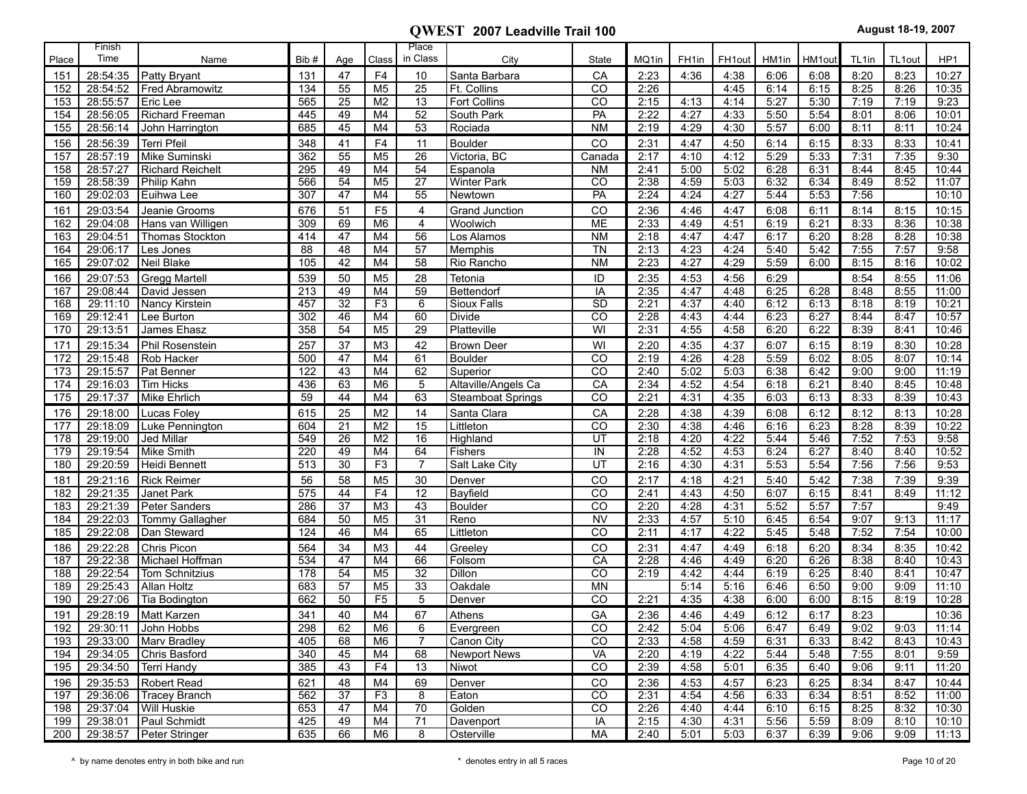|            | Finish               |                               |                  |                 |                                  | Place           |                       |                 |              |              |              |              |              |              |              |               |
|------------|----------------------|-------------------------------|------------------|-----------------|----------------------------------|-----------------|-----------------------|-----------------|--------------|--------------|--------------|--------------|--------------|--------------|--------------|---------------|
| Place      | Time                 | Name                          | Bib#             | Age             | Class                            | in Class        | City                  | State           | MQ1in        | FH1in        | FH1out       | HM1in        | HM1out       | TL1in        | TL1out       | HP1           |
| 151        | 28:54:35             | Patty Bryant                  | 131              | 47              | F <sub>4</sub>                   | 10              | Santa Barbara         | CA              | 2:23         | 4:36         | 4:38         | 6:06         | 6:08         | 8:20         | 8:23         | 10:27         |
| 152        | 28:54:52             | Fred Abramowitz               | 134              | 55              | M <sub>5</sub>                   | $\overline{25}$ | Ft. Collins           | CO              | 2:26         |              | 4:45         | 6:14         | 6:15         | 8:25         | 8:26         | 10:35         |
| 153        | 28:55:57             | Eric Lee                      | 565              | 25              | M <sub>2</sub>                   | 13              | <b>Fort Collins</b>   | $\overline{co}$ | 2:15         | 4:13         | 4:14         | 5:27         | 5:30         | 7:19         | 7:19         | 9:23          |
| 154        | 28:56:05             | Richard Freeman               | 445              | 49              | M4                               | 52              | South Park            | PA              | 2:22         | 4:27         | 4:33         | 5:50         | 5:54         | 8:01         | 8:06         | 10:01         |
| 155        | 28:56:14             | John Harrington               | 685              | 45              | M4                               | 53              | Rociada               | <b>NM</b>       | 2:19         | 4:29         | 4:30         | 5:57         | 6:00         | 8:11         | 8:11         | 10:24         |
| 156        | 28:56:39             | <b>Terri Pfeil</b>            | 348              | 41              | F <sub>4</sub>                   | 11              | <b>Boulder</b>        | CO              | 2:31         | 4:47         | 4:50         | 6:14         | 6:15         | 8:33         | 8:33         | 10:41         |
| 157        | 28:57:19             | Mike Suminski                 | 362              | $\overline{55}$ | M <sub>5</sub>                   | $\overline{26}$ | Victoria, BC          | Canada          | 2:17         | 4:10         | 4:12         | 5:29         | 5:33         | 7:31         | 7:35         | 9:30          |
| 158        | 28:57:27             | Richard Reichelt              | 295              | 49              | M4                               | 54              | Espanola              | <b>NM</b>       | 2:41         | 5:00         | 5:02         | 6:28         | 6:31         | 8:44         | 8:45         | 10:44         |
| 159        | 28:58:39             | Philip Kahn                   | 566              | 54              | M <sub>5</sub>                   | $\overline{27}$ | <b>Winter Park</b>    | CO              | 2:38         | 4:59         | 5:03         | 6:32         | 6:34         | 8:49         | 8:52         | 11:07         |
| 160        | 29:02:03             | Euihwa Lee                    | 307              | 47              | M4                               | 55              | Newtown               | PA              | 2:24         | 4:24         | 4:27         | 5:44         | 5:53         | 7:56         |              | 10:10         |
| 161        | 29:03:54             | Jeanie Grooms                 | 676              | 51              | F <sub>5</sub>                   | $\overline{4}$  | <b>Grand Junction</b> | CO              | 2:36         | 4:46         | 4:47         | 6:08         | 6:11         | 8:14         | 8:15         | 10:15         |
| 162        | 29:04:08             | Hans van Willigen             | 309              | 69              | M <sub>6</sub>                   | $\overline{4}$  | Woolwich              | <b>ME</b>       | 2:33         | 4:49         | 4:51         | 6:19         | 6:21         | 8:33         | 8:36         | 10:38         |
| 163        | 29:04:51             | Thomas Stockton               | 414              | 47              | M4                               | $\overline{56}$ | Los Alamos            | <b>NM</b>       | 2:18         | 4:47         | 4:47         | 6:17         | 6:20         | 8:28         | 8:28         | 10:38         |
| 164        | 29:06:17             | Les Jones                     | 88               | 48              | M4                               | $\overline{57}$ | Memphis               | <b>TN</b>       | 2:13         | 4:23         | 4:24         | 5:40         | 5:42         | 7:55         | 7:57         | 9:58          |
| 165        | 29:07:02             | Neil Blake                    | 105              | 42              | M4                               | 58              | Rio Rancho            | <b>NM</b>       | 2:23         | 4:27         | 4:29         | 5:59         | 6:00         | 8:15         | 8:16         | 10:02         |
| 166        | 29:07:53             | <b>Gregg Martell</b>          | 539              | 50              | M <sub>5</sub>                   | 28              | Tetonia               | ID              | 2:35         | 4:53         | 4:56         | 6:29         |              | 8:54         | 8:55         | 11:06         |
| 167        | 29:08:44             | David Jessen                  | $\overline{213}$ | 49              | M4                               | 59              | Bettendorf            | IA              | 2:35         | 4:47         | 4:48         | 6:25         | 6:28         | 8:48         | 8:55         | 11:00         |
| 168        | 29:11:10             | Nancy Kirstein                | 457              | 32              | F <sub>3</sub>                   | 6               | Sioux Falls           | SD              | 2:21         | 4:37         | 4:40         | 6:12         | 6:13         | 8:18         | 8:19         | 10:21         |
| 169        | 29:12:41             | Lee Burton                    | 302              | 46              | M4                               | 60              | Divide                | CO              | 2:28         | 4:43         | 4:44         | 6:23         | 6:27         | 8:44         | 8:47         | 10:57         |
| 170        | 29:13:51             | James Ehasz                   | 358              | 54              | M <sub>5</sub>                   | $\overline{29}$ | Platteville           | WI              | 2:31         | 4:55         | 4:58         | 6:20         | 6:22         | 8:39         | 8:41         | 10:46         |
| 171        | 29:15:34             | Phil Rosenstein               | 257              | 37              | M <sub>3</sub>                   | 42              | <b>Brown Deer</b>     | WI              | 2:20         | 4:35         | 4:37         | 6:07         | 6:15         | 8:19         | 8:30         | 10:28         |
| 172        | 29:15:48             | Rob Hacker                    | 500              | 47              | M4                               | 61              | <b>Boulder</b>        | CO              | 2:19         | 4:26         | 4:28         | 5:59         | 6:02         | 8:05         | 8:07         | 10:14         |
| 173        | 29:15:57             | Pat Benner                    | 122              | 43              | M4                               | 62              | Superior              | CO              | 2:40         | 5:02         | 5:03         | 6:38         | 6:42         | 9:00         | 9:00         | 11:19         |
| 174        | 29:16:03             | Tim Hicks                     | 436              | 63              | M <sub>6</sub>                   | 5               | Altaville/Angels Ca   | CA              | 2:34         | 4:52         | 4:54         | 6:18         | 6:21         | 8:40         | 8:45         | 10:48         |
| 175        | 29:17:37             | Mike Ehrlich                  | 59               | 44              | M4                               | 63              | Steamboat Springs     | CO              | 2:21         | 4:31         | 4:35         | 6:03         | 6:13         | 8:33         | 8:39         | 10:43         |
| 176        | 29:18:00             | Lucas Foley                   | 615              | 25              | M <sub>2</sub>                   | 14              | Santa Clara           | CA              | 2:28         | 4:38         | 4:39         | 6:08         | 6:12         | 8:12         | 8:13         | 10:28         |
| 177<br>178 | 29:18:09<br>29:19:00 | Luke Pennington<br>Jed Millar | 604<br>549       | 21<br>26        | M <sub>2</sub><br>M <sub>2</sub> | 15<br>16        | Littleton             | CO<br>UT        | 2:30<br>2:18 | 4:38<br>4:20 | 4:46<br>4:22 | 6:16<br>5:44 | 6:23<br>5:46 | 8:28<br>7:52 | 8:39<br>7:53 | 10:22<br>9:58 |
| 179        | 29:19:54             | Mike Smith                    | 220              | 49              | M4                               | 64              | Highland<br>Fishers   | IN              | 2:28         | 4:52         | 4:53         | 6:24         | 6:27         | 8:40         | 8:40         | 10:52         |
| 180        | 29:20:59             | Heidi Bennett                 | 513              | 30              | F <sub>3</sub>                   | $\overline{7}$  | Salt Lake City        | UT              | 2:16         | 4:30         | 4:31         | 5:53         | 5:54         | 7:56         | 7:56         | 9:53          |
| 181        | 29:21:16             | Rick Reimer                   | 56               | 58              | M <sub>5</sub>                   | 30              | Denver                | CO              | 2:17         | 4:18         | 4:21         | 5:40         | 5:42         | 7:38         | 7:39         | 9:39          |
| 182        | 29:21:35             | Janet Park                    | 575              | 44              | F <sub>4</sub>                   | $\overline{12}$ | Bayfield              | CO              | 2:41         | 4:43         | 4:50         | 6:07         | 6:15         | 8:41         | 8:49         | 11:12         |
| 183        | 29:21:39             | <b>Peter Sanders</b>          | 286              | 37              | M <sub>3</sub>                   | 43              | <b>Boulder</b>        | $\overline{co}$ | 2:20         | 4:28         | 4:31         | 5:52         | 5:57         | 7:57         |              | 9:49          |
| 184        | 29:22:03             | <b>Tommy Gallagher</b>        | 684              | 50              | M <sub>5</sub>                   | 31              | Reno                  | <b>NV</b>       | 2:33         | 4:57         | 5:10         | 6:45         | 6:54         | 9:07         | 9:13         | 11:17         |
| 185        | 29:22:08             | Dan Steward                   | 124              | 46              | M4                               | 65              | Littleton             | CO              | 2:11         | 4:17         | 4:22         | 5:45         | 5:48         | 7:52         | 7:54         | 10:00         |
| 186        | 29:22:28             | Chris Picon                   | 564              | 34              | M <sub>3</sub>                   | 44              | Greeley               | CO              | 2:31         | 4:47         | 4:49         | 6:18         | 6:20         | 8:34         | 8:35         | 10:42         |
| 187        | 29:22:38             | Michael Hoffman               | 534              | 47              | M <sub>4</sub>                   | 66              | Folsom                | CA              | 2:28         | 4:46         | 4:49         | 6:20         | 6:26         | 8:38         | 8:40         | 10:43         |
| 188        | 29:22:54             | Tom Schnitzius                | 178              | 54              | M <sub>5</sub>                   | 32              | Dillon                | CO              | 2:19         | 4:42         | 4:44         | 6:19         | 6:25         | 8:40         | 8:41         | 10:47         |
| 189        | 29:25:43             | Allan Holtz                   | 683              | $\overline{57}$ | M <sub>5</sub>                   | $\overline{33}$ | Oakdale               | <b>MN</b>       |              | 5:14         | 5:16         | 6:46         | 6:50         | 9:00         | 9:09         | 11:10         |
| 190        | 29:27:06             | Tia Bodington                 | 662              | 50              | F <sub>5</sub>                   | 5               | Denver                | CO              | 2:21         | 4:35         | 4:38         | 6:00         | 6:00         | 8:15         | 8:19         | 10:28         |
| 191        | 29:28:19             | Matt Karzen                   | 341              | 40              | M4                               | 67              | Athens                | GA              | 2:36         | 4:46         | 4:49         | 6:12         | 6:17         | 8:23         |              | 10:36         |
| 192        |                      | 29:30:11 John Hobbs           | 298              | 62              | M6                               | 6               | Evergreen             | CO              | 2:42         | 5:04         | 5:06         | 6:47         | 6:49         | 9:02         | 9:03         | 11:14         |
| 193        | 29:33:00             | Mary Bradley                  | 405              | 68              | M6                               | $\overline{7}$  | Canon City            | $\overline{CO}$ | 2:33         | 4:58         | 4:59         | 6:31         | 6:33         | 8:42         | 8:43         | 10:43         |
| 194        | 29:34:05             | Chris Basford                 | 340              | 45              | M4                               | 68              | <b>Newport News</b>   | VA              | 2:20         | 4:19         | 4:22         | 5:44         | 5:48         | 7:55         | 8:01         | 9:59          |
| 195        | 29:34:50             | Terri Handy                   | 385              | 43              | F4                               | 13              | Niwot                 | $\overline{c}$  | 2:39         | 4:58         | 5:01         | 6:35         | 6:40         | 9:06         | 9:11         | 11:20         |
| 196        | 29:35:53             | Robert Read                   | 621              | 48              | M4                               | 69              | Denver                | CO              | 2:36         | 4:53         | 4:57         | 6:23         | 6:25         | 8:34         | 8:47         | 10:44         |
| 197        | 29:36:06             | <b>Tracey Branch</b>          | 562              | $\overline{37}$ | F3                               | 8               | Eaton                 | $\overline{CO}$ | 2:31         | 4:54         | 4:56         | 6:33         | 6:34         | 8:51         | 8:52         | 11:00         |
| 198        | 29:37:04             | Will Huskie                   | 653              | 47              | M4                               | 70              | Golden                | CO              | 2:26         | 4:40         | 4:44         | 6:10         | 6:15         | 8:25         | 8:32         | 10:30         |
|            | 199 29:38:01         | Paul Schmidt                  | 425              | 49              | M4                               | 71              | Davenport             | IA              | 2:15         | 4:30         | 4:31         | 5:56         | 5:59         | 8:09         | 8:10         | 10:10         |
|            |                      | 200 29:38:57 Peter Stringer   | 635              | 66              | M <sub>6</sub>                   | 8               | Osterville            | <b>MA</b>       | 2:40         | 5:01         | 5:03         | 6:37         | 6:39         | 9:06         | 9:09         | 11:13         |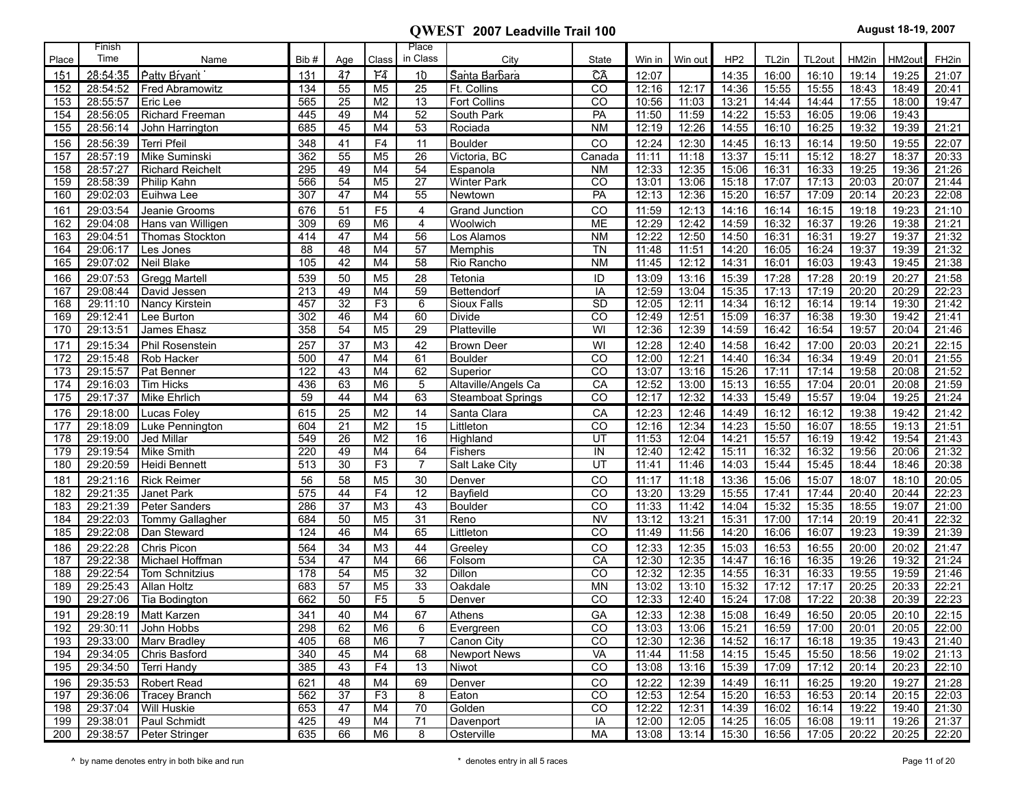| Place      | Finish<br>Time       | Name                             | Bib#       | Age             | Class                            | Place<br>in Class | City                                            | State           | Win in         | Win out        | HP <sub>2</sub> | TL2in          | TL2out         | HM2in          | HM2out         | FH <sub>2in</sub> |
|------------|----------------------|----------------------------------|------------|-----------------|----------------------------------|-------------------|-------------------------------------------------|-----------------|----------------|----------------|-----------------|----------------|----------------|----------------|----------------|-------------------|
| 151        | 28:54:35             | Patty Bryant                     | 131        | 47              | $F\bar{4}$                       | 10                | Santa Barbara                                   | ĈÃ              | 12:07          |                | 14:35           | 16:00          | 16:10          | 19:14          | 19:25          | 21:07             |
| 152        | 28:54:52             | <b>Fred Abramowitz</b>           | 134        | $\overline{55}$ | M <sub>5</sub>                   | $\overline{25}$   | Ft. Collins                                     | CO              | 12:16          | 12:17          | 14:36           | 15:55          | 15:55          | 18:43          | 18:49          | 20:41             |
| 153        | 28:55:57             | <b>Eric Lee</b>                  | 565        | 25              | M <sub>2</sub>                   | 13                | <b>Fort Collins</b>                             | CO              | 10:56          | 11:03          | 13:21           | 14:44          | 14:44          | 17:55          | 18:00          | 19:47             |
| 154        | 28:56:05             | <b>Richard Freeman</b>           | 445        | 49              | M4                               | 52                | South Park                                      | PA              | 11:50          | 11:59          | 14:22           | 15:53          | 16:05          | 19:06          | 19:43          |                   |
| 155        | 28:56:14             | John Harrington                  | 685        | 45              | M4                               | 53                | Rociada                                         | <b>NM</b>       | 12:19          | 12:26          | 14:55           | 16:10          | 16:25          | 19:32          | 19:39          | 21:21             |
| 156        | 28:56:39             | Terri Pfeil                      | 348        | 41              | F4                               | 11                | <b>Boulder</b>                                  | CO              | 12:24          | 12:30          | 14:45           | 16:13          | 16:14          | 19:50          | 19:55          | 22:07             |
| 157        | 28:57:19             | Mike Suminski                    | 362        | 55              | M <sub>5</sub>                   | $\overline{26}$   | Victoria, BC                                    | Canada          | 11:11          | 11:18          | 13:37           | 15:11          | 15:12          | 18:27          | 18:37          | 20:33             |
| 158        | 28:57:27             | <b>Richard Reichelt</b>          | 295        | 49              | M4                               | 54                | Espanola                                        | <b>NM</b>       | 12:33          | 12:35          | 15:06           | 16:31          | 16:33          | 19:25          | 19:36          | 21:26             |
| 159        | 28:58:39             | Philip Kahn                      | 566        | 54              | M <sub>5</sub>                   | $\overline{27}$   | <b>Winter Park</b>                              | CO              | 13:01          | 13:06          | 15:18           | 17:07          | 17:13          | 20:03          | 20:07          | 21:44             |
| 160        | 29:02:03             | Euihwa Lee                       | 307        | 47              | M <sub>4</sub>                   | 55                | Newtown                                         | PA              | 12:13          | 12:36          | 15:20           | 16:57          | 17:09          | 20:14          | 20:23          | 22:08             |
| 161        | 29:03:54             | Jeanie Grooms                    | 676        | 51              | F <sub>5</sub>                   | 4                 | Grand Junction                                  | CO              | 11:59          | 12:13          | 14:16           | 16:14          | 16:15          | 19:18          | 19:23          | 21:10             |
| 162        | 29:04:08             | Hans van Willigen                | 309        | 69              | M <sub>6</sub>                   | $\overline{4}$    | Woolwich                                        | <b>ME</b>       | 12:29          | 12:42          | 14:59           | 16:32          | 16:37          | 19:26          | 19:38          | 21:21             |
| 163        | 29:04:51             | <b>Thomas Stockton</b>           | 414        | $\overline{47}$ | M4                               | $\overline{56}$   | Los Alamos                                      | <b>NM</b>       | 12:22          | 12:50          | 14:50           | 16:31          | 16:31          | 19:27          | 19:37          | 21:32             |
| 164        | 29:06:17             | Les Jones                        | 88         | 48              | M4                               | 57                | Memphis                                         | $\overline{T}N$ | 11:48          | 11:51          | 14:20           | 16:05          | 16:24          | 19:37          | 19:39          | 21:32             |
| 165        | 29:07:02             | Neil Blake                       | 105        | 42              | M4                               | 58                | Rio Rancho                                      | <b>NM</b>       | 11:45          | 12:12          | 14:31           | 16:01          | 16:03          | 19:43          | 19:45          | 21:38             |
| 166        | 29:07:53             | <b>Gregg Martell</b>             | 539        | 50              | M <sub>5</sub>                   | 28                | Tetonia                                         | ID              | 13:09          | 13:16          | 15:39           | 17:28          | 17:28          | 20:19          | 20:27          | 21:58             |
| 167        | 29:08:44             | David Jessen                     | 213        | 49              | M4                               | 59                | Bettendorf                                      | IA              | 12:59          | 13:04          | 15:35           | 17:13          | 17:19          | 20:20          | 20:29          | 22:23             |
| 168        | 29:11:10             | Nancy Kirstein                   | 457        | 32              | F <sub>3</sub>                   | 6                 | Sioux Falls                                     | SD              | 12:05          | 12:11          | 14:34           | 16:12          | 16:14          | 19:14          | 19:30          | 21:42             |
| 169        | 29:12:41             | Lee Burton                       | 302        | 46              | M <sub>4</sub>                   | 60                | Divide                                          | CO              | 12:49          | 12:51          | 15:09           | 16:37          | 16:38          | 19:30          | 19:42          | 21:41             |
| 170        | 29:13:51             | James Ehasz                      | 358        | 54              | M <sub>5</sub>                   | $\overline{29}$   | Platteville                                     | WI              | 12:36          | 12:39          | 14:59           | 16:42          | 16:54          | 19:57          | 20:04          | 21:46             |
| 171        | 29:15:34             | Phil Rosenstein                  | 257        | 37              | M <sub>3</sub>                   | 42                | <b>Brown Deer</b>                               | WI              | 12:28          | 12:40          | 14:58           | 16:42          | 17:00          | 20:03          | 20:21          | 22:15             |
| 172        | 29:15:48             | Rob Hacker                       | 500        | 47              | M <sub>4</sub>                   | 61                | <b>Boulder</b>                                  | CO              | 12:00          | 12:21          | 14:40           | 16:34          | 16:34          | 19:49          | 20:01          | 21:55             |
| 173        | 29:15:57             | Pat Benner                       | 122        | 43<br>63        | M4                               | 62                | Superior                                        | CO              | 13:07          | 13:16          | 15:26           | 17:11          | 17:14          | 19:58          | 20:08          | 21:52             |
| 174<br>175 | 29:16:03<br>29:17:37 | <b>Tim Hicks</b><br>Mike Ehrlich | 436<br>59  | 44              | M <sub>6</sub><br>M <sub>4</sub> | 5<br>63           | Altaville/Angels Ca<br><b>Steamboat Springs</b> | CA<br>CO        | 12:52<br>12:17 | 13:00<br>12:32 | 15:13<br>14:33  | 16:55<br>15:49 | 17:04<br>15:57 | 20:01<br>19:04 | 20:08<br>19:25 | 21:59<br>21:24    |
|            |                      |                                  |            |                 |                                  |                   |                                                 |                 |                |                |                 |                |                |                |                |                   |
| 176<br>177 | 29:18:00<br>29:18:09 | Lucas Foley<br>Luke Pennington   | 615<br>604 | 25<br>21        | M <sub>2</sub><br>M <sub>2</sub> | 14<br>15          | Santa Clara                                     | CA<br>CO        | 12:23<br>12:16 | 12:46<br>12:34 | 14:49<br>14:23  | 16:12<br>15:50 | 16:12<br>16:07 | 19:38<br>18:55 | 19:42<br>19:13 | 21:42<br>21:51    |
| 178        | 29:19:00             | Jed Millar                       | 549        | 26              | M <sub>2</sub>                   | 16                | Littleton<br>Highland                           | UT              | 11:53          | 12:04          | 14:21           | 15:57          | 16:19          | 19:42          | 19:54          | 21:43             |
| 179        | 29:19:54             | Mike Smith                       | 220        | 49              | M4                               | 64                | Fishers                                         | IN              | 12:40          | 12:42          | 15:11           | 16:32          | 16:32          | 19:56          | 20:06          | 21:32             |
| 180        | 29:20:59             | Heidi Bennett                    | 513        | 30              | F <sub>3</sub>                   | $\overline{7}$    | Salt Lake City                                  | UT              | 11:41          | 11:46          | 14:03           | 15:44          | 15:45          | 18:44          | 18:46          | 20:38             |
| 181        | 29:21:16             | <b>Rick Reimer</b>               | 56         | 58              | M <sub>5</sub>                   | 30                | Denver                                          | CO              | 11:17          | 11:18          | 13:36           | 15:06          | 15:07          | 18:07          | 18:10          | 20:05             |
| 182        | 29:21:35             | Janet Park                       | 575        | 44              | F4                               | $\overline{12}$   | Bayfield                                        | CO              | 13:20          | 13:29          | 15:55           | 17:41          | 17:44          | 20:40          | 20:44          | 22:23             |
| 183        | 29:21:39             | Peter Sanders                    | 286        | 37              | M <sub>3</sub>                   | 43                | <b>Boulder</b>                                  | CO              | 11:33          | 11:42          | 14:04           | 15:32          | 15:35          | 18:55          | 19:07          | 21:00             |
| 184        | 29:22:03             | <b>Tommy Gallagher</b>           | 684        | 50              | M <sub>5</sub>                   | 31                | Reno                                            | <b>NV</b>       | 13:12          | 13:21          | 15:31           | 17:00          | 17:14          | 20:19          | 20:41          | 22:32             |
| 185        | 29:22:08             | Dan Steward                      | 124        | 46              | M4                               | 65                | Littleton                                       | CO              | 11:49          | 11:56          | 14:20           | 16:06          | 16:07          | 19:23          | 19:39          | 21:39             |
| 186        | 29:22:28             | Chris Picon                      | 564        | 34              | M <sub>3</sub>                   | 44                | Greeley                                         | CO              | 12:33          | 12:35          | 15:03           | 16:53          | 16:55          | 20:00          | 20:02          | 21:47             |
| 187        | 29:22:38             | Michael Hoffman                  | 534        | 47              | M <sub>4</sub>                   | 66                | Folsom                                          | CA              | 12:30          | 12:35          | 14:47           | 16:16          | 16:35          | 19:26          | 19:32          | 21:24             |
| 188        | 29:22:54             | Tom Schnitzius                   | 178        | 54              | M <sub>5</sub>                   | 32                | Dillon                                          | CO              | 12:32          | 12:35          | 14:55           | 16:31          | 16:33          | 19:55          | 19:59          | 21:46             |
| 189        | 29:25:43             | Allan Holtz                      | 683        | $\overline{57}$ | M <sub>5</sub>                   | $\overline{33}$   | Oakdale                                         | <b>MN</b>       | 13:02          | 13:10          | 15:32           | 17:12          | 17:17          | 20:25          | 20:33          | 22:21             |
| 190        | 29:27:06             | <b>Tia Bodington</b>             | 662        | 50              | F <sub>5</sub>                   | 5                 | Denver                                          | CO              | 12:33          | 12:40          | 15:24           | 17:08          | 17:22          | 20:38          | 20:39          | 22:23             |
| 191        | 29:28:19             | Matt Karzen                      | 341        | 40              | M <sub>4</sub>                   | 67                | Athens                                          | GA              | 12:33          | 12:38          | 15:08           | 16:49          | 16:50          | 20:05          | 20:10          | 22:15             |
| 192        |                      | 29:30:11 John Hobbs              | 298        | 62              | M6                               | 6                 | Evergreen                                       | CO              | 13:03          | 13:06          | 15:21           | 16:59          | 17:00          | 20:01          | 20:05          | 22:00             |
| 193        | 29:33:00             | Mary Bradley                     | 405        | 68              | M6                               | $\overline{7}$    | Canon City                                      | $\overline{CO}$ | 12:30          | 12:36          | 14:52           | 16:17          | 16:18          | 19:35          | 19:43          | 21:40             |
| 194        |                      | 29:34:05 Chris Basford           | 340        | 45              | M4                               | 68                | <b>Newport News</b>                             | VA              | 11:44          | 11:58          | 14:15           | 15:45          | 15:50          | 18:56          | 19:02          | 21:13             |
| 195        | 29:34:50             | Terri Handy                      | 385        | 43              | F4                               | 13                | Niwot                                           | $\overline{c}$  | 13:08          | 13:16          | 15:39           | 17:09          | 17:12          | 20:14          | 20:23          | 22:10             |
| 196        | 29:35:53             | Robert Read                      | 621        | 48              | M4                               | 69                | Denver                                          | CO              | 12:22          | 12:39          | 14:49           | 16:11          | 16:25          | 19:20          | 19:27          | 21:28             |
| 197        | 29:36:06             | <b>Tracey Branch</b>             | 562        | 37              | F3                               | 8                 | Eaton                                           | $\overline{CO}$ | 12:53          | 12:54          | 15:20           | 16:53          | 16:53          | 20:14          | 20:15          | 22:03             |
| 198        | 29:37:04             | Will Huskie                      | 653        | 47              | M4                               | 70                | Golden                                          | CO              | 12:22          | 12:31          | 14:39           | 16:02          | 16:14          | 19:22          | 19:40          | 21:30             |
| 199 I      | 29:38:01             | Paul Schmidt                     | 425        | 49              | M4                               | 71                | Davenport                                       | IA              | 12:00          | 12:05          | 14:25           | 16:05          | 16:08          | 19:11          | 19:26          | 21:37             |
|            |                      | 200 29:38:57 Peter Stringer      | 635        | 66              | M <sub>6</sub>                   | 8                 | Osterville                                      | <b>MA</b>       | 13:08          | 13:14          | 15:30           |                | 16:56 17:05    | 20:22          | 20:25          | 22:20             |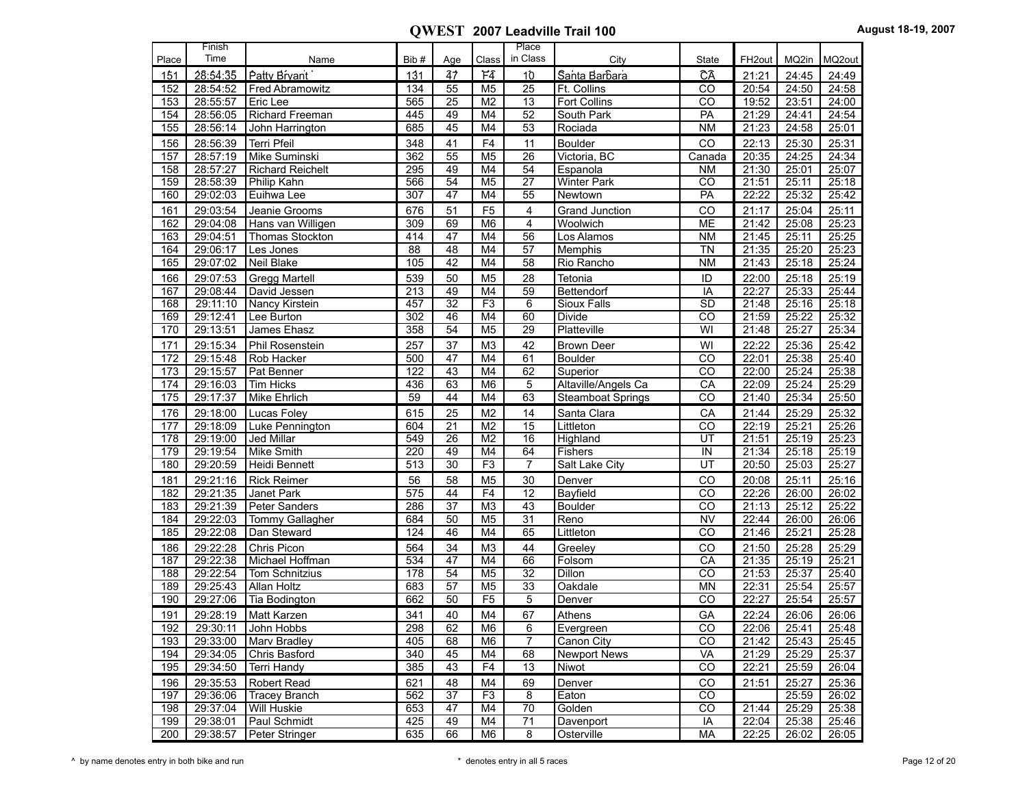| Finish<br>Place                                                                                                                                             |                      |                    |                |                |
|-------------------------------------------------------------------------------------------------------------------------------------------------------------|----------------------|--------------------|----------------|----------------|
| Time<br>in Class<br>Bib#<br>City<br>Place<br>Name<br>Age<br>Class                                                                                           | State                | FH <sub>2out</sub> | MQ2in          | MQ2out         |
| $F\bar{4}$<br>151<br>28:54:35<br>131<br>47<br>10<br>Santa Barbara<br>Patty Bryant                                                                           | <b>CA</b>            | 21:21              | 24:45          | 24:49          |
| $\overline{25}$<br>152<br>28:54:52<br><b>Fred Abramowitz</b><br>134<br>55<br>M <sub>5</sub><br>Ft. Collins                                                  | CO                   | 20:54              | 24:50          | 24:58          |
| 153<br>28:55:57<br>565<br>25<br>M <sub>2</sub><br>13<br><b>Fort Collins</b><br>Eric Lee                                                                     | $\overline{co}$      | 19:52              | 23:51          | 24:00          |
| 154<br>52<br>28:56:05<br><b>Richard Freeman</b><br>445<br>49<br>M <sub>4</sub><br>South Park                                                                | PA                   | 21:29              | 24:41          | 24:54          |
| 155<br>28:56:14<br>685<br>45<br>$\overline{53}$<br>John Harrington<br>M4<br>Rociada                                                                         | <b>NM</b>            | 21:23              | 24:58          | 25:01          |
| F <sub>4</sub><br>156<br>28:56:39<br>Terri Pfeil<br>348<br>41<br>Boulder<br>11                                                                              | CO                   | 22:13              | 25:30          | 25:31          |
| 28:57:19<br>362<br>$\overline{26}$<br>157<br>Mike Suminski<br>55<br>M <sub>5</sub><br>Victoria, BC                                                          | Canada               | 20:35              | 24:25          | 24:34          |
| 158<br>28:57:27<br>295<br><b>Richard Reichelt</b><br>49<br>M4<br>54<br>Espanola                                                                             | <b>NM</b>            | 21:30              | 25:01          | 25:07          |
| 28:58:39<br>159<br>566<br>54<br>M <sub>5</sub><br>27<br><b>Winter Park</b><br>Philip Kahn                                                                   | $\overline{CO}$      | 21:51              | 25:11          | 25:18          |
| 55<br>160<br>29:02:03<br>307<br>47<br>M <sub>4</sub><br>Euihwa Lee<br>Newtown                                                                               | PA                   | 22:22              | 25:32          | 25:42          |
| 29:03:54<br>161<br>Jeanie Grooms<br>676<br>51<br>F <sub>5</sub><br>4<br><b>Grand Junction</b>                                                               | CO                   | 21:17              | 25:04          | 25:11          |
| 162<br>29:04:08<br>309<br>$\overline{\mathbf{4}}$<br>69<br>M <sub>6</sub><br>Woolwich<br>Hans van Willigen                                                  | <b>ME</b>            | 21:42              | 25:08          | 25:23          |
| 163<br>29:04:51<br>47<br>$\overline{56}$<br>Los Alamos<br>Thomas Stockton<br>414<br>M4                                                                      | <b>NM</b>            | 21:45              | 25:11          | 25:25          |
| $\overline{88}$<br>$\overline{57}$<br>164<br>29:06:17<br>Les Jones<br>48<br>M4<br>Memphis                                                                   | $\overline{T}N$      | 21:35              | 25:20          | 25:23          |
| 165<br>29:07:02<br>42<br>58<br><b>Neil Blake</b><br>105<br>M4<br>Rio Rancho                                                                                 | <b>NM</b>            | 21:43              | 25:18          | 25:24          |
| 29:07:53<br>539<br>166<br>Gregg Martell<br>50<br>M <sub>5</sub><br>28<br>Tetonia                                                                            | ID                   | 22:00              | 25:18          | 25:19          |
| 167<br>29:08:44<br>213<br>49<br>M <sub>4</sub><br>59<br>Bettendorf<br>David Jessen                                                                          | $\overline{IA}$      | 22:27              | 25:33          | 25:44          |
| 457<br>32<br>F3<br>6<br>168<br>29:11:10<br>Nancy Kirstein<br>Sioux Falls                                                                                    | $\overline{SD}$      | 21:48              | 25:16          | 25:18          |
| 169<br>29:12:41<br>302<br><b>Divide</b><br>Lee Burton<br>46<br>M <sub>4</sub><br>60                                                                         | $\overline{co}$      | 21:59              | 25:22          | 25:32          |
| 170<br>29:13:51<br>358<br>54<br>M <sub>5</sub><br>29<br>Platteville<br>James Ehasz                                                                          | WI                   | 21:48              | 25:27          | 25:34          |
| 171<br>29:15:34<br>257<br>37<br><b>Brown Deer</b><br>Phil Rosenstein<br>M <sub>3</sub><br>42                                                                | WI                   | 22:22              | 25:36          | 25:42          |
| 172<br>29:15:48<br>500<br>47<br>M <sub>4</sub><br>61<br><b>Boulder</b><br>Rob Hacker                                                                        | $\overline{co}$      | 22:01              | 25:38          | 25:40          |
| 173<br>29:15:57<br>122<br>43<br>Pat Benner<br>M <sub>4</sub><br>62<br>Superior                                                                              | $\overline{co}$      | 22:00              | 25:24          | 25:38          |
| 174<br>29:16:03<br>436<br>63<br>M <sub>6</sub><br>5<br>Altaville/Angels Ca<br><b>Tim Hicks</b>                                                              | CA                   | 22:09              | 25:24          | 25:29          |
| 175<br>59<br>63<br>29:17:37<br>Mike Ehrlich<br>44<br>M4<br>Steamboat Springs                                                                                | $\overline{co}$      | 21:40              | 25:34          | 25:50          |
| 29:18:00<br>176<br>Lucas Foley<br>615<br>25<br>M <sub>2</sub><br>14<br>Santa Clara                                                                          | CA                   | 21:44              | 25:29          | 25:32          |
| 177<br>29:18:09<br>21<br>Luke Pennington<br>604<br>M <sub>2</sub><br>15<br>Littleton                                                                        | $\overline{co}$      | 22:19              | 25:21          | 25:26          |
| 178<br>29:19:00<br>549<br>M <sub>2</sub><br>16<br>Jed Millar<br>26<br>Highland                                                                              | UT                   | 21:51              | 25:19          | 25:23          |
| 220<br>179<br>29:19:54<br><b>Mike Smith</b><br>49<br>M <sub>4</sub><br>64<br>Fishers                                                                        | $\overline{N}$       | 21:34              | 25:18          | 25:19          |
| 180<br>29:20:59<br>F3<br>Salt Lake City<br>513<br>30<br>$\overline{7}$<br>Heidi Bennett                                                                     | UT                   | 20:50              | 25:03          | 25:27          |
| 29:21:16<br>181<br>Rick Reimer<br>56<br>58<br>Denver<br>M <sub>5</sub><br>30                                                                                | CO                   | 20:08              | 25:11          | 25:16          |
| 182<br>29:21:35<br>Janet Park<br>575<br>44<br>F <sub>4</sub><br>12<br>Bayfield                                                                              | $\overline{CO}$      | 22:26              | 26:00          | 26:02          |
| 29:21:39<br>286<br>$\overline{37}$<br>183<br>M <sub>3</sub><br>43<br><b>Boulder</b><br>Peter Sanders                                                        | $\overline{co}$      | 21:13              | 25:12          | 25:22          |
| 184<br>29:22:03<br>31<br>684<br>50<br>M <sub>5</sub><br>Reno<br>Tommy Gallagher                                                                             | <b>NV</b>            | 22:44              | 26:00          | 26:06          |
| 185<br>29:22:08<br>124<br>46<br>M <sub>4</sub><br>65<br>Littleton<br>Dan Steward                                                                            | $\overline{CO}$      | 21:46              | 25:21          | 25:28          |
| 29:22:28<br>Greeley<br>186<br>Chris Picon<br>564<br>34<br>44<br>M <sub>3</sub>                                                                              | CO                   | 21:50              | 25:28          | 25:29          |
| 29:22:38<br>187<br>Michael Hoffman<br>534<br>47<br>M <sub>4</sub><br>66<br>Folsom                                                                           | CA                   | 21:35              | 25:19          | 25:21          |
| 29:22:54<br>178<br>188<br>54<br>M <sub>5</sub><br>$\overline{32}$<br>Dillon<br>Tom Schnitzius                                                               | $\overline{co}$      | 21:53              | 25:37          | 25:40          |
| 29:25:43<br><b>Allan Holtz</b><br>$\overline{57}$<br>189<br>683<br>M <sub>5</sub><br>33<br>Oakdale<br>50<br>F5                                              | <b>MN</b>            | 22:31              | 25:54          | 25:57          |
| 5<br>190<br>29:27:06<br>662<br>Tia Bodington<br>Denver                                                                                                      | $\overline{c}$       | 22:27              | 25:54          | 25:57          |
| 191<br>29:28:19<br>Matt Karzen<br>341<br>40<br>M <sub>4</sub><br>67<br>Athens                                                                               | GA                   | 22:24              | 26:06          | 26:06          |
| 192<br>29:30:11<br>298<br>John Hobbs<br>62<br>M6<br>6<br>Evergreen                                                                                          | CO                   | 22:06              | 25:41          | 25:48          |
| $\overline{7}$<br>193<br>29:33:00<br><b>Mary Bradley</b><br>405<br>68<br>M <sub>6</sub><br>Canon City                                                       | CO                   | 21:42<br>21:29     | 25:43          | 25:45          |
| 29:34:05<br>340<br>68<br>194<br>45<br>M4<br><b>Newport News</b><br>Chris Basford<br>29:34:50<br>F4<br>195<br>385<br>43<br>13<br><b>Terri Handy</b><br>Niwot | VA<br>$\overline{c}$ | 22:21              | 25:29<br>25:59 | 25:37<br>26:04 |
|                                                                                                                                                             |                      |                    |                |                |
| 29:35:53<br>196<br>Robert Read<br>621<br>48<br>M4<br>69<br>Denver<br>562<br>F <sub>3</sub><br>8<br>Eaton                                                    | CO                   | 21:51              | 25:27          | 25:36          |
| 197<br>29:36:06<br>37<br><b>Tracey Branch</b><br>70<br>29:37:04<br>653<br>198<br><b>Will Huskie</b><br>47<br>M4<br>Golden                                   | CO<br>CO             | 21:44              | 25:59<br>25:29 | 26:02<br>25:38 |
| 29:38:01<br>425<br>$\overline{71}$<br>199<br>Paul Schmidt<br>49<br>M4<br>Davenport                                                                          | IA                   | 22:04              | 25:38          | 25:46          |
| 200<br>29:38:57<br>Peter Stringer<br>635<br>M6<br>8<br>Osterville<br>66                                                                                     | MA                   | 22:25              | 26:02          | 26:05          |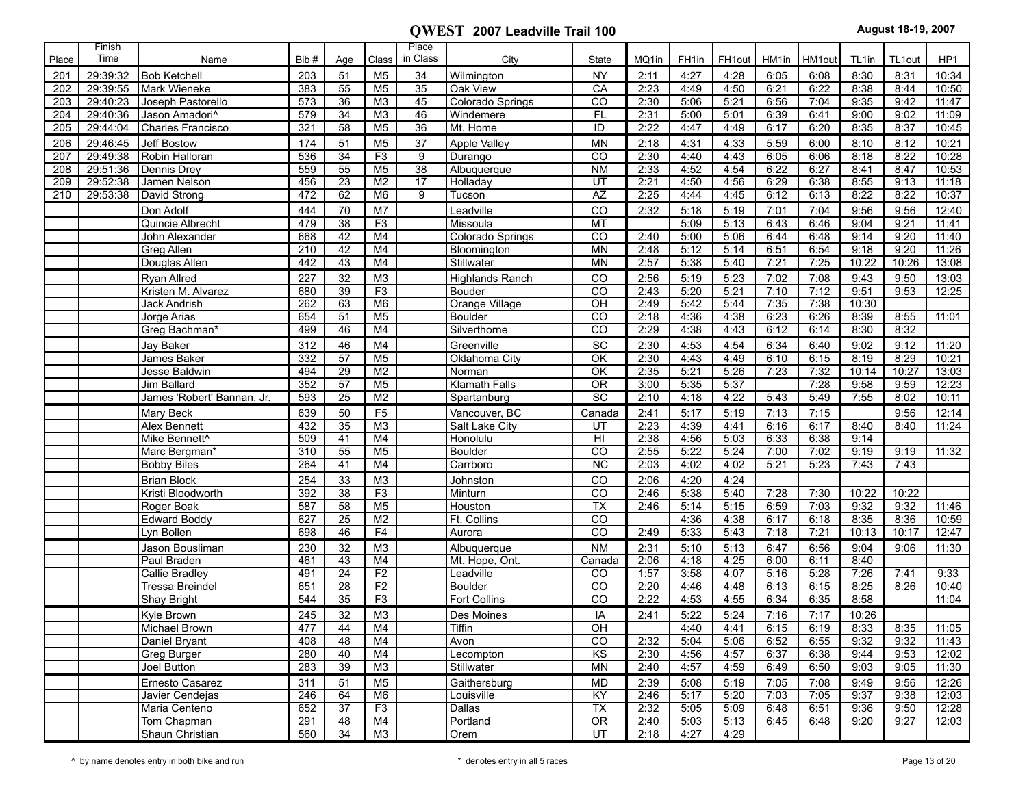| Place | Finish<br>Time | Name                       | Bib# | Age             | Class          | Place<br>in Class | City                   | State           | MQ1in | FH1in | FH1out | HM1in | HM1out | TL <sub>1in</sub> | TL1out | HP1   |
|-------|----------------|----------------------------|------|-----------------|----------------|-------------------|------------------------|-----------------|-------|-------|--------|-------|--------|-------------------|--------|-------|
| 201   | 29:39:32       | <b>Bob Ketchell</b>        | 203  | 51              | M <sub>5</sub> | 34                | Wilmington             | <b>NY</b>       | 2:11  | 4:27  | 4:28   | 6:05  | 6:08   | 8:30              | 8:31   | 10:34 |
| 202   | 29:39:55       | Mark Wieneke               | 383  | $\overline{55}$ | M <sub>5</sub> | 35                | Oak View               | CA              | 2:23  | 4:49  | 4:50   | 6:21  | 6:22   | 8:38              | 8:44   | 10:50 |
| 203   | 29:40:23       | Joseph Pastorello          | 573  | 36              | M <sub>3</sub> | 45                | Colorado Springs       | $\overline{co}$ | 2:30  | 5:06  | 5:21   | 6:56  | 7:04   | 9:35              | 9:42   | 11:47 |
| 204   | 29:40:36       | Jason Amadori^             | 579  | 34              | M <sub>3</sub> | 46                | Windemere              | FL              | 2:31  | 5:00  | 5:01   | 6:39  | 6:41   | 9:00              | 9:02   | 11:09 |
| 205   | 29:44:04       | <b>Charles Francisco</b>   | 321  | 58              | M <sub>5</sub> | $\overline{36}$   | Mt. Home               | ID              | 2:22  | 4:47  | 4:49   | 6:17  | 6:20   | 8:35              | 8:37   | 10:45 |
| 206   | 29:46:45       | Jeff Bostow                | 174  | 51              | M <sub>5</sub> | 37                | <b>Apple Valley</b>    | <b>MN</b>       | 2:18  | 4:31  | 4:33   | 5:59  | 6:00   | 8:10              | 8:12   | 10:21 |
| 207   | 29:49:38       | Robin Halloran             | 536  | $\overline{34}$ | F3             | 9                 | Durango                | $\overline{CO}$ | 2:30  | 4:40  | 4:43   | 6:05  | 6:06   | 8:18              | 8:22   | 10:28 |
| 208   | 29:51:36       | Dennis Drey                | 559  | 55              | M <sub>5</sub> | 38                | Albuquerque            | <b>NM</b>       | 2:33  | 4:52  | 4:54   | 6:22  | 6:27   | 8:41              | 8:47   | 10:53 |
| 209   | 29:52:38       | Jamen Nelson               | 456  | $\overline{23}$ | M <sub>2</sub> | 17                | Holladay               | UT              | 2:21  | 4:50  | 4:56   | 6:29  | 6:38   | 8:55              | 9:13   | 11:18 |
| 210   | 29:53:38       | David Strong               | 472  | 62              | M <sub>6</sub> | 9                 | Tucson                 | AZ              | 2:25  | 4:44  | 4:45   | 6:12  | 6:13   | 8:22              | 8:22   | 10:37 |
|       |                | Don Adolf                  | 444  | 70              | M7             |                   | Leadville              | CO              | 2:32  | 5:18  | 5:19   | 7:01  | 7:04   | 9:56              | 9:56   | 12:40 |
|       |                | Quincie Albrecht           | 479  | 38              | F <sub>3</sub> |                   | Missoula               | MT              |       | 5:09  | 5:13   | 6:43  | 6:46   | 9:04              | 9:21   | 11:41 |
|       |                | John Alexander             | 668  | 42              | M4             |                   | Colorado Springs       | CO              | 2:40  | 5:00  | 5:06   | 6:44  | 6:48   | 9:14              | 9:20   | 11:40 |
|       |                | Greg Allen                 | 210  | 42              | M4             |                   | Bloomington            | <b>MN</b>       | 2:48  | 5:12  | 5:14   | 6:51  | 6:54   | 9:18              | 9:20   | 11:26 |
|       |                | Douglas Allen              | 442  | 43              | M4             |                   | Stillwater             | <b>MN</b>       | 2:57  | 5:38  | 5:40   | 7:21  | 7:25   | 10:22             | 10:26  | 13:08 |
|       |                | <b>Ryan Allred</b>         | 227  | 32              | M <sub>3</sub> |                   | <b>Highlands Ranch</b> | CO              | 2:56  | 5:19  | 5:23   | 7:02  | 7:08   | 9:43              | 9:50   | 13:03 |
|       |                | Kristen M. Alvarez         | 680  | $\overline{39}$ | F <sub>3</sub> |                   | <b>Bouder</b>          | CO              | 2:43  | 5:20  | 5:21   | 7:10  | 7:12   | 9:51              | 9:53   | 12:25 |
|       |                | <b>Jack Andrish</b>        | 262  | 63              | M6             |                   | Orange Village         | $\overline{OH}$ | 2:49  | 5:42  | 5:44   | 7:35  | 7:38   | 10:30             |        |       |
|       |                | Jorge Arias                | 654  | 51              | M <sub>5</sub> |                   | <b>Boulder</b>         | CO              | 2:18  | 4:36  | 4:38   | 6:23  | 6:26   | 8:39              | 8:55   | 11:01 |
|       |                | Greg Bachman*              | 499  | 46              | M4             |                   | Silverthorne           | CO              | 2:29  | 4:38  | 4:43   | 6:12  | 6:14   | 8:30              | 8:32   |       |
|       |                | Jay Baker                  | 312  | 46              | M4             |                   | Greenville             | SC              | 2:30  | 4:53  | 4:54   | 6:34  | 6:40   | 9:02              | 9:12   | 11:20 |
|       |                | James Baker                | 332  | $\overline{57}$ | M <sub>5</sub> |                   | Oklahoma City          | $\overline{OK}$ | 2:30  | 4:43  | 4:49   | 6:10  | 6:15   | 8:19              | 8:29   | 10:21 |
|       |                | Jesse Baldwin              | 494  | 29              | M <sub>2</sub> |                   | Norman                 | OK              | 2:35  | 5:21  | 5:26   | 7:23  | 7:32   | 10:14             | 10:27  | 13:03 |
|       |                | Jim Ballard                | 352  | 57              | M <sub>5</sub> |                   | <b>Klamath Falls</b>   | <b>OR</b>       | 3:00  | 5:35  | 5:37   |       | 7:28   | 9:58              | 9:59   | 12:23 |
|       |                | James 'Robert' Bannan, Jr. | 593  | $\overline{25}$ | M <sub>2</sub> |                   | Spartanburg            | $\overline{SC}$ | 2:10  | 4:18  | 4:22   | 5:43  | 5:49   | 7:55              | 8:02   | 10:11 |
|       |                | Mary Beck                  | 639  | 50              | F <sub>5</sub> |                   | Vancouver, BC          | Canada          | 2:41  | 5:17  | 5:19   | 7:13  | 7:15   |                   | 9:56   | 12:14 |
|       |                | <b>Alex Bennett</b>        | 432  | 35              | M <sub>3</sub> |                   | Salt Lake City         | UT              | 2:23  | 4:39  | 4:41   | 6:16  | 6:17   | 8:40              | 8:40   | 11:24 |
|       |                | Mike Bennett <sup>^</sup>  | 509  | 41              | M4             |                   | Honolulu               | HI              | 2:38  | 4:56  | 5:03   | 6:33  | 6:38   | 9:14              |        |       |
|       |                | Marc Bergman*              | 310  | 55              | M <sub>5</sub> |                   | <b>Boulder</b>         | $\overline{CO}$ | 2:55  | 5:22  | 5:24   | 7:00  | 7:02   | 9:19              | 9:19   | 11:32 |
|       |                | <b>Bobby Biles</b>         | 264  | 41              | M4             |                   | Carrboro               | <b>NC</b>       | 2:03  | 4:02  | 4:02   | 5:21  | 5:23   | 7:43              | 7:43   |       |
|       |                | <b>Brian Block</b>         | 254  | 33              | M <sub>3</sub> |                   | Johnston               | CO              | 2:06  | 4:20  | 4:24   |       |        |                   |        |       |
|       |                | Kristi Bloodworth          | 392  | $\overline{38}$ | F <sub>3</sub> |                   | Minturn                | CO              | 2:46  | 5:38  | 5:40   | 7:28  | 7:30   | 10:22             | 10:22  |       |
|       |                | Roger Boak                 | 587  | 58              | M <sub>5</sub> |                   | Houston                | $\overline{TX}$ | 2:46  | 5:14  | 5:15   | 6:59  | 7:03   | 9:32              | 9:32   | 11:46 |
|       |                | <b>Edward Boddy</b>        | 627  | $\overline{25}$ | M <sub>2</sub> |                   | Ft. Collins            | CO              |       | 4:36  | 4:38   | 6:17  | 6:18   | 8:35              | 8:36   | 10:59 |
|       |                | Lyn Bollen                 | 698  | 46              | F <sub>4</sub> |                   | Aurora                 | CO              | 2:49  | 5:33  | 5:43   | 7:18  | 7:21   | 10:13             | 10:17  | 12:47 |
|       |                | Jason Bousliman            | 230  | 32              | M <sub>3</sub> |                   | Albuquerque            | <b>NM</b>       | 2:31  | 5:10  | 5:13   | 6:47  | 6:56   | 9:04              | 9:06   | 11:30 |
|       |                | Paul Braden                | 461  | 43              | M <sub>4</sub> |                   | Mt. Hope, Ont.         | Canada          | 2:06  | 4:18  | 4:25   | 6:00  | 6:11   | 8:40              |        |       |
|       |                | Callie Bradley             | 491  | 24              | F <sub>2</sub> |                   | Leadville              | CO              | 1:57  | 3:58  | 4:07   | 5:16  | 5:28   | 7:26              | 7:41   | 9:33  |
|       |                | <b>Tressa Breindel</b>     | 651  | $\overline{28}$ | F <sub>2</sub> |                   | <b>Boulder</b>         | CO              | 2:20  | 4:46  | 4:48   | 6:13  | 6:15   | 8:25              | 8:26   | 10:40 |
|       |                | <b>Shay Bright</b>         | 544  | 35              | F3             |                   | <b>Fort Collins</b>    | $\overline{co}$ | 2:22  | 4:53  | 4:55   | 6:34  | 6:35   | 8:58              |        | 11:04 |
|       |                | <b>Kyle Brown</b>          | 245  | 32              | M <sub>3</sub> |                   | Des Moines             | IA              | 2:41  | 5:22  | 5:24   | 7:16  | 7:17   | 10:26             |        |       |
|       |                | Michael Brown              | 477  | 44              | M4             |                   | Tiffin                 | OH              |       | 4:40  | 4:41   | 6:15  | 6:19   | 8:33              | 8:35   | 11:05 |
|       |                | Daniel Bryant              | 408  | 48              | M4             |                   | Avon                   | $\overline{CO}$ | 2:32  | 5:04  | 5:06   | 6:52  | 6:55   | 9:32              | 9:32   | 11:43 |
|       |                | <b>Greg Burger</b>         | 280  | 40              | M4             |                   | Lecompton              | KS              | 2:30  | 4:56  | 4:57   | 6:37  | 6:38   | 9:44              | 9:53   | 12:02 |
|       |                | Joel Button                | 283  | 39              | M3             |                   | Stillwater             | <b>MN</b>       | 2:40  | 4:57  | 4:59   | 6:49  | 6:50   | 9:03              | 9:05   | 11:30 |
|       |                | Ernesto Casarez            | 311  | 51              | M <sub>5</sub> |                   | Gaithersburg           | <b>MD</b>       | 2:39  | 5:08  | 5:19   | 7:05  | 7:08   | 9:49              | 9:56   | 12:26 |
|       |                | Javier Cendejas            | 246  | 64              | M6             |                   | Louisville             | KY              | 2:46  | 5:17  | 5:20   | 7:03  | 7:05   | 9:37              | 9:38   | 12:03 |
|       |                | Maria Centeno              | 652  | 37              | F <sub>3</sub> |                   | Dallas                 | TX              | 2:32  | 5:05  | 5:09   | 6:48  | 6:51   | 9:36              | 9:50   | 12:28 |
|       |                | Tom Chapman                | 291  | 48              | M4             |                   | Portland               | OR              | 2:40  | 5:03  | 5:13   | 6:45  | 6:48   | 9:20              | 9:27   | 12:03 |
|       |                | Shaun Christian            | 560  | 34              | M3             |                   | Orem                   | UT              | 2:18  | 4:27  | 4:29   |       |        |                   |        |       |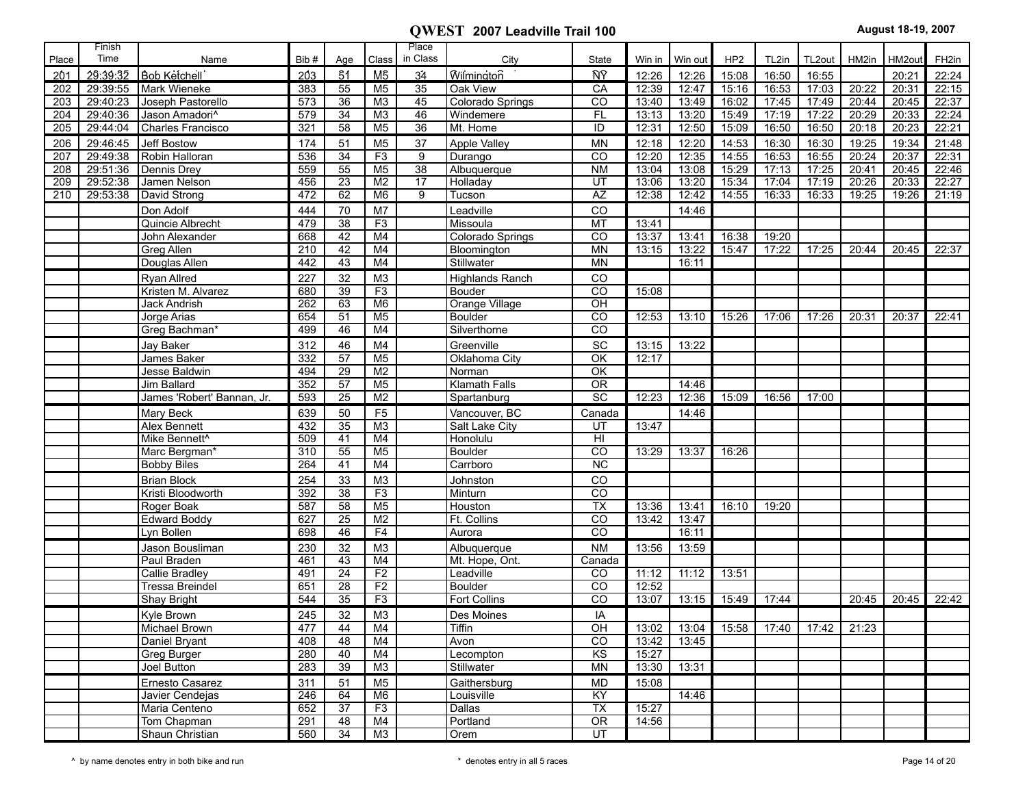| Place      | Finish<br>Time       |                               | Bib#       |                       | Class                | Place<br>in Class | City                   | State           | Win in         | Win out        | HP <sub>2</sub> | TL2in          | TL <sub>2out</sub> | HM2in          | HM2out         | FH <sub>2in</sub> |
|------------|----------------------|-------------------------------|------------|-----------------------|----------------------|-------------------|------------------------|-----------------|----------------|----------------|-----------------|----------------|--------------------|----------------|----------------|-------------------|
|            | 29:39:32             | Name<br><b>Bob Ketchell</b>   | 203        | Age<br>51             | M5                   | 34                | <b>Wilmington</b>      | ÑΫ́             |                | 12:26          |                 |                |                    |                |                |                   |
| 201<br>202 | 29:39:55             | Mark Wieneke                  | 383        | 55                    | M <sub>5</sub>       | 35                | Oak View               | CA              | 12:26<br>12:39 | 12:47          | 15:08<br>15:16  | 16:50<br>16:53 | 16:55<br>17:03     | 20:22          | 20:21<br>20:31 | 22:24<br>22:15    |
| 203        | 29:40:23             | Joseph Pastorello             | 573        | 36                    | M <sub>3</sub>       | 45                | Colorado Springs       | CO              | 13:40          | 13:49          | 16:02           | 17:45          | 17:49              | 20:44          | 20:45          | 22:37             |
| 204        | 29:40:36             | Jason Amadori <sup>^</sup>    | 579        | 34                    | M3                   | 46                | Windemere              | <b>FL</b>       | 13:13          | 13:20          | 15:49           | 17:19          | 17:22              | 20:29          | 20:33          | 22:24             |
| 205        | 29:44:04             | Charles Francisco             | 321        | 58                    | M <sub>5</sub>       | 36                | Mt. Home               | $\overline{ID}$ | 12:31          | 12:50          | 15:09           | 16:50          | 16:50              | 20:18          | 20:23          | 22:21             |
|            |                      |                               |            |                       |                      |                   |                        |                 | 12:18          |                |                 |                |                    |                |                |                   |
| 206        | 29:46:45             | Jeff Bostow                   | 174        | 51<br>$\overline{34}$ | M <sub>5</sub><br>F3 | 37                | Apple Valley           | <b>MN</b>       |                | 12:20<br>12:35 | 14:53           | 16:30          | 16:30<br>16:55     | 19:25          | 19:34          | 21:48             |
| 207<br>208 | 29:49:38<br>29:51:36 | Robin Halloran<br>Dennis Drey | 536<br>559 | 55                    | M <sub>5</sub>       | 9<br>38           | Durango<br>Albuquerque | CO<br><b>NM</b> | 12:20<br>13:04 | 13:08          | 14:55<br>15:29  | 16:53<br>17:13 | 17:25              | 20:24<br>20:41 | 20:37<br>20:45 | 22:31<br>22:46    |
| 209        | 29:52:38             | Jamen Nelson                  | 456        | $\overline{23}$       | M <sub>2</sub>       | 17                | Holladay               | UT              | 13:06          | 13:20          | 15:34           | 17:04          | 17:19              | 20:26          | 20:33          | 22:27             |
| 210        | 29:53:38             | David Strong                  | 472        | 62                    | M <sub>6</sub>       | 9                 | Tucson                 | $\overline{AZ}$ | 12:38          | 12:42          | 14:55           | 16:33          | 16:33              | 19:25          | 19:26          | 21:19             |
|            |                      |                               | 444        |                       |                      |                   |                        |                 |                |                |                 |                |                    |                |                |                   |
|            |                      | Don Adolf<br>Quincie Albrecht | 479        | 70<br>38              | M7<br>F3             |                   | Leadville<br>Missoula  | CO<br>MT        | 13:41          | 14:46          |                 |                |                    |                |                |                   |
|            |                      | John Alexander                | 668        | 42                    | M4                   |                   | Colorado Springs       | CO              | 13:37          | 13:41          | 16:38           | 19:20          |                    |                |                |                   |
|            |                      | Greg Allen                    | 210        | 42                    | M4                   |                   | Bloomington            | <b>MN</b>       | 13:15          | 13:22          | 15:47           | 17:22          | 17:25              | 20:44          | 20:45          | 22:37             |
|            |                      | Douglas Allen                 | 442        | 43                    | M4                   |                   | Stillwater             | <b>MN</b>       |                | 16:11          |                 |                |                    |                |                |                   |
|            |                      | <b>Ryan Allred</b>            | 227        | 32                    | M <sub>3</sub>       |                   | <b>Highlands Ranch</b> | CO              |                |                |                 |                |                    |                |                |                   |
|            |                      | Kristen M. Alvarez            | 680        | 39                    | F3                   |                   | <b>Bouder</b>          | $\overline{co}$ | 15:08          |                |                 |                |                    |                |                |                   |
|            |                      | Jack Andrish                  | 262        | 63                    | M <sub>6</sub>       |                   | Orange Village         | OH              |                |                |                 |                |                    |                |                |                   |
|            |                      | Jorge Arias                   | 654        | 51                    | M <sub>5</sub>       |                   | Boulder                | CO              | 12:53          | 13:10          | 15:26           | 17:06          | 17:26              | 20:31          | 20:37          | 22:41             |
|            |                      | Greg Bachman*                 | 499        | 46                    | M4                   |                   | Silverthorne           | $\overline{co}$ |                |                |                 |                |                    |                |                |                   |
|            |                      | Jay Baker                     | 312        | 46                    | M4                   |                   | Greenville             | SC              | 13:15          | 13:22          |                 |                |                    |                |                |                   |
|            |                      | James Baker                   | 332        | 57                    | M <sub>5</sub>       |                   | Oklahoma City          | $\overline{OK}$ | 12:17          |                |                 |                |                    |                |                |                   |
|            |                      | Jesse Baldwin                 | 494        | 29                    | M <sub>2</sub>       |                   | Norman                 | OK              |                |                |                 |                |                    |                |                |                   |
|            |                      | Jim Ballard                   | 352        | 57                    | M <sub>5</sub>       |                   | Klamath Falls          | OR              |                | 14:46          |                 |                |                    |                |                |                   |
|            |                      | James 'Robert' Bannan, Jr.    | 593        | 25                    | M2                   |                   | Spartanburg            | $\overline{SC}$ | 12:23          | 12:36          | 15:09           | 16:56          | 17:00              |                |                |                   |
|            |                      | Mary Beck                     | 639        | 50                    | F <sub>5</sub>       |                   | Vancouver, BC          | Canada          |                | 14:46          |                 |                |                    |                |                |                   |
|            |                      | Alex Bennett                  | 432        | 35                    | M3                   |                   | <b>Salt Lake City</b>  | UT              | 13:47          |                |                 |                |                    |                |                |                   |
|            |                      | Mike Bennett <sup>^</sup>     | 509        | $\overline{41}$       | M4                   |                   | Honolulu               | H <sub>1</sub>  |                |                |                 |                |                    |                |                |                   |
|            |                      | Marc Bergman*                 | 310        | 55                    | M <sub>5</sub>       |                   | <b>Boulder</b>         | $\overline{co}$ | 13:29          | 13:37          | 16:26           |                |                    |                |                |                   |
|            |                      | <b>Bobby Biles</b>            | 264        | 41                    | M4                   |                   | Carrboro               | <b>NC</b>       |                |                |                 |                |                    |                |                |                   |
|            |                      | <b>Brian Block</b>            | 254        | 33                    | M <sub>3</sub>       |                   | Johnston               | CO              |                |                |                 |                |                    |                |                |                   |
|            |                      | Kristi Bloodworth             | 392        | $\overline{38}$       | F3                   |                   | Minturn                | $\overline{co}$ |                |                |                 |                |                    |                |                |                   |
|            |                      | Roger Boak                    | 587        | 58                    | M <sub>5</sub>       |                   | Houston                | $\overline{TX}$ | 13:36          | 13:41          | 16:10           | 19:20          |                    |                |                |                   |
|            |                      | <b>Edward Boddy</b>           | 627        | 25                    | M <sub>2</sub>       |                   | Ft. Collins            | CO              | 13:42          | 13:47          |                 |                |                    |                |                |                   |
|            |                      | Lyn Bollen                    | 698        | 46                    | F4                   |                   | Aurora                 | $\overline{co}$ |                | 16:11          |                 |                |                    |                |                |                   |
|            |                      | Jason Bousliman               | 230        | 32                    | M <sub>3</sub>       |                   | Albuquerque            | <b>NM</b>       | 13:56          | 13:59          |                 |                |                    |                |                |                   |
|            |                      | Paul Braden                   | 461        | 43                    | M4                   |                   | Mt. Hope, Ont.         | Canada          |                |                |                 |                |                    |                |                |                   |
|            |                      | Callie Bradley                | 491        | 24                    | F2                   |                   | Leadville              | CO              | 11:12          | 11:12          | 13:51           |                |                    |                |                |                   |
|            |                      | <b>Tressa Breindel</b>        | 651        | $\overline{28}$       | F2                   |                   | <b>Boulder</b>         | CO              | 12:52          |                |                 |                |                    |                |                |                   |
|            |                      | <b>Shay Bright</b>            | 544        | 35                    | F3                   |                   | <b>Fort Collins</b>    | $\overline{co}$ | 13:07          | 13:15          | 15:49           | 17:44          |                    | 20:45          | 20:45          | 22:42             |
|            |                      | <b>Kyle Brown</b>             | 245        | 32                    | M3                   |                   | Des Moines             | IA              |                |                |                 |                |                    |                |                |                   |
|            |                      | Michael Brown                 | 477        | 44                    | M4                   |                   | Tiffin                 | OH              | 13:02          | 13:04          | 15:58           | 17:40          | 17:42              | 21:23          |                |                   |
|            |                      | Daniel Bryant                 | 408        | 48                    | M4                   |                   | Avon                   | $\overline{CO}$ | 13:42          | 13:45          |                 |                |                    |                |                |                   |
|            |                      | Greg Burger                   | 280        | 40                    | M4                   |                   | Lecompton              | KS              | 15:27          |                |                 |                |                    |                |                |                   |
|            |                      | Joel Button                   | 283        | 39                    | ΜЗ                   |                   | Stillwater             | MN              | 13:30          | 13:31          |                 |                |                    |                |                |                   |
|            |                      | Ernesto Casarez               | 311        | 51                    | M <sub>5</sub>       |                   | Gaithersburg           | MD              | 15:08          |                |                 |                |                    |                |                |                   |
|            |                      | Javier Cendejas               | 246        | 64                    | M6                   |                   | Louisville             | KY              |                | 14:46          |                 |                |                    |                |                |                   |
|            |                      | Maria Centeno                 | 652        | 37                    | F3                   |                   | Dallas                 | <b>TX</b>       | 15:27          |                |                 |                |                    |                |                |                   |
|            |                      | Tom Chapman                   | 291        | 48                    | M4                   |                   | Portland               | <b>OR</b>       | 14:56          |                |                 |                |                    |                |                |                   |
|            |                      | Shaun Christian               | 560        | 34                    | M3                   |                   | Orem                   | UT              |                |                |                 |                |                    |                |                |                   |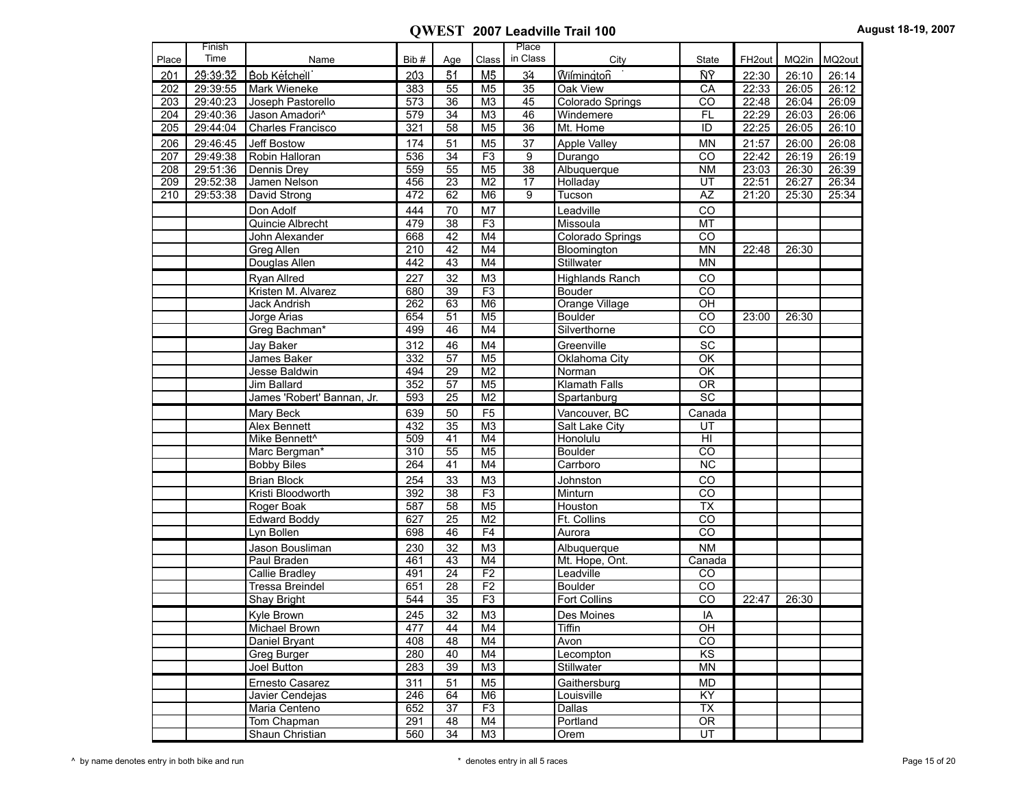|       | Finish   |                                                 |            |                 |                | Place           |                        |                           |                    |       |        |
|-------|----------|-------------------------------------------------|------------|-----------------|----------------|-----------------|------------------------|---------------------------|--------------------|-------|--------|
| Place | Time     | Name                                            | Bib#       | Age             | Class          | in Class        | City                   | State                     | FH <sub>2out</sub> | MQ2in | MQ2out |
| 201   | 29:39:32 | <b>Bob Ketchell</b>                             | 203        | 51              | M5             | 34              | Wilmington             | ÑŶ                        | 22:30              | 26:10 | 26:14  |
| 202   | 29:39:55 | Mark Wieneke                                    | 383        | 55              | M <sub>5</sub> | $\overline{35}$ | Oak View               | CA                        | 22:33              | 26:05 | 26:12  |
| 203   | 29:40:23 | Joseph Pastorello                               | 573        | 36              | M <sub>3</sub> | 45              | Colorado Springs       | CO                        | 22:48              | 26:04 | 26:09  |
| 204   | 29:40:36 | Jason Amadori^                                  | 579        | 34              | M <sub>3</sub> | 46              | Windemere              | FL                        | 22:29              | 26:03 | 26:06  |
| 205   | 29:44:04 | Charles Francisco                               | 321        | 58              | M <sub>5</sub> | 36              | Mt. Home               | ID                        | 22:25              | 26:05 | 26:10  |
| 206   | 29:46:45 | Jeff Bostow                                     | 174        | 51              | M <sub>5</sub> | 37              | <b>Apple Valley</b>    | <b>MN</b>                 | 21:57              | 26:00 | 26:08  |
| 207   | 29:49:38 | Robin Halloran                                  | 536        | 34              | F3             | $\overline{9}$  | Durango                | CO                        | 22:42              | 26:19 | 26:19  |
| 208   | 29:51:36 | <b>Dennis Drey</b>                              | 559        | 55              | M <sub>5</sub> | 38              | Albuquerque            | <b>NM</b>                 | 23:03              | 26:30 | 26:39  |
| 209   | 29:52:38 | Jamen Nelson                                    | 456        | $\overline{23}$ | M <sub>2</sub> | 17              | Holladay               | UT                        | 22:51              | 26:27 | 26:34  |
| 210   | 29:53:38 | David Strong                                    | 472        | 62              | M <sub>6</sub> | 9               | Tucson                 | AZ                        | 21:20              | 25:30 | 25:34  |
|       |          | Don Adolf                                       | 444        | 70              | M7             |                 | Leadville              | CO                        |                    |       |        |
|       |          | Quincie Albrecht                                | 479        | 38              | F3             |                 | Missoula               | MT                        |                    |       |        |
|       |          | John Alexander                                  | 668        | 42              | M4             |                 | Colorado Springs       | CO                        |                    |       |        |
|       |          | <b>Greg Allen</b>                               | 210        | 42              | M4             |                 | Bloomington            | <b>MN</b>                 | 22:48              | 26:30 |        |
|       |          | Douglas Allen                                   | 442        | 43              | M4             |                 | Stillwater             | <b>MN</b>                 |                    |       |        |
|       |          | <b>Ryan Allred</b>                              | 227        | 32              | M <sub>3</sub> |                 | <b>Highlands Ranch</b> | CO                        |                    |       |        |
|       |          | Kristen M. Alvarez                              | 680        | 39              | F3             |                 | <b>Bouder</b>          | CO                        |                    |       |        |
|       |          | Jack Andrish                                    | 262        | 63              | M6             |                 | Orange Village         | OH                        |                    |       |        |
|       |          | Jorge Arias                                     | 654        | 51              | M <sub>5</sub> |                 | Boulder                | $\overline{CO}$           | 23:00              | 26:30 |        |
|       |          | Greg Bachman*                                   | 499        | 46              | M <sub>4</sub> |                 | Silverthorne           | CO                        |                    |       |        |
|       |          | Jav Baker                                       | 312        | 46              | M4             |                 | Greenville             | SC                        |                    |       |        |
|       |          | James Baker                                     | 332        | 57              | M <sub>5</sub> |                 | Oklahoma City          | OK                        |                    |       |        |
|       |          | Jesse Baldwin                                   | 494        | 29              | M <sub>2</sub> |                 | Norman                 | $\overline{OK}$           |                    |       |        |
|       |          | Jim Ballard                                     | 352        | 57              | M <sub>5</sub> |                 | Klamath Falls          | <b>OR</b>                 |                    |       |        |
|       |          | James 'Robert' Bannan, Jr.                      | 593        | $\overline{25}$ | M <sub>2</sub> |                 | Spartanburg            | $\overline{SC}$           |                    |       |        |
|       |          | Mary Beck                                       | 639        | 50              | F <sub>5</sub> |                 | Vancouver, BC          | Canada                    |                    |       |        |
|       |          | Alex Bennett                                    | 432        | 35              | M <sub>3</sub> |                 | Salt Lake City         | UT                        |                    |       |        |
|       |          | Mike Bennett <sup>^</sup>                       | 509        | 41              | M <sub>4</sub> |                 | Honolulu               | ΗI                        |                    |       |        |
|       |          | Marc Bergman*                                   | 310        | 55              | M <sub>5</sub> |                 | Boulder                | $\overline{co}$           |                    |       |        |
|       |          | <b>Bobby Biles</b>                              | 264        | 41              | M4             |                 | Carrboro               | NC                        |                    |       |        |
|       |          | <b>Brian Block</b>                              | 254        | 33              | M <sub>3</sub> |                 | Johnston               | CO                        |                    |       |        |
|       |          | Kristi Bloodworth                               | 392        | 38              | F3             |                 | Minturn                | CO                        |                    |       |        |
|       |          | Roger Boak                                      | 587        | 58              | M <sub>5</sub> |                 | Houston                | $\overline{\mathsf{TX}}$  |                    |       |        |
|       |          | <b>Edward Boddy</b>                             | 627        | 25              | M <sub>2</sub> |                 | Ft. Collins            | $\overline{c}$            |                    |       |        |
|       |          | Lyn Bollen                                      | 698        | 46              | F <sub>4</sub> |                 | Aurora                 | CO                        |                    |       |        |
|       |          | Jason Bousliman                                 | 230        | 32              | M <sub>3</sub> |                 | Albuquerque            | <b>NM</b>                 |                    |       |        |
|       |          | Paul Braden                                     | 461<br>491 | 43<br>24        | M4<br>F2       |                 | Mt. Hope, Ont.         | Canada<br>$\overline{CO}$ |                    |       |        |
|       |          | <b>Callie Bradley</b><br><b>Tressa Breindel</b> | 651        |                 | F <sub>2</sub> |                 | Leadville<br>Boulder   | CO                        |                    |       |        |
|       |          | <b>Shay Bright</b>                              | 544        | 28<br>35        | F3             |                 | <b>Fort Collins</b>    | $\overline{co}$           | 22:47              | 26:30 |        |
|       |          |                                                 |            |                 |                |                 |                        |                           |                    |       |        |
|       |          | Kyle Brown<br>Michael Brown                     | 245        | 32              | M <sub>3</sub> |                 | Des Moines             | IA                        |                    |       |        |
|       |          | Daniel Bryant                                   | 477<br>408 | 44<br>48        | M4<br>M4       |                 | Tiffin<br>Avon         | OH<br>$\overline{CO}$     |                    |       |        |
|       |          | Greg Burger                                     | 280        | 40              | M4             |                 | Lecompton              | KS                        |                    |       |        |
|       |          | Joel Button                                     | 283        | 39              | M3             |                 | Stillwater             | <b>MN</b>                 |                    |       |        |
|       |          | Ernesto Casarez                                 | 311        | 51              | M <sub>5</sub> |                 | Gaithersburg           | <b>MD</b>                 |                    |       |        |
|       |          | Javier Cendejas                                 | 246        | 64              | M6             |                 | Louisville             | KY                        |                    |       |        |
|       |          | Maria Centeno                                   | 652        | 37              | F3             |                 | <b>Dallas</b>          | $\overline{\mathsf{TX}}$  |                    |       |        |
|       |          | Tom Chapman                                     | 291        | 48              | M4             |                 | Portland               | OR                        |                    |       |        |
|       |          | Shaun Christian                                 | 560        | 34              | ΜЗ             |                 | Orem                   | UT                        |                    |       |        |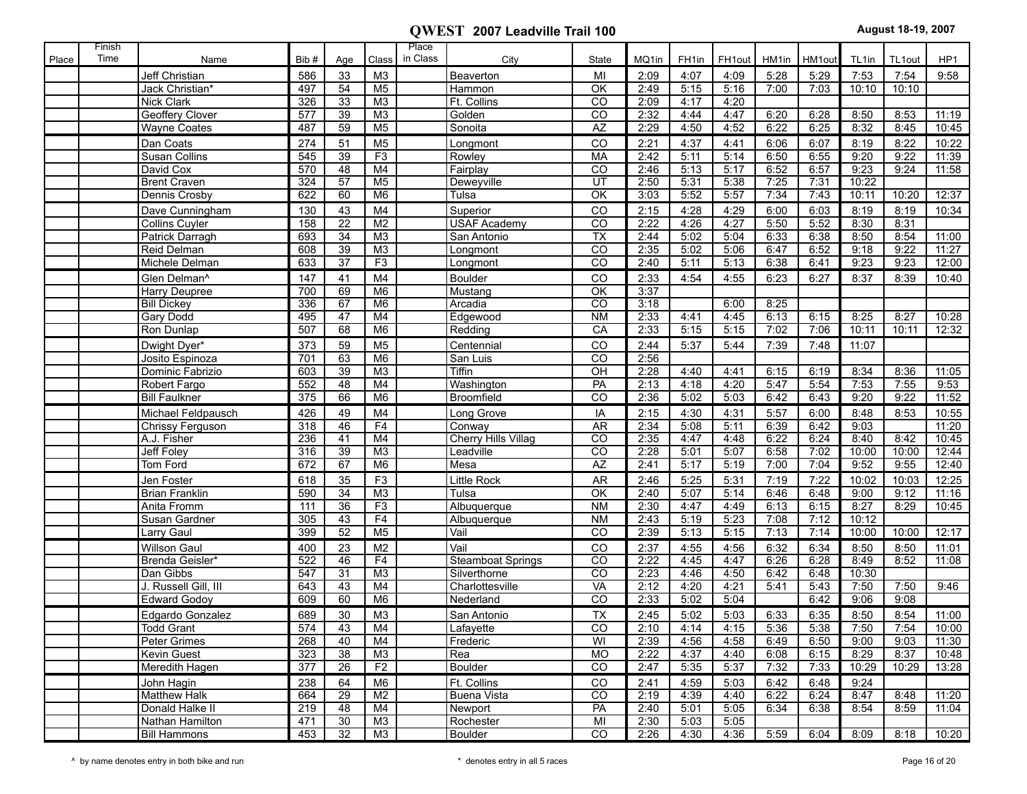|       | Finish |                        |      |                 |                | Place    |                            |                 |       |                   |        |       |        |                   |        |       |
|-------|--------|------------------------|------|-----------------|----------------|----------|----------------------------|-----------------|-------|-------------------|--------|-------|--------|-------------------|--------|-------|
| Place | Time   | Name                   | Bib# | Age             | Class          | in Class | City                       | State           | MQ1in | FH <sub>1in</sub> | FH1out | HM1in | HM1out | TL <sub>1in</sub> | TL1out | HP1   |
|       |        | Jeff Christian         | 586  | 33              | M3             |          | Beaverton                  | MI              | 2:09  | 4:07              | 4:09   | 5:28  | 5:29   | 7:53              | 7:54   | 9:58  |
|       |        | Jack Christian*        | 497  | 54              | M <sub>5</sub> |          | Hammon                     | $\overline{OK}$ | 2:49  | 5:15              | 5:16   | 7:00  | 7:03   | 10:10             | 10:10  |       |
|       |        | <b>Nick Clark</b>      | 326  | 33              | M3             |          | Ft. Collins                | $\overline{co}$ | 2:09  | 4:17              | 4:20   |       |        |                   |        |       |
|       |        | <b>Geoffery Clover</b> | 577  | 39              | M3             |          | Golden                     | $\overline{CO}$ | 2:32  | 4:44              | 4:47   | 6:20  | 6:28   | 8:50              | 8:53   | 11:19 |
|       |        | <b>Wayne Coates</b>    | 487  | 59              | M <sub>5</sub> |          | Sonoita                    | AZ              | 2:29  | 4:50              | 4:52   | 6:22  | 6:25   | 8:32              | 8:45   | 10:45 |
|       |        |                        |      |                 |                |          |                            |                 |       |                   |        |       |        |                   |        |       |
|       |        | Dan Coats              | 274  | 51              | M <sub>5</sub> |          | Longmont                   | CO              | 2:21  | 4:37              | 4:41   | 6:06  | 6:07   | 8:19              | 8:22   | 10:22 |
|       |        | <b>Susan Collins</b>   | 545  | 39              | F3             |          | Rowley                     | <b>MA</b>       | 2:42  | 5:11              | 5:14   | 6:50  | 6:55   | 9:20              | 9:22   | 11:39 |
|       |        | David Cox              | 570  | 48              | M4             |          | Fairplay                   | $\overline{CO}$ | 2:46  | 5:13              | 5:17   | 6:52  | 6:57   | 9:23              | 9:24   | 11:58 |
|       |        | <b>Brent Craven</b>    | 324  | $\overline{57}$ | M <sub>5</sub> |          | Deweyville                 | UT              | 2:50  | 5:31              | 5:38   | 7:25  | 7:31   | 10:22             |        |       |
|       |        | <b>Dennis Crosby</b>   | 622  | 60              | M6             |          | Tulsa                      | $\overline{OK}$ | 3:03  | 5:52              | 5:57   | 7:34  | 7:43   | 10:11             | 10:20  | 12:37 |
|       |        | Dave Cunningham        | 130  | 43              | M <sub>4</sub> |          | Superior                   | CO              | 2:15  | 4:28              | 4:29   | 6:00  | 6:03   | 8:19              | 8:19   | 10:34 |
|       |        | <b>Collins Cuyler</b>  | 158  | $\overline{22}$ | M <sub>2</sub> |          | <b>USAF Academy</b>        | $\overline{CO}$ | 2:22  | 4:26              | 4:27   | 5:50  | 5:52   | 8:30              | 8:31   |       |
|       |        | Patrick Darragh        | 693  | $\overline{34}$ | M3             |          | San Antonio                | $\overline{TX}$ | 2:44  | 5:02              | 5:04   | 6:33  | 6:38   | 8:50              | 8:54   | 11:00 |
|       |        | Reid Delman            | 608  | 39              | M3             |          | Longmont                   | $\overline{co}$ | 2:35  | 5:02              | 5:06   | 6:47  | 6:52   | 9:18              | 9:22   | 11:27 |
|       |        | Michele Delman         | 633  | $\overline{37}$ | F3             |          | Longmont                   | $\overline{c}$  | 2:40  | 5:11              | 5:13   | 6:38  | 6:41   | 9:23              | 9:23   | 12:00 |
|       |        | Glen Delman^           | 147  | 41              | M4             |          | Boulder                    | CO              | 2:33  | 4:54              | 4:55   | 6:23  | 6:27   | 8:37              | 8:39   | 10:40 |
|       |        | Harry Deupree          | 700  | 69              | M6             |          | Mustang                    | $\overline{OK}$ | 3:37  |                   |        |       |        |                   |        |       |
|       |        | <b>Bill Dickey</b>     | 336  | 67              | M6             |          | Arcadia                    | $\overline{co}$ | 3:18  |                   | 6:00   | 8:25  |        |                   |        |       |
|       |        | <b>Gary Dodd</b>       | 495  | 47              | M4             |          | Edgewood                   | <b>NM</b>       | 2:33  | 4:41              | 4:45   | 6:13  | 6:15   | 8:25              | 8:27   | 10:28 |
|       |        | Ron Dunlap             | 507  | 68              | M6             |          | Redding                    | CA              | 2:33  | 5:15              | 5:15   | 7:02  | 7:06   | 10:11             | 10:11  | 12:32 |
|       |        | Dwight Dyer*           | 373  | 59              | M <sub>5</sub> |          | Centennial                 | CO              | 2:44  | 5:37              | 5:44   | 7:39  | 7:48   | 11:07             |        |       |
|       |        | Josito Espinoza        | 701  | 63              | M6             |          | San Luis                   | $\overline{CO}$ | 2:56  |                   |        |       |        |                   |        |       |
|       |        | Dominic Fabrizio       | 603  | 39              | M <sub>3</sub> |          | Tiffin                     | $\overline{M}$  | 2:28  | 4:40              | 4:41   | 6:15  | 6:19   | 8:34              | 8:36   | 11:05 |
|       |        | Robert Fargo           | 552  | 48              | M4             |          | Washington                 | PA              | 2:13  | 4:18              | 4:20   | 5:47  | 5:54   | 7:53              | 7:55   | 9:53  |
|       |        | <b>Bill Faulkner</b>   | 375  | 66              | M6             |          | Broomfield                 | $\overline{co}$ | 2:36  | 5:02              | 5:03   | 6:42  | 6:43   | 9:20              | 9:22   | 11:52 |
|       |        | Michael Feldpausch     | 426  | 49              | M <sub>4</sub> |          | Long Grove                 | IA              | 2:15  | 4:30              | 4:31   | 5:57  | 6:00   | 8:48              | 8:53   | 10:55 |
|       |        | Chrissy Ferguson       | 318  | 46              | F4             |          | Conway                     | <b>AR</b>       | 2:34  | 5:08              | 5:11   | 6:39  | 6:42   | 9:03              |        | 11:20 |
|       |        | A.J. Fisher            | 236  | $\overline{41}$ | M4             |          | <b>Cherry Hills Villag</b> | $\overline{co}$ | 2:35  | 4:47              | 4:48   | 6:22  | 6:24   | 8:40              | 8:42   | 10:45 |
|       |        | <b>Jeff Foley</b>      | 316  | 39              | M3             |          | Leadville                  | $\overline{co}$ | 2:28  | 5:01              | 5:07   | 6:58  | 7:02   | 10:00             | 10:00  | 12:44 |
|       |        | Tom Ford               | 672  | 67              | M <sub>6</sub> |          | Mesa                       | AZ              | 2:41  | 5:17              | 5:19   | 7:00  | 7:04   | 9:52              | 9:55   | 12:40 |
|       |        | Jen Foster             | 618  | 35              | F <sub>3</sub> |          | <b>Little Rock</b>         | <b>AR</b>       | 2:46  | 5:25              | 5:31   | 7:19  | 7:22   | 10:02             | 10:03  | 12:25 |
|       |        | <b>Brian Franklin</b>  | 590  | $\overline{34}$ | M3             |          | Tulsa                      | $\overline{OK}$ | 2:40  | 5:07              | 5:14   | 6:46  | 6:48   | 9:00              | 9:12   | 11:16 |
|       |        | Anita Fromm            | 111  | 36              | F3             |          | Albuquerque                | <b>NM</b>       | 2:30  | 4:47              | 4:49   | 6:13  | 6:15   | 8:27              | 8:29   | 10:45 |
|       |        | Susan Gardner          | 305  | 43              | F4             |          | Albuquerque                | <b>NM</b>       | 2:43  | 5:19              | 5:23   | 7:08  | 7:12   | 10:12             |        |       |
|       |        | Larry Gaul             | 399  | $\overline{52}$ | M <sub>5</sub> |          | Vail                       | $\overline{co}$ | 2:39  | 5:13              | 5:15   | 7:13  | 7:14   | 10:00             | 10:00  | 12:17 |
|       |        | <b>Willson Gaul</b>    | 400  | 23              | M <sub>2</sub> |          | Vail                       | CO              | 2:37  | 4:55              | 4:56   | 6:32  | 6:34   | 8:50              | 8:50   | 11:01 |
|       |        | Brenda Geisler*        | 522  | 46              | F4             |          | <b>Steamboat Springs</b>   | $\overline{co}$ | 2:22  | 4:45              | 4:47   | 6:26  | 6:28   | 8:49              | 8:52   | 11:08 |
|       |        | Dan Gibbs              | 547  | 31              | M <sub>3</sub> |          | Silverthorne               | CO              | 2:23  | 4:46              | 4:50   | 6:42  | 6:48   | 10:30             |        |       |
|       |        | J. Russell Gill, III   | 643  | 43              | M4             |          | Charlottesville            | <b>VA</b>       | 2:12  | 4:20              | 4:21   | 5:41  | 5:43   | 7:50              | 7:50   | 9:46  |
|       |        | <b>Edward Godoy</b>    | 609  | 60              | M6             |          | Nederland                  | $\overline{co}$ | 2:33  | 5:02              | 5:04   |       | 6:42   | 9:06              | 9:08   |       |
|       |        | Edgardo Gonzalez       | 689  | 30              | M3             |          | San Antonio                | <b>TX</b>       | 2:45  | 5:02              | 5:03   | 6:33  | 6:35   | 8:50              | 8:54   | 11:00 |
|       |        | <b>Todd Grant</b>      | 574  | 43              | M4             |          | Lafayette                  | CO              | 2:10  | 4:14              | 4:15   | 5:36  | 5:38   | 7:50              | 7:54   | 10:00 |
|       |        | Peter Grimes           | 268  | 40              | M4             |          | Frederic                   | W <sub>l</sub>  | 2:39  | 4:56              | 4:58   | 6:49  | 6:50   | 9:00              | 9:03   | 11:30 |
|       |        | <b>Kevin Guest</b>     | 323  | 38              | M3             |          | Rea                        | <b>MO</b>       | 2:22  | 4:37              | 4:40   | 6:08  | 6:15   | 8:29              | 8:37   | 10:48 |
|       |        | Meredith Hagen         | 377  | 26              | F2             |          | <b>Boulder</b>             | $\overline{c}$  | 2:47  | 5:35              | 5:37   | 7:32  | 7:33   | 10:29             | 10:29  | 13:28 |
|       |        | John Hagin             | 238  | 64              | M6             |          | Ft. Collins                | CO              | 2:41  | 4:59              | 5:03   | 6:42  | 6:48   | 9:24              |        |       |
|       |        | <b>Matthew Halk</b>    | 664  | 29              | M <sub>2</sub> |          | <b>Buena Vista</b>         | $\overline{CO}$ | 2:19  | 4:39              | 4:40   | 6:22  | 6:24   | 8:47              | 8:48   | 11:20 |
|       |        | Donald Halke II        | 219  | 48              | M4             |          | Newport                    | PA              | 2:40  | 5:01              | 5:05   | 6:34  | 6:38   | 8:54              | 8:59   | 11:04 |
|       |        | Nathan Hamilton        | 471  | 30              | M3             |          | Rochester                  | MI              | 2:30  | 5:03              | 5:05   |       |        |                   |        |       |
|       |        | <b>Bill Hammons</b>    | 453  | 32              | M3             |          | <b>Boulder</b>             | $\overline{CO}$ | 2:26  | 4:30              | 4:36   | 5:59  | 6:04   | 8:09              | 8:18   | 10:20 |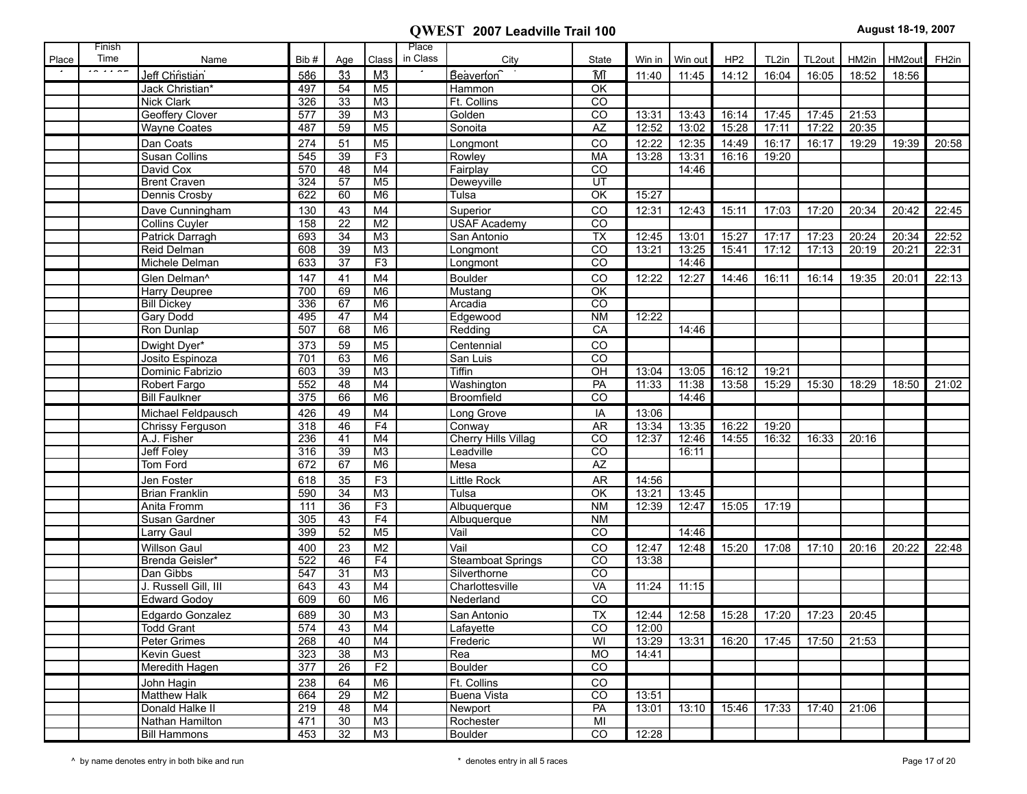|       | Finish |                       |      |     |                | Place    |                            |                 |        |         |                 |       |        |       |        |                   |
|-------|--------|-----------------------|------|-----|----------------|----------|----------------------------|-----------------|--------|---------|-----------------|-------|--------|-------|--------|-------------------|
| Place | Time   | Name                  | Bib# | Age | Class          | in Class | City                       | State           | Win in | Win out | HP <sub>2</sub> | TL2in | TL2out | HM2in | HM2out | FH <sub>2in</sub> |
|       |        | Jeff Christian        | 586  | 33  | M <sub>3</sub> |          | Beaverton                  | MĪ              | 11:40  | 11:45   | 14:12           | 16:04 | 16:05  | 18:52 | 18:56  |                   |
|       |        | Jack Christian*       | 497  | 54  | M <sub>5</sub> |          | Hammon                     | OK              |        |         |                 |       |        |       |        |                   |
|       |        | Nick Clark            | 326  | 33  | M3             |          | Ft. Collins                | $\overline{co}$ |        |         |                 |       |        |       |        |                   |
|       |        | Geoffery Clover       | 577  | 39  | M <sub>3</sub> |          | Golden                     | CO              | 13:31  | 13:43   | 16:14           | 17:45 | 17:45  | 21:53 |        |                   |
|       |        | <b>Wayne Coates</b>   | 487  | 59  | M <sub>5</sub> |          | Sonoita                    | AZ              | 12:52  | 13:02   | 15:28           | 17:11 | 17:22  | 20:35 |        |                   |
|       |        | Dan Coats             | 274  | 51  | M <sub>5</sub> |          | Longmont                   | CO              | 12:22  | 12:35   | 14:49           | 16:17 | 16:17  | 19:29 | 19:39  | 20:58             |
|       |        | <b>Susan Collins</b>  | 545  | 39  | F3             |          | Rowley                     | <b>MA</b>       | 13:28  | 13:31   | 16:16           | 19:20 |        |       |        |                   |
|       |        | David Cox             | 570  | 48  | M4             |          | Fairplay                   | CO              |        | 14:46   |                 |       |        |       |        |                   |
|       |        | <b>Brent Craven</b>   | 324  | 57  | M <sub>5</sub> |          | Deweyville                 | UT              |        |         |                 |       |        |       |        |                   |
|       |        | <b>Dennis Crosby</b>  | 622  | 60  | M6             |          | Tulsa                      | OK              | 15:27  |         |                 |       |        |       |        |                   |
|       |        | Dave Cunningham       | 130  | 43  | M <sub>4</sub> |          | Superior                   | CO              | 12:31  | 12:43   | 15:11           | 17:03 | 17:20  | 20:34 | 20:42  | 22:45             |
|       |        | <b>Collins Cuyler</b> | 158  | 22  | M <sub>2</sub> |          | <b>USAF Academy</b>        | $\overline{CO}$ |        |         |                 |       |        |       |        |                   |
|       |        | Patrick Darragh       | 693  | 34  | M3             |          | San Antonio                | $\overline{TX}$ | 12:45  | 13:01   | 15:27           | 17:17 | 17:23  | 20:24 | 20:34  | 22:52             |
|       |        | Reid Delman           | 608  | 39  | M <sub>3</sub> |          | Longmont                   | $\overline{co}$ | 13:21  | 13:25   | 15:41           | 17:12 | 17:13  | 20:19 | 20:21  | 22:31             |
|       |        | Michele Delman        | 633  | 37  | F3             |          | Longmont                   | CO              |        | 14:46   |                 |       |        |       |        |                   |
|       |        | Glen Delman^          | 147  | 41  | M4             |          | <b>Boulder</b>             | CO              | 12:22  | 12:27   | 14:46           | 16:11 | 16:14  | 19:35 | 20:01  | 22:13             |
|       |        | Harry Deupree         | 700  | 69  | M6             |          | Mustang                    | $\overline{OK}$ |        |         |                 |       |        |       |        |                   |
|       |        | <b>Bill Dickey</b>    | 336  | 67  | M6             |          | Arcadia                    | $\overline{co}$ |        |         |                 |       |        |       |        |                   |
|       |        | Gary Dodd             | 495  | 47  | M4             |          | Edgewood                   | <b>NM</b>       | 12:22  |         |                 |       |        |       |        |                   |
|       |        | Ron Dunlap            | 507  | 68  | M <sub>6</sub> |          | Redding                    | CA              |        | 14:46   |                 |       |        |       |        |                   |
|       |        | Dwight Dyer*          | 373  | 59  | M <sub>5</sub> |          | Centennial                 | CO              |        |         |                 |       |        |       |        |                   |
|       |        | Josito Espinoza       | 701  | 63  | M6             |          | San Luis                   | $\overline{co}$ |        |         |                 |       |        |       |        |                   |
|       |        | Dominic Fabrizio      | 603  | 39  | M <sub>3</sub> |          | <b>Tiffin</b>              | OH              | 13:04  | 13:05   | 16:12           | 19:21 |        |       |        |                   |
|       |        | Robert Fargo          | 552  | 48  | M4             |          | Washington                 | PA              | 11:33  | 11:38   | 13:58           | 15:29 | 15:30  | 18:29 | 18:50  | 21:02             |
|       |        | <b>Bill Faulkner</b>  | 375  | 66  | M6             |          | Broomfield                 | $\overline{co}$ |        | 14:46   |                 |       |        |       |        |                   |
|       |        | Michael Feldpausch    | 426  | 49  | M <sub>4</sub> |          | Long Grove                 | IA              | 13:06  |         |                 |       |        |       |        |                   |
|       |        | Chrissy Ferguson      | 318  | 46  | F4             |          | Conway                     | <b>AR</b>       | 13:34  | 13:35   | 16:22           | 19:20 |        |       |        |                   |
|       |        | A.J. Fisher           | 236  | 41  | M <sub>4</sub> |          | <b>Cherry Hills Villag</b> | $\overline{co}$ | 12:37  | 12:46   | 14:55           | 16:32 | 16:33  | 20:16 |        |                   |
|       |        | Jeff Foley            | 316  | 39  | M3             |          | Leadville                  | CO              |        | 16:11   |                 |       |        |       |        |                   |
|       |        | Tom Ford              | 672  | 67  | M <sub>6</sub> |          | Mesa                       | <b>AZ</b>       |        |         |                 |       |        |       |        |                   |
|       |        | Jen Foster            | 618  | 35  | F <sub>3</sub> |          | Little Rock                | <b>AR</b>       | 14:56  |         |                 |       |        |       |        |                   |
|       |        | <b>Brian Franklin</b> | 590  | 34  | M3             |          | Tulsa                      | OK              | 13:21  | 13:45   |                 |       |        |       |        |                   |
|       |        | Anita Fromm           | 111  | 36  | F3             |          | Albuquerque                | <b>NM</b>       | 12:39  | 12:47   | 15:05           | 17:19 |        |       |        |                   |
|       |        | Susan Gardner         | 305  | 43  | F4             |          | Albuquerque                | <b>NM</b>       |        |         |                 |       |        |       |        |                   |
|       |        | Larry Gaul            | 399  | 52  | M <sub>5</sub> |          | Vail                       | CO              |        | 14:46   |                 |       |        |       |        |                   |
|       |        | <b>Willson Gaul</b>   | 400  | 23  | M <sub>2</sub> |          | Vail                       | CO              | 12:47  | 12:48   | 15:20           | 17:08 | 17:10  | 20:16 | 20:22  | 22:48             |
|       |        | Brenda Geisler*       | 522  | 46  | F4             |          | <b>Steamboat Springs</b>   | CO              | 13:38  |         |                 |       |        |       |        |                   |
|       |        | Dan Gibbs             | 547  | 31  | M <sub>3</sub> |          | Silverthorne               | CO              |        |         |                 |       |        |       |        |                   |
|       |        | J. Russell Gill, III  | 643  | 43  | M4             |          | Charlottesville            | VA              | 11:24  | 11:15   |                 |       |        |       |        |                   |
|       |        | <b>Edward Godoy</b>   | 609  | 60  | M <sub>6</sub> |          | Nederland                  | $\overline{co}$ |        |         |                 |       |        |       |        |                   |
|       |        | Edgardo Gonzalez      | 689  | 30  | M3             |          | San Antonio                | <b>TX</b>       | 12:44  | 12:58   | 15:28           | 17:20 | 17:23  | 20:45 |        |                   |
|       |        | <b>Todd Grant</b>     | 574  | 43  | M4             |          | Lafayette                  | CO              | 12:00  |         |                 |       |        |       |        |                   |
|       |        | Peter Grimes          | 268  | 40  | M4             |          | Frederic                   | WI              | 13:29  | 13:31   | 16:20           | 17:45 | 17:50  | 21:53 |        |                   |
|       |        | <b>Kevin Guest</b>    | 323  | 38  | M3             |          | Rea                        | <b>MO</b>       | 14:41  |         |                 |       |        |       |        |                   |
|       |        | Meredith Hagen        | 377  | 26  | F2             |          | <b>Boulder</b>             | CO              |        |         |                 |       |        |       |        |                   |
|       |        | John Hagin            | 238  | 64  | M <sub>6</sub> |          | Ft. Collins                | CO              |        |         |                 |       |        |       |        |                   |
|       |        | <b>Matthew Halk</b>   | 664  | 29  | M <sub>2</sub> |          | Buena Vista                | $\overline{co}$ | 13:51  |         |                 |       |        |       |        |                   |
|       |        | Donald Halke II       | 219  | 48  | M4             |          | Newport                    | PA              | 13:01  | 13:10   | 15:46           | 17:33 | 17:40  | 21:06 |        |                   |
|       |        | Nathan Hamilton       | 471  | 30  | M3             |          | Rochester                  | M <sub>l</sub>  |        |         |                 |       |        |       |        |                   |
|       |        | <b>Bill Hammons</b>   | 453  | 32  | M3             |          | Boulder                    | $\overline{CO}$ | 12:28  |         |                 |       |        |       |        |                   |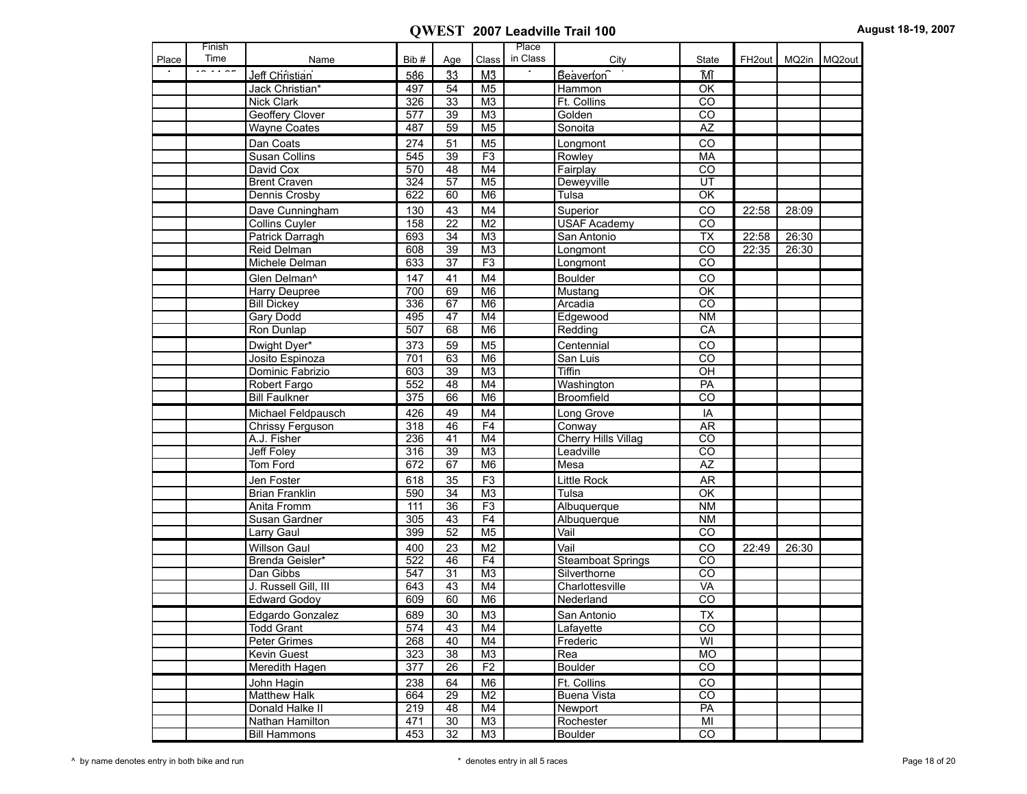|       | Finish |                          |                  |                 |                | Place    |                            |                 |                     |       |              |
|-------|--------|--------------------------|------------------|-----------------|----------------|----------|----------------------------|-----------------|---------------------|-------|--------------|
| Place | Time   | Name                     | Bib#             | Age             | Class          | in Class | City                       | State           | FH <sub>2</sub> out |       | MQ2in MQ2out |
|       |        | Jeff Christian           | 586              | $\overline{33}$ | M <sub>3</sub> |          | Beaverton                  | ÎΜ              |                     |       |              |
|       |        | Jack Christian*          | 497              | 54              | M <sub>5</sub> |          | Hammon                     | OK              |                     |       |              |
|       |        | <b>Nick Clark</b>        | 326              | 33              | M <sub>3</sub> |          | Ft. Collins                | CO              |                     |       |              |
|       |        | <b>Geoffery Clover</b>   | 577              | 39              | M <sub>3</sub> |          | Golden                     | CO              |                     |       |              |
|       |        | <b>Wavne Coates</b>      | 487              | 59              | M <sub>5</sub> |          | Sonoita                    | AZ              |                     |       |              |
|       |        | Dan Coats                | 274              | 51              | M <sub>5</sub> |          | Longmont                   | CO              |                     |       |              |
|       |        | Susan Collins            | 545              | 39              | F3             |          | Rowley                     | <b>MA</b>       |                     |       |              |
|       |        | David Cox                | 570              | 48              | M <sub>4</sub> |          | Fairplay                   | CO              |                     |       |              |
|       |        | <b>Brent Craven</b>      | 324              | 57              | M <sub>5</sub> |          | Deweyville                 | $\overline{UT}$ |                     |       |              |
|       |        | Dennis Crosby            | 622              | 60              | M <sub>6</sub> |          | Tulsa                      | OK              |                     |       |              |
|       |        | Dave Cunningham          | 130              | 43              | M4             |          | Superior                   | CO              | 22:58               | 28:09 |              |
|       |        | <b>Collins Cuyler</b>    | 158              | 22              | M <sub>2</sub> |          | <b>USAF Academy</b>        | CO              |                     |       |              |
|       |        | Patrick Darragh          | 693              | $\overline{34}$ | M <sub>3</sub> |          | San Antonio                | <b>TX</b>       | 22:58               | 26:30 |              |
|       |        | Reid Delman              | 608              | 39              | M <sub>3</sub> |          | Longmont                   | CO              | 22:35               | 26:30 |              |
|       |        | Michele Delman           | 633              | 37              | F3             |          | Longmont                   | CO              |                     |       |              |
|       |        | Glen Delman <sup>^</sup> | 147              | 41              | M4             |          | <b>Boulder</b>             | CO              |                     |       |              |
|       |        | <b>Harry Deupree</b>     | 700              | 69              | M6             |          | Mustang                    | OK              |                     |       |              |
|       |        | <b>Bill Dickey</b>       | 336              | 67              | M <sub>6</sub> |          | Arcadia                    | CO              |                     |       |              |
|       |        | <b>Gary Dodd</b>         | 495              | 47              | M4             |          | Edgewood                   | <b>NM</b>       |                     |       |              |
|       |        | Ron Dunlap               | 507              | 68              | M <sub>6</sub> |          | Redding                    | CA              |                     |       |              |
|       |        | Dwight Dyer*             | 373              | 59              | M <sub>5</sub> |          | Centennial                 | CO              |                     |       |              |
|       |        | Josito Espinoza          | 701              | 63              | M <sub>6</sub> |          | San Luis                   | CO              |                     |       |              |
|       |        | Dominic Fabrizio         | 603              | 39              | M <sub>3</sub> |          | Tiffin                     | OH              |                     |       |              |
|       |        | Robert Fargo             | 552              | 48              | M4             |          | Washington                 | PA              |                     |       |              |
|       |        | <b>Bill Faulkner</b>     | 375              | 66              | M6             |          | Broomfield                 | $\overline{co}$ |                     |       |              |
|       |        | Michael Feldpausch       | 426              | 49              | M4             |          | Long Grove                 | IA              |                     |       |              |
|       |        | Chrissy Ferguson         | 318              | 46              | F4             |          | Conway                     | <b>AR</b>       |                     |       |              |
|       |        | A.J. Fisher              | 236              | 41              | M4             |          | <b>Cherry Hills Villag</b> | CO              |                     |       |              |
|       |        | <b>Jeff Foley</b>        | 316              | 39              | M <sub>3</sub> |          | Leadville                  | CO              |                     |       |              |
|       |        | Tom Ford                 | 672              | 67              | M <sub>6</sub> |          | Mesa                       | <b>AZ</b>       |                     |       |              |
|       |        | Jen Foster               | 618              | 35              | F <sub>3</sub> |          | <b>Little Rock</b>         | <b>AR</b>       |                     |       |              |
|       |        | <b>Brian Franklin</b>    | 590              | $\overline{34}$ | M <sub>3</sub> |          | Tulsa                      | OK              |                     |       |              |
|       |        | Anita Fromm              | $\overline{111}$ | 36              | F3             |          | Albuquerque                | N <sub>M</sub>  |                     |       |              |
|       |        | Susan Gardner            | 305              | 43              | F4             |          | Albuquerque                | <b>NM</b>       |                     |       |              |
|       |        | <b>Larry Gaul</b>        | 399              | 52              | M <sub>5</sub> |          | Vail                       | $\overline{CO}$ |                     |       |              |
|       |        | <b>Willson Gaul</b>      | 400              | 23              | M <sub>2</sub> |          | Vail                       | CO              | 22:49               | 26:30 |              |
|       |        | Brenda Geisler*          | 522              | 46              | F4             |          | <b>Steamboat Springs</b>   | CO              |                     |       |              |
|       |        | Dan Gibbs                | 547              | 31              | M <sub>3</sub> |          | Silverthorne               | CO              |                     |       |              |
|       |        | J. Russell Gill, III     | 643              | 43              | M4             |          | Charlottesville            | VA              |                     |       |              |
|       |        | <b>Edward Godoy</b>      | 609              | 60              | M <sub>6</sub> |          | Nederland                  | $\overline{co}$ |                     |       |              |
|       |        | Edgardo Gonzalez         | 689              | 30              | M <sub>3</sub> |          | San Antonio                | <b>TX</b>       |                     |       |              |
|       |        | <b>Todd Grant</b>        | 574              | 43              | M4             |          | Lafayette                  | CO              |                     |       |              |
|       |        | Peter Grimes             | 268              | 40              | M4             |          | Frederic                   | WI              |                     |       |              |
|       |        | <b>Kevin Guest</b>       | 323              | 38              | M <sub>3</sub> |          | Rea                        | <b>MO</b>       |                     |       |              |
|       |        | Meredith Hagen           | 377              | 26              | F2             |          | Boulder                    | $\overline{c}$  |                     |       |              |
|       |        | John Hagin               | 238              | 64              | M <sub>6</sub> |          | Ft. Collins                | CO              |                     |       |              |
|       |        | <b>Matthew Halk</b>      | 664              | 29              | M <sub>2</sub> |          | Buena Vista                | $\overline{CO}$ |                     |       |              |
|       |        | Donald Halke II          | 219              | 48              | M4             |          | Newport                    | PA              |                     |       |              |
|       |        | Nathan Hamilton          | 471              | 30              | ΜЗ             |          | Rochester                  | MI              |                     |       |              |
|       |        | <b>Bill Hammons</b>      | 453              | 32              | ΜЗ             |          | Boulder                    | $\overline{CO}$ |                     |       |              |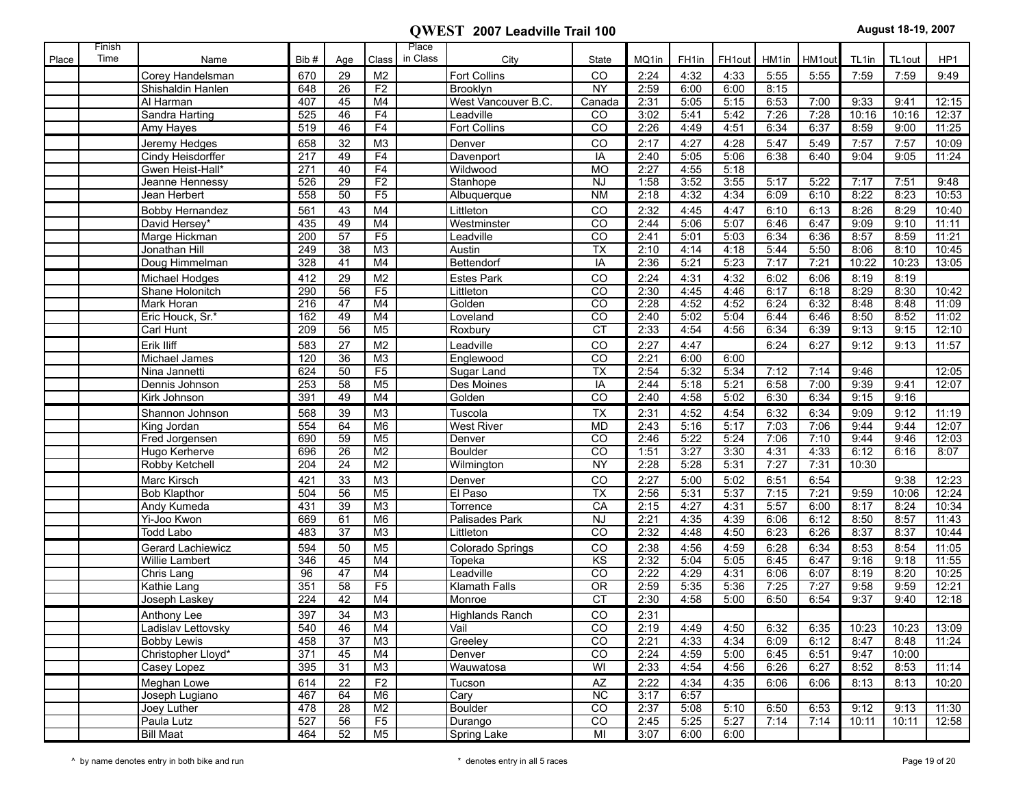| Place<br>Bib#<br>Class<br>City<br>MQ1in<br>FH1in<br>FH1out<br>HM1in<br>HM1out<br>TL <sub>1in</sub><br>TL1out<br>Name<br>Age<br>State<br>29<br>2:24<br>4:32<br>670<br>M <sub>2</sub><br>CO<br>4:33<br>5:55<br>5:55<br>7:59<br>7:59<br>Corey Handelsman<br><b>Fort Collins</b><br>$\overline{NY}$<br>2:59<br>648<br>$\overline{26}$<br>F2<br>6:00<br>6:00<br>8:15<br>Shishaldin Hanlen<br><b>Brooklyn</b><br>M4<br>West Vancouver B.C.<br>407<br>45<br>2:31<br>5:05<br>5:15<br>6:53<br>7:00<br>9:33<br>Al Harman<br>Canada<br>9:41<br>525<br>F4<br>3:02<br>5:42<br>7:28<br>Sandra Harting<br>46<br>CO<br>5:41<br>7:26<br>10:16<br>10:16<br>Leadville<br>F4<br>46<br>$\overline{co}$<br>2:26<br>6:34<br>6:37<br>8:59<br>519<br>Fort Collins<br>4:49<br>4:51<br>9:00<br>Amy Hayes<br>2:17<br>658<br>32<br>M <sub>3</sub><br>CO<br>4:27<br>4:28<br>5:47<br>Jeremy Hedges<br>Denver<br>5:49<br>7:57<br>7:57<br>217<br>49<br>F4<br>2:40<br>5:06<br>Cindy Heisdorffer<br>IA<br>5:05<br>6:38<br>6:40<br>9:04<br>Davenport<br>9:05<br>2:27<br>271<br>40<br>F4<br><b>MO</b><br>5:18<br>Gwen Heist-Hall*<br>Wildwood<br>4:55<br>F2<br>526<br>$\overline{29}$<br>NJ<br>1:58<br>3:52<br>3:55<br>5:22<br>9:48<br>5:17<br>7:17<br>7:51<br>Jeanne Hennessy<br>Stanhope<br>F5<br>558<br>N <sub>M</sub><br>2:18<br>6:09<br>8:22<br>50<br>4:32<br>4:34<br>6:10<br>8:23<br>Jean Herbert<br>Albuquerque<br><b>Bobby Hernandez</b><br>43<br>M <sub>4</sub><br>Littleton<br>CO<br>2:32<br>4:45<br>4:47<br>6:10<br>8:26<br>561<br>6:13<br>8:29<br>49<br>M4<br>$\overline{c}$<br>5:07<br>David Hersey*<br>435<br>Westminster<br>2:44<br>5:06<br>6:46<br>6:47<br>9:09<br>9:10<br>F5<br>$\overline{57}$<br>$\overline{co}$<br>2:41<br>5:01<br>5:03<br>6:36<br>8:57<br>Marge Hickman<br>200<br>6:34<br>8:59<br>Leadville<br>249<br>M3<br>$\overline{TX}$<br>2:10<br>Jonathan Hill<br>38<br>Austin<br>4:14<br>4:18<br>5:44<br>5:50<br>8:06<br>8:10<br>328<br>41<br>M4<br>2:36<br>5:21<br>5:23<br>7:17<br>7:21<br>10:22<br>Doug Himmelman<br>Bettendorf<br>IA<br>10:23<br>13:05<br>29<br>M <sub>2</sub><br><b>Estes Park</b><br>CO<br>2:24<br>412<br>4:31<br>4:32<br>6:02<br>6:06<br>8:19<br>8:19<br>Michael Hodges<br>56<br>F5<br>2:30<br>290<br>$\overline{co}$<br>4:45<br>4:46<br>6:18<br>8:29<br>Shane Holonitch<br>Littleton<br>6:17<br>8:30<br>216<br>M4<br>$\overline{CO}$<br>2:28<br>11:09<br>47<br>Golden<br>4:52<br>4:52<br>6:24<br>6:32<br>8:48<br>8:48<br>Mark Horan<br>Eric Houck, Sr.*<br>49<br>M4<br>$\overline{c}$<br>2:40<br>162<br>5:02<br>5:04<br>6:44<br>6:46<br>8:50<br>8:52<br>11:02<br>Loveland<br>56<br>M <sub>5</sub><br>CT<br>2:33<br>4:56<br>6:39<br>12:10<br>209<br>4:54<br>6:34<br>9:13<br>9:15<br>Carl Hunt<br>Roxbury<br>2:27<br>Erik Iliff<br>583<br>27<br>M <sub>2</sub><br>Leadville<br>CO<br>4:47<br>6:24<br>6:27<br>9:12<br>9:13<br>36<br>M3<br>$\overline{CO}$<br>2:21<br>Michael James<br>120<br>6:00<br>6:00<br>Englewood<br>F5<br>$\overline{TX}$<br>2:54<br>624<br>50<br>5:32<br>5:34<br>7:12<br>7:14<br>9:46<br>12:05<br>Nina Jannetti<br>Sugar Land<br>253<br>58<br>M <sub>5</sub><br>2:44<br>5:18<br>5:21<br>6:58<br>7:00<br>9:39<br>12:07<br>Dennis Johnson<br>Des Moines<br>IA<br>9:41<br>M4<br>$\overline{co}$<br>2:40<br>5:02<br>391<br>49<br>Golden<br>4:58<br>6:30<br>6:34<br>9:15<br>9:16<br>Kirk Johnson<br>39<br>M3<br><b>TX</b><br>2:31<br>4:52<br>6:32<br>6:34<br>9:09<br>11:19<br>Shannon Johnson<br>568<br>Tuscola<br>4:54<br>9:12<br>554<br>M <sub>6</sub><br><b>MD</b><br>2:43<br>64<br><b>West River</b><br>5:16<br>5:17<br>7:03<br>7:06<br>9:44<br>9:44<br>12:07<br>King Jordan<br>59<br>M <sub>5</sub><br>$\overline{co}$<br>2:46<br>5:22<br>5:24<br>7:06<br>7:10<br>9:46<br>Fred Jorgensen<br>690<br>9:44<br>12:03<br>Denver<br>M <sub>2</sub><br>$\overline{CO}$<br>3:30<br>8:07<br>Hugo Kerherve<br>696<br>26<br><b>Boulder</b><br>1:51<br>3:27<br>4:31<br>4:33<br>6:12<br>6:16<br>2:28<br>24<br>M <sub>2</sub><br><b>NY</b><br>5:28<br>5:31<br>7:27<br>7:31<br>10:30<br>Robby Ketchell<br>204<br>Wilmington | Finish |  |  | Place    |  |  |  |  |                 |
|------------------------------------------------------------------------------------------------------------------------------------------------------------------------------------------------------------------------------------------------------------------------------------------------------------------------------------------------------------------------------------------------------------------------------------------------------------------------------------------------------------------------------------------------------------------------------------------------------------------------------------------------------------------------------------------------------------------------------------------------------------------------------------------------------------------------------------------------------------------------------------------------------------------------------------------------------------------------------------------------------------------------------------------------------------------------------------------------------------------------------------------------------------------------------------------------------------------------------------------------------------------------------------------------------------------------------------------------------------------------------------------------------------------------------------------------------------------------------------------------------------------------------------------------------------------------------------------------------------------------------------------------------------------------------------------------------------------------------------------------------------------------------------------------------------------------------------------------------------------------------------------------------------------------------------------------------------------------------------------------------------------------------------------------------------------------------------------------------------------------------------------------------------------------------------------------------------------------------------------------------------------------------------------------------------------------------------------------------------------------------------------------------------------------------------------------------------------------------------------------------------------------------------------------------------------------------------------------------------------------------------------------------------------------------------------------------------------------------------------------------------------------------------------------------------------------------------------------------------------------------------------------------------------------------------------------------------------------------------------------------------------------------------------------------------------------------------------------------------------------------------------------------------------------------------------------------------------------------------------------------------------------------------------------------------------------------------------------------------------------------------------------------------------------------------------------------------------------------------------------------------------------------------------------------------------------------------------------------------------------------------------------------------------------------------------------------------------------------------------------------------------------------------------------------------------------------------------------------------------------------------------------------------------------------------------------------------------------------------------------------------------------------------------------|--------|--|--|----------|--|--|--|--|-----------------|
|                                                                                                                                                                                                                                                                                                                                                                                                                                                                                                                                                                                                                                                                                                                                                                                                                                                                                                                                                                                                                                                                                                                                                                                                                                                                                                                                                                                                                                                                                                                                                                                                                                                                                                                                                                                                                                                                                                                                                                                                                                                                                                                                                                                                                                                                                                                                                                                                                                                                                                                                                                                                                                                                                                                                                                                                                                                                                                                                                                                                                                                                                                                                                                                                                                                                                                                                                                                                                                                                                                                                                                                                                                                                                                                                                                                                                                                                                                                                                                                                                                                | Time   |  |  | in Class |  |  |  |  | HP <sub>1</sub> |
|                                                                                                                                                                                                                                                                                                                                                                                                                                                                                                                                                                                                                                                                                                                                                                                                                                                                                                                                                                                                                                                                                                                                                                                                                                                                                                                                                                                                                                                                                                                                                                                                                                                                                                                                                                                                                                                                                                                                                                                                                                                                                                                                                                                                                                                                                                                                                                                                                                                                                                                                                                                                                                                                                                                                                                                                                                                                                                                                                                                                                                                                                                                                                                                                                                                                                                                                                                                                                                                                                                                                                                                                                                                                                                                                                                                                                                                                                                                                                                                                                                                |        |  |  |          |  |  |  |  | 9:49            |
|                                                                                                                                                                                                                                                                                                                                                                                                                                                                                                                                                                                                                                                                                                                                                                                                                                                                                                                                                                                                                                                                                                                                                                                                                                                                                                                                                                                                                                                                                                                                                                                                                                                                                                                                                                                                                                                                                                                                                                                                                                                                                                                                                                                                                                                                                                                                                                                                                                                                                                                                                                                                                                                                                                                                                                                                                                                                                                                                                                                                                                                                                                                                                                                                                                                                                                                                                                                                                                                                                                                                                                                                                                                                                                                                                                                                                                                                                                                                                                                                                                                |        |  |  |          |  |  |  |  |                 |
|                                                                                                                                                                                                                                                                                                                                                                                                                                                                                                                                                                                                                                                                                                                                                                                                                                                                                                                                                                                                                                                                                                                                                                                                                                                                                                                                                                                                                                                                                                                                                                                                                                                                                                                                                                                                                                                                                                                                                                                                                                                                                                                                                                                                                                                                                                                                                                                                                                                                                                                                                                                                                                                                                                                                                                                                                                                                                                                                                                                                                                                                                                                                                                                                                                                                                                                                                                                                                                                                                                                                                                                                                                                                                                                                                                                                                                                                                                                                                                                                                                                |        |  |  |          |  |  |  |  | 12:15           |
|                                                                                                                                                                                                                                                                                                                                                                                                                                                                                                                                                                                                                                                                                                                                                                                                                                                                                                                                                                                                                                                                                                                                                                                                                                                                                                                                                                                                                                                                                                                                                                                                                                                                                                                                                                                                                                                                                                                                                                                                                                                                                                                                                                                                                                                                                                                                                                                                                                                                                                                                                                                                                                                                                                                                                                                                                                                                                                                                                                                                                                                                                                                                                                                                                                                                                                                                                                                                                                                                                                                                                                                                                                                                                                                                                                                                                                                                                                                                                                                                                                                |        |  |  |          |  |  |  |  | 12:37           |
|                                                                                                                                                                                                                                                                                                                                                                                                                                                                                                                                                                                                                                                                                                                                                                                                                                                                                                                                                                                                                                                                                                                                                                                                                                                                                                                                                                                                                                                                                                                                                                                                                                                                                                                                                                                                                                                                                                                                                                                                                                                                                                                                                                                                                                                                                                                                                                                                                                                                                                                                                                                                                                                                                                                                                                                                                                                                                                                                                                                                                                                                                                                                                                                                                                                                                                                                                                                                                                                                                                                                                                                                                                                                                                                                                                                                                                                                                                                                                                                                                                                |        |  |  |          |  |  |  |  | 11:25           |
|                                                                                                                                                                                                                                                                                                                                                                                                                                                                                                                                                                                                                                                                                                                                                                                                                                                                                                                                                                                                                                                                                                                                                                                                                                                                                                                                                                                                                                                                                                                                                                                                                                                                                                                                                                                                                                                                                                                                                                                                                                                                                                                                                                                                                                                                                                                                                                                                                                                                                                                                                                                                                                                                                                                                                                                                                                                                                                                                                                                                                                                                                                                                                                                                                                                                                                                                                                                                                                                                                                                                                                                                                                                                                                                                                                                                                                                                                                                                                                                                                                                |        |  |  |          |  |  |  |  | 10:09           |
|                                                                                                                                                                                                                                                                                                                                                                                                                                                                                                                                                                                                                                                                                                                                                                                                                                                                                                                                                                                                                                                                                                                                                                                                                                                                                                                                                                                                                                                                                                                                                                                                                                                                                                                                                                                                                                                                                                                                                                                                                                                                                                                                                                                                                                                                                                                                                                                                                                                                                                                                                                                                                                                                                                                                                                                                                                                                                                                                                                                                                                                                                                                                                                                                                                                                                                                                                                                                                                                                                                                                                                                                                                                                                                                                                                                                                                                                                                                                                                                                                                                |        |  |  |          |  |  |  |  | 11:24           |
|                                                                                                                                                                                                                                                                                                                                                                                                                                                                                                                                                                                                                                                                                                                                                                                                                                                                                                                                                                                                                                                                                                                                                                                                                                                                                                                                                                                                                                                                                                                                                                                                                                                                                                                                                                                                                                                                                                                                                                                                                                                                                                                                                                                                                                                                                                                                                                                                                                                                                                                                                                                                                                                                                                                                                                                                                                                                                                                                                                                                                                                                                                                                                                                                                                                                                                                                                                                                                                                                                                                                                                                                                                                                                                                                                                                                                                                                                                                                                                                                                                                |        |  |  |          |  |  |  |  |                 |
|                                                                                                                                                                                                                                                                                                                                                                                                                                                                                                                                                                                                                                                                                                                                                                                                                                                                                                                                                                                                                                                                                                                                                                                                                                                                                                                                                                                                                                                                                                                                                                                                                                                                                                                                                                                                                                                                                                                                                                                                                                                                                                                                                                                                                                                                                                                                                                                                                                                                                                                                                                                                                                                                                                                                                                                                                                                                                                                                                                                                                                                                                                                                                                                                                                                                                                                                                                                                                                                                                                                                                                                                                                                                                                                                                                                                                                                                                                                                                                                                                                                |        |  |  |          |  |  |  |  |                 |
|                                                                                                                                                                                                                                                                                                                                                                                                                                                                                                                                                                                                                                                                                                                                                                                                                                                                                                                                                                                                                                                                                                                                                                                                                                                                                                                                                                                                                                                                                                                                                                                                                                                                                                                                                                                                                                                                                                                                                                                                                                                                                                                                                                                                                                                                                                                                                                                                                                                                                                                                                                                                                                                                                                                                                                                                                                                                                                                                                                                                                                                                                                                                                                                                                                                                                                                                                                                                                                                                                                                                                                                                                                                                                                                                                                                                                                                                                                                                                                                                                                                |        |  |  |          |  |  |  |  | 10:53           |
|                                                                                                                                                                                                                                                                                                                                                                                                                                                                                                                                                                                                                                                                                                                                                                                                                                                                                                                                                                                                                                                                                                                                                                                                                                                                                                                                                                                                                                                                                                                                                                                                                                                                                                                                                                                                                                                                                                                                                                                                                                                                                                                                                                                                                                                                                                                                                                                                                                                                                                                                                                                                                                                                                                                                                                                                                                                                                                                                                                                                                                                                                                                                                                                                                                                                                                                                                                                                                                                                                                                                                                                                                                                                                                                                                                                                                                                                                                                                                                                                                                                |        |  |  |          |  |  |  |  | 10:40           |
|                                                                                                                                                                                                                                                                                                                                                                                                                                                                                                                                                                                                                                                                                                                                                                                                                                                                                                                                                                                                                                                                                                                                                                                                                                                                                                                                                                                                                                                                                                                                                                                                                                                                                                                                                                                                                                                                                                                                                                                                                                                                                                                                                                                                                                                                                                                                                                                                                                                                                                                                                                                                                                                                                                                                                                                                                                                                                                                                                                                                                                                                                                                                                                                                                                                                                                                                                                                                                                                                                                                                                                                                                                                                                                                                                                                                                                                                                                                                                                                                                                                |        |  |  |          |  |  |  |  | 11:11           |
|                                                                                                                                                                                                                                                                                                                                                                                                                                                                                                                                                                                                                                                                                                                                                                                                                                                                                                                                                                                                                                                                                                                                                                                                                                                                                                                                                                                                                                                                                                                                                                                                                                                                                                                                                                                                                                                                                                                                                                                                                                                                                                                                                                                                                                                                                                                                                                                                                                                                                                                                                                                                                                                                                                                                                                                                                                                                                                                                                                                                                                                                                                                                                                                                                                                                                                                                                                                                                                                                                                                                                                                                                                                                                                                                                                                                                                                                                                                                                                                                                                                |        |  |  |          |  |  |  |  | 11:21           |
|                                                                                                                                                                                                                                                                                                                                                                                                                                                                                                                                                                                                                                                                                                                                                                                                                                                                                                                                                                                                                                                                                                                                                                                                                                                                                                                                                                                                                                                                                                                                                                                                                                                                                                                                                                                                                                                                                                                                                                                                                                                                                                                                                                                                                                                                                                                                                                                                                                                                                                                                                                                                                                                                                                                                                                                                                                                                                                                                                                                                                                                                                                                                                                                                                                                                                                                                                                                                                                                                                                                                                                                                                                                                                                                                                                                                                                                                                                                                                                                                                                                |        |  |  |          |  |  |  |  | 10:45           |
|                                                                                                                                                                                                                                                                                                                                                                                                                                                                                                                                                                                                                                                                                                                                                                                                                                                                                                                                                                                                                                                                                                                                                                                                                                                                                                                                                                                                                                                                                                                                                                                                                                                                                                                                                                                                                                                                                                                                                                                                                                                                                                                                                                                                                                                                                                                                                                                                                                                                                                                                                                                                                                                                                                                                                                                                                                                                                                                                                                                                                                                                                                                                                                                                                                                                                                                                                                                                                                                                                                                                                                                                                                                                                                                                                                                                                                                                                                                                                                                                                                                |        |  |  |          |  |  |  |  |                 |
|                                                                                                                                                                                                                                                                                                                                                                                                                                                                                                                                                                                                                                                                                                                                                                                                                                                                                                                                                                                                                                                                                                                                                                                                                                                                                                                                                                                                                                                                                                                                                                                                                                                                                                                                                                                                                                                                                                                                                                                                                                                                                                                                                                                                                                                                                                                                                                                                                                                                                                                                                                                                                                                                                                                                                                                                                                                                                                                                                                                                                                                                                                                                                                                                                                                                                                                                                                                                                                                                                                                                                                                                                                                                                                                                                                                                                                                                                                                                                                                                                                                |        |  |  |          |  |  |  |  |                 |
|                                                                                                                                                                                                                                                                                                                                                                                                                                                                                                                                                                                                                                                                                                                                                                                                                                                                                                                                                                                                                                                                                                                                                                                                                                                                                                                                                                                                                                                                                                                                                                                                                                                                                                                                                                                                                                                                                                                                                                                                                                                                                                                                                                                                                                                                                                                                                                                                                                                                                                                                                                                                                                                                                                                                                                                                                                                                                                                                                                                                                                                                                                                                                                                                                                                                                                                                                                                                                                                                                                                                                                                                                                                                                                                                                                                                                                                                                                                                                                                                                                                |        |  |  |          |  |  |  |  | 10:42           |
|                                                                                                                                                                                                                                                                                                                                                                                                                                                                                                                                                                                                                                                                                                                                                                                                                                                                                                                                                                                                                                                                                                                                                                                                                                                                                                                                                                                                                                                                                                                                                                                                                                                                                                                                                                                                                                                                                                                                                                                                                                                                                                                                                                                                                                                                                                                                                                                                                                                                                                                                                                                                                                                                                                                                                                                                                                                                                                                                                                                                                                                                                                                                                                                                                                                                                                                                                                                                                                                                                                                                                                                                                                                                                                                                                                                                                                                                                                                                                                                                                                                |        |  |  |          |  |  |  |  |                 |
|                                                                                                                                                                                                                                                                                                                                                                                                                                                                                                                                                                                                                                                                                                                                                                                                                                                                                                                                                                                                                                                                                                                                                                                                                                                                                                                                                                                                                                                                                                                                                                                                                                                                                                                                                                                                                                                                                                                                                                                                                                                                                                                                                                                                                                                                                                                                                                                                                                                                                                                                                                                                                                                                                                                                                                                                                                                                                                                                                                                                                                                                                                                                                                                                                                                                                                                                                                                                                                                                                                                                                                                                                                                                                                                                                                                                                                                                                                                                                                                                                                                |        |  |  |          |  |  |  |  |                 |
|                                                                                                                                                                                                                                                                                                                                                                                                                                                                                                                                                                                                                                                                                                                                                                                                                                                                                                                                                                                                                                                                                                                                                                                                                                                                                                                                                                                                                                                                                                                                                                                                                                                                                                                                                                                                                                                                                                                                                                                                                                                                                                                                                                                                                                                                                                                                                                                                                                                                                                                                                                                                                                                                                                                                                                                                                                                                                                                                                                                                                                                                                                                                                                                                                                                                                                                                                                                                                                                                                                                                                                                                                                                                                                                                                                                                                                                                                                                                                                                                                                                |        |  |  |          |  |  |  |  |                 |
|                                                                                                                                                                                                                                                                                                                                                                                                                                                                                                                                                                                                                                                                                                                                                                                                                                                                                                                                                                                                                                                                                                                                                                                                                                                                                                                                                                                                                                                                                                                                                                                                                                                                                                                                                                                                                                                                                                                                                                                                                                                                                                                                                                                                                                                                                                                                                                                                                                                                                                                                                                                                                                                                                                                                                                                                                                                                                                                                                                                                                                                                                                                                                                                                                                                                                                                                                                                                                                                                                                                                                                                                                                                                                                                                                                                                                                                                                                                                                                                                                                                |        |  |  |          |  |  |  |  | 11:57           |
|                                                                                                                                                                                                                                                                                                                                                                                                                                                                                                                                                                                                                                                                                                                                                                                                                                                                                                                                                                                                                                                                                                                                                                                                                                                                                                                                                                                                                                                                                                                                                                                                                                                                                                                                                                                                                                                                                                                                                                                                                                                                                                                                                                                                                                                                                                                                                                                                                                                                                                                                                                                                                                                                                                                                                                                                                                                                                                                                                                                                                                                                                                                                                                                                                                                                                                                                                                                                                                                                                                                                                                                                                                                                                                                                                                                                                                                                                                                                                                                                                                                |        |  |  |          |  |  |  |  |                 |
|                                                                                                                                                                                                                                                                                                                                                                                                                                                                                                                                                                                                                                                                                                                                                                                                                                                                                                                                                                                                                                                                                                                                                                                                                                                                                                                                                                                                                                                                                                                                                                                                                                                                                                                                                                                                                                                                                                                                                                                                                                                                                                                                                                                                                                                                                                                                                                                                                                                                                                                                                                                                                                                                                                                                                                                                                                                                                                                                                                                                                                                                                                                                                                                                                                                                                                                                                                                                                                                                                                                                                                                                                                                                                                                                                                                                                                                                                                                                                                                                                                                |        |  |  |          |  |  |  |  |                 |
|                                                                                                                                                                                                                                                                                                                                                                                                                                                                                                                                                                                                                                                                                                                                                                                                                                                                                                                                                                                                                                                                                                                                                                                                                                                                                                                                                                                                                                                                                                                                                                                                                                                                                                                                                                                                                                                                                                                                                                                                                                                                                                                                                                                                                                                                                                                                                                                                                                                                                                                                                                                                                                                                                                                                                                                                                                                                                                                                                                                                                                                                                                                                                                                                                                                                                                                                                                                                                                                                                                                                                                                                                                                                                                                                                                                                                                                                                                                                                                                                                                                |        |  |  |          |  |  |  |  |                 |
|                                                                                                                                                                                                                                                                                                                                                                                                                                                                                                                                                                                                                                                                                                                                                                                                                                                                                                                                                                                                                                                                                                                                                                                                                                                                                                                                                                                                                                                                                                                                                                                                                                                                                                                                                                                                                                                                                                                                                                                                                                                                                                                                                                                                                                                                                                                                                                                                                                                                                                                                                                                                                                                                                                                                                                                                                                                                                                                                                                                                                                                                                                                                                                                                                                                                                                                                                                                                                                                                                                                                                                                                                                                                                                                                                                                                                                                                                                                                                                                                                                                |        |  |  |          |  |  |  |  |                 |
|                                                                                                                                                                                                                                                                                                                                                                                                                                                                                                                                                                                                                                                                                                                                                                                                                                                                                                                                                                                                                                                                                                                                                                                                                                                                                                                                                                                                                                                                                                                                                                                                                                                                                                                                                                                                                                                                                                                                                                                                                                                                                                                                                                                                                                                                                                                                                                                                                                                                                                                                                                                                                                                                                                                                                                                                                                                                                                                                                                                                                                                                                                                                                                                                                                                                                                                                                                                                                                                                                                                                                                                                                                                                                                                                                                                                                                                                                                                                                                                                                                                |        |  |  |          |  |  |  |  |                 |
|                                                                                                                                                                                                                                                                                                                                                                                                                                                                                                                                                                                                                                                                                                                                                                                                                                                                                                                                                                                                                                                                                                                                                                                                                                                                                                                                                                                                                                                                                                                                                                                                                                                                                                                                                                                                                                                                                                                                                                                                                                                                                                                                                                                                                                                                                                                                                                                                                                                                                                                                                                                                                                                                                                                                                                                                                                                                                                                                                                                                                                                                                                                                                                                                                                                                                                                                                                                                                                                                                                                                                                                                                                                                                                                                                                                                                                                                                                                                                                                                                                                |        |  |  |          |  |  |  |  |                 |
|                                                                                                                                                                                                                                                                                                                                                                                                                                                                                                                                                                                                                                                                                                                                                                                                                                                                                                                                                                                                                                                                                                                                                                                                                                                                                                                                                                                                                                                                                                                                                                                                                                                                                                                                                                                                                                                                                                                                                                                                                                                                                                                                                                                                                                                                                                                                                                                                                                                                                                                                                                                                                                                                                                                                                                                                                                                                                                                                                                                                                                                                                                                                                                                                                                                                                                                                                                                                                                                                                                                                                                                                                                                                                                                                                                                                                                                                                                                                                                                                                                                |        |  |  |          |  |  |  |  |                 |
|                                                                                                                                                                                                                                                                                                                                                                                                                                                                                                                                                                                                                                                                                                                                                                                                                                                                                                                                                                                                                                                                                                                                                                                                                                                                                                                                                                                                                                                                                                                                                                                                                                                                                                                                                                                                                                                                                                                                                                                                                                                                                                                                                                                                                                                                                                                                                                                                                                                                                                                                                                                                                                                                                                                                                                                                                                                                                                                                                                                                                                                                                                                                                                                                                                                                                                                                                                                                                                                                                                                                                                                                                                                                                                                                                                                                                                                                                                                                                                                                                                                |        |  |  |          |  |  |  |  |                 |
|                                                                                                                                                                                                                                                                                                                                                                                                                                                                                                                                                                                                                                                                                                                                                                                                                                                                                                                                                                                                                                                                                                                                                                                                                                                                                                                                                                                                                                                                                                                                                                                                                                                                                                                                                                                                                                                                                                                                                                                                                                                                                                                                                                                                                                                                                                                                                                                                                                                                                                                                                                                                                                                                                                                                                                                                                                                                                                                                                                                                                                                                                                                                                                                                                                                                                                                                                                                                                                                                                                                                                                                                                                                                                                                                                                                                                                                                                                                                                                                                                                                |        |  |  |          |  |  |  |  |                 |
| M3<br>CO<br>2:27<br>Marc Kirsch<br>421<br>33<br>Denver<br>5:00<br>5:02<br>6:51<br>6:54<br>9:38                                                                                                                                                                                                                                                                                                                                                                                                                                                                                                                                                                                                                                                                                                                                                                                                                                                                                                                                                                                                                                                                                                                                                                                                                                                                                                                                                                                                                                                                                                                                                                                                                                                                                                                                                                                                                                                                                                                                                                                                                                                                                                                                                                                                                                                                                                                                                                                                                                                                                                                                                                                                                                                                                                                                                                                                                                                                                                                                                                                                                                                                                                                                                                                                                                                                                                                                                                                                                                                                                                                                                                                                                                                                                                                                                                                                                                                                                                                                                 |        |  |  |          |  |  |  |  | 12:23           |
| 2:56<br>504<br>56<br>M <sub>5</sub><br>El Paso<br>$\overline{TX}$<br>5:31<br>5:37<br>7:15<br>7:21<br>9:59<br>10:06<br><b>Bob Klapthor</b>                                                                                                                                                                                                                                                                                                                                                                                                                                                                                                                                                                                                                                                                                                                                                                                                                                                                                                                                                                                                                                                                                                                                                                                                                                                                                                                                                                                                                                                                                                                                                                                                                                                                                                                                                                                                                                                                                                                                                                                                                                                                                                                                                                                                                                                                                                                                                                                                                                                                                                                                                                                                                                                                                                                                                                                                                                                                                                                                                                                                                                                                                                                                                                                                                                                                                                                                                                                                                                                                                                                                                                                                                                                                                                                                                                                                                                                                                                      |        |  |  |          |  |  |  |  | 12:24           |
| CA<br>2:15<br>5:57<br>Andy Kumeda<br>431<br>39<br>M <sub>3</sub><br>4:27<br>4:31<br>6:00<br>8:17<br>8:24<br>Torrence<br>M <sub>6</sub><br><b>NJ</b><br>2:21<br>6:12                                                                                                                                                                                                                                                                                                                                                                                                                                                                                                                                                                                                                                                                                                                                                                                                                                                                                                                                                                                                                                                                                                                                                                                                                                                                                                                                                                                                                                                                                                                                                                                                                                                                                                                                                                                                                                                                                                                                                                                                                                                                                                                                                                                                                                                                                                                                                                                                                                                                                                                                                                                                                                                                                                                                                                                                                                                                                                                                                                                                                                                                                                                                                                                                                                                                                                                                                                                                                                                                                                                                                                                                                                                                                                                                                                                                                                                                            |        |  |  |          |  |  |  |  | 10:34           |
| 669<br>61<br>Palisades Park<br>4:35<br>4:39<br>6:06<br>8:50<br>8:57<br>Yi-Joo Kwon<br>$\overline{37}$<br>$\overline{co}$<br>2:32<br>4:50<br>6:26<br>8:37<br>483<br>M3<br>4:48<br>6:23<br>8:37<br>Todd Labo<br>Littleton                                                                                                                                                                                                                                                                                                                                                                                                                                                                                                                                                                                                                                                                                                                                                                                                                                                                                                                                                                                                                                                                                                                                                                                                                                                                                                                                                                                                                                                                                                                                                                                                                                                                                                                                                                                                                                                                                                                                                                                                                                                                                                                                                                                                                                                                                                                                                                                                                                                                                                                                                                                                                                                                                                                                                                                                                                                                                                                                                                                                                                                                                                                                                                                                                                                                                                                                                                                                                                                                                                                                                                                                                                                                                                                                                                                                                        |        |  |  |          |  |  |  |  | 11:43<br>10:44  |
|                                                                                                                                                                                                                                                                                                                                                                                                                                                                                                                                                                                                                                                                                                                                                                                                                                                                                                                                                                                                                                                                                                                                                                                                                                                                                                                                                                                                                                                                                                                                                                                                                                                                                                                                                                                                                                                                                                                                                                                                                                                                                                                                                                                                                                                                                                                                                                                                                                                                                                                                                                                                                                                                                                                                                                                                                                                                                                                                                                                                                                                                                                                                                                                                                                                                                                                                                                                                                                                                                                                                                                                                                                                                                                                                                                                                                                                                                                                                                                                                                                                |        |  |  |          |  |  |  |  |                 |
| M <sub>5</sub><br>2:38<br><b>Gerard Lachiewicz</b><br>594<br>50<br>CO<br>4:59<br>8:53<br>Colorado Springs<br>4:56<br>6:28<br>6:34<br>8:54                                                                                                                                                                                                                                                                                                                                                                                                                                                                                                                                                                                                                                                                                                                                                                                                                                                                                                                                                                                                                                                                                                                                                                                                                                                                                                                                                                                                                                                                                                                                                                                                                                                                                                                                                                                                                                                                                                                                                                                                                                                                                                                                                                                                                                                                                                                                                                                                                                                                                                                                                                                                                                                                                                                                                                                                                                                                                                                                                                                                                                                                                                                                                                                                                                                                                                                                                                                                                                                                                                                                                                                                                                                                                                                                                                                                                                                                                                      |        |  |  |          |  |  |  |  | 11:05           |
| 346<br>M4<br>KS<br>2:32<br>45<br>5:04<br>5:05<br>6:45<br>6:47<br>9:16<br>9:18<br>Willie Lambert<br>Topeka<br>47<br>Leadville<br>$\overline{CO}$<br>2:22<br>96<br>M4<br>4:29<br>4:31<br>6:06<br>6:07<br>8:19<br>8:20<br>Chris Lang                                                                                                                                                                                                                                                                                                                                                                                                                                                                                                                                                                                                                                                                                                                                                                                                                                                                                                                                                                                                                                                                                                                                                                                                                                                                                                                                                                                                                                                                                                                                                                                                                                                                                                                                                                                                                                                                                                                                                                                                                                                                                                                                                                                                                                                                                                                                                                                                                                                                                                                                                                                                                                                                                                                                                                                                                                                                                                                                                                                                                                                                                                                                                                                                                                                                                                                                                                                                                                                                                                                                                                                                                                                                                                                                                                                                              |        |  |  |          |  |  |  |  | 11:55<br>10:25  |
| 58<br>F5<br>$\overline{OR}$<br>2:59<br>7:27<br>351<br><b>Klamath Falls</b><br>5:35<br>5:36<br>7:25<br>9:58<br>9:59<br>Kathie Lang                                                                                                                                                                                                                                                                                                                                                                                                                                                                                                                                                                                                                                                                                                                                                                                                                                                                                                                                                                                                                                                                                                                                                                                                                                                                                                                                                                                                                                                                                                                                                                                                                                                                                                                                                                                                                                                                                                                                                                                                                                                                                                                                                                                                                                                                                                                                                                                                                                                                                                                                                                                                                                                                                                                                                                                                                                                                                                                                                                                                                                                                                                                                                                                                                                                                                                                                                                                                                                                                                                                                                                                                                                                                                                                                                                                                                                                                                                              |        |  |  |          |  |  |  |  | 12:21           |
| 224<br>M4<br>CT<br>2:30<br>42<br>4:58<br>5:00<br>6:50<br>6:54<br>9:37<br>Joseph Laskey<br>Monroe<br>9:40                                                                                                                                                                                                                                                                                                                                                                                                                                                                                                                                                                                                                                                                                                                                                                                                                                                                                                                                                                                                                                                                                                                                                                                                                                                                                                                                                                                                                                                                                                                                                                                                                                                                                                                                                                                                                                                                                                                                                                                                                                                                                                                                                                                                                                                                                                                                                                                                                                                                                                                                                                                                                                                                                                                                                                                                                                                                                                                                                                                                                                                                                                                                                                                                                                                                                                                                                                                                                                                                                                                                                                                                                                                                                                                                                                                                                                                                                                                                       |        |  |  |          |  |  |  |  | 12:18           |
| 34<br>M3<br>CO<br>2:31<br>397                                                                                                                                                                                                                                                                                                                                                                                                                                                                                                                                                                                                                                                                                                                                                                                                                                                                                                                                                                                                                                                                                                                                                                                                                                                                                                                                                                                                                                                                                                                                                                                                                                                                                                                                                                                                                                                                                                                                                                                                                                                                                                                                                                                                                                                                                                                                                                                                                                                                                                                                                                                                                                                                                                                                                                                                                                                                                                                                                                                                                                                                                                                                                                                                                                                                                                                                                                                                                                                                                                                                                                                                                                                                                                                                                                                                                                                                                                                                                                                                                  |        |  |  |          |  |  |  |  |                 |
| Anthony Lee<br><b>Highlands Ranch</b><br>540<br>M4<br>Vail<br>CO<br>2:19<br>4:49<br>10:23<br>10:23<br>Ladislav Lettovsky<br>6:32<br>6:35                                                                                                                                                                                                                                                                                                                                                                                                                                                                                                                                                                                                                                                                                                                                                                                                                                                                                                                                                                                                                                                                                                                                                                                                                                                                                                                                                                                                                                                                                                                                                                                                                                                                                                                                                                                                                                                                                                                                                                                                                                                                                                                                                                                                                                                                                                                                                                                                                                                                                                                                                                                                                                                                                                                                                                                                                                                                                                                                                                                                                                                                                                                                                                                                                                                                                                                                                                                                                                                                                                                                                                                                                                                                                                                                                                                                                                                                                                       |        |  |  |          |  |  |  |  |                 |
| 4:50<br>46<br>458<br>$\overline{co}$<br>37<br>M <sub>3</sub><br>2:21<br>4:33<br>6:12<br><b>Bobby Lewis</b><br>Greeley<br>4:34<br>6:09<br>8:47<br>8:48                                                                                                                                                                                                                                                                                                                                                                                                                                                                                                                                                                                                                                                                                                                                                                                                                                                                                                                                                                                                                                                                                                                                                                                                                                                                                                                                                                                                                                                                                                                                                                                                                                                                                                                                                                                                                                                                                                                                                                                                                                                                                                                                                                                                                                                                                                                                                                                                                                                                                                                                                                                                                                                                                                                                                                                                                                                                                                                                                                                                                                                                                                                                                                                                                                                                                                                                                                                                                                                                                                                                                                                                                                                                                                                                                                                                                                                                                          |        |  |  |          |  |  |  |  | 13:09<br>11:24  |
| 371<br>CO<br>2:24<br>Christopher Lloyd*<br>45<br>M4<br>4:59<br>5:00<br>6:45<br>6:51<br>9:47<br>10:00<br>Denver                                                                                                                                                                                                                                                                                                                                                                                                                                                                                                                                                                                                                                                                                                                                                                                                                                                                                                                                                                                                                                                                                                                                                                                                                                                                                                                                                                                                                                                                                                                                                                                                                                                                                                                                                                                                                                                                                                                                                                                                                                                                                                                                                                                                                                                                                                                                                                                                                                                                                                                                                                                                                                                                                                                                                                                                                                                                                                                                                                                                                                                                                                                                                                                                                                                                                                                                                                                                                                                                                                                                                                                                                                                                                                                                                                                                                                                                                                                                 |        |  |  |          |  |  |  |  |                 |
| 395<br>M3<br>$\overline{\mathsf{S}}$<br>2:33<br>4:54<br>6:27<br>31<br>Wauwatosa<br>4:56<br>6:26<br>8:52<br>8:53<br>Casey Lopez                                                                                                                                                                                                                                                                                                                                                                                                                                                                                                                                                                                                                                                                                                                                                                                                                                                                                                                                                                                                                                                                                                                                                                                                                                                                                                                                                                                                                                                                                                                                                                                                                                                                                                                                                                                                                                                                                                                                                                                                                                                                                                                                                                                                                                                                                                                                                                                                                                                                                                                                                                                                                                                                                                                                                                                                                                                                                                                                                                                                                                                                                                                                                                                                                                                                                                                                                                                                                                                                                                                                                                                                                                                                                                                                                                                                                                                                                                                 |        |  |  |          |  |  |  |  | 11:14           |
| 22<br>F <sub>2</sub><br>AZ<br>2:22<br>Meghan Lowe<br>614<br>4:34<br>4:35<br>6:06<br>6:06<br>8:13<br>8:13<br>Tucson                                                                                                                                                                                                                                                                                                                                                                                                                                                                                                                                                                                                                                                                                                                                                                                                                                                                                                                                                                                                                                                                                                                                                                                                                                                                                                                                                                                                                                                                                                                                                                                                                                                                                                                                                                                                                                                                                                                                                                                                                                                                                                                                                                                                                                                                                                                                                                                                                                                                                                                                                                                                                                                                                                                                                                                                                                                                                                                                                                                                                                                                                                                                                                                                                                                                                                                                                                                                                                                                                                                                                                                                                                                                                                                                                                                                                                                                                                                             |        |  |  |          |  |  |  |  | 10:20           |
| M6<br><b>NC</b><br>3:17<br>Joseph Lugiano<br>467<br>64<br>6:57<br>Cary                                                                                                                                                                                                                                                                                                                                                                                                                                                                                                                                                                                                                                                                                                                                                                                                                                                                                                                                                                                                                                                                                                                                                                                                                                                                                                                                                                                                                                                                                                                                                                                                                                                                                                                                                                                                                                                                                                                                                                                                                                                                                                                                                                                                                                                                                                                                                                                                                                                                                                                                                                                                                                                                                                                                                                                                                                                                                                                                                                                                                                                                                                                                                                                                                                                                                                                                                                                                                                                                                                                                                                                                                                                                                                                                                                                                                                                                                                                                                                         |        |  |  |          |  |  |  |  |                 |
| M2<br>CO<br>2:37<br>Joey Luther<br>478<br>Boulder<br>5:08<br>6:50<br>9:12<br>28<br>5:10<br>6:53<br>9:13                                                                                                                                                                                                                                                                                                                                                                                                                                                                                                                                                                                                                                                                                                                                                                                                                                                                                                                                                                                                                                                                                                                                                                                                                                                                                                                                                                                                                                                                                                                                                                                                                                                                                                                                                                                                                                                                                                                                                                                                                                                                                                                                                                                                                                                                                                                                                                                                                                                                                                                                                                                                                                                                                                                                                                                                                                                                                                                                                                                                                                                                                                                                                                                                                                                                                                                                                                                                                                                                                                                                                                                                                                                                                                                                                                                                                                                                                                                                        |        |  |  |          |  |  |  |  | 11:30           |
| 527<br>F5<br>$\overline{c}$<br>2:45<br>5:25<br>5:27<br>7:14<br>Paula Lutz<br>56<br>7:14<br>10:11<br>Durango<br>10:11                                                                                                                                                                                                                                                                                                                                                                                                                                                                                                                                                                                                                                                                                                                                                                                                                                                                                                                                                                                                                                                                                                                                                                                                                                                                                                                                                                                                                                                                                                                                                                                                                                                                                                                                                                                                                                                                                                                                                                                                                                                                                                                                                                                                                                                                                                                                                                                                                                                                                                                                                                                                                                                                                                                                                                                                                                                                                                                                                                                                                                                                                                                                                                                                                                                                                                                                                                                                                                                                                                                                                                                                                                                                                                                                                                                                                                                                                                                           |        |  |  |          |  |  |  |  | 12:58           |
| 52<br>M5<br>3:07<br><b>Bill Maat</b><br>464<br><b>Spring Lake</b><br>MI<br>6:00<br>6:00                                                                                                                                                                                                                                                                                                                                                                                                                                                                                                                                                                                                                                                                                                                                                                                                                                                                                                                                                                                                                                                                                                                                                                                                                                                                                                                                                                                                                                                                                                                                                                                                                                                                                                                                                                                                                                                                                                                                                                                                                                                                                                                                                                                                                                                                                                                                                                                                                                                                                                                                                                                                                                                                                                                                                                                                                                                                                                                                                                                                                                                                                                                                                                                                                                                                                                                                                                                                                                                                                                                                                                                                                                                                                                                                                                                                                                                                                                                                                        |        |  |  |          |  |  |  |  |                 |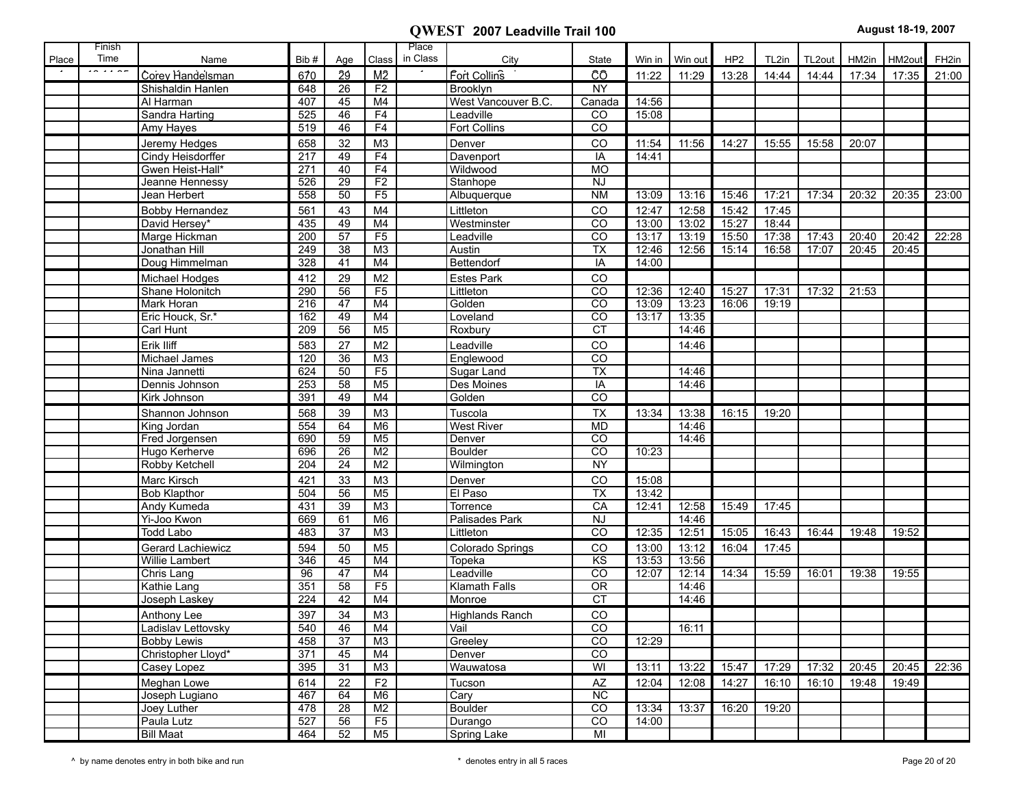|       | Finish |                                   |            |                 |                      | Place    |                             |                       |                |                |                 |       |        |       |        |                   |
|-------|--------|-----------------------------------|------------|-----------------|----------------------|----------|-----------------------------|-----------------------|----------------|----------------|-----------------|-------|--------|-------|--------|-------------------|
| Place | Time   | Name                              | Bib#       | Age             | Class                | in Class | City                        | State                 |                | Win in Win out | HP <sub>2</sub> | TL2in | TL2out | HM2in | HM2out | FH <sub>2in</sub> |
|       |        | Corey Handelsman                  | 670        | 29              | M2                   |          | Fort Collins                | ĈŌ                    | 11:22          | 11:29          | 13:28           | 14:44 | 14:44  | 17:34 | 17:35  | 21:00             |
|       |        | Shishaldin Hanlen                 | 648        | 26              | F2                   |          | Brooklyn                    | <b>NY</b>             |                |                |                 |       |        |       |        |                   |
|       |        | Al Harman                         | 407        | 45              | M4                   |          | West Vancouver B.C.         | Canada                | 14:56          |                |                 |       |        |       |        |                   |
|       |        | Sandra Harting                    | 525        | 46              | F4                   |          | Leadville                   | CO                    | 15:08          |                |                 |       |        |       |        |                   |
|       |        | Amy Hayes                         | 519        | 46              | F4                   |          | Fort Collins                | CO                    |                |                |                 |       |        |       |        |                   |
|       |        | Jeremy Hedges                     | 658        | 32              | M3                   |          | Denver                      | CO                    | 11:54          | 11:56          | 14:27           | 15:55 | 15:58  | 20:07 |        |                   |
|       |        | Cindy Heisdorffer                 | 217        | 49              | F4                   |          | Davenport                   | IA                    | 14:41          |                |                 |       |        |       |        |                   |
|       |        | Gwen Heist-Hall*                  | 271        | 40              | F <sub>4</sub>       |          | Wildwood                    | <b>MO</b>             |                |                |                 |       |        |       |        |                   |
|       |        | Jeanne Hennessy                   | 526        | 29              | F2                   |          | Stanhope                    | <b>NJ</b>             |                |                |                 |       |        |       |        |                   |
|       |        | Jean Herbert                      | 558        | 50              | F5                   |          | Albuquerque                 | N <sub>M</sub>        | 13:09          | 13:16          | 15:46           | 17:21 | 17:34  | 20:32 | 20:35  | 23:00             |
|       |        | <b>Bobby Hernandez</b>            | 561        | 43              | M <sub>4</sub>       |          | Littleton                   | CO                    | 12:47          | 12:58          | 15:42           | 17:45 |        |       |        |                   |
|       |        | David Hersey*                     | 435        | 49              | M4                   |          | Westminster                 | CO                    | 13:00          | 13:02          | 15:27           | 18:44 |        |       |        |                   |
|       |        | Marge Hickman                     | 200        | 57              | F5                   |          | Leadville                   | $\overline{co}$       | 13:17          | 13:19          | 15:50           | 17:38 | 17:43  | 20:40 | 20:42  | 22:28             |
|       |        | Jonathan Hill                     | 249        | 38              | M <sub>3</sub>       |          | Austin                      | TX                    | 12:46          | 12:56          | 15:14           | 16:58 | 17:07  | 20:45 | 20:45  |                   |
|       |        | Doug Himmelman                    | 328        | 41              | M4                   |          | Bettendorf                  | $\overline{A}$        | 14:00          |                |                 |       |        |       |        |                   |
|       |        | Michael Hodges                    | 412        | 29              | M <sub>2</sub>       |          | <b>Estes Park</b>           | CO                    |                |                |                 |       |        |       |        |                   |
|       |        | Shane Holonitch                   | 290        | 56              | F5                   |          | Littleton                   | $\overline{co}$       | 12:36          | 12:40          | 15:27           | 17:31 | 17:32  | 21:53 |        |                   |
|       |        | Mark Horan                        | 216        | 47              | M4                   |          | Golden                      | $\overline{co}$       | 13:09          | 13:23          | 16:06           | 19:19 |        |       |        |                   |
|       |        | Eric Houck, Sr.*                  | 162        | 49              | M4                   |          | Loveland                    | CO                    | 13:17          | 13:35          |                 |       |        |       |        |                   |
|       |        | Carl Hunt                         | 209        | 56              | M <sub>5</sub>       |          | Roxbury                     | CT                    |                | 14:46          |                 |       |        |       |        |                   |
|       |        | Erik Iliff                        | 583        | 27              | M <sub>2</sub>       |          | Leadville                   | CO                    |                | 14:46          |                 |       |        |       |        |                   |
|       |        | Michael James                     | 120        | $\overline{36}$ | M <sub>3</sub>       |          | Englewood                   | $\overline{co}$       |                |                |                 |       |        |       |        |                   |
|       |        | Nina Jannetti                     | 624        | 50              | F5                   |          | Sugar Land                  | $\overline{TX}$       |                | 14:46          |                 |       |        |       |        |                   |
|       |        | Dennis Johnson                    | 253        | 58              | M <sub>5</sub>       |          | Des Moines                  | IA                    |                | 14:46          |                 |       |        |       |        |                   |
|       |        | Kirk Johnson                      | 391        | 49              | M4                   |          | Golden                      | $\overline{co}$       |                |                |                 |       |        |       |        |                   |
|       |        | Shannon Johnson                   | 568        | 39              | M <sub>3</sub>       |          | Tuscola                     | <b>TX</b>             | 13:34          | 13:38          | 16:15           | 19:20 |        |       |        |                   |
|       |        | King Jordan                       | 554        | 64              | M <sub>6</sub>       |          | <b>West River</b>           | <b>MD</b>             |                | 14:46          |                 |       |        |       |        |                   |
|       |        | Fred Jorgensen                    | 690        | 59              | M <sub>5</sub>       |          | Denver                      | CO                    |                | 14:46          |                 |       |        |       |        |                   |
|       |        | Hugo Kerherve                     | 696        | 26              | M <sub>2</sub>       |          | <b>Boulder</b>              | $\overline{co}$       | 10:23          |                |                 |       |        |       |        |                   |
|       |        | Robby Ketchell                    | 204        | $\overline{24}$ | M <sub>2</sub>       |          | Wilmington                  | <b>NY</b>             |                |                |                 |       |        |       |        |                   |
|       |        | Marc Kirsch                       | 421        | 33              | M3                   |          | Denver                      | CO                    | 15:08          |                |                 |       |        |       |        |                   |
|       |        | <b>Bob Klapthor</b>               | 504        | 56              | M <sub>5</sub>       |          | El Paso                     | $\overline{TX}$       | 13:42          |                |                 |       |        |       |        |                   |
|       |        | Andy Kumeda                       | 431        | 39              | M <sub>3</sub>       |          | Torrence                    | CA                    | 12:41          | 12:58          | 15:49           | 17:45 |        |       |        |                   |
|       |        | Yi-Joo Kwon<br><b>Todd Labo</b>   | 669<br>483 | 61<br>37        | M <sub>6</sub><br>M3 |          | Palisades Park<br>Littleton | <b>NJ</b><br>CO       | 12:35          | 14:46<br>12:51 | 15:05           |       | 16:44  | 19:48 | 19:52  |                   |
|       |        |                                   |            |                 |                      |          |                             |                       |                |                |                 | 16:43 |        |       |        |                   |
|       |        | Gerard Lachiewicz                 | 594        | 50              | M <sub>5</sub>       |          | Colorado Springs            | CO                    | 13:00          | 13:12          | 16:04           | 17:45 |        |       |        |                   |
|       |        | Willie Lambert                    | 346<br>96  | 45<br>47        | M <sub>4</sub><br>M4 |          | Topeka<br>Leadville         | KS<br>$\overline{CO}$ | 13:53<br>12:07 | 13:56<br>12:14 | 14:34           | 15:59 | 16:01  | 19:38 | 19:55  |                   |
|       |        | Chris Lang<br>Kathie Lang         | 351        | 58              | F <sub>5</sub>       |          | <b>Klamath Falls</b>        | $\overline{OR}$       |                | 14:46          |                 |       |        |       |        |                   |
|       |        | Joseph Laskey                     | 224        | 42              | M4                   |          | Monroe                      | <b>CT</b>             |                | 14:46          |                 |       |        |       |        |                   |
|       |        |                                   |            |                 |                      |          |                             |                       |                |                |                 |       |        |       |        |                   |
|       |        | Anthony Lee                       | 397        | 34              | M <sub>3</sub>       |          | <b>Highlands Ranch</b>      | CO                    |                |                |                 |       |        |       |        |                   |
|       |        | Ladislav Lettovsky                | 540        | 46              | M4                   |          | Vail                        | CO                    |                | 16:11          |                 |       |        |       |        |                   |
|       |        | <b>Bobby Lewis</b>                | 458<br>371 | 37<br>45        | M <sub>3</sub><br>M4 |          | Greeley<br>Denver           | CO<br>CO              | 12:29          |                |                 |       |        |       |        |                   |
|       |        | Christopher Lloyd*<br>Casey Lopez | 395        | 31              | M <sub>3</sub>       |          | Wauwatosa                   | WI                    | 13:11          | 13:22          | 15:47           | 17:29 | 17:32  | 20:45 | 20:45  | 22:36             |
|       |        |                                   |            |                 |                      |          |                             |                       |                |                |                 |       |        |       |        |                   |
|       |        | Meghan Lowe<br>Joseph Lugiano     | 614<br>467 | 22              | F <sub>2</sub><br>M6 |          | Tucson                      | AZ<br><b>NC</b>       | 12:04          | 12:08          | 14:27           | 16:10 | 16:10  | 19:48 | 19:49  |                   |
|       |        | Joey Luther                       | 478        | 64<br>28        | M <sub>2</sub>       |          | Carv<br><b>Boulder</b>      | CO                    | 13:34          | 13:37          | 16:20           | 19:20 |        |       |        |                   |
|       |        | Paula Lutz                        | 527        | 56              | F5                   |          | Durango                     | $\overline{c}$        | 14:00          |                |                 |       |        |       |        |                   |
|       |        | <b>Bill Maat</b>                  | 464        | 52              | M5                   |          | Spring Lake                 | MI                    |                |                |                 |       |        |       |        |                   |
|       |        |                                   |            |                 |                      |          |                             |                       |                |                |                 |       |        |       |        |                   |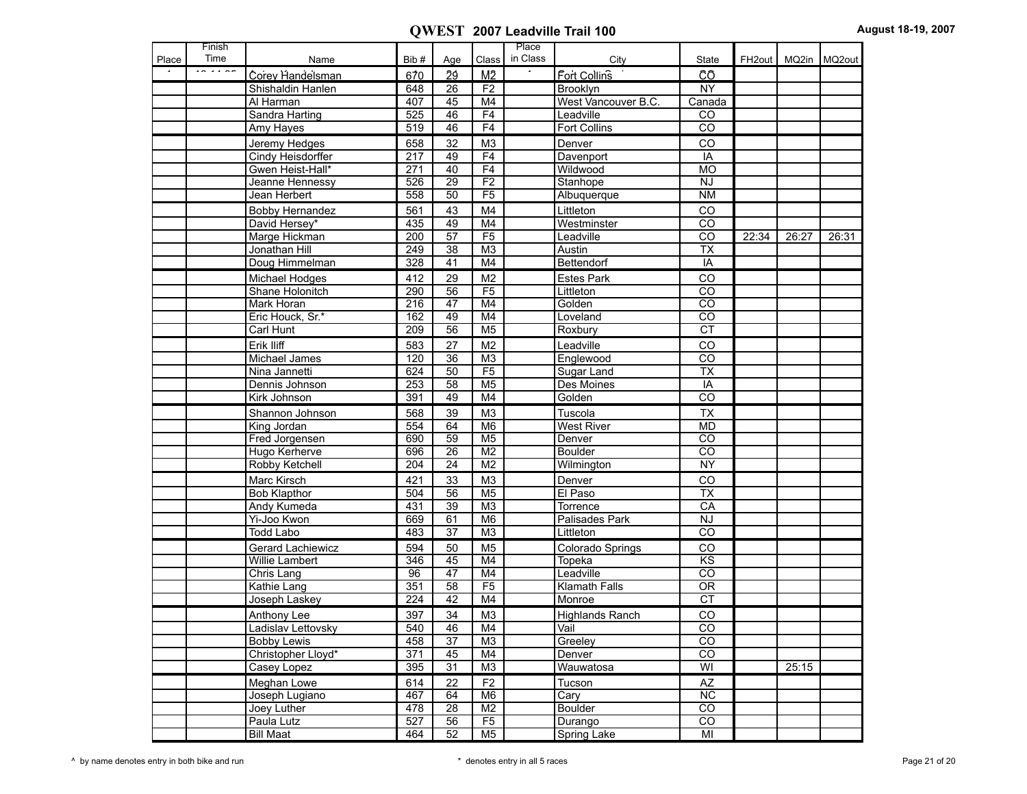|       | Finish |                                         |            |                 |                 | Place    |                          |                         |       |                         |       |
|-------|--------|-----------------------------------------|------------|-----------------|-----------------|----------|--------------------------|-------------------------|-------|-------------------------|-------|
| Place | Time   | Name                                    | Bib#       | Age             | Class           | in Class | City                     | State                   |       | FH2out   MQ2in   MQ2out |       |
|       |        | Corey Handelsman                        | 670        | 29              | M <sub>2</sub>  |          | Fort Collins             | ĈŌ                      |       |                         |       |
|       |        | Shishaldin Hanlen                       | 648        | 26              | F <sub>2</sub>  |          | Brooklyn                 | <b>NY</b>               |       |                         |       |
|       |        | Al Harman                               | 407        | 45              | M <sub>4</sub>  |          | West Vancouver B.C.      | Canada                  |       |                         |       |
|       |        | Sandra Harting                          | 525        | 46              | F4              |          | Leadville                | CO                      |       |                         |       |
|       |        | Amy Hayes                               | 519        | 46              | F4              |          | <b>Fort Collins</b>      | CO                      |       |                         |       |
|       |        | Jeremy Hedges                           | 658        | 32              | M <sub>3</sub>  |          | Denver                   | CO                      |       |                         |       |
|       |        | Cindy Heisdorffer                       | 217        | 49              | F4              |          | Davenport                | IA                      |       |                         |       |
|       |        | Gwen Heist-Hall*                        | 271        | 40              | F4              |          | Wildwood                 | <b>MO</b>               |       |                         |       |
|       |        | Jeanne Hennessy                         | 526        | 29              | F <sub>2</sub>  |          | Stanhope                 | <b>NJ</b>               |       |                         |       |
|       |        | Jean Herbert                            | 558        | 50              | $\overline{F5}$ |          | Albuquerque              | <b>NM</b>               |       |                         |       |
|       |        |                                         |            |                 |                 |          |                          |                         |       |                         |       |
|       |        | <b>Bobby Hernandez</b><br>David Hersey* | 561<br>435 | 43<br>49        | M4<br>M4        |          | Littleton<br>Westminster | CO<br>CO                |       |                         |       |
|       |        |                                         | 200        | 57              | F5              |          | Leadville                | CO                      | 22:34 | 26:27                   | 26:31 |
|       |        | Marge Hickman<br>Jonathan Hill          | 249        | $\overline{38}$ | M <sub>3</sub>  |          | Austin                   | <b>TX</b>               |       |                         |       |
|       |        | Doug Himmelman                          | 328        | 41              | M <sub>4</sub>  |          | Bettendorf               | IA                      |       |                         |       |
|       |        |                                         |            |                 |                 |          |                          |                         |       |                         |       |
|       |        | Michael Hodges                          | 412        | 29              | M <sub>2</sub>  |          | <b>Estes Park</b>        | CO                      |       |                         |       |
|       |        | Shane Holonitch                         | 290        | 56              | F5              |          | Littleton                | CO                      |       |                         |       |
|       |        | Mark Horan                              | 216        | 47              | M <sub>4</sub>  |          | Golden                   | $\overline{CO}$         |       |                         |       |
|       |        | Eric Houck, Sr.*                        | 162        | 49              | M4              |          | Loveland                 | $\overline{c}$          |       |                         |       |
|       |        | Carl Hunt                               | 209        | 56              | M <sub>5</sub>  |          | Roxbury                  | $\overline{\text{CT}}$  |       |                         |       |
|       |        | Erik Iliff                              | 583        | 27              | M <sub>2</sub>  |          | Leadville                | CO                      |       |                         |       |
|       |        | Michael James                           | 120        | 36              | M <sub>3</sub>  |          | Englewood                | $\overline{co}$         |       |                         |       |
|       |        | Nina Jannetti                           | 624        | 50              | F5              |          | Sugar Land               | <b>TX</b>               |       |                         |       |
|       |        | Dennis Johnson                          | 253        | 58              | M <sub>5</sub>  |          | Des Moines               | IA                      |       |                         |       |
|       |        | Kirk Johnson                            | 391        | 49              | M4              |          | Golden                   | $\overline{co}$         |       |                         |       |
|       |        | Shannon Johnson                         | 568        | 39              | M <sub>3</sub>  |          | Tuscola                  | <b>TX</b>               |       |                         |       |
|       |        | King Jordan                             | 554        | 64              | M <sub>6</sub>  |          | <b>West River</b>        | <b>MD</b>               |       |                         |       |
|       |        | Fred Jorgensen                          | 690        | 59              | M <sub>5</sub>  |          | Denver                   | CO                      |       |                         |       |
|       |        | Hugo Kerherve                           | 696        | 26              | M <sub>2</sub>  |          | <b>Boulder</b>           | $\overline{CO}$         |       |                         |       |
|       |        | Robby Ketchell                          | 204        | 24              | M <sub>2</sub>  |          | Wilmington               | <b>NY</b>               |       |                         |       |
|       |        | Marc Kirsch                             | 421        | 33              | M <sub>3</sub>  |          | Denver                   | CO                      |       |                         |       |
|       |        | <b>Bob Klapthor</b>                     | 504        | 56              | M <sub>5</sub>  |          | El Paso                  | <b>TX</b>               |       |                         |       |
|       |        | Andy Kumeda                             | 431        | 39              | M3              |          | Torrence                 | CA                      |       |                         |       |
|       |        | Yi-Joo Kwon                             | 669        | 61              | M <sub>6</sub>  |          | Palisades Park           | NJ                      |       |                         |       |
|       |        | <b>Todd Labo</b>                        | 483        | 37              | M <sub>3</sub>  |          | Littleton                | CO                      |       |                         |       |
|       |        | <b>Gerard Lachiewicz</b>                | 594        | 50              | M <sub>5</sub>  |          | Colorado Springs         | CO                      |       |                         |       |
|       |        | <b>Willie Lambert</b>                   | 346        | 45              | M <sub>4</sub>  |          | Topeka                   | KS                      |       |                         |       |
|       |        | Chris Lang                              | 96         | 47              | M4              |          | Leadville                | CO                      |       |                         |       |
|       |        | Kathie Lang                             | 351        | 58              | F <sub>5</sub>  |          | Klamath Falls            | OR                      |       |                         |       |
|       |        | Joseph Laskey                           | 224        | 42              | M4              |          | Monroe                   | CT                      |       |                         |       |
|       |        | Anthony Lee                             | 397        | 34              | M <sub>3</sub>  |          | <b>Highlands Ranch</b>   | CO                      |       |                         |       |
|       |        | Ladislav Lettovsky                      | 540        | 46              | M4              |          | Vail                     | $\overline{c}$          |       |                         |       |
|       |        | <b>Bobby Lewis</b>                      | 458        | $\overline{37}$ | M3              |          | Greeley                  | CO                      |       |                         |       |
|       |        | Christopher Lloyd*                      | 371        | 45              | M4              |          | Denver                   | CO                      |       |                         |       |
|       |        | Casey Lopez                             | 395        | 31              | M3              |          | Wauwatosa                | $\overline{\mathsf{S}}$ |       | 25:15                   |       |
|       |        | Meghan Lowe                             | 614        | 22              | F <sub>2</sub>  |          | Tucson                   | AZ                      |       |                         |       |
|       |        | Joseph Lugiano                          | 467        | 64              | M6              |          | Cary                     | NC                      |       |                         |       |
|       |        | Joey Luther                             | 478        | 28              | M <sub>2</sub>  |          | <b>Boulder</b>           | CO                      |       |                         |       |
|       |        | Paula Lutz                              | 527        | 56              | F5              |          | Durango                  | $\overline{c}$          |       |                         |       |
|       |        | <b>Bill Maat</b>                        | 464        | 52              | M <sub>5</sub>  |          | <b>Spring Lake</b>       | MI                      |       |                         |       |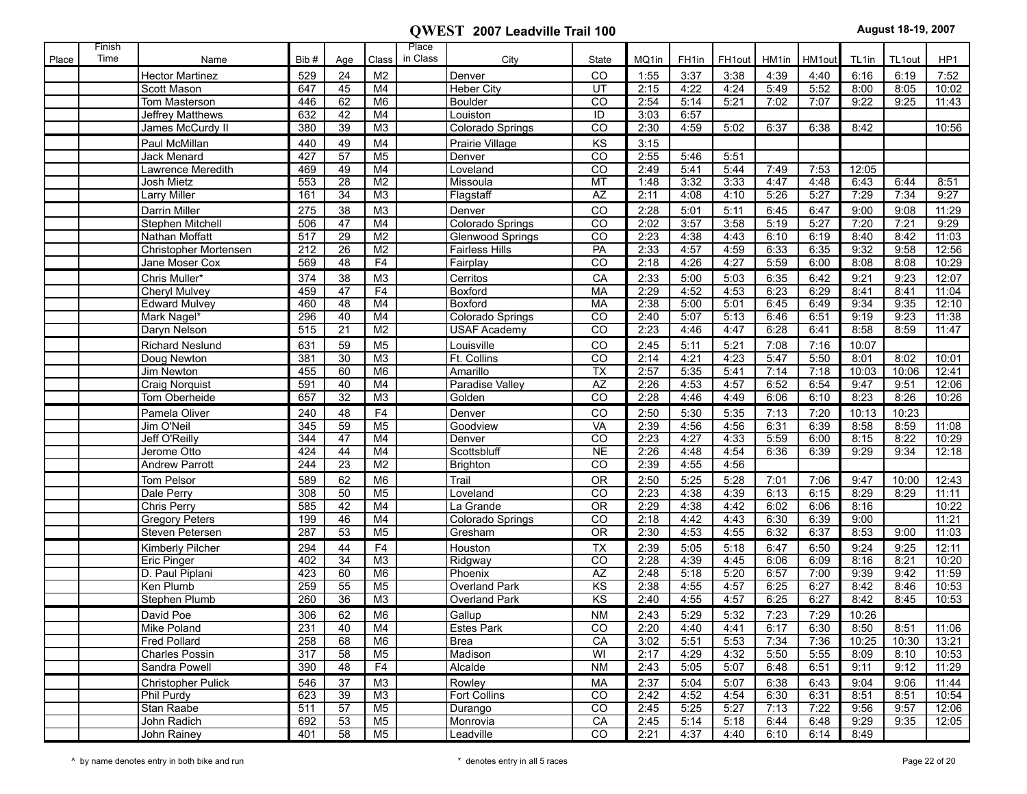|       | Finish |                         |      |                 |                | Place    |                         |                          |       |                   |        |       |        |       |        |       |
|-------|--------|-------------------------|------|-----------------|----------------|----------|-------------------------|--------------------------|-------|-------------------|--------|-------|--------|-------|--------|-------|
| Place | Time   | Name                    | Bib# | Age             | Class          | in Class | City                    | State                    | MQ1in | FH <sub>1in</sub> | FH1out | HM1in | HM1out | TL1in | TL1out | HP1   |
|       |        | <b>Hector Martinez</b>  | 529  | 24              | M <sub>2</sub> |          | Denver                  | CO                       | 1:55  | 3:37              | 3:38   | 4:39  | 4:40   | 6:16  | 6:19   | 7:52  |
|       |        | Scott Mason             | 647  | 45              | M4             |          | <b>Heber City</b>       | UT                       | 2:15  | 4:22              | 4:24   | 5:49  | 5:52   | 8:00  | 8:05   | 10:02 |
|       |        | Tom Masterson           | 446  | 62              | M <sub>6</sub> |          | <b>Boulder</b>          | $\overline{co}$          | 2:54  | 5:14              | 5:21   | 7:02  | 7:07   | 9:22  | 9:25   | 11:43 |
|       |        | <b>Jeffrey Matthews</b> | 632  | 42              | M4             |          | Louiston                | ID                       | 3:03  | 6:57              |        |       |        |       |        |       |
|       |        | James McCurdy II        | 380  | 39              | M <sub>3</sub> |          | Colorado Springs        | CO                       | 2:30  | 4:59              | 5:02   | 6:37  | 6:38   | 8:42  |        | 10:56 |
|       |        | Paul McMillan           | 440  | 49              | M4             |          | Prairie Village         | KS                       | 3:15  |                   |        |       |        |       |        |       |
|       |        | Jack Menard             | 427  | $\overline{57}$ | M <sub>5</sub> |          | Denver                  | $\overline{co}$          | 2:55  | 5:46              | 5:51   |       |        |       |        |       |
|       |        | Lawrence Meredith       | 469  | 49              | M4             |          | Loveland                | $\overline{c}$           | 2:49  | 5:41              | 5:44   | 7:49  | 7:53   | 12:05 |        |       |
|       |        | <b>Josh Mietz</b>       | 553  | 28              | M <sub>2</sub> |          | Missoula                | MT                       | 1:48  | 3:32              | 3:33   | 4:47  | 4:48   | 6:43  | 6:44   | 8:51  |
|       |        | <b>Larry Miller</b>     | 161  | $\overline{34}$ | M <sub>3</sub> |          | Flagstaff               | <b>AZ</b>                | 2:11  | 4:08              | 4:10   | 5:26  | 5:27   | 7:29  | 7:34   | 9:27  |
|       |        | Darrin Miller           | 275  | 38              | M <sub>3</sub> |          | Denver                  | CO                       | 2:28  | 5:01              | 5:11   | 6:45  | 6:47   | 9:00  | 9:08   | 11:29 |
|       |        | Stephen Mitchell        | 506  | 47              | M4             |          | Colorado Springs        | $\overline{c}$           | 2:02  | 3:57              | 3:58   | 5:19  | 5:27   | 7:20  | 7:21   | 9:29  |
|       |        | Nathan Moffatt          | 517  | $\overline{29}$ | M <sub>2</sub> |          | <b>Glenwood Springs</b> | CO                       | 2:23  | 4:38              | 4:43   | 6:10  | 6:19   | 8:40  | 8:42   | 11:03 |
|       |        | Christopher Mortensen   | 212  | $\overline{26}$ | M <sub>2</sub> |          | <b>Fairless Hills</b>   | PA                       | 2:33  | 4:57              | 4:59   | 6:33  | 6:35   | 9:32  | 9:58   | 12:56 |
|       |        | Jane Moser Cox          | 569  | 48              | F4             |          | Fairplay                | $\overline{CO}$          | 2:18  | 4.26              | 4:27   | 5:59  | 6:00   | 8:08  | 8:08   | 10:29 |
|       |        | Chris Muller*           | 374  | 38              | M <sub>3</sub> |          | Cerritos                | CA                       | 2:33  | 5:00              | 5:03   | 6:35  | 6:42   | 9:21  | 9:23   | 12:07 |
|       |        | <b>Cheryl Mulvey</b>    | 459  | 47              | F <sub>4</sub> |          | Boxford                 | <b>MA</b>                | 2:29  | 4:52              | 4:53   | 6:23  | 6:29   | 8:41  | 8:41   | 11:04 |
|       |        | <b>Edward Mulvey</b>    | 460  | 48              | M4             |          | Boxford                 | <b>MA</b>                | 2:38  | 5:00              | 5:01   | 6:45  | 6:49   | 9:34  | 9:35   | 12:10 |
|       |        | Mark Nagel*             | 296  | 40              | M4             |          | Colorado Springs        | $\overline{c}$           | 2:40  | 5:07              | 5:13   | 6:46  | 6:51   | 9:19  | 9:23   | 11:38 |
|       |        | Daryn Nelson            | 515  | 21              | M <sub>2</sub> |          | <b>USAF Academy</b>     | CO                       | 2:23  | 4:46              | 4:47   | 6:28  | 6:41   | 8:58  | 8:59   | 11:47 |
|       |        | <b>Richard Neslund</b>  | 631  | 59              | M <sub>5</sub> |          | Louisville              | CO                       | 2:45  | 5:11              | 5:21   | 7:08  | 7:16   | 10:07 |        |       |
|       |        | Doug Newton             | 381  | $\overline{30}$ | M <sub>3</sub> |          | Ft. Collins             | $\overline{co}$          | 2:14  | 4:21              | 4:23   | 5:47  | 5:50   | 8:01  | 8:02   | 10:01 |
|       |        | Jim Newton              | 455  | 60              | M <sub>6</sub> |          | Amarillo                | $\overline{\mathsf{TX}}$ | 2:57  | 5:35              | 5:41   | 7:14  | 7:18   | 10:03 | 10:06  | 12:41 |
|       |        | Craig Norquist          | 591  | 40              | M4             |          | Paradise Vallev         | <b>AZ</b>                | 2:26  | 4:53              | 4:57   | 6:52  | 6:54   | 9:47  | 9:51   | 12:06 |
|       |        | Tom Oberheide           | 657  | $\overline{32}$ | M <sub>3</sub> |          | Golden                  | $\overline{co}$          | 2:28  | 4:46              | 4:49   | 6:06  | 6:10   | 8:23  | 8:26   | 10:26 |
|       |        | Pamela Oliver           | 240  | 48              | F <sub>4</sub> |          | Denver                  | CO                       | 2:50  | 5:30              | 5:35   | 7:13  | 7:20   | 10:13 | 10:23  |       |
|       |        | Jim O'Neil              | 345  | 59              | M <sub>5</sub> |          | Goodview                | VA                       | 2:39  | 4:56              | 4:56   | 6:31  | 6:39   | 8:58  | 8:59   | 11:08 |
|       |        | Jeff O'Reilly           | 344  | 47              | M4             |          | Denver                  | CO                       | 2:23  | 4:27              | 4:33   | 5:59  | 6:00   | 8:15  | 8:22   | 10:29 |
|       |        | Jerome Otto             | 424  | 44              | M4             |          | Scottsbluff             | <b>NE</b>                | 2:26  | 4:48              | 4:54   | 6:36  | 6:39   | 9:29  | 9:34   | 12:18 |
|       |        | <b>Andrew Parrott</b>   | 244  | 23              | M <sub>2</sub> |          | <b>Brighton</b>         | $\overline{CO}$          | 2:39  | 4:55              | 4:56   |       |        |       |        |       |
|       |        | Tom Pelsor              | 589  | 62              | M <sub>6</sub> |          | Trail                   | <b>OR</b>                | 2:50  | 5:25              | 5:28   | 7:01  | 7:06   | 9:47  | 10:00  | 12:43 |
|       |        | Dale Perry              | 308  | 50              | M <sub>5</sub> |          | Loveland                | CO                       | 2:23  | 4:38              | 4:39   | 6:13  | 6:15   | 8:29  | 8:29   | 11:11 |
|       |        | <b>Chris Perry</b>      | 585  | 42              | M4             |          | La Grande               | $\overline{OR}$          | 2:29  | 4:38              | 4:42   | 6:02  | 6:06   | 8:16  |        | 10:22 |
|       |        | <b>Gregory Peters</b>   | 199  | 46              | M4             |          | Colorado Springs        | $\overline{c}$           | 2:18  | 4:42              | 4:43   | 6:30  | 6:39   | 9:00  |        | 11:21 |
|       |        | Steven Petersen         | 287  | 53              | M <sub>5</sub> |          | Gresham                 | $\overline{OR}$          | 2:30  | 4:53              | 4:55   | 6:32  | 6:37   | 8:53  | 9:00   | 11:03 |
|       |        | Kimberly Pilcher        | 294  | 44              | F <sub>4</sub> |          | Houston                 | <b>TX</b>                | 2:39  | 5:05              | 5:18   | 6:47  | 6:50   | 9:24  | 9:25   | 12:11 |
|       |        | Eric Pinger             | 402  | $\overline{34}$ | M <sub>3</sub> |          | Ridgway                 | $\overline{co}$          | 2:28  | 4:39              | 4:45   | 6:06  | 6:09   | 8:16  | 8:21   | 10:20 |
|       |        | D. Paul Piplani         | 423  | 60              | M <sub>6</sub> |          | Phoenix                 | <b>AZ</b>                | 2:48  | 5:18              | 5:20   | 6:57  | 7:00   | 9:39  | 9:42   | 11:59 |
|       |        | Ken Plumb               | 259  | 55              | M <sub>5</sub> |          | <b>Overland Park</b>    | $\overline{\text{KS}}$   | 2:38  | 4:55              | 4:57   | 6:25  | 6:27   | 8:42  | 8:46   | 10:53 |
|       |        | <b>Stephen Plumb</b>    | 260  | $\overline{36}$ | M <sub>3</sub> |          | <b>Overland Park</b>    | $\overline{\text{KS}}$   | 2:40  | 4:55              | 4:57   | 6:25  | 6:27   | 8:42  | 8:45   | 10:53 |
|       |        | David Poe               | 306  | 62              | M <sub>6</sub> |          | Gallup                  | <b>NM</b>                | 2:43  | 5:29              | 5:32   | 7:23  | 7:29   | 10:26 |        |       |
|       |        | Mike Poland             | 231  | 40              | M4             |          | <b>Estes Park</b>       | CO                       | 2:20  | 4:40              | 4:41   | 6:17  | 6:30   | 8:50  | 8:51   | 11:06 |
|       |        | <b>Fred Pollard</b>     | 258  | 68              | M6             |          | <b>Brea</b>             | CA                       | 3:02  | 5:51              | 5:53   | 7:34  | 7:36   | 10:25 | 10:30  | 13:21 |
|       |        | <b>Charles Possin</b>   | 317  | 58              | M <sub>5</sub> |          | <b>Madison</b>          | WI                       | 2:17  | 4:29              | 4:32   | 5:50  | 5:55   | 8:09  | 8:10   | 10:53 |
|       |        | Sandra Powell           | 390  | 48              | F4             |          | Alcalde                 | <b>NM</b>                | 2:43  | 5:05              | 5:07   | 6:48  | 6:51   | 9:11  | 9:12   | 11:29 |
|       |        | Christopher Pulick      | 546  | 37              | M <sub>3</sub> |          | Rowley                  | МA                       | 2:37  | 5:04              | 5:07   | 6:38  | 6:43   | 9:04  | 9:06   | 11:44 |
|       |        | Phil Purdy              | 623  | 39              | M3             |          | <b>Fort Collins</b>     | CO                       | 2:42  | 4:52              | 4:54   | 6:30  | 6:31   | 8:51  | 8:51   | 10:54 |
|       |        | Stan Raabe              | 511  | 57              | M <sub>5</sub> |          | Durango                 | CO                       | 2:45  | 5:25              | 5:27   | 7:13  | 7:22   | 9:56  | 9:57   | 12:06 |
|       |        | John Radich             | 692  | 53              | M <sub>5</sub> |          | Monrovia                | CA                       | 2:45  | 5:14              | 5:18   | 6:44  | 6:48   | 9:29  | 9:35   | 12:05 |
|       |        | John Rainey             | 401  | 58              | M5             |          | Leadville               | CO                       | 2:21  | 4:37              | 4:40   | 6:10  | 6:14   | 8:49  |        |       |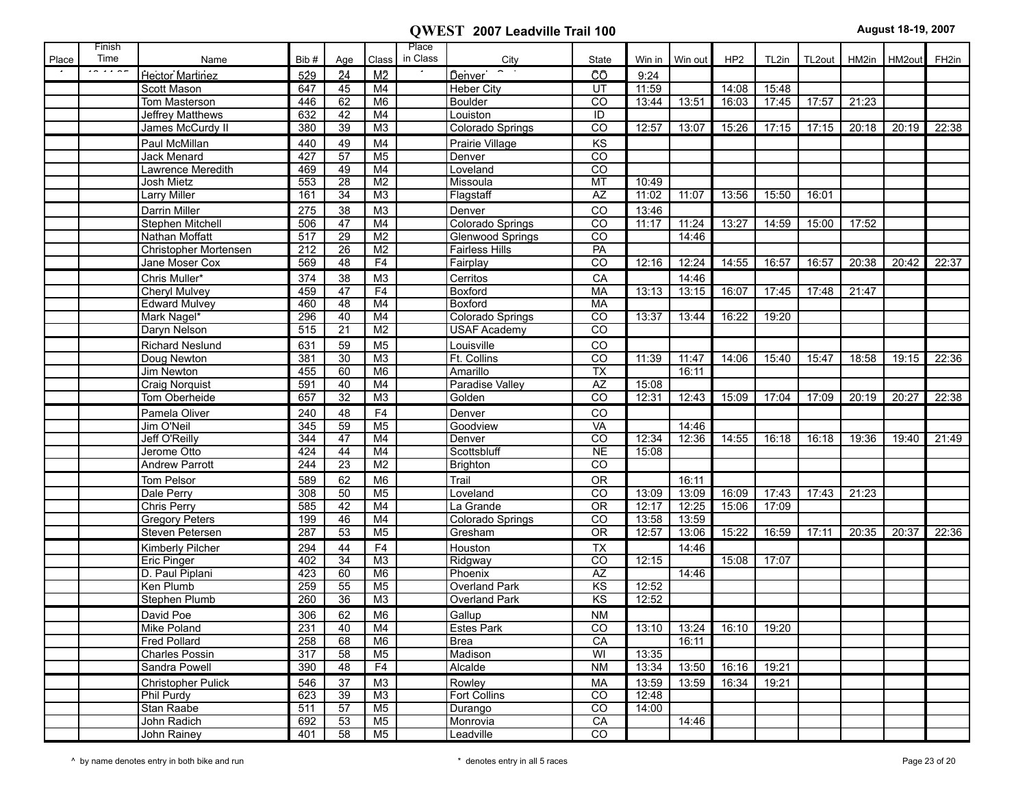| Place | Finish<br>Time | Name                                        | Bib#                    | Age             | Class                | Place<br>in Class | City                          | State                        |                | Win in Win out | HP2            | TL2in          | TL2out | HM2in | HM2out | FH <sub>2in</sub> |
|-------|----------------|---------------------------------------------|-------------------------|-----------------|----------------------|-------------------|-------------------------------|------------------------------|----------------|----------------|----------------|----------------|--------|-------|--------|-------------------|
|       |                | <b>Hector Martinez</b>                      | 529                     | 24              | M <sub>2</sub>       |                   | Denver                        | ĈŌ                           | 9:24           |                |                |                |        |       |        |                   |
|       |                | Scott Mason                                 | 647                     | 45              | M4                   |                   | <b>Heber City</b>             | UT                           | 11:59          |                | 14:08          | 15:48          |        |       |        |                   |
|       |                | Tom Masterson                               | 446                     | 62              | M6                   |                   | <b>Boulder</b>                | $\overline{co}$              | 13:44          | 13:51          | 16:03          | 17:45          | 17:57  | 21:23 |        |                   |
|       |                | <b>Jeffrey Matthews</b>                     | 632                     | 42              | M4                   |                   | Louiston                      | ID                           |                |                |                |                |        |       |        |                   |
|       |                | James McCurdy II                            | 380                     | 39              | M <sub>3</sub>       |                   | Colorado Springs              | CO                           | 12:57          | 13:07          | 15:26          | 17:15          | 17:15  | 20:18 | 20:19  | 22:38             |
|       |                | Paul McMillan                               | 440                     | 49              | M4                   |                   | Prairie Village               | KS                           |                |                |                |                |        |       |        |                   |
|       |                | Jack Menard                                 | 427                     | $\overline{57}$ | M <sub>5</sub>       |                   | Denver                        | $\overline{co}$              |                |                |                |                |        |       |        |                   |
|       |                | Lawrence Meredith                           | 469                     | 49              | M4                   |                   | Loveland                      | $\overline{CO}$              |                |                |                |                |        |       |        |                   |
|       |                | Josh Mietz                                  | 553                     | $\overline{28}$ | M <sub>2</sub>       |                   | Missoula                      | <b>MT</b>                    | 10:49          |                |                |                |        |       |        |                   |
|       |                | <b>Larry Miller</b>                         | 161                     | $\overline{34}$ | M3                   |                   | Flagstaff                     | <b>AZ</b>                    | 11:02          | 11:07          | 13:56          | 15:50          | 16:01  |       |        |                   |
|       |                | Darrin Miller                               | 275                     | 38              | M3                   |                   | Denver                        | CO                           | 13:46          |                |                |                |        |       |        |                   |
|       |                | <b>Stephen Mitchell</b>                     | 506                     | 47              | M4                   |                   | Colorado Springs              | $\overline{c}$               | 11:17          | 11:24          | 13:27          | 14:59          | 15:00  | 17:52 |        |                   |
|       |                | Nathan Moffatt                              | 517                     | $\overline{29}$ | M <sub>2</sub>       |                   | Glenwood Springs              | CO                           |                | 14:46          |                |                |        |       |        |                   |
|       |                | Christopher Mortensen                       | 212                     | $\overline{26}$ | M <sub>2</sub>       |                   | <b>Fairless Hills</b>         | PA                           |                |                |                |                |        |       |        |                   |
|       |                | Jane Moser Cox                              | 569                     | 48              | F4                   |                   | Fairplay                      | $\overline{CO}$              | 12:16          | 12:24          | 14:55          | 16:57          | 16:57  | 20:38 | 20:42  | 22:37             |
|       |                | Chris Muller*                               | 374                     | 38              | M <sub>3</sub>       |                   | Cerritos                      | CA                           |                | 14:46          |                |                |        |       |        |                   |
|       |                | <b>Cheryl Mulvey</b>                        | 459                     | 47              | F4                   |                   | Boxford                       | <b>MA</b>                    | 13:13          | 13:15          | 16:07          | 17:45          | 17:48  | 21:47 |        |                   |
|       |                | <b>Edward Mulvey</b>                        | 460                     | 48              | M4                   |                   | Boxford                       | MA                           |                |                |                |                |        |       |        |                   |
|       |                | Mark Nagel*                                 | 296                     | 40              | M4                   |                   | Colorado Springs              | $\overline{CO}$              | 13:37          | 13:44          | 16:22          | 19:20          |        |       |        |                   |
|       |                | Darvn Nelson                                | 515                     | 21              | M2                   |                   | <b>USAF Academy</b>           | CO                           |                |                |                |                |        |       |        |                   |
|       |                | <b>Richard Neslund</b>                      | 631                     | 59              | M <sub>5</sub>       |                   | Louisville                    | CO                           |                |                |                |                |        |       |        |                   |
|       |                | Doug Newton                                 | 381                     | 30              | M <sub>3</sub>       |                   | Ft. Collins                   | $\overline{co}$              | 11:39          | 11:47          | 14:06          | 15:40          | 15:47  | 18:58 | 19:15  | 22:36             |
|       |                | Jim Newton                                  | 455                     | 60              | M <sub>6</sub>       |                   | Amarillo                      | $\overline{TX}$              |                | 16:11          |                |                |        |       |        |                   |
|       |                | <b>Craig Norquist</b>                       | 591                     | 40              | M4                   |                   | Paradise Valley               | $\overline{AZ}$              | 15:08          |                |                |                |        |       |        |                   |
|       |                | Tom Oberheide                               | 657                     | 32              | M3                   |                   | Golden                        | $\overline{co}$              | 12:31          | 12:43          | 15:09          | 17:04          | 17:09  | 20:19 | 20:27  | 22:38             |
|       |                | Pamela Oliver                               | 240                     | 48              | F <sub>4</sub>       |                   | Denver                        | CO                           |                |                |                |                |        |       |        |                   |
|       |                | Jim O'Neil                                  | 345                     | 59              | M <sub>5</sub>       |                   | Goodview                      | VA                           |                | 14:46          |                |                |        |       |        |                   |
|       |                | Jeff O'Reilly                               | 344                     | 47              | M <sub>4</sub>       |                   | Denver                        | CO                           | 12:34          | 12:36          | 14:55          | 16:18          | 16:18  | 19:36 | 19:40  | 21:49             |
|       |                | Jerome Otto                                 | 424<br>$\overline{244}$ | 44<br>23        | M4<br>M <sub>2</sub> |                   | Scottsbluff                   | <b>NE</b><br>$\overline{CO}$ | 15:08          |                |                |                |        |       |        |                   |
|       |                | <b>Andrew Parrott</b>                       |                         |                 |                      |                   | <b>Brighton</b>               |                              |                |                |                |                |        |       |        |                   |
|       |                | Tom Pelsor                                  | 589                     | 62              | M <sub>6</sub>       |                   | Trail                         | <b>OR</b>                    |                | 16:11          |                |                |        |       |        |                   |
|       |                | Dale Perry                                  | 308<br>585              | 50              | M <sub>5</sub>       |                   | Loveland                      | CO<br>OR                     | 13:09<br>12:17 | 13:09          | 16:09<br>15:06 | 17:43<br>17:09 | 17:43  | 21:23 |        |                   |
|       |                | <b>Chris Perry</b><br><b>Gregory Peters</b> | 199                     | 42<br>46        | M4<br>M4             |                   | La Grande<br>Colorado Springs | $\overline{c}$               | 13:58          | 12:25<br>13:59 |                |                |        |       |        |                   |
|       |                | Steven Petersen                             | 287                     | 53              | M <sub>5</sub>       |                   | Gresham                       | <b>OR</b>                    | 12:57          | 13:06          | 15:22          | 16:59          | 17:11  | 20:35 | 20:37  | 22:36             |
|       |                |                                             | 294                     | 44              | F <sub>4</sub>       |                   | Houston                       | <b>TX</b>                    |                | 14:46          |                |                |        |       |        |                   |
|       |                | Kimberly Pilcher<br>Eric Pinger             | 402                     | 34              | M <sub>3</sub>       |                   | Ridgway                       | $\overline{co}$              | 12:15          |                | 15:08          | 17:07          |        |       |        |                   |
|       |                | D. Paul Piplani                             | 423                     | 60              | M <sub>6</sub>       |                   | Phoenix                       | <b>AZ</b>                    |                | 14:46          |                |                |        |       |        |                   |
|       |                | Ken Plumb                                   | 259                     | 55              | M <sub>5</sub>       |                   | Overland Park                 | KS                           | 12:52          |                |                |                |        |       |        |                   |
|       |                | <b>Stephen Plumb</b>                        | 260                     | 36              | M3                   |                   | <b>Overland Park</b>          | KS                           | 12:52          |                |                |                |        |       |        |                   |
|       |                | David Poe                                   | 306                     | 62              | M <sub>6</sub>       |                   | Gallup                        | <b>NM</b>                    |                |                |                |                |        |       |        |                   |
|       |                | Mike Poland                                 | 231                     | 40              | M4                   |                   | <b>Estes Park</b>             | CO                           | 13:10          | 13:24          | 16:10          | 19:20          |        |       |        |                   |
|       |                | <b>Fred Pollard</b>                         | 258                     | 68              | M6                   |                   | Brea                          | CA                           |                | 16:11          |                |                |        |       |        |                   |
|       |                | <b>Charles Possin</b>                       | 317                     | 58              | M <sub>5</sub>       |                   | Madison                       | WI                           | 13:35          |                |                |                |        |       |        |                   |
|       |                | Sandra Powell                               | 390                     | 48              | F4                   |                   | Alcalde                       | <b>NM</b>                    | 13:34          | 13:50          | 16:16          | 19:21          |        |       |        |                   |
|       |                | <b>Christopher Pulick</b>                   | 546                     | 37              | M3                   |                   | Rowley                        | MA                           | 13:59          | 13:59          | 16:34          | 19:21          |        |       |        |                   |
|       |                | Phil Purdy                                  | 623                     | 39              | M3                   |                   | Fort Collins                  | CO                           | 12:48          |                |                |                |        |       |        |                   |
|       |                | Stan Raabe                                  | 511                     | 57              | M <sub>5</sub>       |                   | Durango                       | CO                           | 14:00          |                |                |                |        |       |        |                   |
|       |                | John Radich                                 | 692                     | 53              | M <sub>5</sub>       |                   | Monrovia                      | CA                           |                | 14:46          |                |                |        |       |        |                   |
|       |                | John Rainey                                 | 401                     | 58              | M5                   |                   | Leadville                     | CO                           |                |                |                |                |        |       |        |                   |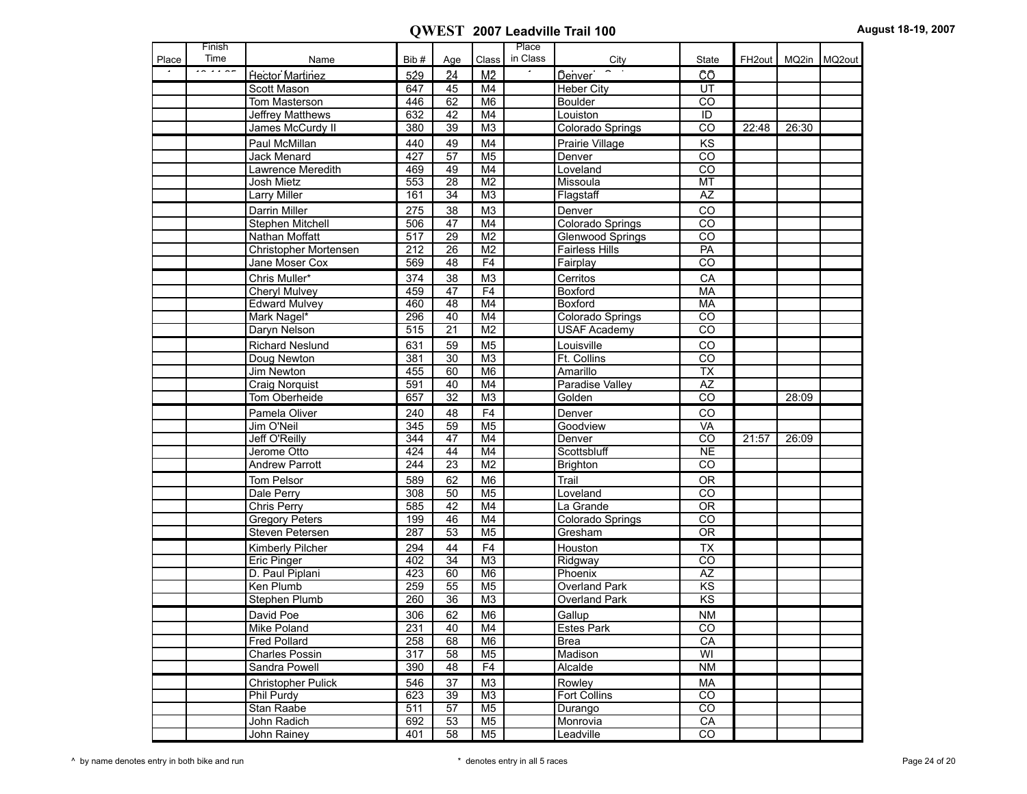|       | Finish |                           |                  |                 |                | Place    |                       |                 |                     |       |                |
|-------|--------|---------------------------|------------------|-----------------|----------------|----------|-----------------------|-----------------|---------------------|-------|----------------|
| Place | Time   | Name                      | Bib#             | Age             | Class          | in Class | City                  | State           | FH <sub>2</sub> out |       | MQ2in   MQ2out |
|       |        | <b>Hector Martinez</b>    | 529              | $\bar{2}4$      | M <sub>2</sub> |          | Denver                | ĈŌ              |                     |       |                |
|       |        | Scott Mason               | 647              | 45              | M4             |          | <b>Heber City</b>     | UT              |                     |       |                |
|       |        | Tom Masterson             | 446              | 62              | M6             |          | <b>Boulder</b>        | $\overline{co}$ |                     |       |                |
|       |        | Jeffrey Matthews          | 632              | 42              | M4             |          | Louiston              | ID              |                     |       |                |
|       |        | James McCurdy II          | 380              | 39              | M <sub>3</sub> |          | Colorado Springs      | CO              | 22:48               | 26:30 |                |
|       |        | Paul McMillan             | 440              | 49              | M4             |          | Prairie Village       | KS              |                     |       |                |
|       |        | Jack Menard               | 427              | $\overline{57}$ | M <sub>5</sub> |          | Denver                | $\overline{co}$ |                     |       |                |
|       |        | Lawrence Meredith         | 469              | 49              | M4             |          | Loveland              | CO              |                     |       |                |
|       |        | Josh Mietz                | 553              | $\overline{28}$ | M <sub>2</sub> |          | Missoula              | MT              |                     |       |                |
|       |        | <b>Larry Miller</b>       | 161              | 34              | M3             |          | Flagstaff             | $\overline{AZ}$ |                     |       |                |
|       |        | <b>Darrin Miller</b>      | 275              | 38              | M <sub>3</sub> |          | Denver                | CO              |                     |       |                |
|       |        | Stephen Mitchell          | 506              | 47              | M4             |          | Colorado Springs      | CO              |                     |       |                |
|       |        | Nathan Moffatt            | 517              | 29              | M <sub>2</sub> |          | Glenwood Springs      | CO              |                     |       |                |
|       |        | Christopher Mortensen     | $\overline{212}$ | $\overline{26}$ | M <sub>2</sub> |          | <b>Fairless Hills</b> | PA              |                     |       |                |
|       |        | Jane Moser Cox            | 569              | 48              | F4             |          | Fairplay              | CO              |                     |       |                |
|       |        | Chris Muller*             | 374              | 38              | M <sub>3</sub> |          | Cerritos              | CA              |                     |       |                |
|       |        | <b>Cheryl Mulvey</b>      | 459              | 47              | F4             |          | Boxford               | <b>MA</b>       |                     |       |                |
|       |        | <b>Edward Mulvey</b>      | 460              | 48              | M4             |          | Boxford               | <b>MA</b>       |                     |       |                |
|       |        | Mark Nagel*               | 296              | 40              | M4             |          | Colorado Springs      | CO              |                     |       |                |
|       |        | Daryn Nelson              | 515              | 21              | M <sub>2</sub> |          | <b>USAF Academy</b>   | CO              |                     |       |                |
|       |        | <b>Richard Neslund</b>    | 631              | 59              | M <sub>5</sub> |          | Louisville            | CO              |                     |       |                |
|       |        | Doug Newton               | 381              | 30              | M3             |          | Ft. Collins           | $\overline{co}$ |                     |       |                |
|       |        | Jim Newton                | 455              | 60              | M <sub>6</sub> |          | Amarillo              | <b>TX</b>       |                     |       |                |
|       |        | Craig Norquist            | 591              | 40              | M4             |          | Paradise Valley       | <b>AZ</b>       |                     |       |                |
|       |        | Tom Oberheide             | 657              | 32              | M3             |          | Golden                | $\overline{co}$ |                     | 28:09 |                |
|       |        | Pamela Oliver             | 240              | 48              | F <sub>4</sub> |          | Denver                | CO              |                     |       |                |
|       |        | Jim O'Neil                | 345              | 59              | M <sub>5</sub> |          | Goodview              | VA              |                     |       |                |
|       |        | Jeff O'Reilly             | 344              | 47              | M4             |          | Denver                | CO              | 21:57               | 26:09 |                |
|       |        | Jerome Otto               | 424              | 44              | M <sub>4</sub> |          | Scottsbluff           | <b>NE</b>       |                     |       |                |
|       |        | <b>Andrew Parrott</b>     | 244              | 23              | M <sub>2</sub> |          | <b>Brighton</b>       | $\overline{CO}$ |                     |       |                |
|       |        | Tom Pelsor                | 589              | 62              | M <sub>6</sub> |          | Trail                 | <b>OR</b>       |                     |       |                |
|       |        | Dale Perry                | 308              | 50              | M <sub>5</sub> |          | Loveland              | CO              |                     |       |                |
|       |        | <b>Chris Perry</b>        | 585              | 42              | M4             |          | La Grande             | OR              |                     |       |                |
|       |        | <b>Gregory Peters</b>     | 199              | 46              | M4             |          | Colorado Springs      | CO              |                     |       |                |
|       |        | Steven Petersen           | 287              | 53              | M <sub>5</sub> |          | Gresham               | $\overline{OR}$ |                     |       |                |
|       |        | Kimberly Pilcher          | 294              | 44              | F <sub>4</sub> |          | Houston               | <b>TX</b>       |                     |       |                |
|       |        | <b>Eric Pinger</b>        | 402              | 34              | M3             |          | Ridgway               | $\overline{co}$ |                     |       |                |
|       |        | D. Paul Piplani           | 423              | 60              | M <sub>6</sub> |          | Phoenix               | $\overline{AZ}$ |                     |       |                |
|       |        | Ken Plumb                 | 259              | 55              | M <sub>5</sub> |          | Overland Park         | $\overline{KS}$ |                     |       |                |
|       |        | <b>Stephen Plumb</b>      | 260              | 36              | M3             |          | Overland Park         | K <sub>S</sub>  |                     |       |                |
|       |        | David Poe                 | 306              | 62              | M <sub>6</sub> |          | Gallup                | <b>NM</b>       |                     |       |                |
|       |        | Mike Poland               | 231              | 40              | M4             |          | Estes Park            | $\overline{c}$  |                     |       |                |
|       |        | <b>Fred Pollard</b>       | 258              | 68              | M6             |          | <b>Brea</b>           | CA              |                     |       |                |
|       |        | <b>Charles Possin</b>     | 317              | 58              | M <sub>5</sub> |          | Madison               | WI              |                     |       |                |
|       |        | Sandra Powell             | 390              | 48              | F <sub>4</sub> |          | Alcalde               | <b>NM</b>       |                     |       |                |
|       |        | <b>Christopher Pulick</b> | 546              | 37              | M <sub>3</sub> |          | Rowley                | MA              |                     |       |                |
|       |        | Phil Purdy                | 623              | 39              | M3             |          | Fort Collins          | $\overline{CO}$ |                     |       |                |
|       |        | Stan Raabe                | 511              | 57              | M <sub>5</sub> |          | Durango               | CO              |                     |       |                |
|       |        | John Radich               | 692              | 53              | M <sub>5</sub> |          | Monrovia              | CA              |                     |       |                |
|       |        | John Rainey               | 401              | 58              | M5             |          | Leadville             | $\overline{CO}$ |                     |       |                |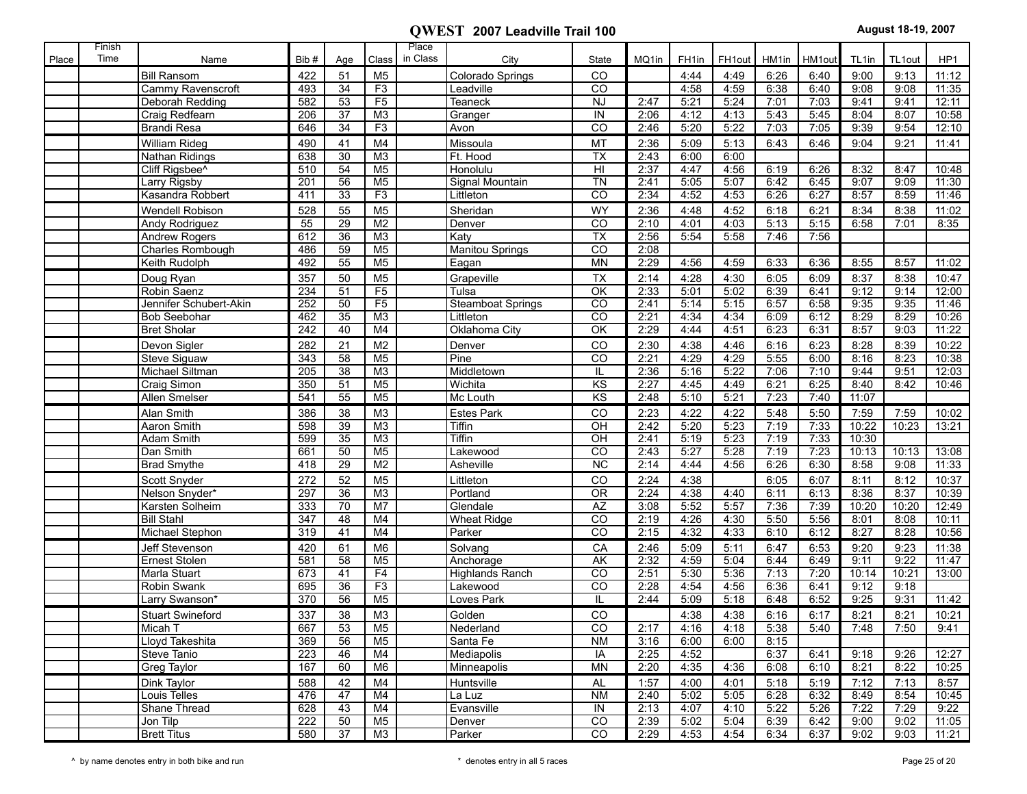|       | Finish |                            |      |                 |                | Place    |                          |                        |       |                   |        |       |        |                   |        |       |
|-------|--------|----------------------------|------|-----------------|----------------|----------|--------------------------|------------------------|-------|-------------------|--------|-------|--------|-------------------|--------|-------|
| Place | Time   | Name                       | Bib# | Age             | Class          | in Class | City                     | State                  | MQ1in | FH <sub>1in</sub> | FH1out | HM1in | HM1out | TL <sub>1in</sub> | TL1out | HP1   |
|       |        | <b>Bill Ransom</b>         | 422  | 51              | M <sub>5</sub> |          | Colorado Springs         | CO                     |       | 4:44              | 4:49   | 6:26  | 6:40   | 9:00              | 9:13   | 11:12 |
|       |        | Cammy Ravenscroft          | 493  | $\overline{34}$ | F3             |          | Leadville                | $\overline{co}$        |       | 4:58              | 4:59   | 6:38  | 6:40   | 9:08              | 9:08   | 11:35 |
|       |        | Deborah Redding            | 582  | 53              | F5             |          | Teaneck                  | <b>NJ</b>              | 2:47  | 5:21              | 5:24   | 7:01  | 7:03   | 9:41              | 9:41   | 12:11 |
|       |        | Craig Redfearn             | 206  | 37              | M <sub>3</sub> |          | Granger                  | IN                     | 2:06  | 4:12              | 4:13   | 5:43  | 5:45   | 8:04              | 8:07   | 10:58 |
|       |        | <b>Brandi Resa</b>         | 646  | $\overline{34}$ | F3             |          | Avon                     | $\overline{co}$        | 2:46  | 5:20              | 5:22   | 7:03  | 7:05   | 9:39              | 9:54   | 12:10 |
|       |        |                            |      |                 |                |          |                          |                        |       |                   |        |       |        |                   |        |       |
|       |        | William Rideg              | 490  | 41              | M <sub>4</sub> |          | Missoula                 | MT                     | 2:36  | 5:09              | 5:13   | 6:43  | 6:46   | 9:04              | 9:21   | 11:41 |
|       |        | Nathan Ridings             | 638  | $\overline{30}$ | M <sub>3</sub> |          | Ft. Hood                 | TX                     | 2:43  | 6:00              | 6:00   |       |        |                   |        |       |
|       |        | Cliff Rigsbee <sup>^</sup> | 510  | 54              | M <sub>5</sub> |          | Honolulu                 | HI                     | 2:37  | 4:47              | 4:56   | 6:19  | 6:26   | 8:32              | 8:47   | 10:48 |
|       |        | Larry Rigsby               | 201  | 56              | M <sub>5</sub> |          | <b>Signal Mountain</b>   | $\overline{T}N$        | 2:41  | 5:05              | 5:07   | 6:42  | 6:45   | 9:07              | 9:09   | 11:30 |
|       |        | Kasandra Robbert           | 411  | 33              | F3             |          | Littleton                | CO                     | 2:34  | 4:52              | 4:53   | 6:26  | 6:27   | 8:57              | 8:59   | 11:46 |
|       |        | Wendell Robison            | 528  | 55              | M <sub>5</sub> |          | Sheridan                 | <b>WY</b>              | 2:36  | 4:48              | 4:52   | 6:18  | 6:21   | 8:34              | 8:38   | 11:02 |
|       |        | Andy Rodriguez             | 55   | 29              | M <sub>2</sub> |          | Denver                   | CO                     | 2:10  | 4:01              | 4:03   | 5:13  | 5:15   | 6:58              | 7:01   | 8:35  |
|       |        | Andrew Rogers              | 612  | $\overline{36}$ | M <sub>3</sub> |          | Katy                     | $\overline{TX}$        | 2:56  | 5:54              | 5:58   | 7:46  | 7:56   |                   |        |       |
|       |        | <b>Charles Rombough</b>    | 486  | 59              | M <sub>5</sub> |          | <b>Manitou Springs</b>   | $\overline{co}$        | 2:08  |                   |        |       |        |                   |        |       |
|       |        | Keith Rudolph              | 492  | 55              | M <sub>5</sub> |          | Eagan                    | <b>MN</b>              | 2:29  | 4:56              | 4:59   | 6:33  | 6:36   | 8:55              | 8:57   | 11:02 |
|       |        | Doug Ryan                  | 357  | 50              | M <sub>5</sub> |          | Grapeville               | <b>TX</b>              | 2:14  | 4:28              | 4:30   | 6:05  | 6:09   | 8:37              | 8:38   | 10:47 |
|       |        | Robin Saenz                | 234  | 51              | F5             |          | Tulsa                    | $\overline{OK}$        | 2:33  | 5:01              | 5:02   | 6:39  | 6:41   | 9:12              | 9:14   | 12:00 |
|       |        | Jennifer Schubert-Akin     | 252  | 50              | F5             |          | <b>Steamboat Springs</b> | $\overline{co}$        | 2:41  | 5:14              | 5:15   | 6:57  | 6:58   | 9:35              | 9:35   | 11:46 |
|       |        | <b>Bob Seebohar</b>        | 462  | 35              | M <sub>3</sub> |          | Littleton                | CO                     | 2:21  | 4:34              | 4:34   | 6:09  | 6:12   | 8:29              | 8:29   | 10:26 |
|       |        | <b>Bret Sholar</b>         | 242  | 40              | M4             |          | Oklahoma City            | $\overline{OK}$        | 2:29  | 4:44              | 4:51   | 6:23  | 6:31   | 8:57              | 9:03   | 11:22 |
|       |        | Devon Sigler               | 282  | 21              | M <sub>2</sub> |          | Denver                   | CO                     | 2:30  | 4:38              | 4:46   | 6:16  | 6:23   | 8:28              | 8:39   | 10:22 |
|       |        | <b>Steve Siguaw</b>        | 343  | 58              | M <sub>5</sub> |          | Pine                     | CO                     | 2:21  | 4:29              | 4:29   | 5:55  | 6:00   | 8:16              | 8:23   | 10:38 |
|       |        | Michael Siltman            | 205  | 38              | M <sub>3</sub> |          | Middletown               | IL                     | 2:36  | 5:16              | 5:22   | 7:06  | 7:10   | 9:44              | 9:51   | 12:03 |
|       |        | Craig Simon                | 350  | 51              | M <sub>5</sub> |          | Wichita                  | $\overline{\text{KS}}$ | 2:27  | 4:45              | 4:49   | 6:21  | 6:25   | 8:40              | 8:42   | 10:46 |
|       |        |                            | 541  | 55              | M <sub>5</sub> |          | Mc Louth                 | $\overline{\text{KS}}$ | 2:48  | 5:10              | 5:21   | 7:23  | 7:40   | 11:07             |        |       |
|       |        | Allen Smelser              |      |                 |                |          |                          |                        |       |                   |        |       |        |                   |        |       |
|       |        | Alan Smith                 | 386  | 38              | M <sub>3</sub> |          | <b>Estes Park</b>        | CO                     | 2:23  | 4:22              | 4:22   | 5:48  | 5:50   | 7:59              | 7:59   | 10:02 |
|       |        | Aaron Smith                | 598  | 39              | M <sub>3</sub> |          | Tiffin                   | $\overline{Q}$         | 2:42  | 5:20              | 5:23   | 7:19  | 7:33   | 10:22             | 10:23  | 13:21 |
|       |        | Adam Smith                 | 599  | $\overline{35}$ | M <sub>3</sub> |          | <b>Tiffin</b>            | $\overline{OH}$        | 2:41  | 5:19              | 5:23   | 7:19  | 7:33   | 10:30             |        |       |
|       |        | Dan Smith                  | 661  | 50              | M <sub>5</sub> |          | Lakewood                 | $\overline{co}$        | 2:43  | 5:27              | 5:28   | 7:19  | 7:23   | 10:13             | 10:13  | 13:08 |
|       |        | <b>Brad Smythe</b>         | 418  | 29              | M <sub>2</sub> |          | Asheville                | NC                     | 2:14  | 4:44              | 4:56   | 6:26  | 6:30   | 8:58              | 9:08   | 11:33 |
|       |        | Scott Snyder               | 272  | 52              | M <sub>5</sub> |          | Littleton                | CO                     | 2:24  | 4:38              |        | 6:05  | 6:07   | 8:11              | 8:12   | 10:37 |
|       |        | Nelson Snyder*             | 297  | $\overline{36}$ | M <sub>3</sub> |          | Portland                 | $\overline{OR}$        | 2:24  | 4:38              | 4:40   | 6:11  | 6:13   | 8:36              | 8:37   | 10:39 |
|       |        | Karsten Solheim            | 333  | 70              | M <sub>7</sub> |          | Glendale                 | $\overline{AZ}$        | 3:08  | 5:52              | 5:57   | 7:36  | 7:39   | 10:20             | 10:20  | 12:49 |
|       |        | <b>Bill Stahl</b>          | 347  | 48              | M4             |          | <b>Wheat Ridge</b>       | $\overline{CO}$        | 2:19  | 4:26              | 4:30   | 5:50  | 5:56   | 8:01              | 8:08   | 10:11 |
|       |        | Michael Stephon            | 319  | 41              | M4             |          | Parker                   | $\overline{co}$        | 2:15  | 4:32              | 4:33   | 6:10  | 6:12   | 8:27              | 8:28   | 10:56 |
|       |        | Jeff Stevenson             | 420  | 61              | M <sub>6</sub> |          | Solvang                  | CA                     | 2:46  | 5:09              | 5:11   | 6:47  | 6:53   | 9:20              | 9:23   | 11:38 |
|       |        | <b>Ernest Stolen</b>       | 581  | 58              | M <sub>5</sub> |          | Anchorage                | AK                     | 2:32  | 4:59              | 5:04   | 6:44  | 6:49   | 9:11              | 9:22   | 11:47 |
|       |        | Marla Stuart               | 673  | 41              | F4             |          | <b>Highlands Ranch</b>   | $\overline{CO}$        | 2:51  | 5:30              | 5:36   | 7:13  | 7:20   | 10:14             | 10:21  | 13:00 |
|       |        | Robin Swank                | 695  | $\overline{36}$ | F3             |          | Lakewood                 | $\overline{co}$        | 2:28  | 4:54              | 4:56   | 6:36  | 6:41   | 9:12              | 9:18   |       |
|       |        | Larry Swanson*             | 370  | 56              | M <sub>5</sub> |          | Loves Park               | IL                     | 2:44  | 5:09              | 5:18   | 6:48  | 6:52   | 9:25              | 9:31   | 11:42 |
|       |        | <b>Stuart Swineford</b>    | 337  | 38              | M <sub>3</sub> |          | Golden                   | CO                     |       | 4:38              | 4:38   | 6:16  | 6:17   | 8:21              | 8:21   | 10:21 |
|       |        | Micah T                    | 667  | 53              | M5             |          | Nederland                | CO                     | 2:17  | 4:16              | 4:18   | 5:38  | 5:40   | 7:48              | 7:50   | 9:41  |
|       |        | Lloyd Takeshita            | 369  | 56              | M <sub>5</sub> |          | Santa Fe                 | <b>NM</b>              | 3:16  | 6:00              | 6:00   | 8:15  |        |                   |        |       |
|       |        | Steve Tanio                | 223  | 46              | M4             |          | Mediapolis               | IA                     | 2:25  | 4.52              |        | 6:37  | 6:41   | 9:18              | 9:26   | 12:27 |
|       |        | Greg Taylor                | 167  | 60              | M6             |          | Minneapolis              | <b>MN</b>              | 2:20  | 4:35              | 4:36   | 6:08  | 6:10   | 8:21              | 8:22   | 10:25 |
|       |        |                            |      |                 |                |          |                          |                        |       |                   |        |       |        |                   |        |       |
|       |        | Dink Taylor                | 588  | 42              | M4             |          | Huntsville               | AL                     | 1:57  | 4:00              | 4:01   | 5:18  | 5:19   | 7:12              | 7:13   | 8:57  |
|       |        | Louis Telles               | 476  | 47              | M4             |          | La Luz                   | <b>NM</b>              | 2:40  | 5:02              | 5:05   | 6:28  | 6:32   | 8:49              | 8:54   | 10:45 |
|       |        | Shane Thread               | 628  | 43              | M4             |          | Evansville               | $\overline{\text{IN}}$ | 2:13  | 4:07              | 4:10   | 5:22  | 5:26   | 7:22              | 7:29   | 9:22  |
|       |        | Jon Tilp                   | 222  | 50              | M5             |          | Denver                   | $\overline{c}$         | 2:39  | 5:02              | 5:04   | 6:39  | 6:42   | 9:00              | 9:02   | 11:05 |
|       |        | <b>Brett Titus</b>         | 580  | 37              | M3             |          | Parker                   | CO                     | 2:29  | 4:53              | 4:54   | 6:34  | 6:37   | 9:02              | 9:03   | 11:21 |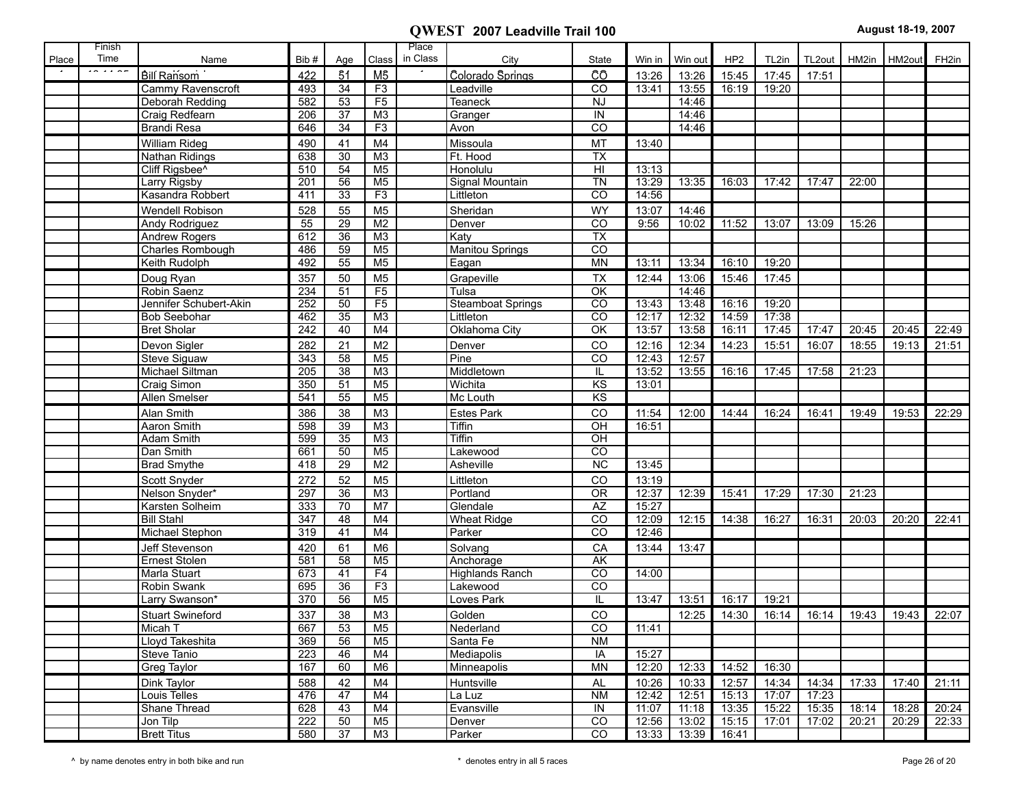|       | Finish |                                   |            |                 |                                  | Place    |                          |                                   |                |         |                 |       |        |       |        |                   |
|-------|--------|-----------------------------------|------------|-----------------|----------------------------------|----------|--------------------------|-----------------------------------|----------------|---------|-----------------|-------|--------|-------|--------|-------------------|
| Place | Time   | Name                              | Bib#       | Age             | Class                            | in Class | City                     | State                             | Win in I       | Win out | HP <sub>2</sub> | TL2in | TL2out | HM2in | HM2out | FH <sub>2in</sub> |
|       |        | <b>Bill Ransom</b>                | 422        | 51              | M5                               |          | Colorado Springs         | ĈŌ                                | 13:26          | 13:26   | 15:45           | 17:45 | 17:51  |       |        |                   |
|       |        | Cammy Ravenscroft                 | 493        | 34              | F <sub>3</sub>                   |          | Leadville                | $\overline{co}$                   | 13:41          | 13:55   | 16:19           | 19:20 |        |       |        |                   |
|       |        | <b>Deborah Redding</b>            | 582        | 53              | F5                               |          | <b>Teaneck</b>           | <b>NJ</b>                         |                | 14:46   |                 |       |        |       |        |                   |
|       |        | Craig Redfearn                    | 206        | 37              | M <sub>3</sub>                   |          | Granger                  | IN                                |                | 14:46   |                 |       |        |       |        |                   |
|       |        | <b>Brandi Resa</b>                | 646        | 34              | F3                               |          | Avon                     | CO                                |                | 14:46   |                 |       |        |       |        |                   |
|       |        | William Rideg                     | 490        | 41              | M4                               |          | Missoula                 | MT                                | 13:40          |         |                 |       |        |       |        |                   |
|       |        | Nathan Ridings                    | 638        | 30              | M <sub>3</sub>                   |          | Ft. Hood                 | Tx                                |                |         |                 |       |        |       |        |                   |
|       |        | Cliff Rigsbee <sup>^</sup>        | 510        | 54              | M <sub>5</sub>                   |          | <b>Honolulu</b>          | $\overline{H}$                    | 13:13          |         |                 |       |        |       |        |                   |
|       |        | Larry Rigsby                      | 201        | 56              | M <sub>5</sub>                   |          | Signal Mountain          | $\overline{T}N$                   | 13:29          | 13:35   | 16:03           | 17:42 | 17:47  | 22:00 |        |                   |
|       |        | Kasandra Robbert                  | 411        | 33              | F3                               |          | Littleton                | $\overline{co}$                   | 14:56          |         |                 |       |        |       |        |                   |
|       |        | Wendell Robison                   | 528        | 55              | M <sub>5</sub>                   |          | Sheridan                 | <b>WY</b>                         | 13:07          | 14:46   |                 |       |        |       |        |                   |
|       |        | Andy Rodriguez                    | 55         | 29              | M <sub>2</sub>                   |          | Denver                   | CO                                | 9:56           | 10:02   | 11:52           | 13:07 | 13:09  | 15:26 |        |                   |
|       |        | <b>Andrew Rogers</b>              | 612        | 36              | M <sub>3</sub>                   |          | Katy                     | $\overline{TX}$                   |                |         |                 |       |        |       |        |                   |
|       |        | Charles Rombough                  | 486        | 59              | M <sub>5</sub>                   |          | <b>Manitou Springs</b>   | $\overline{CO}$                   |                |         |                 |       |        |       |        |                   |
|       |        | Keith Rudolph                     | 492        | 55              | M <sub>5</sub>                   |          | Eagan                    | <b>MN</b>                         | 13:11          | 13:34   | 16:10           | 19:20 |        |       |        |                   |
|       |        | Doug Ryan                         | 357        | 50              | M <sub>5</sub>                   |          | Grapeville               | <b>TX</b>                         | 12:44          | 13:06   | 15:46           | 17:45 |        |       |        |                   |
|       |        | Robin Saenz                       | 234        | 51              | F5                               |          | Tulsa                    | $\overline{OK}$                   |                | 14:46   |                 |       |        |       |        |                   |
|       |        | Jennifer Schubert-Akin            | 252        | 50              | F5                               |          | <b>Steamboat Springs</b> | CO                                | 13:43          | 13:48   | 16:16           | 19:20 |        |       |        |                   |
|       |        | <b>Bob Seebohar</b>               | 462        | 35              | M <sub>3</sub>                   |          | Littleton                | CO                                | 12:17          | 12:32   | 14:59           | 17:38 |        |       |        |                   |
|       |        | <b>Bret Sholar</b>                | 242        | 40              | M4                               |          | Oklahoma City            | $\overline{OK}$                   | 13:57          | 13:58   | 16:11           | 17:45 | 17:47  | 20:45 | 20:45  | 22:49             |
|       |        | Devon Sigler                      | 282        | 21              | M <sub>2</sub>                   |          | Denver                   | CO                                | 12:16          | 12:34   | 14:23           | 15:51 | 16:07  | 18:55 | 19:13  | 21:51             |
|       |        | <b>Steve Siguaw</b>               | 343        | 58              | M <sub>5</sub>                   |          | Pine                     | $\overline{CO}$                   | 12:43          | 12:57   |                 |       |        |       |        |                   |
|       |        | Michael Siltman                   | 205        | 38              | M <sub>3</sub>                   |          | Middletown               | IL                                | 13:52          | 13:55   | 16:16           | 17:45 | 17:58  | 21:23 |        |                   |
|       |        | Craig Simon                       | 350        | $\overline{51}$ | M <sub>5</sub>                   |          | Wichita                  | K <sub>S</sub><br>$\overline{KS}$ | 13:01          |         |                 |       |        |       |        |                   |
|       |        | Allen Smelser                     | 541        | 55              | M <sub>5</sub>                   |          | Mc Louth                 |                                   |                |         |                 |       |        |       |        |                   |
|       |        | Alan Smith                        | 386        | 38              | M <sub>3</sub>                   |          | <b>Estes Park</b>        | CO                                | 11:54          | 12:00   | 14:44           | 16:24 | 16:41  | 19:49 | 19:53  | 22:29             |
|       |        | Aaron Smith                       | 598        | 39              | M <sub>3</sub>                   |          | Tiffin                   | OH                                | 16:51          |         |                 |       |        |       |        |                   |
|       |        | <b>Adam Smith</b>                 | 599        | 35              | M <sub>3</sub>                   |          | <b>Tiffin</b>            | $\overline{OH}$                   |                |         |                 |       |        |       |        |                   |
|       |        | Dan Smith<br><b>Brad Smythe</b>   | 661<br>418 | 50<br>29        | M <sub>5</sub><br>M <sub>2</sub> |          | Lakewood<br>Asheville    | CO<br>$\overline{NC}$             | 13:45          |         |                 |       |        |       |        |                   |
|       |        |                                   |            |                 |                                  |          |                          |                                   |                |         |                 |       |        |       |        |                   |
|       |        | Scott Snyder                      | 272        | 52              | M <sub>5</sub>                   |          | Littleton                | CO                                | 13:19          |         |                 |       |        |       |        |                   |
|       |        | Nelson Snyder*<br>Karsten Solheim | 297<br>333 | 36<br>70        | M <sub>3</sub><br>M7             |          | Portland<br>Glendale     | $\overline{OR}$<br><b>AZ</b>      | 12:37<br>15:27 | 12:39   | 15:41           | 17:29 | 17:30  | 21:23 |        |                   |
|       |        | <b>Bill Stahl</b>                 | 347        | 48              | M4                               |          | <b>Wheat Ridge</b>       | $\overline{CO}$                   | 12:09          | 12:15   | 14:38           | 16:27 | 16:31  | 20:03 | 20:20  | 22:41             |
|       |        | <b>Michael Stephon</b>            | 319        | 41              | M4                               |          | Parker                   | CO                                | 12:46          |         |                 |       |        |       |        |                   |
|       |        | Jeff Stevenson                    | 420        | 61              | M <sub>6</sub>                   |          | Solvang                  | CA                                | 13:44          | 13:47   |                 |       |        |       |        |                   |
|       |        | <b>Ernest Stolen</b>              | 581        | 58              | M <sub>5</sub>                   |          | Anchorage                | AK                                |                |         |                 |       |        |       |        |                   |
|       |        | Marla Stuart                      | 673        | 41              | F <sub>4</sub>                   |          | <b>Highlands Ranch</b>   | $\overline{CO}$                   | 14:00          |         |                 |       |        |       |        |                   |
|       |        | Robin Swank                       | 695        | 36              | F <sub>3</sub>                   |          | Lakewood                 | $\overline{co}$                   |                |         |                 |       |        |       |        |                   |
|       |        | Larry Swanson*                    | 370        | 56              | M <sub>5</sub>                   |          | Loves Park               | IL                                | 13:47          | 13:51   | 16:17           | 19:21 |        |       |        |                   |
|       |        | <b>Stuart Swineford</b>           | 337        | 38              | M <sub>3</sub>                   |          | Golden                   | CO                                |                | 12:25   | 14:30           | 16:14 | 16:14  | 19:43 | 19:43  | 22:07             |
|       |        | Micah T                           | 667        | 53              | M5                               |          | Nederland                | CO                                | 11:41          |         |                 |       |        |       |        |                   |
|       |        | Lloyd Takeshita                   | 369        | 56              | M <sub>5</sub>                   |          | Santa Fe                 | <b>NM</b>                         |                |         |                 |       |        |       |        |                   |
|       |        | Steve Tanio                       | 223        | 46              | M4                               |          | Mediapolis               | IA                                | 15:27          |         |                 |       |        |       |        |                   |
|       |        | Greg Taylor                       | 167        | 60              | M6                               |          | Minneapolis              | <b>MN</b>                         | 12:20          | 12:33   | 14:52           | 16:30 |        |       |        |                   |
|       |        | Dink Taylor                       | 588        | 42              | M4                               |          | Huntsville               | <b>AL</b>                         | 10:26          | 10:33   | 12:57           | 14:34 | 14:34  | 17:33 | 17:40  | 21:11             |
|       |        | Louis Telles                      | 476        | 47              | M4                               |          | La Luz                   | <b>NM</b>                         | 12:42          | 12:51   | 15:13           | 17:07 | 17:23  |       |        |                   |
|       |        | Shane Thread                      | 628        | 43              | M <sub>4</sub>                   |          | Evansville               | IN                                | 11:07          | 11:18   | 13:35           | 15:22 | 15:35  | 18:14 | 18:28  | 20:24             |
|       |        | Jon Tilp                          | 222        | 50              | M5                               |          | Denver                   | $\overline{c}$                    | 12:56          | 13:02   | 15:15           | 17:01 | 17:02  | 20:21 | 20:29  | 22:33             |
|       |        | <b>Brett Titus</b>                | 580        | 37              | M3                               |          | Parker                   | $\overline{CO}$                   | 13:33          | 13:39   | 16:41           |       |        |       |        |                   |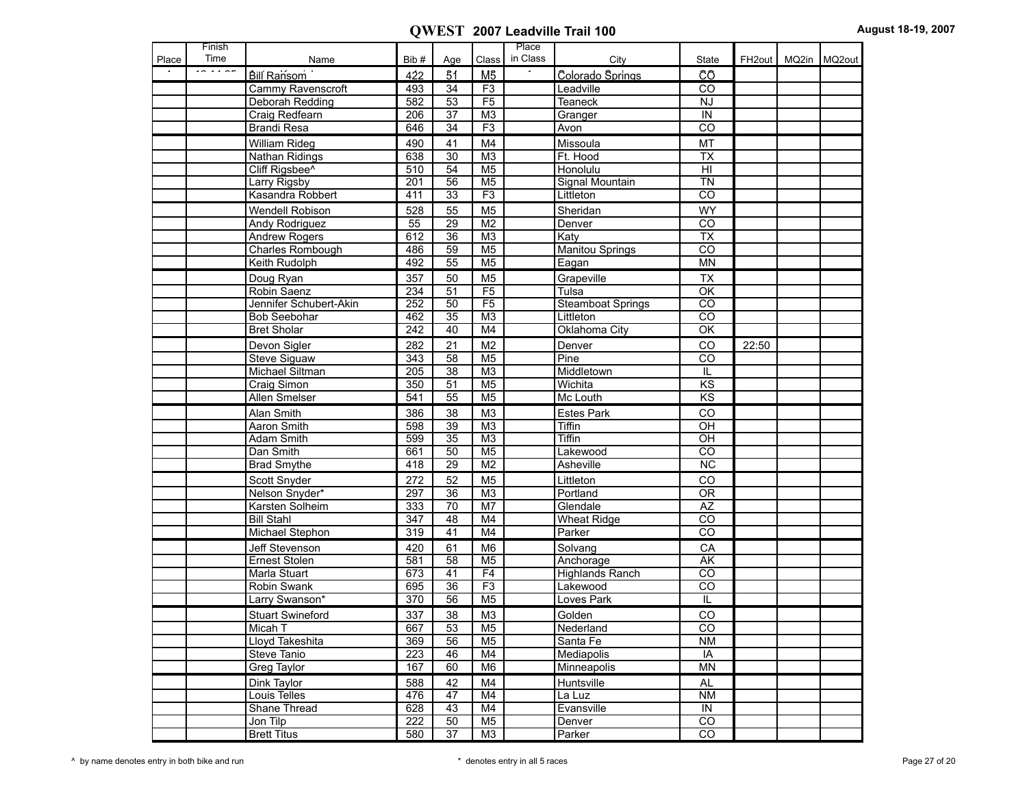|       | Finish |                            |      |                 |                 | Place    |                          |                         |                    |       |        |
|-------|--------|----------------------------|------|-----------------|-----------------|----------|--------------------------|-------------------------|--------------------|-------|--------|
| Place | Time   | Name                       | Bib# | Age             | Class           | in Class | City                     | State                   | FH <sub>2out</sub> | MQ2in | MQ2out |
|       |        | <b>Bill Ransom</b>         | 422  | 51              | M5              |          | Colorado Springs         | ĈŌ                      |                    |       |        |
|       |        | Cammy Ravenscroft          | 493  | 34              | F <sub>3</sub>  |          | Leadville                | CO                      |                    |       |        |
|       |        | Deborah Redding            | 582  | 53              | F5              |          | <b>Teaneck</b>           | <b>NJ</b>               |                    |       |        |
|       |        | Craig Redfearn             | 206  | 37              | M <sub>3</sub>  |          | Granger                  | IN                      |                    |       |        |
|       |        | <b>Brandi Resa</b>         | 646  | 34              | F3              |          | Avon                     | CO                      |                    |       |        |
|       |        | <b>William Rideg</b>       | 490  | 41              | M4              |          | Missoula                 | MT                      |                    |       |        |
|       |        | <b>Nathan Ridings</b>      | 638  | $\overline{30}$ | M <sub>3</sub>  |          | Ft. Hood                 | <b>TX</b>               |                    |       |        |
|       |        | Cliff Rigsbee <sup>^</sup> | 510  | 54              | M <sub>5</sub>  |          | Honolulu                 | H <sub>II</sub>         |                    |       |        |
|       |        | Larry Rigsby               | 201  | 56              | M <sub>5</sub>  |          | Signal Mountain          | $\overline{T}$ N        |                    |       |        |
|       |        | Kasandra Robbert           | 411  | 33              | F3              |          | Littleton                | $\overline{co}$         |                    |       |        |
|       |        | Wendell Robison            | 528  | 55              | M <sub>5</sub>  |          | Sheridan                 | <b>WY</b>               |                    |       |        |
|       |        | Andy Rodriguez             | 55   | 29              | M <sub>2</sub>  |          | Denver                   | $\overline{c}$          |                    |       |        |
|       |        | <b>Andrew Rogers</b>       | 612  | 36              | M3              |          | Katy                     | <b>TX</b>               |                    |       |        |
|       |        | <b>Charles Rombough</b>    | 486  | 59              | M <sub>5</sub>  |          | <b>Manitou Springs</b>   | $\overline{co}$         |                    |       |        |
|       |        | Keith Rudolph              | 492  | 55              | M <sub>5</sub>  |          | Eagan                    | <b>MN</b>               |                    |       |        |
|       |        | Doug Ryan                  | 357  | 50              | M <sub>5</sub>  |          | Grapeville               | <b>TX</b>               |                    |       |        |
|       |        | Robin Saenz                | 234  | 51              | F5              |          | Tulsa                    | OK                      |                    |       |        |
|       |        | Jennifer Schubert-Akin     | 252  | 50              | F5              |          | <b>Steamboat Springs</b> | $\overline{co}$         |                    |       |        |
|       |        | <b>Bob Seebohar</b>        | 462  | 35              | M <sub>3</sub>  |          | Littleton                | CO                      |                    |       |        |
|       |        | <b>Bret Sholar</b>         | 242  | 40              | M4              |          | Oklahoma City            | OK                      |                    |       |        |
|       |        | Devon Sigler               | 282  | 21              | M <sub>2</sub>  |          | Denver                   | CO                      | 22:50              |       |        |
|       |        | <b>Steve Siguaw</b>        | 343  | 58              | M <sub>5</sub>  |          | Pine                     | $\overline{co}$         |                    |       |        |
|       |        | Michael Siltman            | 205  | 38              | M <sub>3</sub>  |          | Middletown               | IL                      |                    |       |        |
|       |        | Craig Simon                | 350  | 51              | M <sub>5</sub>  |          | Wichita                  | $\overline{KS}$         |                    |       |        |
|       |        | <b>Allen Smelser</b>       | 541  | 55              | M <sub>5</sub>  |          | Mc Louth                 | K <sub>S</sub>          |                    |       |        |
|       |        | Alan Smith                 | 386  | 38              | M3              |          | <b>Estes Park</b>        | CO                      |                    |       |        |
|       |        | Aaron Smith                | 598  | 39              | M <sub>3</sub>  |          | Tiffin                   | OH                      |                    |       |        |
|       |        | Adam Smith                 | 599  | 35              | M3              |          | <b>Tiffin</b>            | OH                      |                    |       |        |
|       |        | Dan Smith                  | 661  | 50              | M <sub>5</sub>  |          | Lakewood                 | $\overline{co}$         |                    |       |        |
|       |        | <b>Brad Smythe</b>         | 418  | 29              | M <sub>2</sub>  |          | Asheville                | NC                      |                    |       |        |
|       |        | Scott Snyder               | 272  | 52              | M <sub>5</sub>  |          | Littleton                | CO                      |                    |       |        |
|       |        | Nelson Snyder*             | 297  | 36              | M3              |          | Portland                 | <b>OR</b>               |                    |       |        |
|       |        | Karsten Solheim            | 333  | 70              | $\overline{M7}$ |          | Glendale                 | AZ                      |                    |       |        |
|       |        | <b>Bill Stahl</b>          | 347  | 48              | M4              |          | <b>Wheat Ridge</b>       | $\overline{c}$          |                    |       |        |
|       |        | Michael Stephon            | 319  | 41              | M4              |          | Parker                   | CO                      |                    |       |        |
|       |        | Jeff Stevenson             | 420  | 61              | M <sub>6</sub>  |          | Solvang                  | CA                      |                    |       |        |
|       |        | <b>Ernest Stolen</b>       | 581  | 58              | M <sub>5</sub>  |          | Anchorage                | AK                      |                    |       |        |
|       |        | Marla Stuart               | 673  | 41              | F4              |          | <b>Highlands Ranch</b>   | $\overline{c}$          |                    |       |        |
|       |        | Robin Swank                | 695  | 36              | F3              |          | Lakewood                 | CO                      |                    |       |        |
|       |        | Larry Swanson*             | 370  | 56              | M <sub>5</sub>  |          | Loves Park               | $\overline{\mathbb{L}}$ |                    |       |        |
|       |        | <b>Stuart Swineford</b>    | 337  | 38              | M <sub>3</sub>  |          | Golden                   | CO                      |                    |       |        |
|       |        | Micah T                    | 667  | 53              | M5              |          | Nederland                | CO                      |                    |       |        |
|       |        | Lloyd Takeshita            | 369  | 56              | M <sub>5</sub>  |          | Santa Fe                 | <b>NM</b>               |                    |       |        |
|       |        | Steve Tanio                | 223  | 46              | M4              |          | Mediapolis               | IA                      |                    |       |        |
|       |        | Greg Taylor                | 167  | 60              | M6              |          | Minneapolis              | <b>MN</b>               |                    |       |        |
|       |        | Dink Taylor                | 588  | 42              | M4              |          | Huntsville               | <b>AL</b>               |                    |       |        |
|       |        | Louis Telles               | 476  | 47              | M4              |          | La Luz                   | <b>NM</b>               |                    |       |        |
|       |        | Shane Thread               | 628  | 43              | M4              |          | Evansville               | IN                      |                    |       |        |
|       |        | Jon Tilp                   | 222  | 50              | M5              |          | Denver                   | $\overline{c}$          |                    |       |        |
|       |        | <b>Brett Titus</b>         | 580  | 37              | ΜЗ              |          | Parker                   | $\overline{CO}$         |                    |       |        |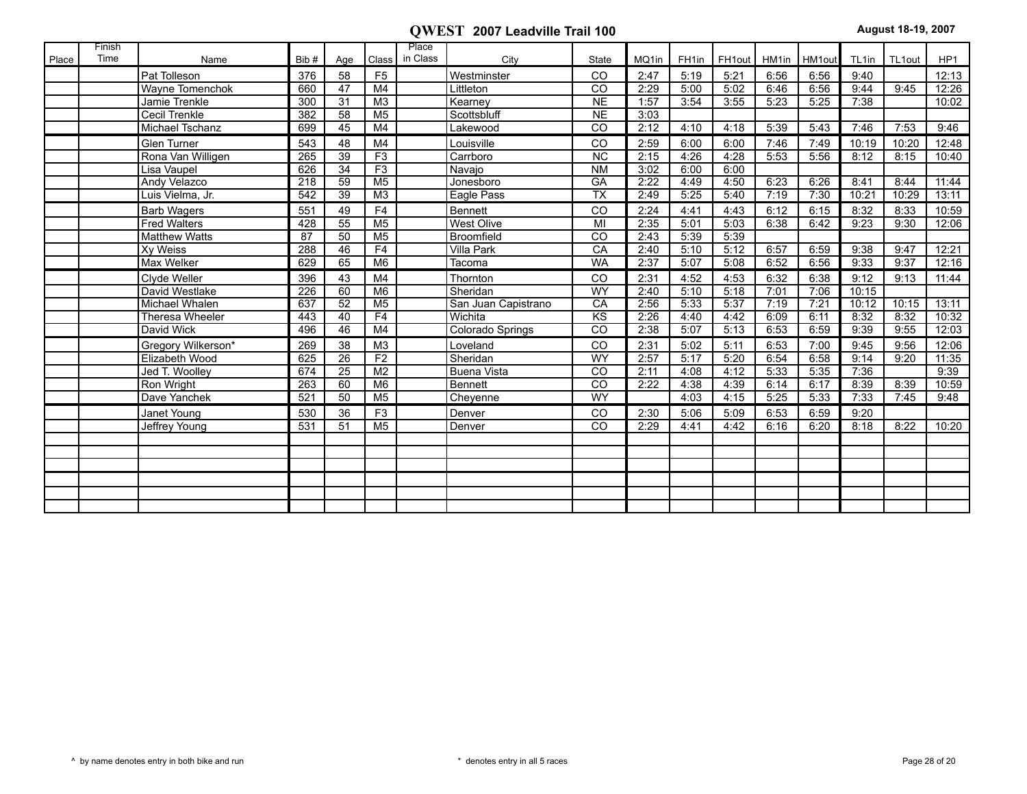|       | Finish |                        |                  |                 |                | Place    |                     |                 |       |                   |                    |       |        |       |        |       |
|-------|--------|------------------------|------------------|-----------------|----------------|----------|---------------------|-----------------|-------|-------------------|--------------------|-------|--------|-------|--------|-------|
| Place | Time   | Name                   | Bib#             | Age             | Class          | in Class | City                | <b>State</b>    | MQ1in | FH <sub>1in</sub> | FH <sub>1out</sub> | HM1in | HM1out | TL1in | TL1out | HP1   |
|       |        | Pat Tolleson           | 376              | 58              | F <sub>5</sub> |          | Westminster         | CO              | 2:47  | 5:19              | 5:21               | 6:56  | 6:56   | 9:40  |        | 12:13 |
|       |        | <b>Wayne Tomenchok</b> | 660              | 47              | M4             |          | <b>Littleton</b>    | $\overline{CO}$ | 2:29  | 5:00              | 5:02               | 6:46  | 6:56   | 9:44  | 9:45   | 12:26 |
|       |        | Jamie Trenkle          | 300              | 31              | M <sub>3</sub> |          | Kearney             | <b>NE</b>       | 1:57  | 3:54              | 3:55               | 5:23  | 5:25   | 7:38  |        | 10:02 |
|       |        | <b>Cecil Trenkle</b>   | 382              | 58              | M <sub>5</sub> |          | Scottsbluff         | <b>NE</b>       | 3:03  |                   |                    |       |        |       |        |       |
|       |        | Michael Tschanz        | 699              | 45              | M4             |          | Lakewood            | $\overline{CO}$ | 2:12  | 4:10              | 4:18               | 5:39  | 5:43   | 7:46  | 7:53   | 9:46  |
|       |        | Glen Turner            | 543              | 48              | M4             |          | Louisville          | CO              | 2:59  | 6:00              | 6:00               | 7:46  | 7:49   | 10:19 | 10:20  | 12:48 |
|       |        | Rona Van Willigen      | 265              | 39              | F3             |          | Carrboro            | NC              | 2:15  | 4:26              | 4:28               | 5:53  | 5:56   | 8:12  | 8:15   | 10:40 |
|       |        | Lisa Vaupel            | 626              | 34              | F3             |          | Navajo              | <b>NM</b>       | 3:02  | 6:00              | 6:00               |       |        |       |        |       |
|       |        | Andy Velazco           | 218              | 59              | M <sub>5</sub> |          | Jonesboro           | GA              | 2:22  | 4:49              | 4:50               | 6:23  | 6:26   | 8:41  | 8:44   | 11:44 |
|       |        | Luis Vielma, Jr.       | 542              | $\overline{39}$ | M3             |          | Eagle Pass          | <b>TX</b>       | 2:49  | 5:25              | 5:40               | 7:19  | 7:30   | 10:21 | 10:29  | 13:11 |
|       |        | <b>Barb Wagers</b>     | 551              | 49              | F4             |          | Bennett             | CO              | 2:24  | 4:41              | 4:43               | 6:12  | 6:15   | 8:32  | 8:33   | 10:59 |
|       |        | <b>Fred Walters</b>    | 428              | 55              | M <sub>5</sub> |          | <b>West Olive</b>   | MI              | 2:35  | 5:01              | 5:03               | 6:38  | 6:42   | 9:23  | 9:30   | 12:06 |
|       |        | <b>Matthew Watts</b>   | 87               | 50              | M <sub>5</sub> |          | Broomfield          | CO              | 2:43  | 5:39              | 5:39               |       |        |       |        |       |
|       |        | Xy Weiss               | 288              | 46              | F4             |          | Villa Park          | CA              | 2:40  | 5:10              | 5:12               | 6:57  | 6:59   | 9:38  | 9:47   | 12:21 |
|       |        | Max Welker             | 629              | 65              | M <sub>6</sub> |          | Tacoma              | <b>WA</b>       | 2:37  | 5:07              | 5:08               | 6:52  | 6:56   | 9:33  | 9:37   | 12:16 |
|       |        | Clyde Weller           | 396              | 43              | M4             |          | Thornton            | CO              | 2:31  | 4:52              | 4:53               | 6:32  | 6:38   | 9:12  | 9:13   | 11:44 |
|       |        | David Westlake         | $\overline{226}$ | 60              | M6             |          | Sheridan            | WY              | 2:40  | 5:10              | 5:18               | 7:01  | 7:06   | 10:15 |        |       |
|       |        | Michael Whalen         | 637              | 52              | M <sub>5</sub> |          | San Juan Capistrano | CA              | 2:56  | 5:33              | 5:37               | 7:19  | 7:21   | 10:12 | 10:15  | 13:11 |
|       |        | Theresa Wheeler        | 443              | 40              | F4             |          | Wichita             | KS              | 2:26  | 4:40              | 4:42               | 6:09  | 6:11   | 8:32  | 8:32   | 10:32 |
|       |        | David Wick             | 496              | 46              | M4             |          | Colorado Springs    | $\overline{co}$ | 2:38  | 5:07              | 5:13               | 6:53  | 6:59   | 9:39  | 9:55   | 12:03 |
|       |        | Gregory Wilkerson*     | 269              | 38              | M <sub>3</sub> |          | Loveland            | CO              | 2:31  | 5:02              | 5:11               | 6:53  | 7:00   | 9:45  | 9:56   | 12:06 |
|       |        | Elizabeth Wood         | 625              | $\overline{26}$ | F2             |          | Sheridan            | WY              | 2:57  | 5:17              | 5:20               | 6:54  | 6:58   | 9:14  | 9:20   | 11:35 |
|       |        | Jed T. Woolley         | 674              | 25              | M <sub>2</sub> |          | <b>Buena Vista</b>  | $\overline{CO}$ | 2:11  | 4:08              | 4:12               | 5:33  | 5:35   | 7:36  |        | 9:39  |
|       |        | Ron Wright             | 263              | 60              | M6             |          | <b>Bennett</b>      | $\overline{CO}$ | 2:22  | 4:38              | 4:39               | 6:14  | 6:17   | 8:39  | 8:39   | 10:59 |
|       |        | Dave Yanchek           | 521              | 50              | M <sub>5</sub> |          | Cheyenne            | WY              |       | 4:03              | 4:15               | 5:25  | 5:33   | 7:33  | 7:45   | 9:48  |
|       |        | Janet Young            | 530              | 36              | F <sub>3</sub> |          | Denver              | CO              | 2:30  | 5:06              | 5:09               | 6:53  | 6:59   | 9:20  |        |       |
|       |        | Jeffrey Young          | 531              | 51              | M <sub>5</sub> |          | Denver              | $\overline{c}$  | 2:29  | 4:41              | 4:42               | 6:16  | 6:20   | 8:18  | 8:22   | 10:20 |
|       |        |                        |                  |                 |                |          |                     |                 |       |                   |                    |       |        |       |        |       |
|       |        |                        |                  |                 |                |          |                     |                 |       |                   |                    |       |        |       |        |       |
|       |        |                        |                  |                 |                |          |                     |                 |       |                   |                    |       |        |       |        |       |
|       |        |                        |                  |                 |                |          |                     |                 |       |                   |                    |       |        |       |        |       |
|       |        |                        |                  |                 |                |          |                     |                 |       |                   |                    |       |        |       |        |       |
|       |        |                        |                  |                 |                |          |                     |                 |       |                   |                    |       |        |       |        |       |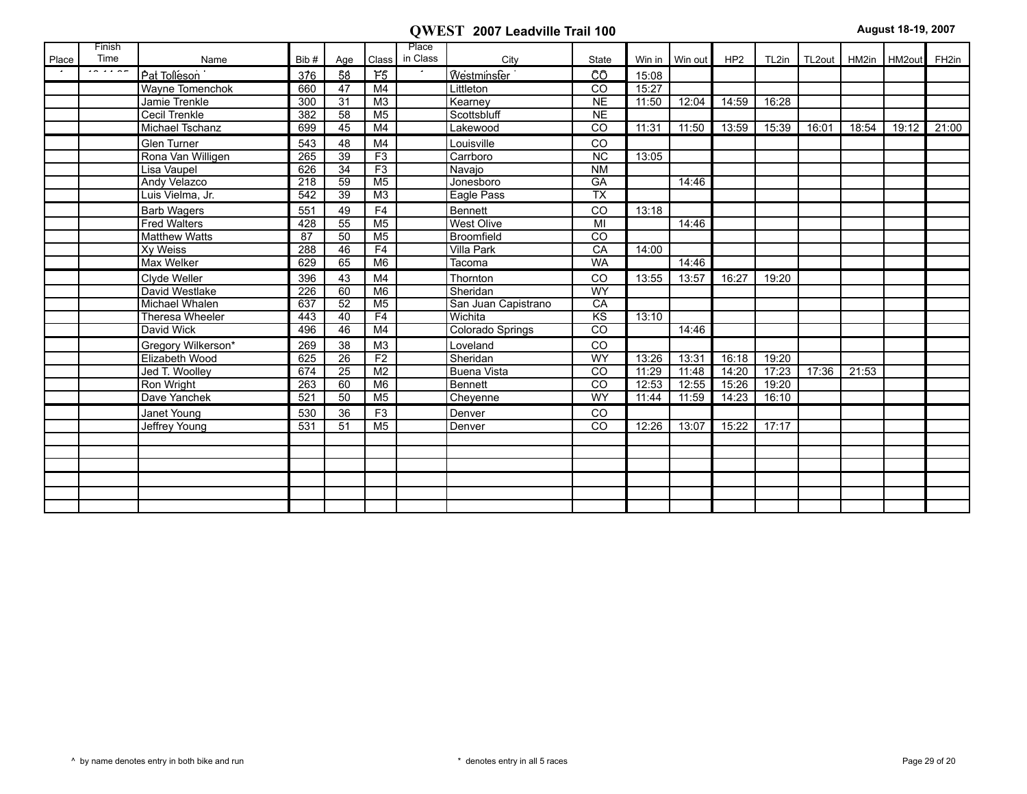|       | Finish |                      |      |                 |                 | Place    |                     |                         |       |                |       |       |              |       |              |       |
|-------|--------|----------------------|------|-----------------|-----------------|----------|---------------------|-------------------------|-------|----------------|-------|-------|--------------|-------|--------------|-------|
| Place | Time   | Name                 | Bib# | Age             | Class           | in Class | City                | State                   |       | Win in Win out | HP2   | TL2in | TL2out HM2in |       | HM2out FH2in |       |
|       |        | Pat Tolleson         | 376  | 58              | F5              |          | Westminster         | ĈŌ                      | 15:08 |                |       |       |              |       |              |       |
|       |        | Wayne Tomenchok      | 660  | 47              | M4              |          | Littleton           | CO                      | 15:27 |                |       |       |              |       |              |       |
|       |        | Jamie Trenkle        | 300  | $\overline{31}$ | M3              |          | Kearney             | <b>NE</b>               | 11:50 | 12:04          | 14:59 | 16:28 |              |       |              |       |
|       |        | <b>Cecil Trenkle</b> | 382  | 58              | M <sub>5</sub>  |          | Scottsbluff         | <b>NE</b>               |       |                |       |       |              |       |              |       |
|       |        | Michael Tschanz      | 699  | 45              | M4              |          | Lakewood            | $\overline{co}$         | 11:31 | 11:50          | 13:59 | 15:39 | 16:01        | 18:54 | 19:12        | 21:00 |
|       |        | <b>Glen Turner</b>   | 543  | 48              | M4              |          | Louisville          | CO                      |       |                |       |       |              |       |              |       |
|       |        | Rona Van Willigen    | 265  | 39              | F3              |          | Carrboro            | <b>NC</b>               | 13:05 |                |       |       |              |       |              |       |
|       |        | Lisa Vaupel          | 626  | 34              | $\overline{F3}$ |          | Navajo              | <b>NM</b>               |       |                |       |       |              |       |              |       |
|       |        | <b>Andy Velazco</b>  | 218  | 59              | M <sub>5</sub>  |          | Jonesboro           | GA                      |       | 14:46          |       |       |              |       |              |       |
|       |        | Luis Vielma, Jr.     | 542  | 39              | M3              |          | Eagle Pass          | <b>TX</b>               |       |                |       |       |              |       |              |       |
|       |        | <b>Barb Wagers</b>   | 551  | 49              | F4              |          | <b>Bennett</b>      | CO                      | 13:18 |                |       |       |              |       |              |       |
|       |        | <b>Fred Walters</b>  | 428  | 55              | M <sub>5</sub>  |          | West Olive          | $\overline{\mathsf{M}}$ |       | 14:46          |       |       |              |       |              |       |
|       |        | <b>Matthew Watts</b> | 87   | 50              | M <sub>5</sub>  |          | <b>Broomfield</b>   | CO                      |       |                |       |       |              |       |              |       |
|       |        | Xy Weiss             | 288  | 46              | F4              |          | Villa Park          | CA                      | 14:00 |                |       |       |              |       |              |       |
|       |        | Max Welker           | 629  | 65              | M <sub>6</sub>  |          | Tacoma              | <b>WA</b>               |       | 14:46          |       |       |              |       |              |       |
|       |        | Clyde Weller         | 396  | 43              | M <sub>4</sub>  |          | Thornton            | CO                      | 13:55 | 13:57          | 16:27 | 19:20 |              |       |              |       |
|       |        | David Westlake       | 226  | 60              | M <sub>6</sub>  |          | Sheridan            | WY                      |       |                |       |       |              |       |              |       |
|       |        | Michael Whalen       | 637  | 52              | M <sub>5</sub>  |          | San Juan Capistrano | CA                      |       |                |       |       |              |       |              |       |
|       |        | Theresa Wheeler      | 443  | 40              | F4              |          | Wichita             | KS                      | 13:10 |                |       |       |              |       |              |       |
|       |        | David Wick           | 496  | 46              | M4              |          | Colorado Springs    | $\overline{CO}$         |       | 14:46          |       |       |              |       |              |       |
|       |        | Gregory Wilkerson*   | 269  | 38              | M <sub>3</sub>  |          | Loveland            | CO                      |       |                |       |       |              |       |              |       |
|       |        | Elizabeth Wood       | 625  | 26              | F2              |          | Sheridan            | <b>WY</b>               | 13:26 | 13:31          | 16:18 | 19:20 |              |       |              |       |
|       |        | Jed T. Woolley       | 674  | 25              | M <sub>2</sub>  |          | <b>Buena Vista</b>  | CO                      | 11:29 | 11:48          | 14:20 | 17:23 | 17:36        | 21:53 |              |       |
|       |        | Ron Wright           | 263  | 60              | M6              |          | <b>Bennett</b>      | CO                      | 12:53 | 12:55          | 15:26 | 19:20 |              |       |              |       |
|       |        | Dave Yanchek         | 521  | 50              | M <sub>5</sub>  |          | Cheyenne            | WY                      | 11:44 | 11:59          | 14:23 | 16:10 |              |       |              |       |
|       |        | Janet Young          | 530  | 36              | F <sub>3</sub>  |          | Denver              | CO                      |       |                |       |       |              |       |              |       |
|       |        | <b>Jeffrey Young</b> | 531  | 51              | M <sub>5</sub>  |          | Denver              | $\overline{c}$          | 12:26 | 13:07          | 15:22 | 17:17 |              |       |              |       |
|       |        |                      |      |                 |                 |          |                     |                         |       |                |       |       |              |       |              |       |
|       |        |                      |      |                 |                 |          |                     |                         |       |                |       |       |              |       |              |       |
|       |        |                      |      |                 |                 |          |                     |                         |       |                |       |       |              |       |              |       |
|       |        |                      |      |                 |                 |          |                     |                         |       |                |       |       |              |       |              |       |
|       |        |                      |      |                 |                 |          |                     |                         |       |                |       |       |              |       |              |       |
|       |        |                      |      |                 |                 |          |                     |                         |       |                |       |       |              |       |              |       |